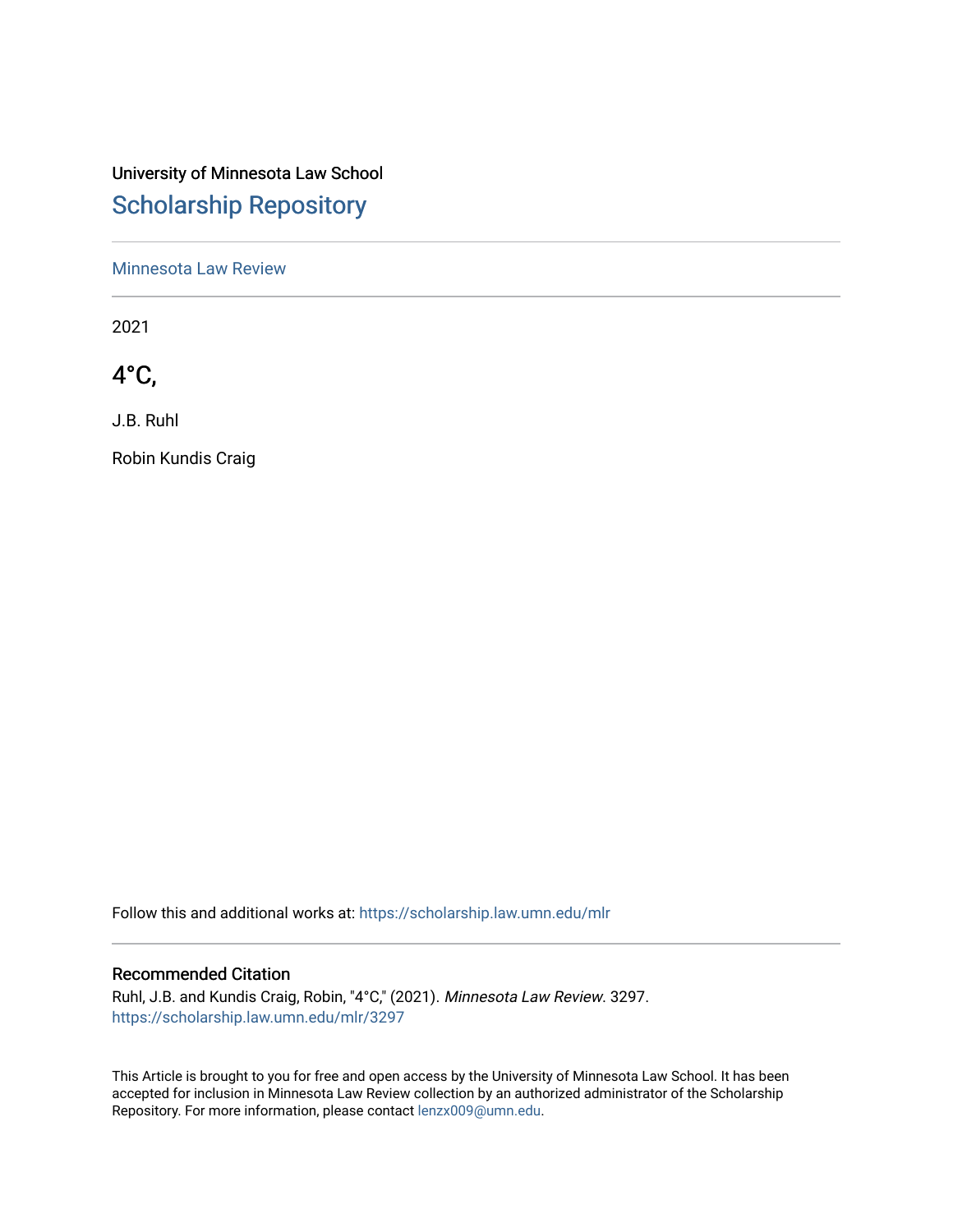# University of Minnesota Law School [Scholarship Repository](https://scholarship.law.umn.edu/)

[Minnesota Law Review](https://scholarship.law.umn.edu/mlr) 

2021

4°C,

J.B. Ruhl

Robin Kundis Craig

Follow this and additional works at: [https://scholarship.law.umn.edu/mlr](https://scholarship.law.umn.edu/mlr?utm_source=scholarship.law.umn.edu%2Fmlr%2F3297&utm_medium=PDF&utm_campaign=PDFCoverPages)

### Recommended Citation

Ruhl, J.B. and Kundis Craig, Robin, "4°C," (2021). Minnesota Law Review. 3297. [https://scholarship.law.umn.edu/mlr/3297](https://scholarship.law.umn.edu/mlr/3297?utm_source=scholarship.law.umn.edu%2Fmlr%2F3297&utm_medium=PDF&utm_campaign=PDFCoverPages)

This Article is brought to you for free and open access by the University of Minnesota Law School. It has been accepted for inclusion in Minnesota Law Review collection by an authorized administrator of the Scholarship Repository. For more information, please contact [lenzx009@umn.edu.](mailto:lenzx009@umn.edu)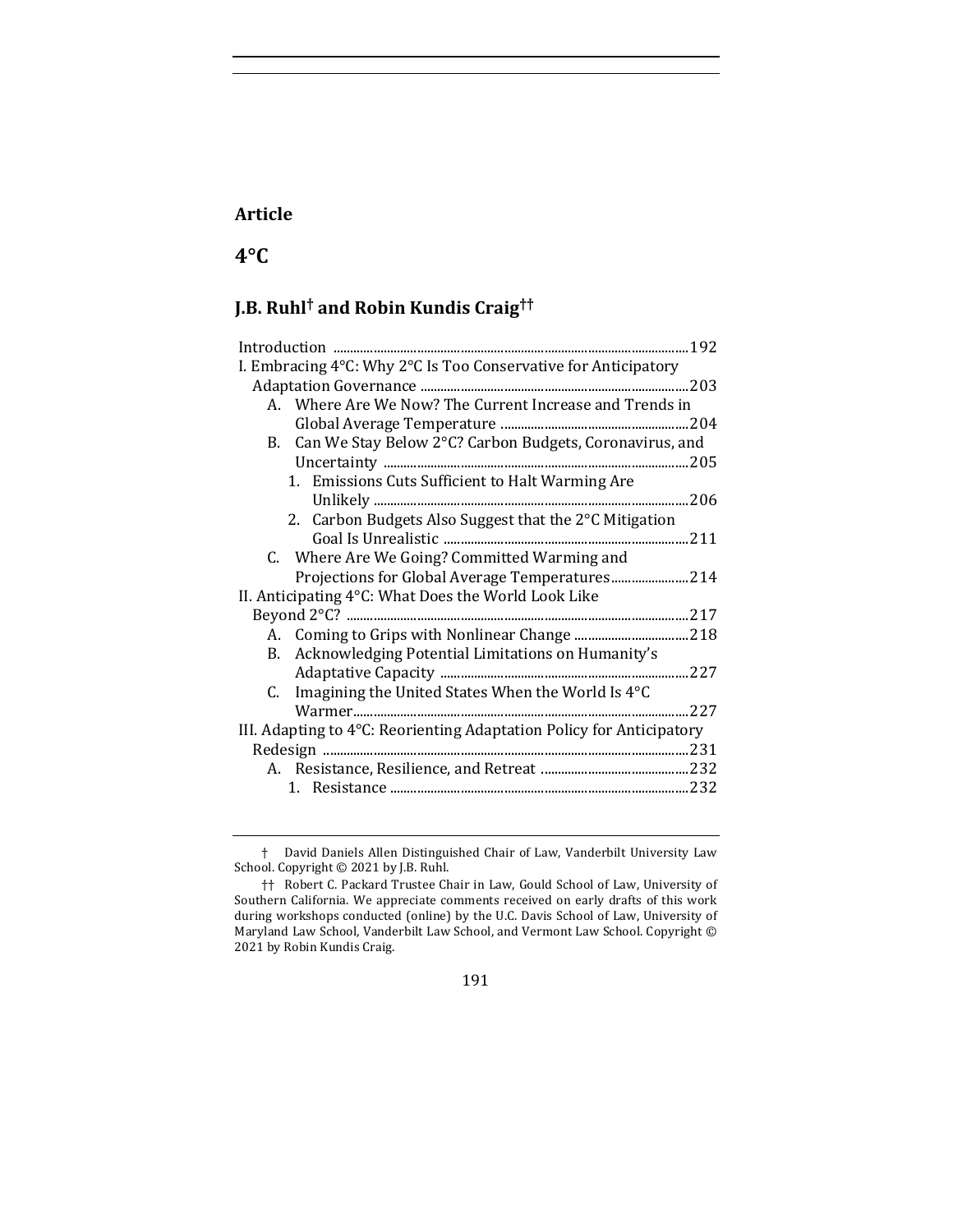### **Article**

# **4°C**

# **J.B. Ruhl† and Robin Kundis Craig††**

| I. Embracing 4°C: Why 2°C Is Too Conservative for Anticipatory       |  |
|----------------------------------------------------------------------|--|
|                                                                      |  |
| A. Where Are We Now? The Current Increase and Trends in              |  |
|                                                                      |  |
| B. Can We Stay Below 2°C? Carbon Budgets, Coronavirus, and           |  |
|                                                                      |  |
| 1. Emissions Cuts Sufficient to Halt Warming Are                     |  |
|                                                                      |  |
| 2. Carbon Budgets Also Suggest that the 2°C Mitigation               |  |
|                                                                      |  |
| C. Where Are We Going? Committed Warming and                         |  |
| Projections for Global Average Temperatures 214                      |  |
| II. Anticipating 4°C: What Does the World Look Like                  |  |
|                                                                      |  |
|                                                                      |  |
| Acknowledging Potential Limitations on Humanity's<br><b>B.</b>       |  |
|                                                                      |  |
| C. Imagining the United States When the World Is $4^{\circ}$ C       |  |
|                                                                      |  |
| III. Adapting to 4°C: Reorienting Adaptation Policy for Anticipatory |  |
|                                                                      |  |
|                                                                      |  |
|                                                                      |  |
|                                                                      |  |

<sup>†</sup> David Daniels Allen Distinguished Chair of Law, Vanderbilt University Law School. Copyright  $©$  2021 by J.B. Ruhl.

<sup>††</sup> Robert C. Packard Trustee Chair in Law, Gould School of Law, University of Southern California. We appreciate comments received on early drafts of this work during workshops conducted (online) by the U.C. Davis School of Law, University of Maryland Law School, Vanderbilt Law School, and Vermont Law School. Copyright © 2021 by Robin Kundis Craig.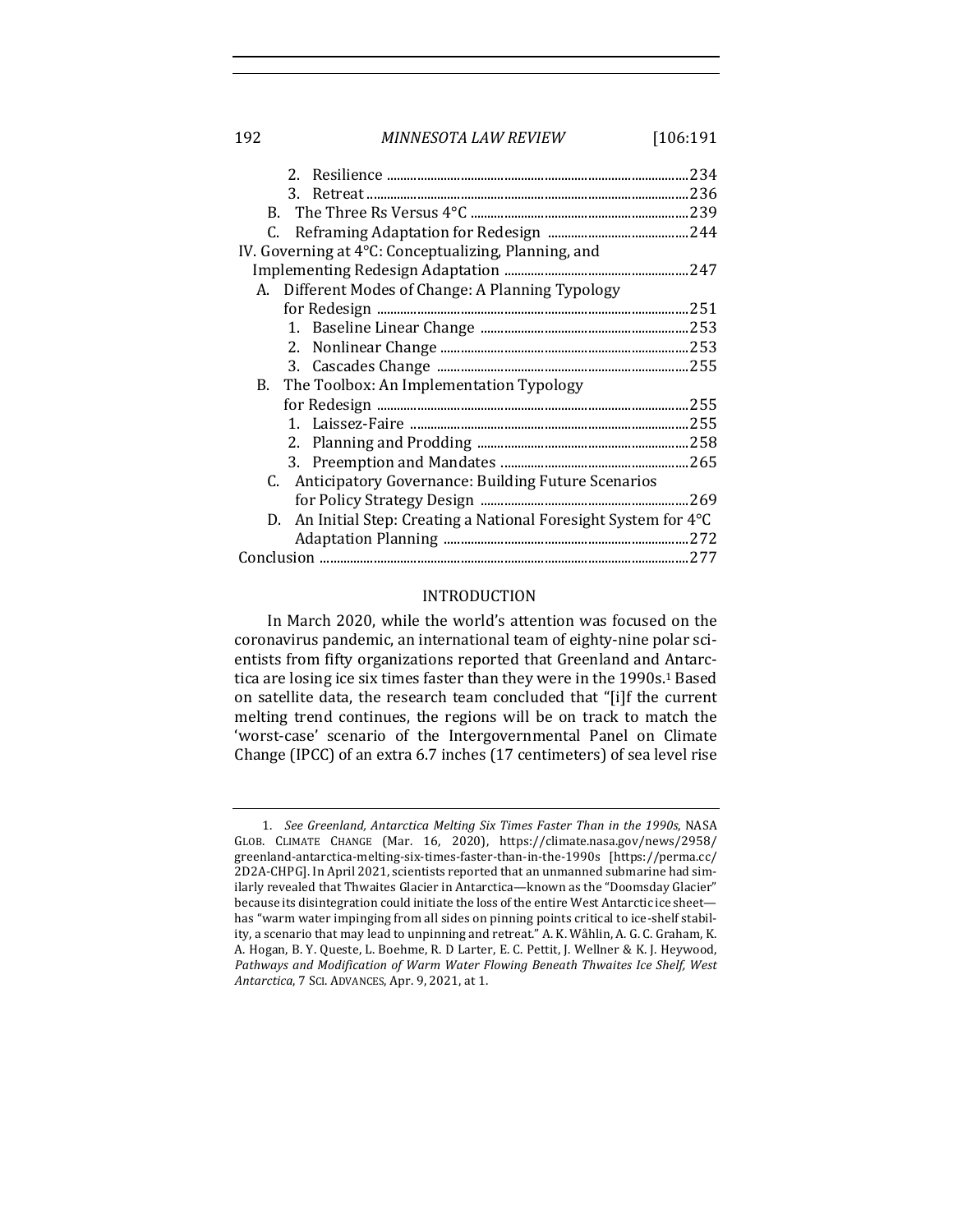#### 192 *MINNESOTA LAW REVIEW* [106:191

| IV. Governing at 4°C: Conceptualizing, Planning, and             |  |
|------------------------------------------------------------------|--|
|                                                                  |  |
| A. Different Modes of Change: A Planning Typology                |  |
|                                                                  |  |
|                                                                  |  |
|                                                                  |  |
|                                                                  |  |
| B. The Toolbox: An Implementation Typology                       |  |
|                                                                  |  |
|                                                                  |  |
|                                                                  |  |
|                                                                  |  |
| C. Anticipatory Governance: Building Future Scenarios            |  |
|                                                                  |  |
| D. An Initial Step: Creating a National Foresight System for 4°C |  |
|                                                                  |  |
|                                                                  |  |
|                                                                  |  |

#### INTRODUCTION

In March 2020, while the world's attention was focused on the coronavirus pandemic, an international team of eighty-nine polar scientists from fifty organizations reported that Greenland and Antarctica are losing ice six times faster than they were in the 1990s.<sup>1</sup> Based on satellite data, the research team concluded that "[i]f the current melting trend continues, the regions will be on track to match the 'worst-case' scenario of the Intergovernmental Panel on Climate Change (IPCC) of an extra 6.7 inches (17 centimeters) of sea level rise

<sup>1.</sup> *See Greenland, Antarctica Melting Six Times Faster Than in the 1990s, NASA* GLOB. CLIMATE CHANGE (Mar. 16, 2020), https://climate.nasa.gov/news/2958/ greenland-antarctica-melting-six-times-faster-than-in-the-1990s [https://perma.cc/ 2D2A-CHPG]. In April 2021, scientists reported that an unmanned submarine had similarly revealed that Thwaites Glacier in Antarctica—known as the "Doomsday Glacier" because its disintegration could initiate the loss of the entire West Antarctic ice sheet has "warm water impinging from all sides on pinning points critical to ice-shelf stability, a scenario that may lead to unpinning and retreat." A. K. Wåhlin, A. G. C. Graham, K. A. Hogan, B. Y. Queste, L. Boehme, R. D Larter, E. C. Pettit, J. Wellner & K. J. Heywood, Pathways and Modification of Warm Water Flowing Beneath Thwaites Ice Shelf, West *Antarctica*, 7 SCI. ADVANCES, Apr. 9, 2021, at 1.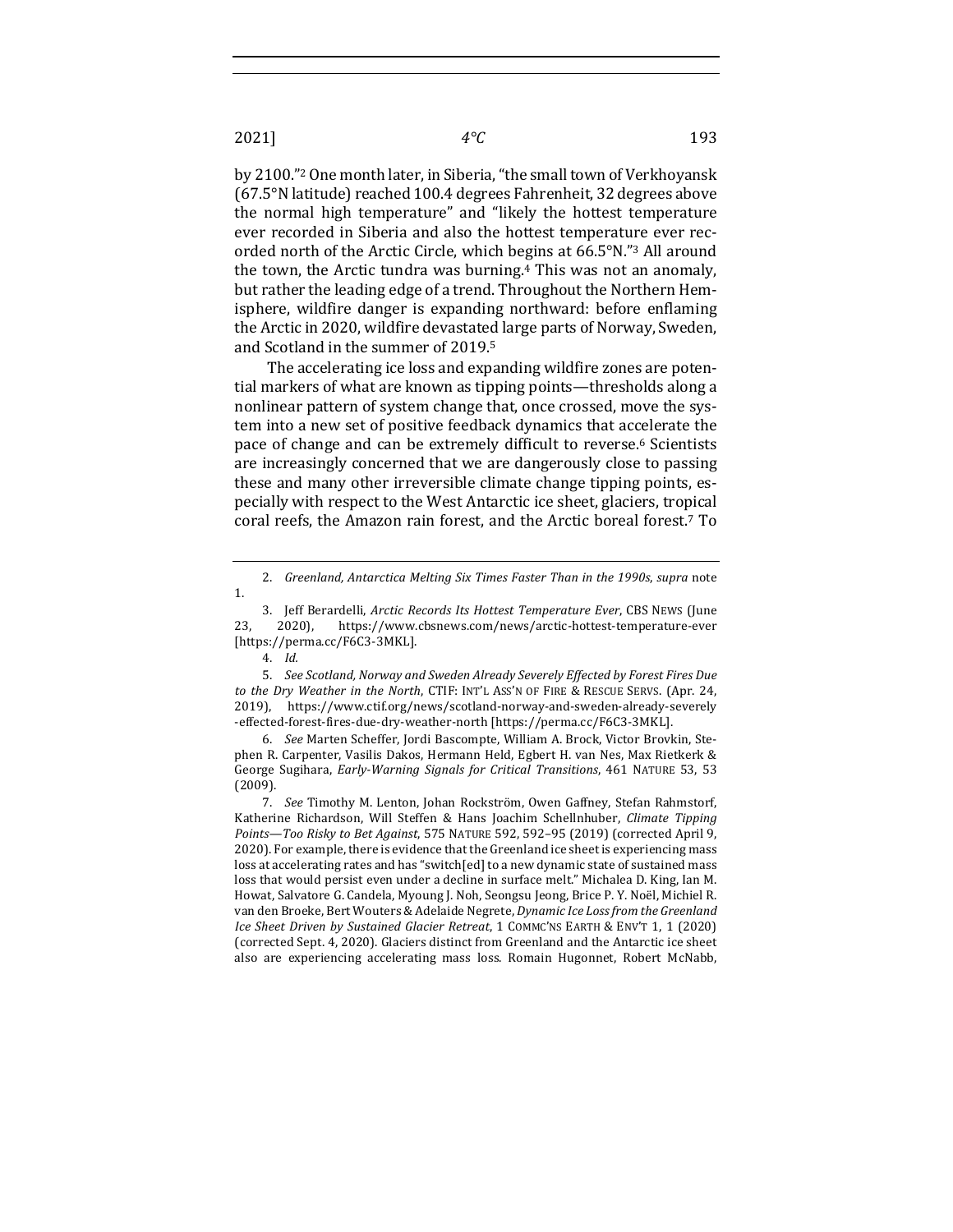by 2100."<sup>2</sup> One month later, in Siberia, "the small town of Verkhoyansk (67.5°N latitude) reached 100.4 degrees Fahrenheit, 32 degrees above the normal high temperature" and "likely the hottest temperature ever recorded in Siberia and also the hottest temperature ever recorded north of the Arctic Circle, which begins at  $66.5^\circ$ N."<sup>3</sup> All around the town, the Arctic tundra was burning.<sup>4</sup> This was not an anomaly, but rather the leading edge of a trend. Throughout the Northern Hemisphere, wildfire danger is expanding northward: before enflaming the Arctic in 2020, wildfire devastated large parts of Norway, Sweden, and Scotland in the summer of 2019.<sup>5</sup>

The accelerating ice loss and expanding wildfire zones are potential markers of what are known as tipping points—thresholds along a nonlinear pattern of system change that, once crossed, move the system into a new set of positive feedback dynamics that accelerate the pace of change and can be extremely difficult to reverse.<sup>6</sup> Scientists are increasingly concerned that we are dangerously close to passing these and many other irreversible climate change tipping points, especially with respect to the West Antarctic ice sheet, glaciers, tropical coral reefs, the Amazon rain forest, and the Arctic boreal forest.<sup>7</sup> To

3. Jeff Berardelli, *Arctic Records Its Hottest Temperature Ever*, CBS NEWS (June 23, 2020), https://www.cbsnews.com/news/arctic-hottest-temperature-ever [https://perma.cc/F6C3-3MKL].

5. See Scotland, Norway and Sweden Already Severely Effected by Forest Fires Due to the Dry Weather in the North, CTIF: INT'L ASS'N OF FIRE & RESCUE SERVS. (Apr. 24, 2019), https://www.ctif.org/news/scotland-norway-and-sweden-already-severely -effected-forest-fires-due-dry-weather-north [https://perma.cc/F6C3-3MKL].

6. *See* Marten Scheffer, Jordi Bascompte, William A. Brock, Victor Brovkin, Stephen R. Carpenter, Vasilis Dakos, Hermann Held, Egbert H. van Nes, Max Rietkerk & George Sugihara, *Early-Warning Signals for Critical Transitions*, 461 NATURE 53, 53 (2009).

7. *See* Timothy M. Lenton, Johan Rockström, Owen Gaffney, Stefan Rahmstorf, Katherine Richardson, Will Steffen & Hans Joachim Schellnhuber, *Climate Tipping Points—Too Risky to Bet Against*, 575 NATURE 592, 592–95 (2019) (corrected April 9, 2020). For example, there is evidence that the Greenland ice sheet is experiencing mass loss at accelerating rates and has "switch[ed] to a new dynamic state of sustained mass loss that would persist even under a decline in surface melt." Michalea D. King, Ian M. Howat, Salvatore G. Candela, Myoung J. Noh, Seongsu Jeong, Brice P. Y. Noël, Michiel R. van den Broeke, Bert Wouters & Adelaide Negrete, *Dynamic Ice Loss from the Greenland Ice Sheet Driven by Sustained Glacier Retreat,* 1 COMMC'NS EARTH & ENV'T 1, 1 (2020) (corrected Sept. 4, 2020). Glaciers distinct from Greenland and the Antarctic ice sheet also are experiencing accelerating mass loss. Romain Hugonnet, Robert McNabb,

<sup>2.</sup> *Greenland, Antarctica Melting Six Times Faster Than in the 1990s, supra note* 1.

<sup>4.</sup> *Id.*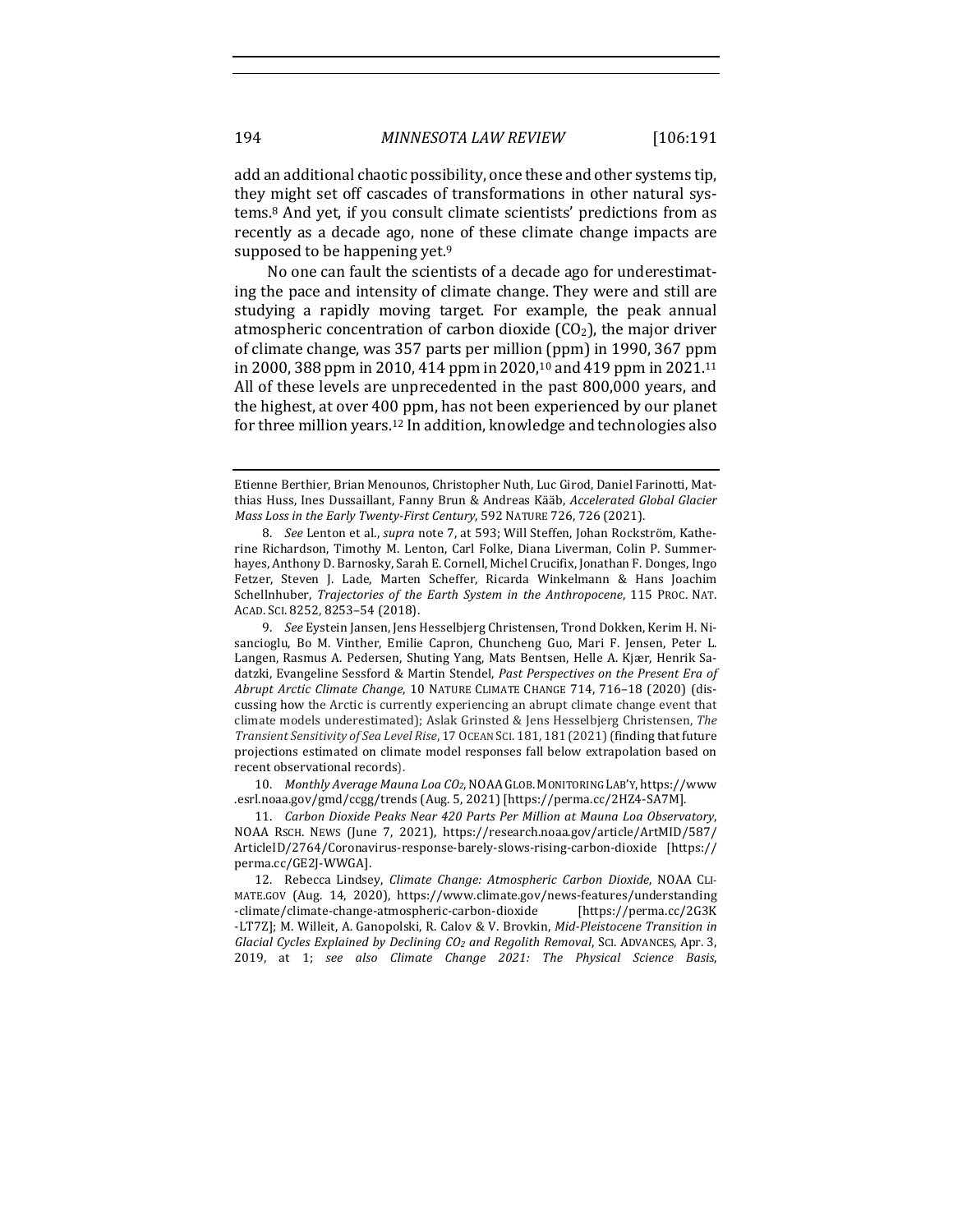add an additional chaotic possibility, once these and other systems tip, they might set off cascades of transformations in other natural systems.<sup>8</sup> And yet, if you consult climate scientists' predictions from as recently as a decade ago, none of these climate change impacts are supposed to be happening yet.<sup>9</sup>

No one can fault the scientists of a decade ago for underestimating the pace and intensity of climate change. They were and still are studying a rapidly moving target. For example, the peak annual atmospheric concentration of carbon dioxide  $(CO<sub>2</sub>)$ , the major driver of climate change, was 357 parts per million (ppm) in 1990, 367 ppm in 2000, 388 ppm in 2010, 414 ppm in 2020,<sup>10</sup> and 419 ppm in 2021.<sup>11</sup> All of these levels are unprecedented in the past 800,000 years, and the highest, at over 400 ppm, has not been experienced by our planet for three million years.<sup>12</sup> In addition, knowledge and technologies also

10. *Monthly Average Mauna Loa CO<sub>2</sub>*, NOAA GLOB. MONITORING LAB'Y, https://www .esrl.noaa.gov/gmd/ccgg/trends (Aug. 5, 2021) [https://perma.cc/2HZ4-SA7M].

11. *Carbon Dioxide Peaks Near 420 Parts Per Million at Mauna Loa Observatory*, NOAA RSCH. NEWS (June 7, 2021), https://research.noaa.gov/article/ArtMID/587/ ArticleID/2764/Coronavirus-response-barely-slows-rising-carbon-dioxide [https:// perma.cc/GE2J-WWGA].

12. Rebecca Lindsey, *Climate Change: Atmospheric Carbon Dioxide*, NOAA CLI-MATE.GOV (Aug. 14, 2020), https://www.climate.gov/news-features/understanding -climate/climate-change-atmospheric-carbon-dioxide [https://perma.cc/2G3K -LT7Z]; M. Willeit, A. Ganopolski, R. Calov & V. Brovkin, *Mid-Pleistocene Transition in Glacial Cycles Explained by Declining CO2 and Regolith Removal*, SCI. ADVANCES, Apr. 3, 2019, at 1; *see also Climate Change 2021: The Physical Science Basis*, 

Etienne Berthier, Brian Menounos, Christopher Nuth, Luc Girod, Daniel Farinotti, Matthias Huss, Ines Dussaillant, Fanny Brun & Andreas Kääb, *Accelerated Global Glacier Mass Loss in the Early Twenty-First Century*, 592 NATURE 726, 726 (2021).

<sup>8.</sup> *See* Lenton et al., *supra* note 7, at 593; Will Steffen, Johan Rockström, Katherine Richardson, Timothy M. Lenton, Carl Folke, Diana Liverman, Colin P. Summerhayes, Anthony D. Barnosky, Sarah E. Cornell, Michel Crucifix, Jonathan F. Donges, Ingo Fetzer, Steven J. Lade, Marten Scheffer, Ricarda Winkelmann & Hans Joachim Schellnhuber, *Trajectories of the Earth System in the Anthropocene*, 115 PROC. NAT. ACAD. SCI. 8252, 8253-54 (2018).

<sup>9.</sup> *See* Eystein Jansen, Jens Hesselbjerg Christensen, Trond Dokken, Kerim H. Nisancioglu, Bo M. Vinther, Emilie Capron, Chuncheng Guo, Mari F. Jensen, Peter L. Langen, Rasmus A. Pedersen, Shuting Yang, Mats Bentsen, Helle A. Kjær, Henrik Sadatzki, Evangeline Sessford & Martin Stendel, *Past Perspectives on the Present Era of Abrupt Arctic Climate Change*, 10 NATURE CLIMATE CHANGE 714, 716-18 (2020) (discussing how the Arctic is currently experiencing an abrupt climate change event that climate models underestimated); Aslak Grinsted & Jens Hesselbjerg Christensen, The Transient Sensitivity of Sea Level Rise, 17 OCEAN SCI. 181, 181 (2021) (finding that future projections estimated on climate model responses fall below extrapolation based on recent observational records).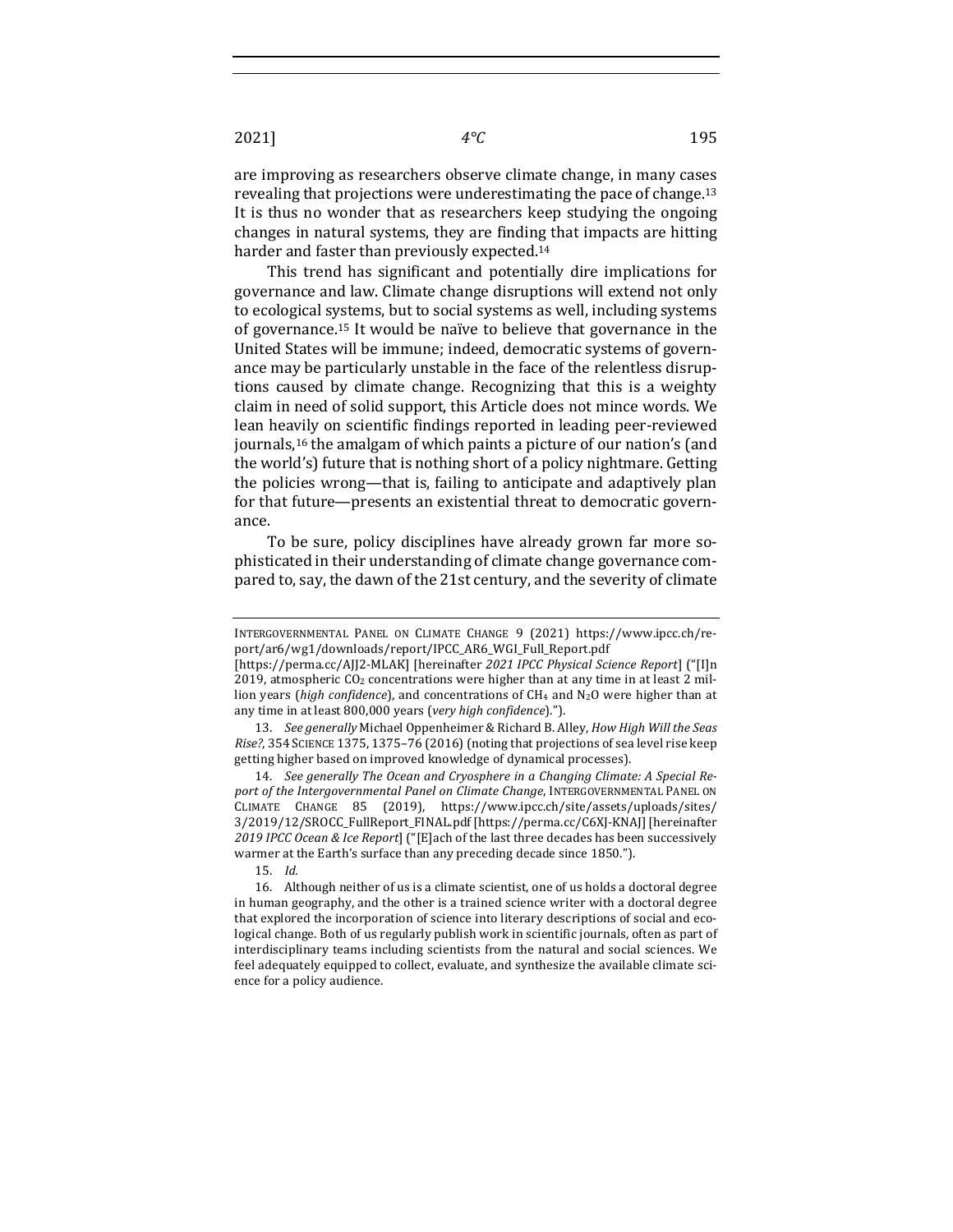are improving as researchers observe climate change, in many cases revealing that projections were underestimating the pace of change.<sup>13</sup> It is thus no wonder that as researchers keep studying the ongoing changes in natural systems, they are finding that impacts are hitting harder and faster than previously expected.<sup>14</sup>

This trend has significant and potentially dire implications for governance and law. Climate change disruptions will extend not only to ecological systems, but to social systems as well, including systems of governance.<sup>15</sup> It would be naïve to believe that governance in the United States will be immune; indeed, democratic systems of governance may be particularly unstable in the face of the relentless disruptions caused by climate change. Recognizing that this is a weighty claim in need of solid support, this Article does not mince words. We lean heavily on scientific findings reported in leading peer-reviewed journals,<sup>16</sup> the amalgam of which paints a picture of our nation's (and the world's) future that is nothing short of a policy nightmare. Getting the policies wrong—that is, failing to anticipate and adaptively plan for that future—presents an existential threat to democratic governance.

To be sure, policy disciplines have already grown far more sophisticated in their understanding of climate change governance compared to, say, the dawn of the 21st century, and the severity of climate

13. *See generally* Michael Oppenheimer & Richard B. Alley, *How High Will the Seas Rise?*, 354 SCIENCE 1375, 1375-76 (2016) (noting that projections of sea level rise keep getting higher based on improved knowledge of dynamical processes).

14. *See generally The Ocean and Cryosphere in a Changing Climate: A Special Re*port of the Intergovernmental Panel on Climate Change, INTERGOVERNMENTAL PANEL ON CLIMATE CHANGE 85 (2019), https://www.ipcc.ch/site/assets/uploads/sites/ 3/2019/12/SROCC\_FullReport\_FINAL.pdf [https://perma.cc/C6XJ-KNAJ] [hereinafter 2019 IPCC Ocean & Ice Report] ("[E]ach of the last three decades has been successively warmer at the Earth's surface than any preceding decade since 1850.").

15. *Id.*

INTERGOVERNMENTAL PANEL ON CLIMATE CHANGE 9 (2021) https://www.ipcc.ch/report/ar6/wg1/downloads/report/IPCC\_AR6\_WGI\_Full\_Report.pdf 

<sup>[</sup>https://perma.cc/AJJ2-MLAK] [hereinafter *2021 IPCC Physical Science Report*] ("[I]n 2019, atmospheric  $CO<sub>2</sub>$  concentrations were higher than at any time in at least 2 million years (*high confidence*), and concentrations of CH<sub>4</sub> and N<sub>2</sub>O were higher than at any time in at least 800,000 years (very high confidence).").

<sup>16.</sup> Although neither of us is a climate scientist, one of us holds a doctoral degree in human geography, and the other is a trained science writer with a doctoral degree that explored the incorporation of science into literary descriptions of social and ecological change. Both of us regularly publish work in scientific journals, often as part of interdisciplinary teams including scientists from the natural and social sciences. We feel adequately equipped to collect, evaluate, and synthesize the available climate science for a policy audience.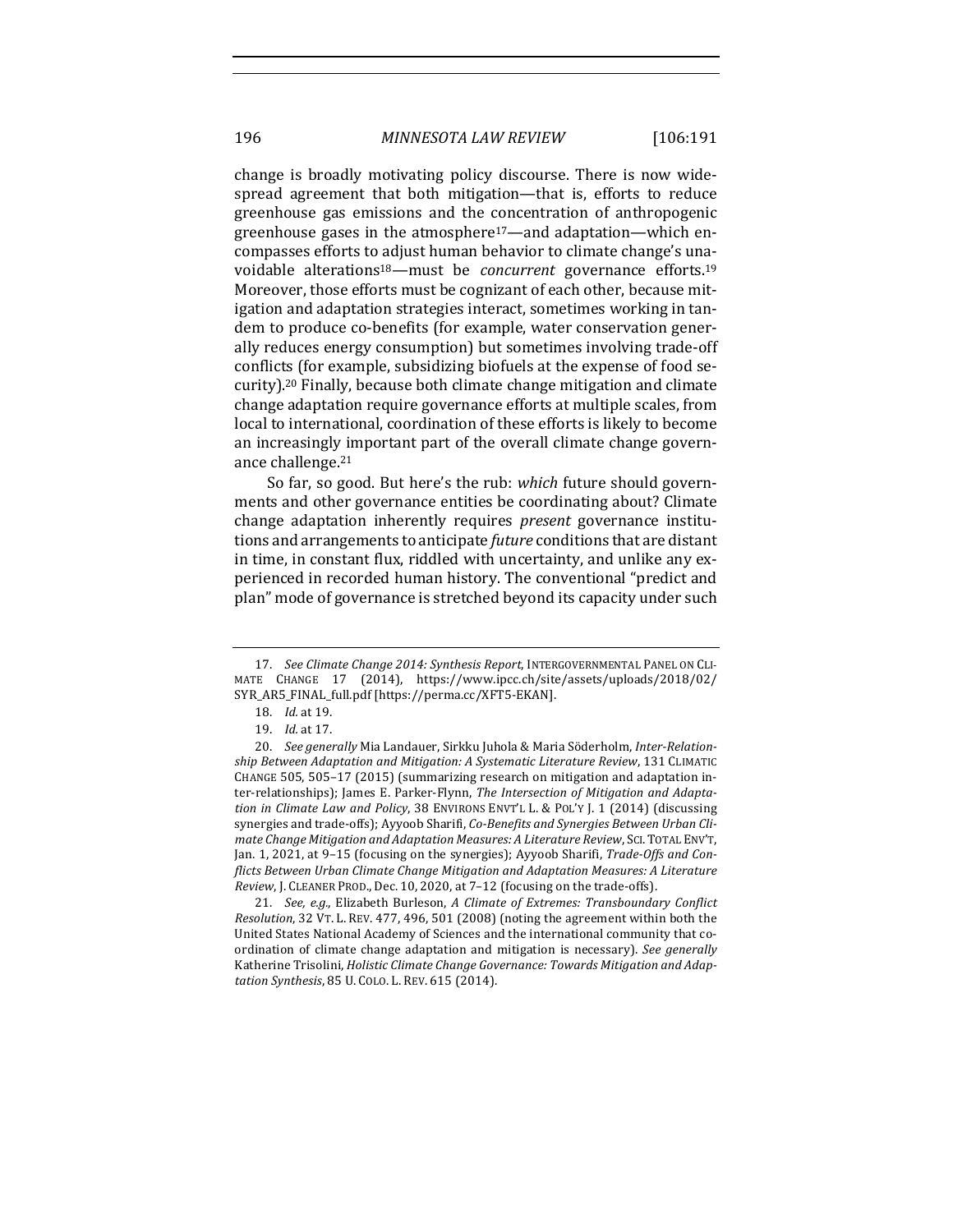196 *MINNESOTA LAW REVIEW* [106:191

change is broadly motivating policy discourse. There is now widespread agreement that both mitigation—that is, efforts to reduce greenhouse gas emissions and the concentration of anthropogenic greenhouse gases in the atmosphere<sup>17</sup>—and adaptation—which encompasses efforts to adjust human behavior to climate change's unavoidable alterations<sup>18</sup>—must be *concurrent* governance efforts.<sup>19</sup> Moreover, those efforts must be cognizant of each other, because mitigation and adaptation strategies interact, sometimes working in tandem to produce co-benefits (for example, water conservation generally reduces energy consumption) but sometimes involving trade-off conflicts (for example, subsidizing biofuels at the expense of food security).<sup>20</sup> Finally, because both climate change mitigation and climate change adaptation require governance efforts at multiple scales, from local to international, coordination of these efforts is likely to become an increasingly important part of the overall climate change governance challenge.<sup>21</sup>

So far, so good. But here's the rub: *which* future should governments and other governance entities be coordinating about? Climate change adaptation inherently requires *present* governance institutions and arrangements to anticipate *future* conditions that are distant in time, in constant flux, riddled with uncertainty, and unlike any experienced in recorded human history. The conventional "predict and plan" mode of governance is stretched beyond its capacity under such

21. *See, e.g.*, Elizabeth Burleson, A Climate of Extremes: Transboundary Conflict *Resolution*, 32 VT. L. REV. 477, 496, 501 (2008) (noting the agreement within both the United States National Academy of Sciences and the international community that coordination of climate change adaptation and mitigation is necessary). See generally Katherine Trisolini, *Holistic Climate Change Governance: Towards Mitigation and Adaptation Synthesis*, 85 U. COLO. L. REV. 615 (2014).

<sup>17.</sup> See Climate Change 2014: Synthesis Report, INTERGOVERNMENTAL PANEL ON CLI-MATE CHANGE 17 (2014), https://www.ipcc.ch/site/assets/uploads/2018/02/ SYR\_AR5\_FINAL\_full.pdf [https://perma.cc/XFT5-EKAN].

<sup>18.</sup> *Id.* at 19.

<sup>19.</sup> *Id.* at 17.

<sup>20.</sup> *See generally* Mia Landauer, Sirkku Juhola & Maria Söderholm, Inter-Relation*ship Between Adaptation and Mitigation: A Systematic Literature Review, 131 CLIMATIC* CHANGE 505, 505-17 (2015) (summarizing research on mitigation and adaptation inter-relationships); James E. Parker-Flynn, *The Intersection of Mitigation and Adaptation* in Climate Law and Policy, 38 ENVIRONS ENVT'L L. & POL'Y J. 1 (2014) (discussing synergies and trade-offs); Ayyoob Sharifi, *Co-Benefits and Synergies Between Urban Climate Change Mitigation and Adaptation Measures: A Literature Review*, SCI.TOTAL ENV'T, Jan. 1, 2021, at 9-15 (focusing on the synergies); Ayyoob Sharifi, *Trade-Offs and Conflicts Between Urban Climate Change Mitigation and Adaptation Measures: A Literature Review*, J. CLEANER PROD., Dec. 10, 2020, at 7-12 (focusing on the trade-offs).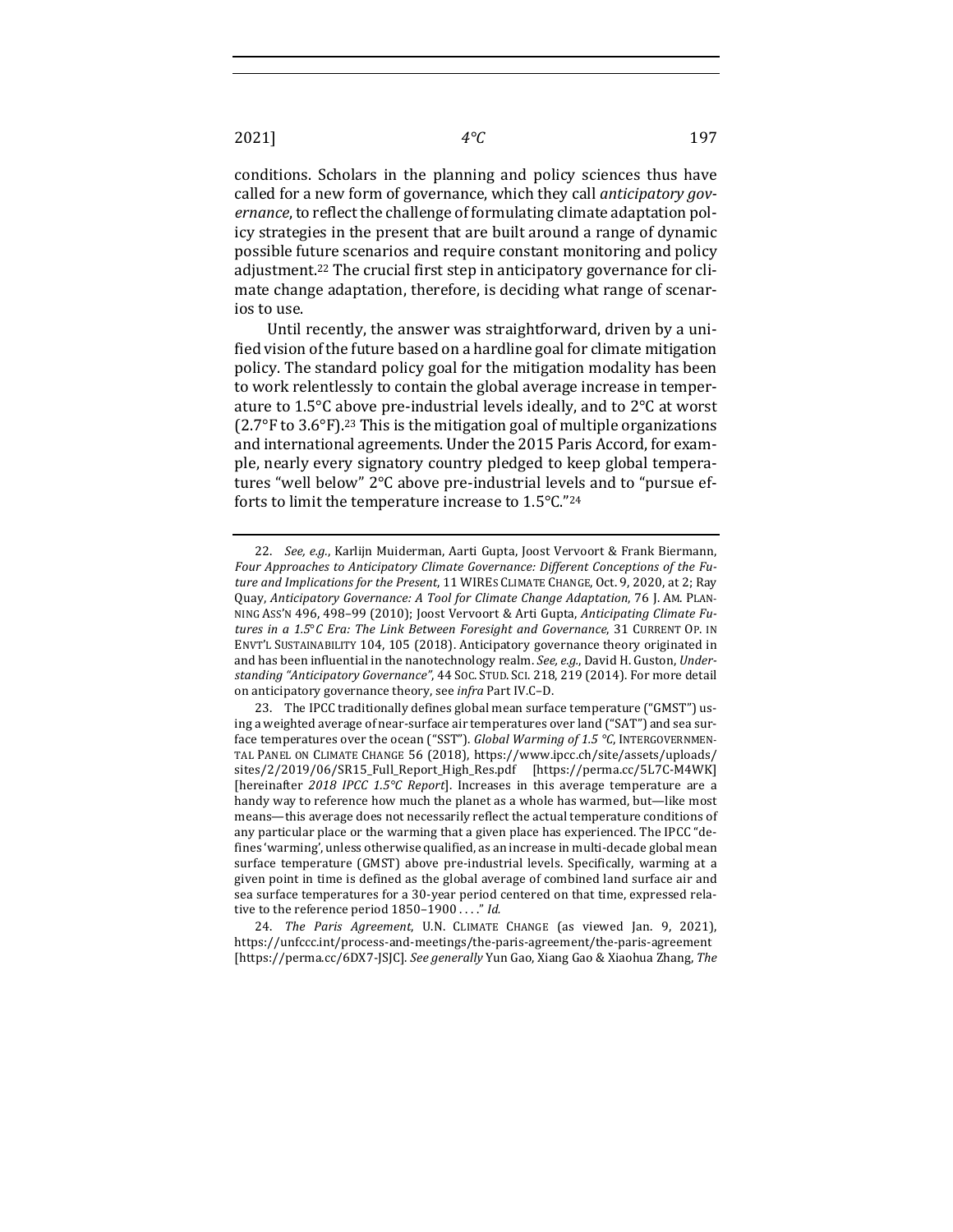conditions. Scholars in the planning and policy sciences thus have called for a new form of governance, which they call *anticipatory gov*ernance, to reflect the challenge of formulating climate adaptation policy strategies in the present that are built around a range of dynamic possible future scenarios and require constant monitoring and policy adjustment.<sup>22</sup> The crucial first step in anticipatory governance for climate change adaptation, therefore, is deciding what range of scenarios to use.

Until recently, the answer was straightforward, driven by a unified vision of the future based on a hardline goal for climate mitigation policy. The standard policy goal for the mitigation modality has been to work relentlessly to contain the global average increase in temperature to  $1.5^{\circ}$ C above pre-industrial levels ideally, and to  $2^{\circ}$ C at worst (2.7 $\degree$ F to 3.6 $\degree$ F).<sup>23</sup> This is the mitigation goal of multiple organizations and international agreements. Under the 2015 Paris Accord, for example, nearly every signatory country pledged to keep global temperatures "well below" 2°C above pre-industrial levels and to "pursue efforts to limit the temperature increase to  $1.5^{\circ}$ C."<sup>24</sup>

24. *The Paris Agreement*, U.N. CLIMATE CHANGE (as viewed Jan. 9, 2021), https://unfccc.int/process-and-meetings/the-paris-agreement/the-paris-agreement [https://perma.cc/6DX7-JSJC]. See generally Yun Gao, Xiang Gao & Xiaohua Zhang, The

<sup>22.</sup> *See, e.g.*, Karlijn Muiderman, Aarti Gupta, Joost Vervoort & Frank Biermann, Four Approaches to Anticipatory Climate Governance: Different Conceptions of the Future and Implications for the Present, 11 WIRES CLIMATE CHANGE, Oct. 9, 2020, at 2; Ray Quay, Anticipatory Governance: A Tool for Climate Change Adaptation, 76 J. AM. PLAN-NING Ass'N 496, 498-99 (2010); Joost Vervoort & Arti Gupta, Anticipating Climate Futures in a 1.5°C Era: The Link Between Foresight and Governance, 31 CURRENT OP. IN ENVT'L SUSTAINABILITY 104, 105 (2018). Anticipatory governance theory originated in and has been influential in the nanotechnology realm. See, e.g., David H. Guston, Understanding "Anticipatory Governance", 44 Soc. STUD. SCI. 218, 219 (2014). For more detail on anticipatory governance theory, see *infra* Part IV.C-D.

<sup>23.</sup> The IPCC traditionally defines global mean surface temperature ("GMST") using a weighted average of near-surface air temperatures over land ("SAT") and sea surface temperatures over the ocean ("SST"). *Global Warming of 1.5* °C, INTERGOVERNMEN-TAL PANEL ON CLIMATE CHANGE 56 (2018), https://www.ipcc.ch/site/assets/uploads/ sites/2/2019/06/SR15\_Full\_Report\_High\_Res.pdf [https://perma.cc/5L7C-M4WK] [hereinafter *2018 IPCC 1.5°C Report*]. Increases in this average temperature are a handy way to reference how much the planet as a whole has warmed, but—like most means—this average does not necessarily reflect the actual temperature conditions of any particular place or the warming that a given place has experienced. The IPCC "defines 'warming', unless otherwise qualified, as an increase in multi-decade global mean surface temperature (GMST) above pre-industrial levels. Specifically, warming at a given point in time is defined as the global average of combined land surface air and sea surface temperatures for a 30-year period centered on that time, expressed relative to the reference period 1850-1900 . . . ." *Id.*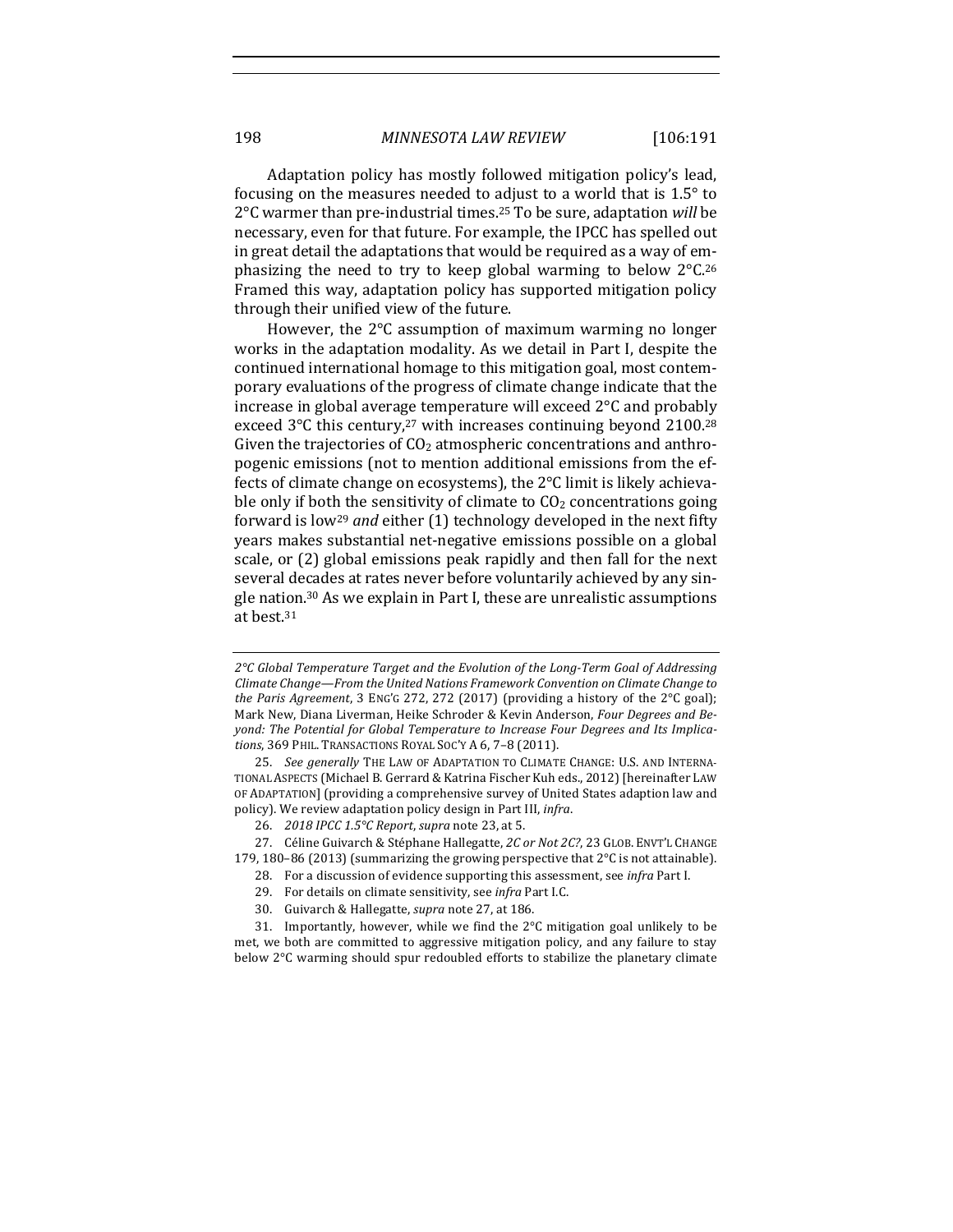Adaptation policy has mostly followed mitigation policy's lead, focusing on the measures needed to adjust to a world that is  $1.5^\circ$  to 2°C warmer than pre-industrial times.<sup>25</sup> To be sure, adaptation *will* be necessary, even for that future. For example, the IPCC has spelled out in great detail the adaptations that would be required as a way of emphasizing the need to try to keep global warming to below  $2^{\circ}C^{26}$ Framed this way, adaptation policy has supported mitigation policy through their unified view of the future.

However, the  $2^{\circ}C$  assumption of maximum warming no longer works in the adaptation modality. As we detail in Part I, despite the continued international homage to this mitigation goal, most contemporary evaluations of the progress of climate change indicate that the increase in global average temperature will exceed  $2^{\circ}$ C and probably exceed  $3^{\circ}$ C this century,<sup>27</sup> with increases continuing beyond 2100.<sup>28</sup> Given the trajectories of  $CO<sub>2</sub>$  atmospheric concentrations and anthropogenic emissions (not to mention additional emissions from the effects of climate change on ecosystems), the  $2^{\circ}C$  limit is likely achievable only if both the sensitivity of climate to  $CO<sub>2</sub>$  concentrations going forward is low<sup>29</sup> and either (1) technology developed in the next fifty years makes substantial net-negative emissions possible on a global scale, or  $(2)$  global emissions peak rapidly and then fall for the next several decades at rates never before voluntarily achieved by any single nation.<sup>30</sup> As we explain in Part I, these are unrealistic assumptions at best.<sup>31</sup>

27. Céline Guivarch & Stéphane Hallegatte, 2C or Not 2C?, 23 GLOB. ENVT'L CHANGE 179, 180-86 (2013) (summarizing the growing perspective that  $2^{\circ}C$  is not attainable).

28. For a discussion of evidence supporting this assessment, see *infra* Part I.

30. Guivarch & Hallegatte, *supra* note 27, at 186.

31. Importantly, however, while we find the  $2^{\circ}$ C mitigation goal unlikely to be met, we both are committed to aggressive mitigation policy, and any failure to stay below 2°C warming should spur redoubled efforts to stabilize the planetary climate

<sup>2°</sup>C Global Temperature Target and the Evolution of the Long-Term Goal of Addressing *Climate Change—From the United Nations Framework Convention on Climate Change to the Paris Agreement*, 3 ENG'G 272, 272 (2017) (providing a history of the 2°C goal); Mark New, Diana Liverman, Heike Schroder & Kevin Anderson, *Four Degrees and Be*yond: The Potential for Global Temperature to Increase Four Degrees and Its Implica*tions*, 369 PHIL. TRANSACTIONS ROYAL SOC'Y A 6, 7-8 (2011).

<sup>25.</sup> *See generally* THE LAW OF ADAPTATION TO CLIMATE CHANGE: U.S. AND INTERNA-TIONAL ASPECTS (Michael B. Gerrard & Katrina Fischer Kuh eds., 2012) [hereinafter LAW OF ADAPTATION] (providing a comprehensive survey of United States adaption law and policy). We review adaptation policy design in Part III, *infra*.

<sup>26.</sup> *2018 IPCC 1.5°C Report, supra* note 23, at 5.

<sup>29.</sup> For details on climate sensitivity, see *infra* Part I.C.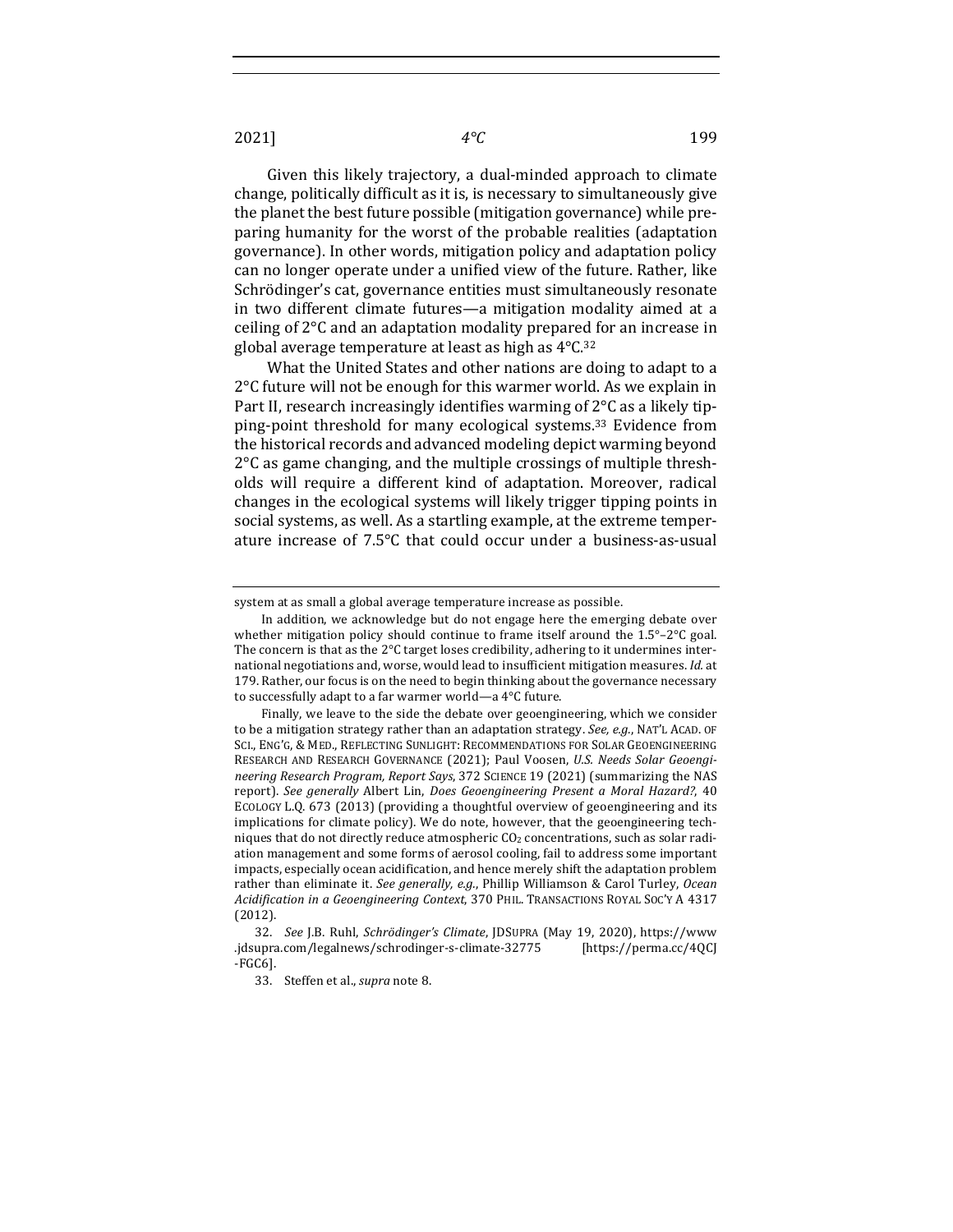Given this likely trajectory, a dual-minded approach to climate change, politically difficult as it is, is necessary to simultaneously give the planet the best future possible (mitigation governance) while preparing humanity for the worst of the probable realities (adaptation governance). In other words, mitigation policy and adaptation policy can no longer operate under a unified view of the future. Rather, like Schrödinger's cat, governance entities must simultaneously resonate in two different climate futures—a mitigation modality aimed at a ceiling of  $2^{\circ}$ C and an adaptation modality prepared for an increase in global average temperature at least as high as  $4^{\circ}$ C.<sup>32</sup>

What the United States and other nations are doing to adapt to a  $2^{\circ}$ C future will not be enough for this warmer world. As we explain in Part II, research increasingly identifies warming of  $2^{\circ}$ C as a likely tipping-point threshold for many ecological systems.<sup>33</sup> Evidence from the historical records and advanced modeling depict warming beyond  $2^{\circ}$ C as game changing, and the multiple crossings of multiple thresholds will require a different kind of adaptation. Moreover, radical changes in the ecological systems will likely trigger tipping points in social systems, as well. As a startling example, at the extreme temperature increase of  $7.5^{\circ}$ C that could occur under a business-as-usual

system at as small a global average temperature increase as possible.

In addition, we acknowledge but do not engage here the emerging debate over whether mitigation policy should continue to frame itself around the  $1.5^{\circ}$ –2°C goal. The concern is that as the 2°C target loses credibility, adhering to it undermines international negotiations and, worse, would lead to insufficient mitigation measures. *Id.* at 179. Rather, our focus is on the need to begin thinking about the governance necessary to successfully adapt to a far warmer world—a  $4^{\circ}$ C future.

Finally, we leave to the side the debate over geoengineering, which we consider to be a mitigation strategy rather than an adaptation strategy. *See, e.g.*, NAT'L ACAD. OF SCI., ENG'G, & MED., REFLECTING SUNLIGHT: RECOMMENDATIONS FOR SOLAR GEOENGINEERING RESEARCH AND RESEARCH GOVERNANCE (2021); Paul Voosen, *U.S. Needs Solar Geoengineering Research Program, Report Says, 372 SCIENCE 19 (2021)* (summarizing the NAS report). See generally Albert Lin, Does Geoengineering Present a Moral Hazard?, 40 ECOLOGY L.Q. 673 (2013) (providing a thoughtful overview of geoengineering and its implications for climate policy). We do note, however, that the geoengineering techniques that do not directly reduce atmospheric  $CO<sub>2</sub>$  concentrations, such as solar radiation management and some forms of aerosol cooling, fail to address some important impacts, especially ocean acidification, and hence merely shift the adaptation problem rather than eliminate it. See generally, e.g., Phillip Williamson & Carol Turley, Ocean Acidification in a Geoengineering Context, 370 PHIL. TRANSACTIONS ROYAL SOC'Y A 4317 (2012).

<sup>32.</sup> *See* J.B. Ruhl, *Schrödinger's Climate*, JDSUPRA (May 19, 2020), https://www .jdsupra.com/legalnews/schrodinger-s-climate-32775 [https://perma.cc/4QCJ -FGC6].

<sup>33.</sup> Steffen et al., *supra* note 8.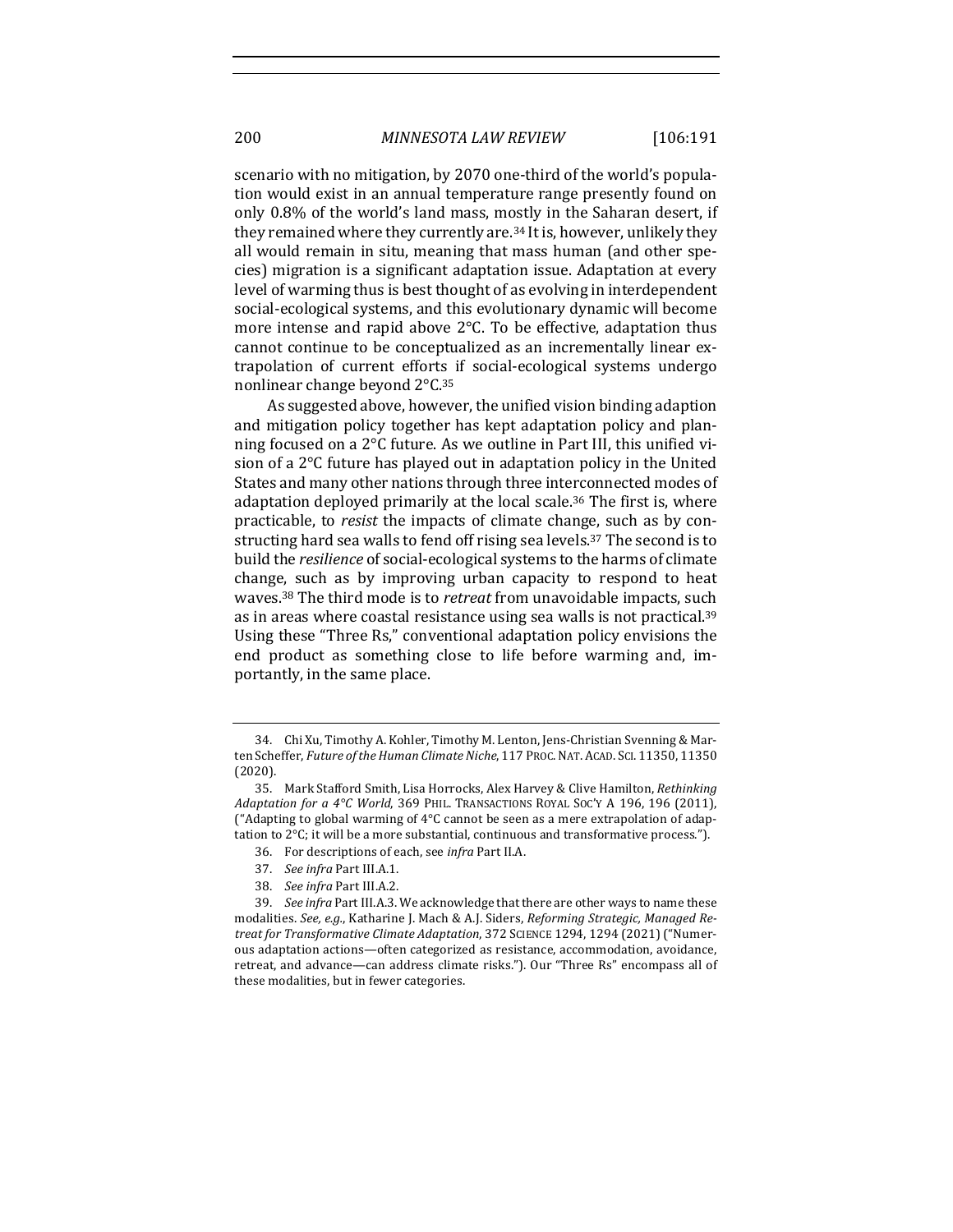scenario with no mitigation, by 2070 one-third of the world's population would exist in an annual temperature range presently found on only 0.8% of the world's land mass, mostly in the Saharan desert, if they remained where they currently are.<sup>34</sup> It is, however, unlikely they all would remain in situ, meaning that mass human (and other species) migration is a significant adaptation issue. Adaptation at every level of warming thus is best thought of as evolving in interdependent social-ecological systems, and this evolutionary dynamic will become more intense and rapid above  $2^{\circ}$ C. To be effective, adaptation thus cannot continue to be conceptualized as an incrementally linear extrapolation of current efforts if social-ecological systems undergo nonlinear change beyond  $2^{\circ}$ C.<sup>35</sup>

As suggested above, however, the unified vision binding adaption and mitigation policy together has kept adaptation policy and planning focused on a  $2^{\circ}C$  future. As we outline in Part III, this unified vision of a  $2^{\circ}$ C future has played out in adaptation policy in the United States and many other nations through three interconnected modes of adaptation deployed primarily at the local scale.<sup>36</sup> The first is, where practicable, to *resist* the impacts of climate change, such as by constructing hard sea walls to fend off rising sea levels.<sup>37</sup> The second is to build the *resilience* of social-ecological systems to the harms of climate change, such as by improving urban capacity to respond to heat waves.<sup>38</sup> The third mode is to *retreat* from unavoidable impacts, such as in areas where coastal resistance using sea walls is not practical.<sup>39</sup> Using these "Three Rs," conventional adaptation policy envisions the end product as something close to life before warming and, importantly, in the same place.

<sup>34.</sup> Chi Xu, Timothy A. Kohler, Timothy M. Lenton, Jens-Christian Svenning & Marten Scheffer, *Future of the Human Climate Niche*, 117 PROC. NAT. ACAD. SCI. 11350, 11350 (2020).

<sup>35.</sup> Mark Stafford Smith, Lisa Horrocks, Alex Harvey & Clive Hamilton, Rethinking *Adaptation for a 4°C World*, 369 PHIL. TRANSACTIONS ROYAL SOC'Y A 196, 196 (2011), ("Adapting to global warming of  $4^{\circ}$ C cannot be seen as a mere extrapolation of adaptation to  $2^{\circ}$ C; it will be a more substantial, continuous and transformative process.").

<sup>36.</sup> For descriptions of each, see *infra* Part II.A.

<sup>37.</sup> See infra Part III.A.1.

<sup>38.</sup> *See infra Part III.A.2.* 

<sup>39.</sup> *See infra* Part III.A.3. We acknowledge that there are other ways to name these modalities. See, e.g., Katharine J. Mach & A.J. Siders, Reforming Strategic, Managed Re*treat for Transformative Climate Adaptation*, 372 SCIENCE 1294, 1294 (2021) ("Numerous adaptation actions—often categorized as resistance, accommodation, avoidance, retreat, and advance—can address climate risks."). Our "Three Rs" encompass all of these modalities, but in fewer categories.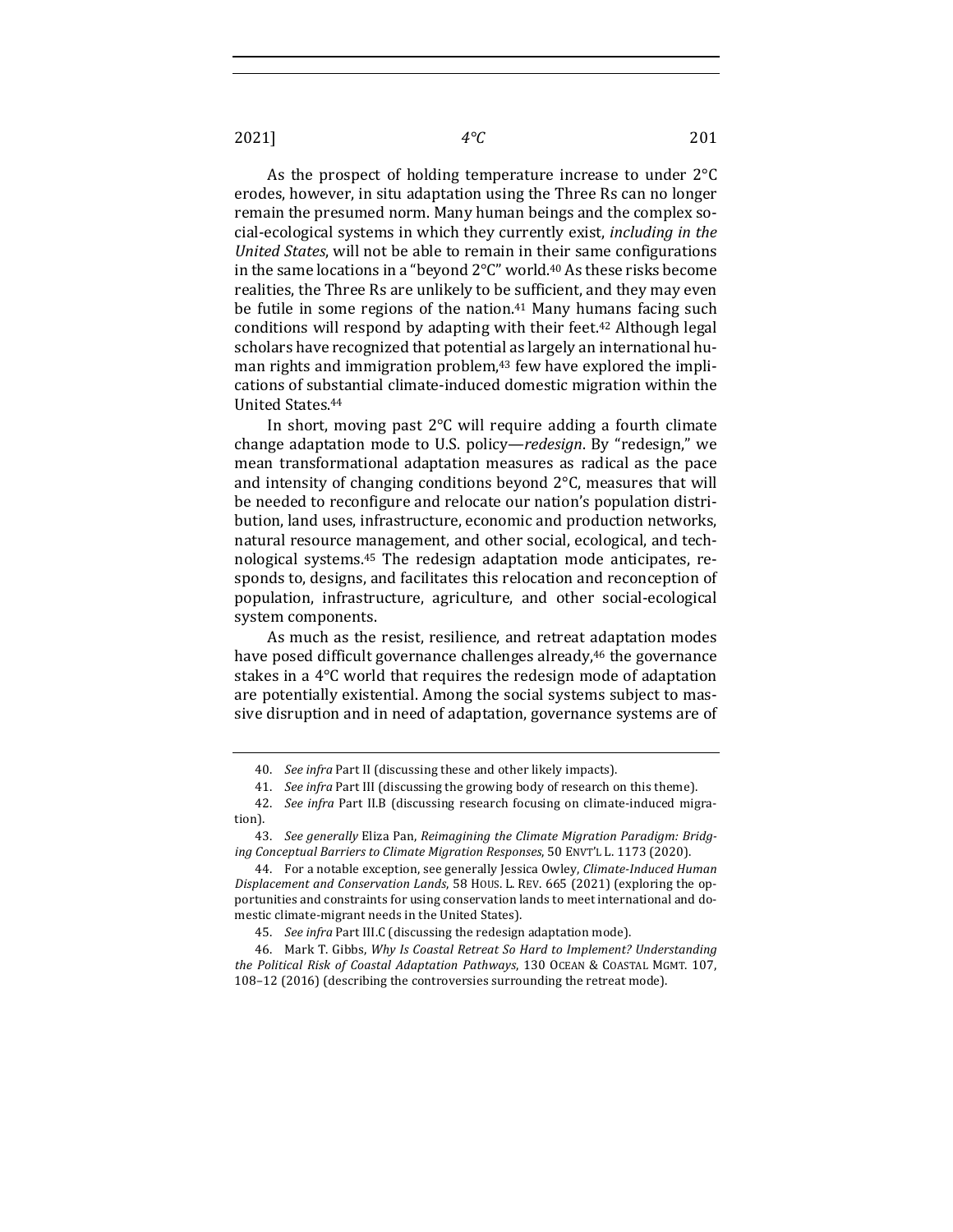As the prospect of holding temperature increase to under  $2^{\circ}C$ erodes, however, in situ adaptation using the Three Rs can no longer remain the presumed norm. Many human beings and the complex social-ecological systems in which they currently exist, *including in the United States*, will not be able to remain in their same configurations in the same locations in a "beyond  $2^{\circ}C''$  world.<sup>40</sup> As these risks become realities, the Three Rs are unlikely to be sufficient, and they may even be futile in some regions of the nation. $41$  Many humans facing such conditions will respond by adapting with their feet.<sup>42</sup> Although legal scholars have recognized that potential as largely an international human rights and immigration problem, $43$  few have explored the implications of substantial climate-induced domestic migration within the United States.44

In short, moving past  $2^{\circ}C$  will require adding a fourth climate change adaptation mode to U.S. policy—*redesign*. By "redesign," we mean transformational adaptation measures as radical as the pace and intensity of changing conditions beyond  $2^{\circ}$ C, measures that will be needed to reconfigure and relocate our nation's population distribution, land uses, infrastructure, economic and production networks, natural resource management, and other social, ecological, and technological systems.<sup>45</sup> The redesign adaptation mode anticipates, responds to, designs, and facilitates this relocation and reconception of population, infrastructure, agriculture, and other social-ecological system components.

As much as the resist, resilience, and retreat adaptation modes have posed difficult governance challenges already,<sup>46</sup> the governance stakes in a  $4^{\circ}$ C world that requires the redesign mode of adaptation are potentially existential. Among the social systems subject to massive disruption and in need of adaptation, governance systems are of

41. *See infra* Part III (discussing the growing body of research on this theme).

<sup>40.</sup> *See infra* Part II (discussing these and other likely impacts).

<sup>42.</sup> *See infra* Part II.B (discussing research focusing on climate-induced migration).

<sup>43.</sup> See generally Eliza Pan, Reimagining the Climate Migration Paradigm: Bridging Conceptual Barriers to Climate Migration Responses, 50 ENVT'L L. 1173 (2020).

<sup>44.</sup> For a notable exception, see generally Jessica Owley, *Climate-Induced Human Displacement and Conservation Lands*, 58 HOUS. L. REV. 665 (2021) (exploring the opportunities and constraints for using conservation lands to meet international and domestic climate-migrant needs in the United States).

<sup>45.</sup> *See infra* Part III.C (discussing the redesign adaptation mode).

<sup>46.</sup> Mark T. Gibbs, Why Is Coastal Retreat So Hard to Implement? Understanding the Political Risk of Coastal Adaptation Pathways, 130 OCEAN & COASTAL MGMT. 107, 108-12 (2016) (describing the controversies surrounding the retreat mode).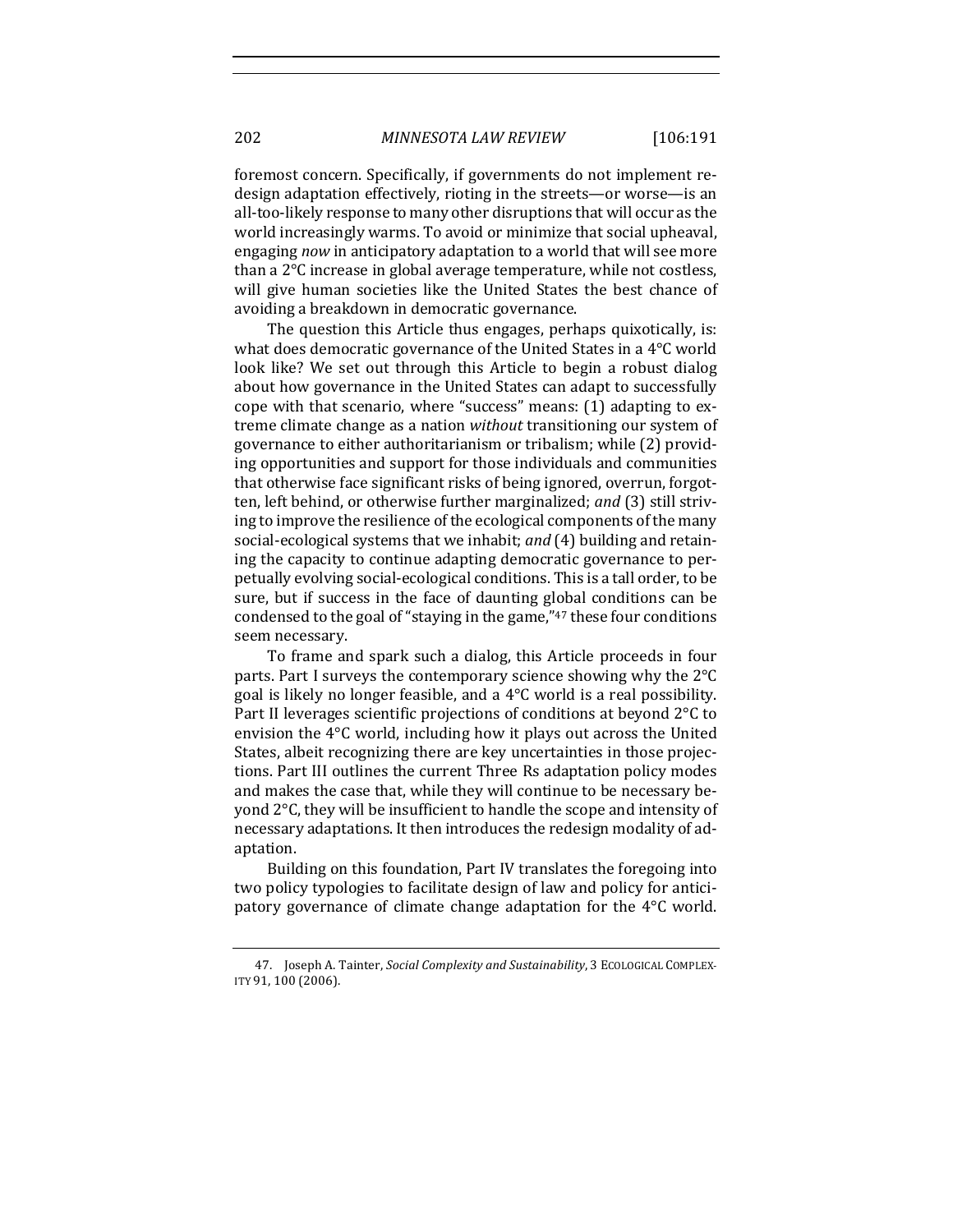foremost concern. Specifically, if governments do not implement redesign adaptation effectively, rioting in the streets—or worse—is an all-too-likely response to many other disruptions that will occur as the world increasingly warms. To avoid or minimize that social upheaval, engaging *now* in anticipatory adaptation to a world that will see more than a  $2^{\circ}C$  increase in global average temperature, while not costless, will give human societies like the United States the best chance of avoiding a breakdown in democratic governance.

The question this Article thus engages, perhaps quixotically, is: what does democratic governance of the United States in a  $4^{\circ}$ C world look like? We set out through this Article to begin a robust dialog about how governance in the United States can adapt to successfully cope with that scenario, where "success" means: (1) adapting to extreme climate change as a nation *without* transitioning our system of governance to either authoritarianism or tribalism; while (2) providing opportunities and support for those individuals and communities that otherwise face significant risks of being ignored, overrun, forgotten, left behind, or otherwise further marginalized; and (3) still striving to improve the resilience of the ecological components of the many social-ecological systems that we inhabit; *and* (4) building and retaining the capacity to continue adapting democratic governance to perpetually evolving social-ecological conditions. This is a tall order, to be sure, but if success in the face of daunting global conditions can be condensed to the goal of "staying in the game," $47$  these four conditions seem necessary.

To frame and spark such a dialog, this Article proceeds in four parts. Part I surveys the contemporary science showing why the  $2^{\circ}C$ goal is likely no longer feasible, and a  $4^{\circ}$ C world is a real possibility. Part II leverages scientific projections of conditions at beyond  $2^{\circ}C$  to envision the  $4^{\circ}$ C world, including how it plays out across the United States, albeit recognizing there are key uncertainties in those projections. Part III outlines the current Three Rs adaptation policy modes and makes the case that, while they will continue to be necessary beyond  $2^{\circ}$ C, they will be insufficient to handle the scope and intensity of necessary adaptations. It then introduces the redesign modality of adaptation. 

Building on this foundation, Part IV translates the foregoing into two policy typologies to facilitate design of law and policy for anticipatory governance of climate change adaptation for the  $4^{\circ}$ C world.

<sup>47.</sup> Joseph A. Tainter, *Social Complexity and Sustainability*, 3 ECOLOGICAL COMPLEX-ITY 91, 100 (2006).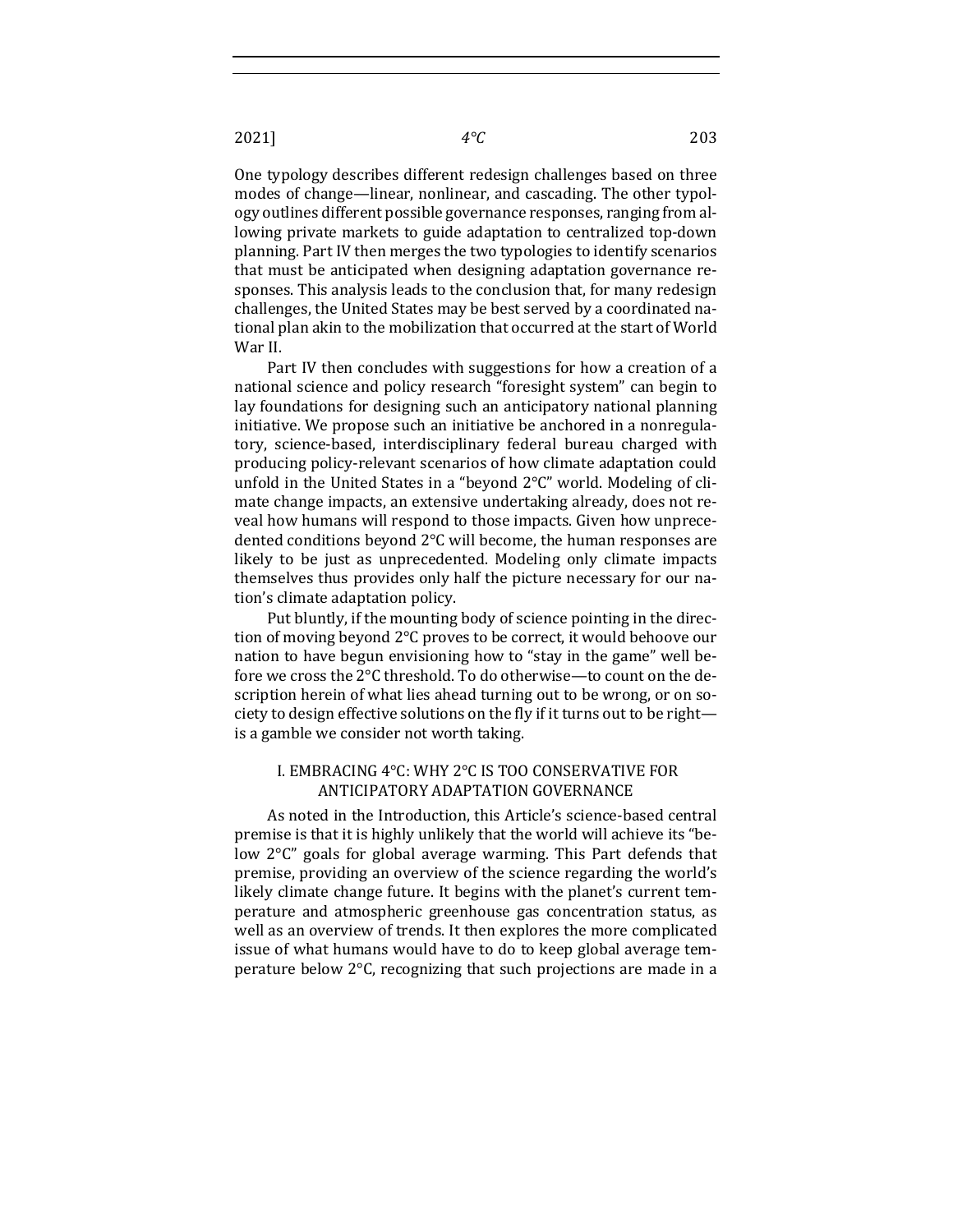One typology describes different redesign challenges based on three modes of change—linear, nonlinear, and cascading. The other typology outlines different possible governance responses, ranging from allowing private markets to guide adaptation to centralized top-down planning. Part IV then merges the two typologies to identify scenarios that must be anticipated when designing adaptation governance responses. This analysis leads to the conclusion that, for many redesign challenges, the United States may be best served by a coordinated national plan akin to the mobilization that occurred at the start of World War II.

Part IV then concludes with suggestions for how a creation of a national science and policy research "foresight system" can begin to lay foundations for designing such an anticipatory national planning initiative. We propose such an initiative be anchored in a nonregulatory, science-based, interdisciplinary federal bureau charged with producing policy-relevant scenarios of how climate adaptation could unfold in the United States in a "beyond  $2^{\circ}C''$  world. Modeling of climate change impacts, an extensive undertaking already, does not reveal how humans will respond to those impacts. Given how unprecedented conditions beyond  $2^{\circ}$ C will become, the human responses are likely to be just as unprecedented. Modeling only climate impacts themselves thus provides only half the picture necessary for our nation's climate adaptation policy.

Put bluntly, if the mounting body of science pointing in the direction of moving beyond 2°C proves to be correct, it would behoove our nation to have begun envisioning how to "stay in the game" well before we cross the 2°C threshold. To do otherwise—to count on the description herein of what lies ahead turning out to be wrong, or on society to design effective solutions on the fly if it turns out to be right is a gamble we consider not worth taking.

#### I. EMBRACING 4°C: WHY 2°C IS TOO CONSERVATIVE FOR ANTICIPATORY ADAPTATION GOVERNANCE

As noted in the Introduction, this Article's science-based central premise is that it is highly unlikely that the world will achieve its "below  $2^{\circ}C''$  goals for global average warming. This Part defends that premise, providing an overview of the science regarding the world's likely climate change future. It begins with the planet's current temperature and atmospheric greenhouse gas concentration status, as well as an overview of trends. It then explores the more complicated issue of what humans would have to do to keep global average temperature below  $2^{\circ}$ C, recognizing that such projections are made in a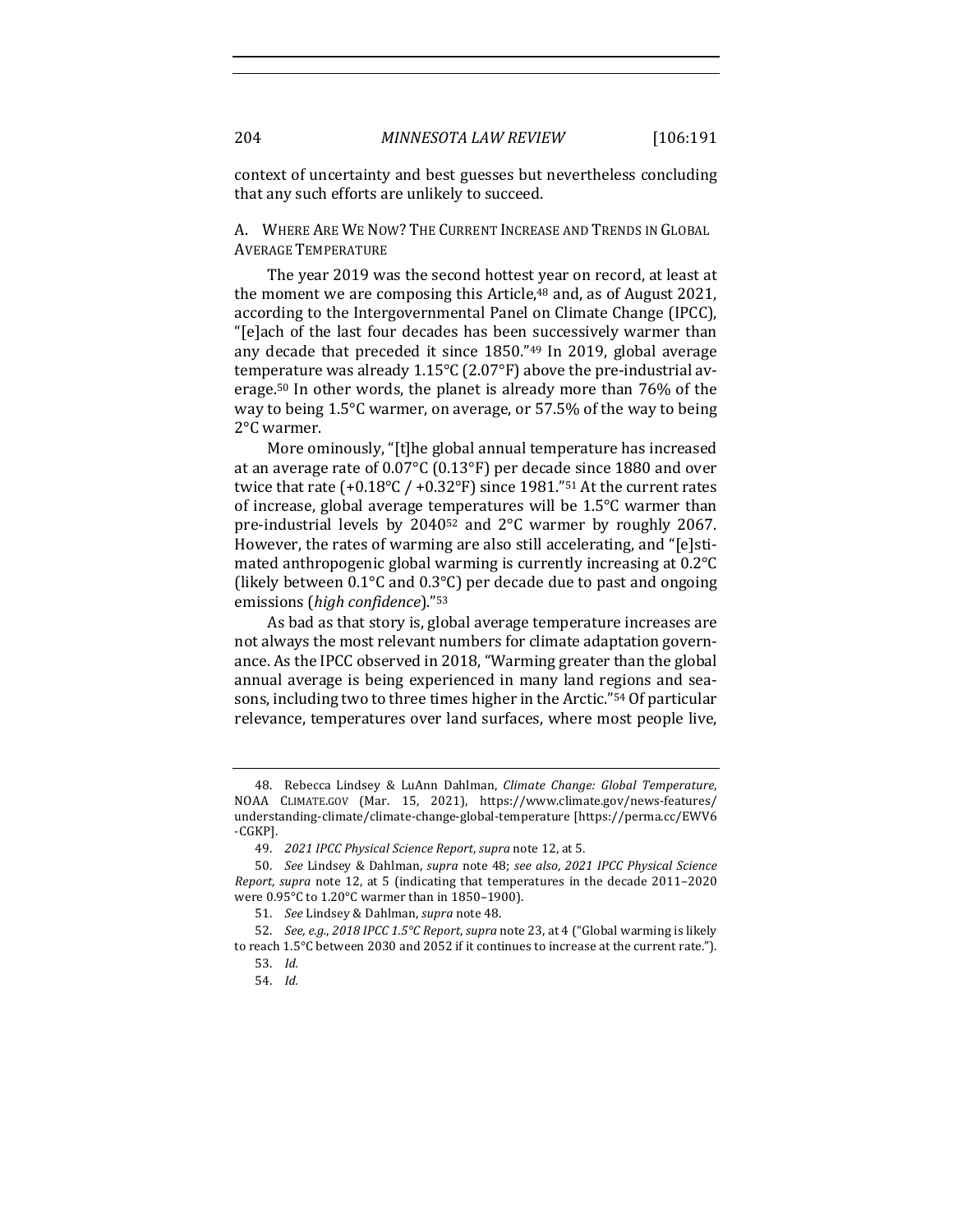context of uncertainty and best guesses but nevertheless concluding that any such efforts are unlikely to succeed.

A. WHERE ARE WE NOW? THE CURRENT INCREASE AND TRENDS IN GLOBAL **AVERAGE TEMPERATURE** 

The year 2019 was the second hottest year on record, at least at the moment we are composing this Article, $48$  and, as of August 2021, according to the Intergovernmental Panel on Climate Change (IPCC), "[e]ach of the last four decades has been successively warmer than any decade that preceded it since  $1850.^{n_{49}}$  In 2019, global average temperature was already  $1.15^{\circ}$ C (2.07°F) above the pre-industrial average.<sup>50</sup> In other words, the planet is already more than  $76\%$  of the way to being  $1.5^{\circ}$ C warmer, on average, or 57.5% of the way to being 2°C warmer. 

More ominously, "[t]he global annual temperature has increased at an average rate of  $0.07^{\circ}$ C (0.13°F) per decade since 1880 and over twice that rate  $(+0.18^{\circ}C$  /  $+0.32^{\circ}F$ ) since 1981."<sup>51</sup> At the current rates of increase, global average temperatures will be  $1.5^{\circ}$ C warmer than pre-industrial levels by  $2040^{52}$  and  $2^{\circ}$ C warmer by roughly 2067. However, the rates of warming are also still accelerating, and "[e]stimated anthropogenic global warming is currently increasing at 0.2°C (likely between  $0.1^{\circ}$ C and  $0.3^{\circ}$ C) per decade due to past and ongoing emissions (*high confidence*)."53

As bad as that story is, global average temperature increases are not always the most relevant numbers for climate adaptation governance. As the IPCC observed in 2018, "Warming greater than the global annual average is being experienced in many land regions and seasons, including two to three times higher in the Arctic."<sup>54</sup> Of particular relevance, temperatures over land surfaces, where most people live,

<sup>48.</sup> Rebecca Lindsey & LuAnn Dahlman, *Climate Change: Global Temperature*, NOAA CLIMATE.GOV (Mar. 15, 2021), https://www.climate.gov/news-features/ understanding-climate/climate-change-global-temperature [https://perma.cc/EWV6 -CGKP].

<sup>49.</sup> *2021 IPCC Physical Science Report, supra* note 12, at 5.

<sup>50.</sup> *See* Lindsey & Dahlman, *supra* note 48; *see also*, *2021 IPCC Physical Science Report, supra* note 12, at 5 (indicating that temperatures in the decade 2011–2020 were  $0.95^{\circ}$ C to  $1.20^{\circ}$ C warmer than in 1850-1900).

<sup>51.</sup> *See Lindsey & Dahlman, supra note 48.* 

<sup>52.</sup> *See, e.g., 2018 IPCC 1.5°C Report, supra* note 23, at 4 ("Global warming is likely to reach  $1.5^{\circ}$ C between 2030 and 2052 if it continues to increase at the current rate.").

<sup>53.</sup> *Id.*

<sup>54.</sup> *Id.*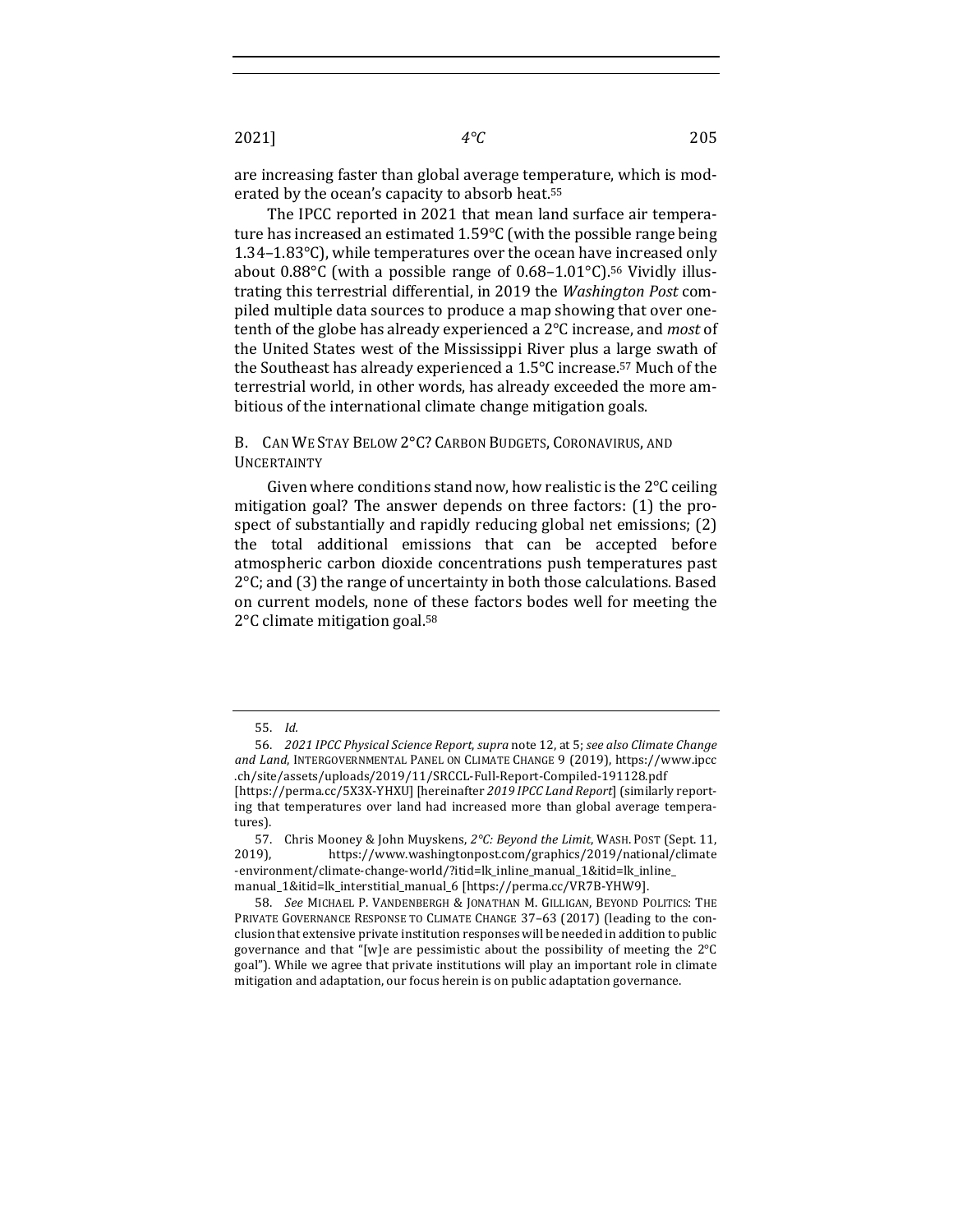are increasing faster than global average temperature, which is moderated by the ocean's capacity to absorb heat.<sup>55</sup>

The IPCC reported in 2021 that mean land surface air temperature has increased an estimated  $1.59^{\circ}$ C (with the possible range being 1.34–1.83 $^{\circ}$ C), while temperatures over the ocean have increased only about  $0.88^{\circ}$ C (with a possible range of  $0.68$ -1.01 $^{\circ}$ C).<sup>56</sup> Vividly illustrating this terrestrial differential, in 2019 the *Washington Post* compiled multiple data sources to produce a map showing that over onetenth of the globe has already experienced a 2<sup>o</sup>C increase, and *most* of the United States west of the Mississippi River plus a large swath of the Southeast has already experienced a  $1.5^{\circ}$ C increase.<sup>57</sup> Much of the terrestrial world, in other words, has already exceeded the more ambitious of the international climate change mitigation goals.

B. CAN WE STAY BELOW 2°C? CARBON BUDGETS, CORONAVIRUS, AND UNCERTAINTY

Given where conditions stand now, how realistic is the  $2^{\circ}$ C ceiling mitigation goal? The answer depends on three factors:  $(1)$  the prospect of substantially and rapidly reducing global net emissions; (2) the total additional emissions that can be accepted before atmospheric carbon dioxide concentrations push temperatures past  $2^{\circ}$ C; and (3) the range of uncertainty in both those calculations. Based on current models, none of these factors bodes well for meeting the  $2^{\circ}$ C climate mitigation goal.<sup>58</sup>

<sup>55.</sup> *Id.*

<sup>56.</sup> *2021 IPCC Physical Science Report, supra* note 12, at 5; see also Climate Change and Land, INTERGOVERNMENTAL PANEL ON CLIMATE CHANGE 9 (2019), https://www.ipcc .ch/site/assets/uploads/2019/11/SRCCL-Full-Report-Compiled-191128.pdf [https://perma.cc/5X3X-YHXU] [hereinafter 2019 IPCC Land Report] (similarly reporting that temperatures over land had increased more than global average temperatures).

<sup>57.</sup> Chris Mooney & John Muyskens, 2°C: Beyond the Limit, WASH. POST (Sept. 11, 2019), https://www.washingtonpost.com/graphics/2019/national/climate -environment/climate-change-world/?itid=lk\_inline\_manual\_1&itid=lk\_inline\_ manual\_1&itid=lk\_interstitial\_manual\_6 [https://perma.cc/VR7B-YHW9].

<sup>58.</sup> *See* MICHAEL P. VANDENBERGH & JONATHAN M. GILLIGAN, BEYOND POLITICS: THE PRIVATE GOVERNANCE RESPONSE TO CLIMATE CHANGE 37-63 (2017) (leading to the conclusion that extensive private institution responses will be needed in addition to public governance and that "[w]e are pessimistic about the possibility of meeting the  $2^{\circ}C$ goal"). While we agree that private institutions will play an important role in climate mitigation and adaptation, our focus herein is on public adaptation governance.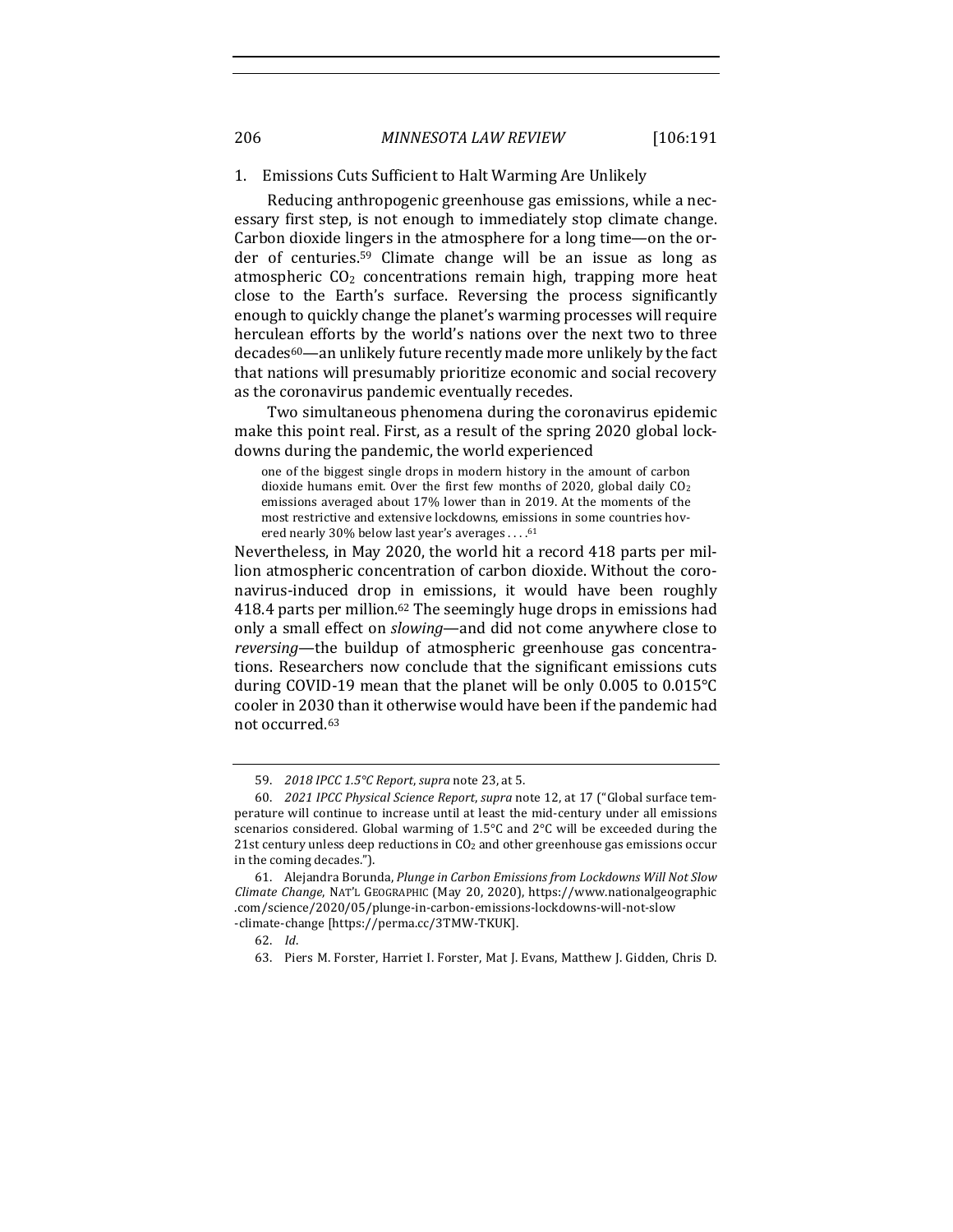#### 1. Emissions Cuts Sufficient to Halt Warming Are Unlikely

Reducing anthropogenic greenhouse gas emissions, while a necessary first step, is not enough to immediately stop climate change. Carbon dioxide lingers in the atmosphere for a long time—on the order of centuries.<sup>59</sup> Climate change will be an issue as long as atmospheric  $CO<sub>2</sub>$  concentrations remain high, trapping more heat close to the Earth's surface. Reversing the process significantly enough to quickly change the planet's warming processes will require herculean efforts by the world's nations over the next two to three decades<sup>60</sup>—an unlikely future recently made more unlikely by the fact that nations will presumably prioritize economic and social recovery as the coronavirus pandemic eventually recedes.

Two simultaneous phenomena during the coronavirus epidemic make this point real. First, as a result of the spring 2020 global lockdowns during the pandemic, the world experienced

one of the biggest single drops in modern history in the amount of carbon dioxide humans emit. Over the first few months of 2020, global daily  $CO<sub>2</sub>$ emissions averaged about 17% lower than in 2019. At the moments of the most restrictive and extensive lockdowns, emissions in some countries hovered nearly 30% below last year's averages . . . . 61

Nevertheless, in May 2020, the world hit a record 418 parts per million atmospheric concentration of carbon dioxide. Without the coronavirus-induced drop in emissions, it would have been roughly 418.4 parts per million.<sup>62</sup> The seemingly huge drops in emissions had only a small effect on *slowing*—and did not come anywhere close to *reversing*—the buildup of atmospheric greenhouse gas concentrations. Researchers now conclude that the significant emissions cuts during COVID-19 mean that the planet will be only 0.005 to  $0.015^{\circ}$ C cooler in 2030 than it otherwise would have been if the pandemic had not occurred.<sup>63</sup>

<sup>59.</sup> *2018 IPCC 1.5°C Report, supra note 23, at 5.* 

<sup>60.</sup> *2021 IPCC Physical Science Report*, *supra* note 12, at 17 ("Global surface temperature will continue to increase until at least the mid-century under all emissions scenarios considered. Global warming of  $1.5^{\circ}$ C and  $2^{\circ}$ C will be exceeded during the 21st century unless deep reductions in  $CO<sub>2</sub>$  and other greenhouse gas emissions occur in the coming decades.").

<sup>61.</sup> Alejandra Borunda, *Plunge in Carbon Emissions from Lockdowns Will Not Slow Climate Change*, NAT'L GEOGRAPHIC (May 20, 2020), https://www.nationalgeographic .com/science/2020/05/plunge-in-carbon-emissions-lockdowns-will-not-slow -climate-change [https://perma.cc/3TMW-TKUK].

<sup>62.</sup> *Id*.

<sup>63.</sup> Piers M. Forster, Harriet I. Forster, Mat J. Evans, Matthew J. Gidden, Chris D.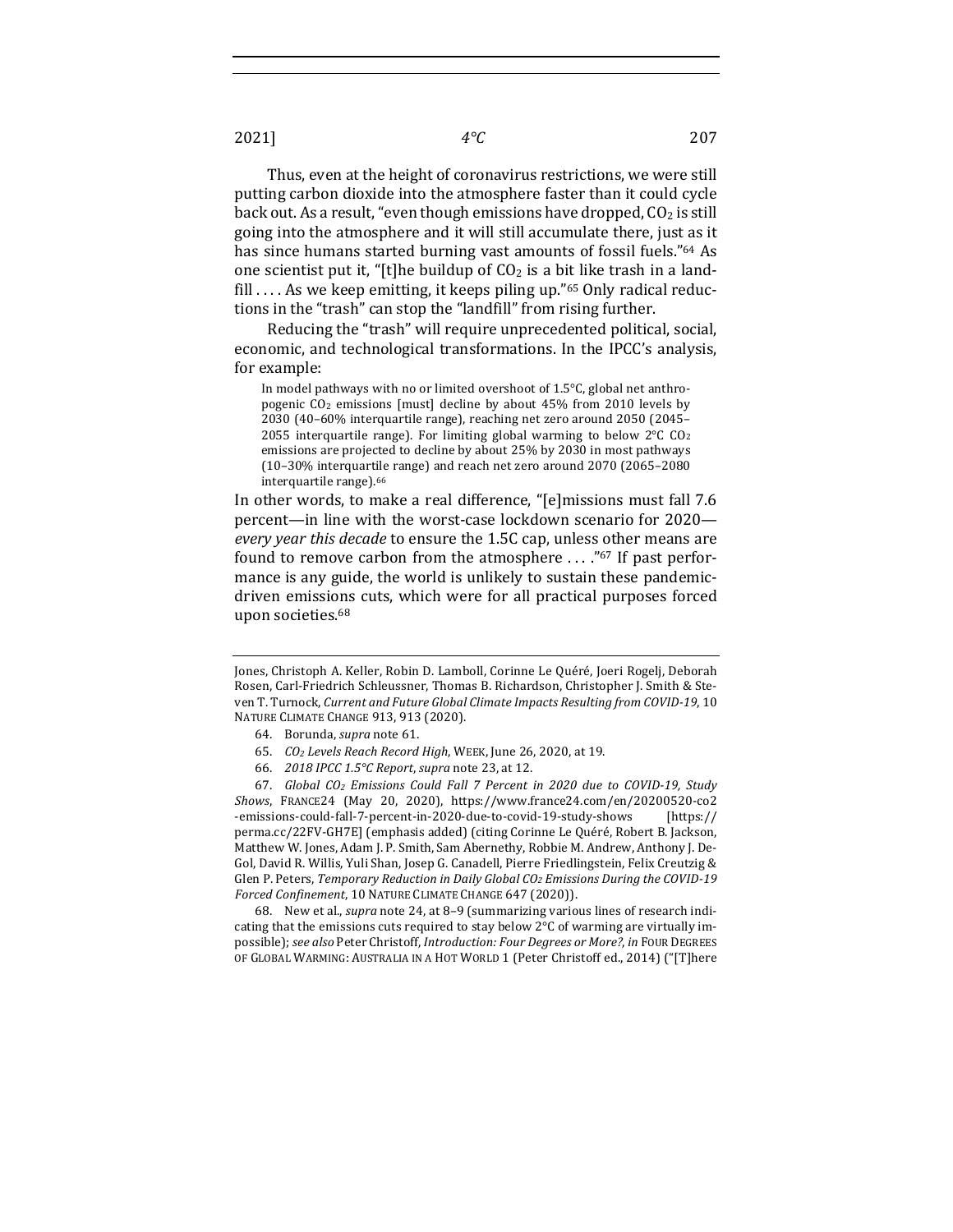Thus, even at the height of coronavirus restrictions, we were still putting carbon dioxide into the atmosphere faster than it could cycle back out. As a result, "even though emissions have dropped,  $CO<sub>2</sub>$  is still going into the atmosphere and it will still accumulate there, just as it has since humans started burning vast amounts of fossil fuels."<sup>64</sup> As one scientist put it, "[t]he buildup of  $CO<sub>2</sub>$  is a bit like trash in a landfill .... As we keep emitting, it keeps piling up." $65$  Only radical reductions in the "trash" can stop the "landfill" from rising further.

Reducing the "trash" will require unprecedented political, social, economic, and technological transformations. In the IPCC's analysis, for example:

In model pathways with no or limited overshoot of  $1.5^{\circ}$ C, global net anthropogenic CO<sub>2</sub> emissions [must] decline by about 45% from 2010 levels by 2030 (40-60% interquartile range), reaching net zero around 2050 (2045-2055 interquartile range). For limiting global warming to below  $2^{\circ}C$  CO<sub>2</sub> emissions are projected to decline by about 25% by 2030 in most pathways (10-30% interquartile range) and reach net zero around 2070 (2065-2080 interquartile range).<sup>66</sup>

In other words, to make a real difference, "[e]missions must fall 7.6 percent—in line with the worst-case lockdown scenario for 2020 *every year this decade* to ensure the 1.5C cap, unless other means are found to remove carbon from the atmosphere  $\ldots$ ."<sup>67</sup> If past performance is any guide, the world is unlikely to sustain these pandemicdriven emissions cuts, which were for all practical purposes forced upon societies.<sup>68</sup>

66. *2018 IPCC 1.5°C Report, supra* note 23, at 12.

67. *Global CO2 Emissions Could Fall 7 Percent in 2020 due to COVID-19, Study Shows*, FRANCE24 (May 20, 2020), https://www.france24.com/en/20200520-co2 -emissions-could-fall-7-percent-in-2020-due-to-covid-19-study-shows [https:// perma.cc/22FV-GH7E] (emphasis added) (citing Corinne Le Quéré, Robert B. Jackson, Matthew W. Jones, Adam J. P. Smith, Sam Abernethy, Robbie M. Andrew, Anthony J. De-Gol, David R. Willis, Yuli Shan, Josep G. Canadell, Pierre Friedlingstein, Felix Creutzig & Glen P. Peters, *Temporary Reduction in Daily Global CO<sub>2</sub> Emissions During the COVID-19* Forced Confinement, 10 NATURE CLIMATE CHANGE 647 (2020)).

68. New et al., *supra* note 24, at 8-9 (summarizing various lines of research indicating that the emissions cuts required to stay below  $2^{\circ}$ C of warming are virtually impossible); see also Peter Christoff, Introduction: Four Degrees or More?, in FOUR DEGREES OF GLOBAL WARMING: AUSTRALIA IN A HOT WORLD 1 (Peter Christoff ed., 2014) ("[T]here

Jones, Christoph A. Keller, Robin D. Lamboll, Corinne Le Quéré, Joeri Rogelj, Deborah Rosen, Carl-Friedrich Schleussner, Thomas B. Richardson, Christopher J. Smith & Steven T. Turnock, Current and Future Global Climate Impacts Resulting from COVID-19, 10 NATURE CLIMATE CHANGE 913, 913 (2020).

<sup>64.</sup> Borunda, *supra* note 61.

<sup>65.</sup> *CO2 Levels Reach Record High*, WEEK, June 26, 2020, at 19.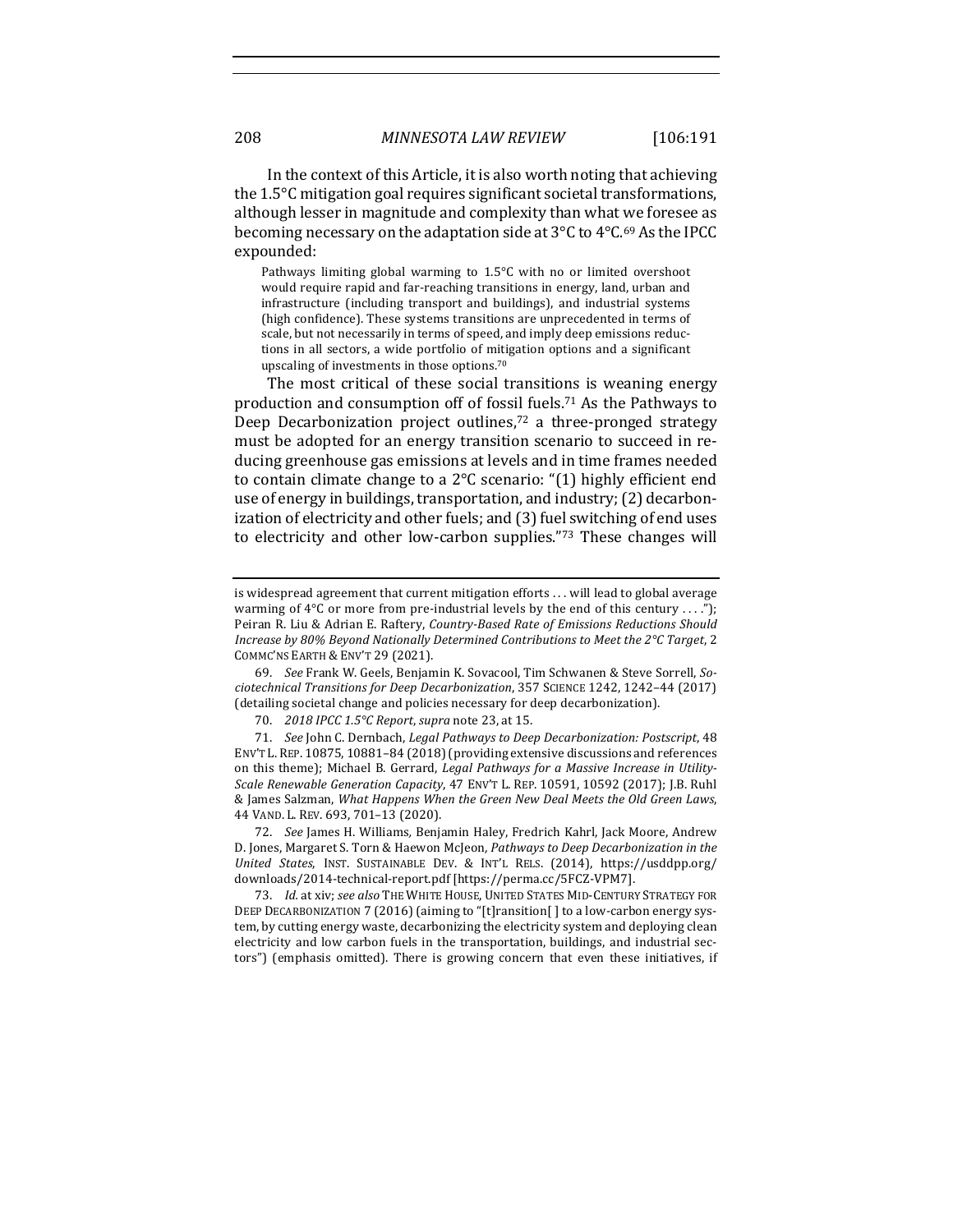In the context of this Article, it is also worth noting that achieving the  $1.5^{\circ}$ C mitigation goal requires significant societal transformations, although lesser in magnitude and complexity than what we foresee as becoming necessary on the adaptation side at  $3^{\circ}$ C to  $4^{\circ}$ C.<sup>69</sup> As the IPCC expounded:

Pathways limiting global warming to  $1.5^{\circ}$ C with no or limited overshoot would require rapid and far-reaching transitions in energy, land, urban and infrastructure (including transport and buildings), and industrial systems (high confidence). These systems transitions are unprecedented in terms of scale, but not necessarily in terms of speed, and imply deep emissions reductions in all sectors, a wide portfolio of mitigation options and a significant upscaling of investments in those options.<sup>70</sup>

The most critical of these social transitions is weaning energy production and consumption off of fossil fuels.<sup>71</sup> As the Pathways to Deep Decarbonization project outlines,<sup>72</sup> a three-pronged strategy must be adopted for an energy transition scenario to succeed in reducing greenhouse gas emissions at levels and in time frames needed to contain climate change to a  $2^{\circ}C$  scenario: "(1) highly efficient end use of energy in buildings, transportation, and industry; (2) decarbonization of electricity and other fuels; and (3) fuel switching of end uses to electricity and other low-carbon supplies."73 These changes will

69. See Frank W. Geels, Benjamin K. Sovacool, Tim Schwanen & Steve Sorrell, So*ciotechnical Transitions for Deep Decarbonization*, 357 SCIENCE 1242, 1242–44 (2017) (detailing societal change and policies necessary for deep decarbonization).

is widespread agreement that current mitigation efforts . . . will lead to global average warming of  $4^{\circ}$ C or more from pre-industrial levels by the end of this century ...."); Peiran R. Liu & Adrian E. Raftery, *Country-Based Rate of Emissions Reductions Should Increase by 80% Beyond Nationally Determined Contributions to Meet the 2°C Target, 2* COMMC'NS EARTH & ENV'T 29 (2021).

<sup>70.</sup> *2018 IPCC 1.5°C Report, supra* note 23, at 15.

<sup>71.</sup> *See* John C. Dernbach, *Legal Pathways to Deep Decarbonization: Postscript*, 48 ENV'T L. REP. 10875, 10881-84 (2018) (providing extensive discussions and references on this theme); Michael B. Gerrard, *Legal Pathways for a Massive Increase in Utility-Scale Renewable Generation Capacity*, 47 ENV'T L. REP. 10591, 10592 (2017); J.B. Ruhl & James Salzman, *What Happens When the Green New Deal Meets the Old Green Laws*, 44 VAND. L. REV. 693, 701-13 (2020).

<sup>72.</sup> *See* James H. Williams, Benjamin Haley, Fredrich Kahrl, Jack Moore, Andrew D. Jones, Margaret S. Torn & Haewon McJeon, Pathways to Deep Decarbonization in the *United States*, INST. SUSTAINABLE DEV. & INT'L RELS. (2014), https://usddpp.org/ downloads/2014-technical-report.pdf [https://perma.cc/5FCZ-VPM7].

<sup>73.</sup> *Id.* at xiv; see also THE WHITE HOUSE, UNITED STATES MID-CENTURY STRATEGY FOR DEEP DECARBONIZATION 7 (2016) (aiming to "[t]ransition[] to a low-carbon energy system, by cutting energy waste, decarbonizing the electricity system and deploying clean electricity and low carbon fuels in the transportation, buildings, and industrial sectors") (emphasis omitted). There is growing concern that even these initiatives, if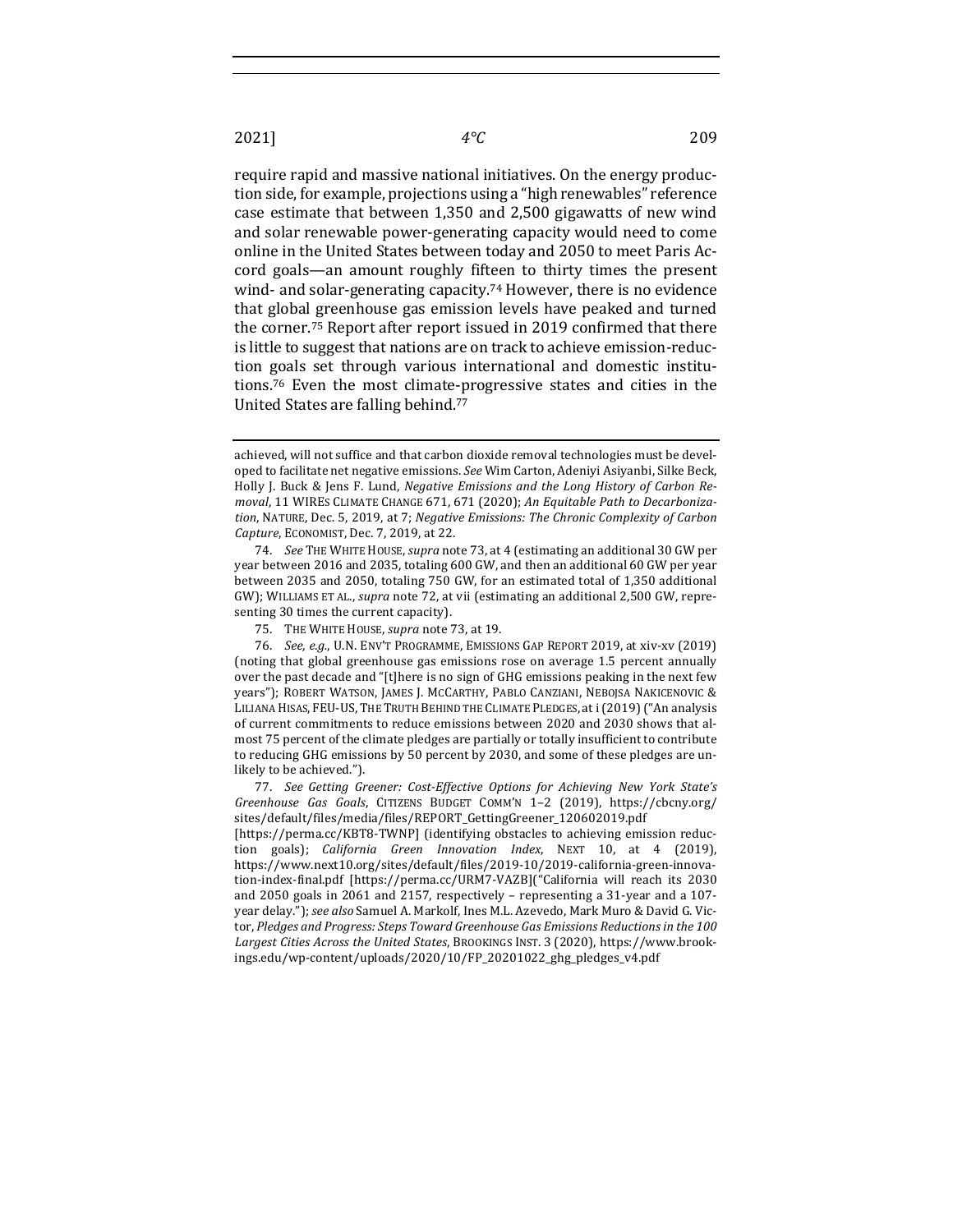require rapid and massive national initiatives. On the energy production side, for example, projections using a "high renewables" reference case estimate that between 1,350 and 2,500 gigawatts of new wind and solar renewable power-generating capacity would need to come online in the United States between today and 2050 to meet Paris Accord goals—an amount roughly fifteen to thirty times the present wind- and solar-generating capacity.<sup>74</sup> However, there is no evidence that global greenhouse gas emission levels have peaked and turned the corner.<sup>75</sup> Report after report issued in 2019 confirmed that there is little to suggest that nations are on track to achieve emission-reduction goals set through various international and domestic institutions.<sup>76</sup> Even the most climate-progressive states and cities in the United States are falling behind.<sup>77</sup>

74. *See* THE WHITE HOUSE, *supra* note 73, at 4 (estimating an additional 30 GW per year between 2016 and 2035, totaling 600 GW, and then an additional 60 GW per year between 2035 and 2050, totaling 750 GW, for an estimated total of 1,350 additional GW); WILLIAMS ET AL., *supra* note 72, at vii (estimating an additional 2,500 GW, representing 30 times the current capacity).

75. THE WHITE HOUSE, *supra* note 73, at 19.

76. *See, e.g.*, U.N. ENV'T PROGRAMME, EMISSIONS GAP REPORT 2019, at xiv-xv (2019) (noting that global greenhouse gas emissions rose on average 1.5 percent annually over the past decade and "[t]here is no sign of GHG emissions peaking in the next few years"); ROBERT WATSON, JAMES J. MCCARTHY, PABLO CANZIANI, NEBOJSA NAKICENOVIC & LILIANA HISAS, FEU-US, THE TRUTH BEHIND THE CLIMATE PLEDGES, at i (2019) ("An analysis of current commitments to reduce emissions between 2020 and 2030 shows that almost 75 percent of the climate pledges are partially or totally insufficient to contribute to reducing GHG emissions by 50 percent by 2030, and some of these pledges are unlikely to be achieved.").

77. See Getting Greener: Cost-Effective Options for Achieving New York State's *Greenhouse Gas Goals*, CITIZENS BUDGET COMM'N 1–2 (2019), https://cbcny.org/ sites/default/files/media/files/REPORT\_GettingGreener\_120602019.pdf

[https://perma.cc/KBT8-TWNP] (identifying obstacles to achieving emission reduction goals); *California Green Innovation Index*, NEXT 10, at 4 (2019), https://www.next10.org/sites/default/files/2019-10/2019-california-green-innovation-index-final.pdf [https://perma.cc/URM7-VAZB]("California will reach its 2030 and 2050 goals in 2061 and 2157, respectively - representing a 31-year and a 107year delay."); *see also* Samuel A. Markolf, Ines M.L. Azevedo, Mark Muro & David G. Victor, *Pledges and Progress: Steps Toward Greenhouse Gas Emissions Reductions in the 100* Largest Cities Across the United States, BROOKINGS INST. 3 (2020), https://www.brookings.edu/wp-content/uploads/2020/10/FP\_20201022\_ghg\_pledges\_v4.pdf

achieved, will not suffice and that carbon dioxide removal technologies must be developed to facilitate net negative emissions. See Wim Carton, Adeniyi Asiyanbi, Silke Beck, Holly J. Buck & Jens F. Lund, *Negative Emissions and the Long History of Carbon Re*moval, 11 WIRES CLIMATE CHANGE 671, 671 (2020); *An Equitable Path to Decarboniza*tion, NATURE, Dec. 5, 2019, at 7; *Negative Emissions: The Chronic Complexity of Carbon Capture*, ECONOMIST, Dec. 7, 2019, at 22.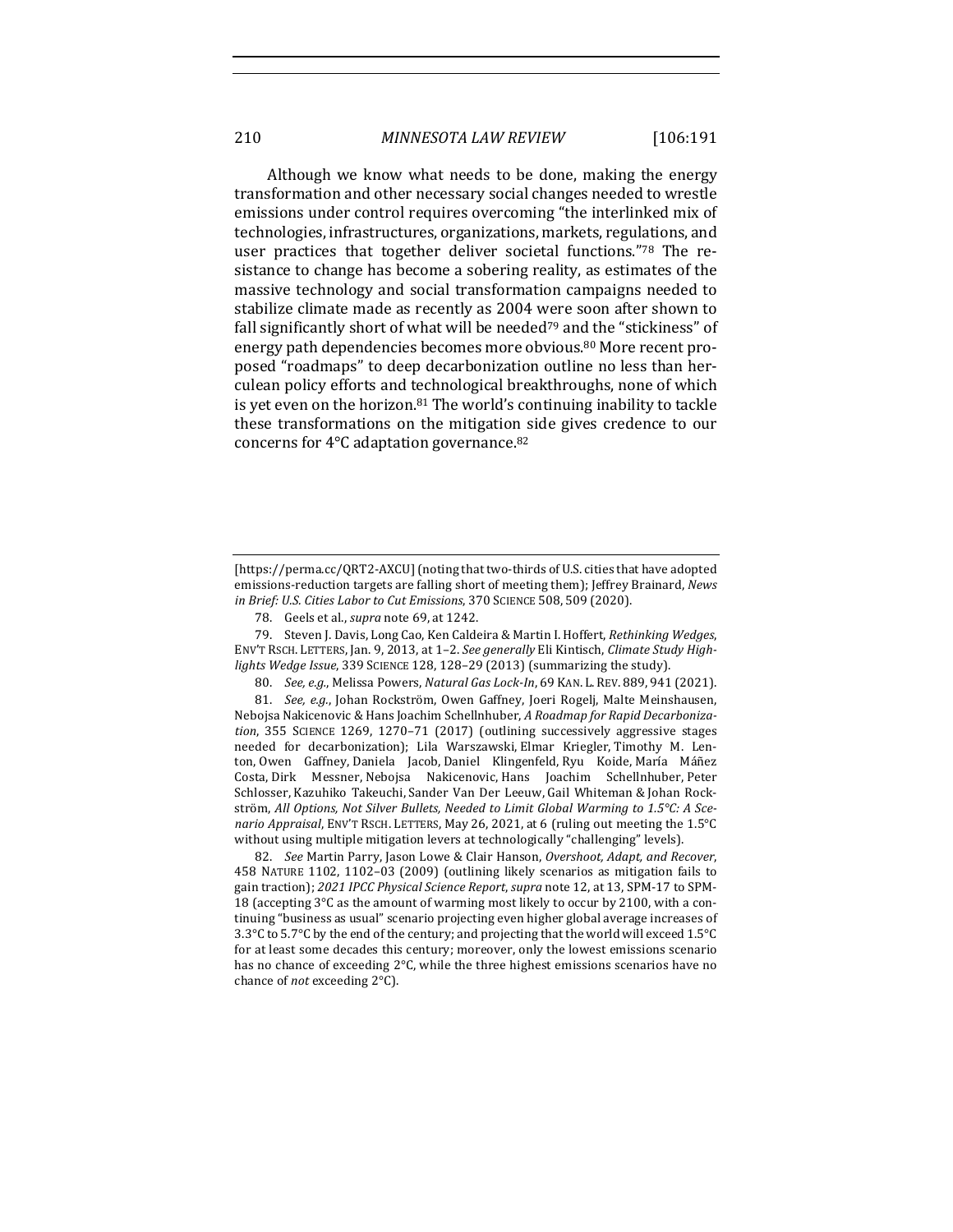Although we know what needs to be done, making the energy transformation and other necessary social changes needed to wrestle emissions under control requires overcoming "the interlinked mix of technologies, infrastructures, organizations, markets, regulations, and user practices that together deliver societal functions."78 The resistance to change has become a sobering reality, as estimates of the massive technology and social transformation campaigns needed to stabilize climate made as recently as 2004 were soon after shown to fall significantly short of what will be needed<sup>79</sup> and the "stickiness" of energy path dependencies becomes more obvious.<sup>80</sup> More recent proposed "roadmaps" to deep decarbonization outline no less than herculean policy efforts and technological breakthroughs, none of which is yet even on the horizon. $81$  The world's continuing inability to tackle these transformations on the mitigation side gives credence to our concerns for  $4^{\circ}$ C adaptation governance.<sup>82</sup>

79. Steven J. Davis, Long Cao, Ken Caldeira & Martin I. Hoffert, Rethinking Wedges, ENV'T RSCH. LETTERS, Jan. 9, 2013, at 1-2. See generally Eli Kintisch, Climate Study Highlights Wedge Issue, 339 SCIENCE 128, 128-29 (2013) (summarizing the study).

80. *See, e.g.*, Melissa Powers, *Natural Gas Lock-In*, 69 KAN. L. REV. 889, 941 (2021).

81. *See, e.g.*, Johan Rockström, Owen Gaffney, Joeri Rogelj, Malte Meinshausen, Nebojsa Nakicenovic & Hans Joachim Schellnhuber, *A Roadmap for Rapid Decarbonization*, 355 SCIENCE 1269, 1270–71 (2017) (outlining successively aggressive stages needed for decarbonization); Lila Warszawski, Elmar Kriegler, Timothy M. Lenton, Owen Gaffney, Daniela Jacob, Daniel Klingenfeld, Ryu Koide, María Máñez Costa, Dirk Messner, Nebojsa Nakicenovic, Hans Joachim Schellnhuber, Peter Schlosser, Kazuhiko Takeuchi, Sander Van Der Leeuw, Gail Whiteman & Johan Rockström, All Options, Not Silver Bullets, Needed to Limit Global Warming to 1.5°C: A Sce*nario Appraisal*, ENV'T RSCH. LETTERS, May 26, 2021, at 6 (ruling out meeting the 1.5°C without using multiple mitigation levers at technologically "challenging" levels).

82. *See* Martin Parry, Jason Lowe & Clair Hanson, Overshoot, Adapt, and Recover, 458 NATURE 1102, 1102-03 (2009) (outlining likely scenarios as mitigation fails to gain traction); *2021 IPCC Physical Science Report*, *supra* note 12, at 13, SPM-17 to SPM-18 (accepting  $3^{\circ}$ C as the amount of warming most likely to occur by 2100, with a continuing "business as usual" scenario projecting even higher global average increases of 3.3°C to 5.7°C by the end of the century; and projecting that the world will exceed 1.5°C for at least some decades this century; moreover, only the lowest emissions scenario has no chance of exceeding  $2^{\circ}$ C, while the three highest emissions scenarios have no chance of *not* exceeding  $2^{\circ}C$ ).

<sup>[</sup>https://perma.cc/QRT2-AXCU] (noting that two-thirds of U.S. cities that have adopted emissions-reduction targets are falling short of meeting them); Jeffrey Brainard, *News in Brief: U.S. Cities Labor to Cut Emissions*, 370 SCIENCE 508, 509 (2020).

<sup>78.</sup> Geels et al., *supra* note 69, at 1242.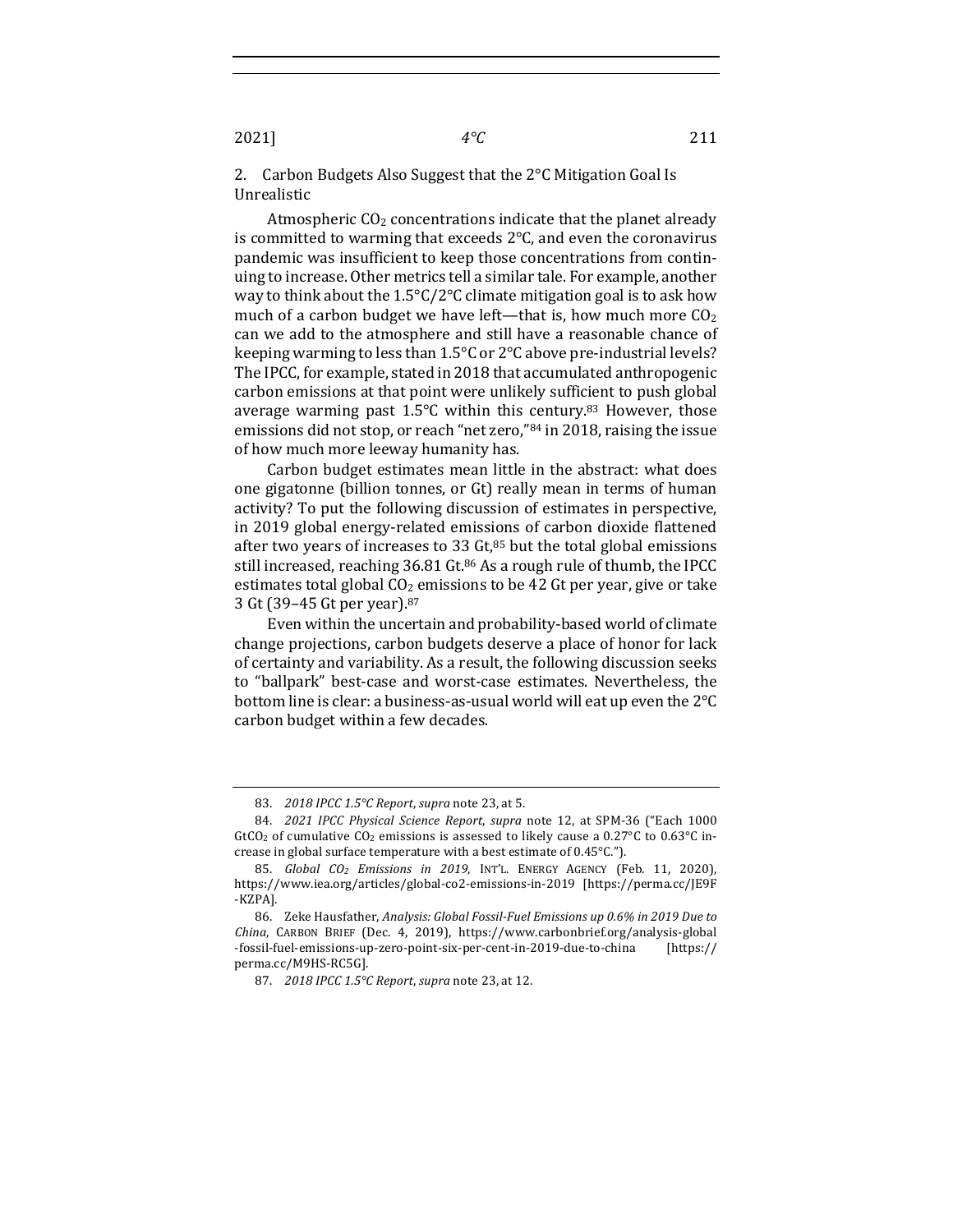2. Carbon Budgets Also Suggest that the  $2^{\circ}$ C Mitigation Goal Is Unrealistic

Atmospheric  $CO<sub>2</sub>$  concentrations indicate that the planet already is committed to warming that exceeds  $2^{\circ}$ C, and even the coronavirus pandemic was insufficient to keep those concentrations from continuing to increase. Other metrics tell a similar tale. For example, another way to think about the  $1.5^{\circ}$ C/2°C climate mitigation goal is to ask how much of a carbon budget we have left—that is, how much more  $CO<sub>2</sub>$ can we add to the atmosphere and still have a reasonable chance of keeping warming to less than  $1.5^{\circ}$ C or 2°C above pre-industrial levels? The IPCC, for example, stated in 2018 that accumulated anthropogenic carbon emissions at that point were unlikely sufficient to push global average warming past  $1.5^{\circ}$ C within this century.<sup>83</sup> However, those emissions did not stop, or reach "net zero," $84$  in 2018, raising the issue of how much more leeway humanity has.

Carbon budget estimates mean little in the abstract: what does one gigatonne (billion tonnes, or Gt) really mean in terms of human activity? To put the following discussion of estimates in perspective, in 2019 global energy-related emissions of carbon dioxide flattened after two years of increases to 33  $Gt$ ,<sup>85</sup> but the total global emissions still increased, reaching 36.81 Gt.<sup>86</sup> As a rough rule of thumb, the IPCC estimates total global  $CO<sub>2</sub>$  emissions to be 42 Gt per year, give or take 3 Gt (39-45 Gt per year).<sup>87</sup>

Even within the uncertain and probability-based world of climate change projections, carbon budgets deserve a place of honor for lack of certainty and variability. As a result, the following discussion seeks to "ballpark" best-case and worst-case estimates. Nevertheless, the bottom line is clear: a business-as-usual world will eat up even the  $2^{\circ}C$ carbon budget within a few decades.

<sup>83.</sup> *2018 IPCC 1.5°C Report, supra* note 23, at 5.

<sup>84.</sup> *2021 IPCC Physical Science Report, supra* note 12, at SPM-36 ("Each 1000 GtCO<sub>2</sub> of cumulative CO<sub>2</sub> emissions is assessed to likely cause a  $0.27^{\circ}$ C to  $0.63^{\circ}$ C increase in global surface temperature with a best estimate of  $0.45^{\circ}$ C.").

<sup>85.</sup> *Global CO<sub>2</sub> Emissions in 2019*, INT'L. ENERGY AGENCY (Feb. 11, 2020), https://www.iea.org/articles/global-co2-emissions-in-2019 [https://perma.cc/JE9F -KZPA].

<sup>86.</sup> Zeke Hausfather, *Analysis: Global Fossil-Fuel Emissions up 0.6% in 2019 Due to China*, CARBON BRIEF (Dec. 4, 2019), https://www.carbonbrief.org/analysis-global -fossil-fuel-emissions-up-zero-point-six-per-cent-in-2019-due-to-china [https:// perma.cc/M9HS-RC5G].

<sup>87.</sup> *2018 IPCC 1.5°C Report, supra note 23, at 12.*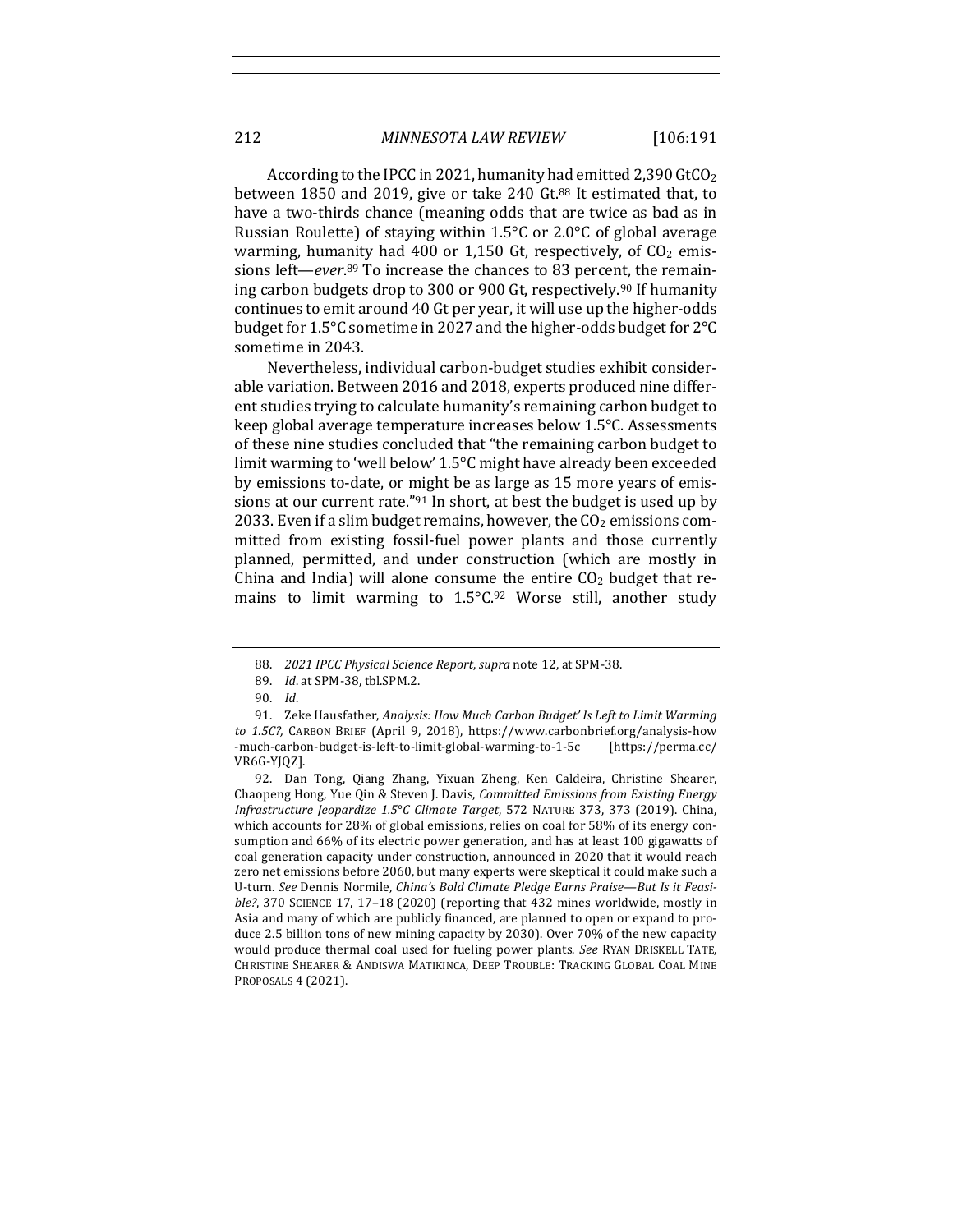According to the IPCC in 2021, humanity had emitted 2,390 GtCO<sub>2</sub> between 1850 and 2019, give or take 240 Gt.<sup>88</sup> It estimated that, to have a two-thirds chance (meaning odds that are twice as bad as in Russian Roulette) of staying within  $1.5^{\circ}$ C or  $2.0^{\circ}$ C of global average warming, humanity had 400 or 1,150 Gt, respectively, of  $CO<sub>2</sub>$  emissions left—*ever*.<sup>89</sup> To increase the chances to 83 percent, the remaining carbon budgets drop to 300 or 900 Gt, respectively.<sup>90</sup> If humanity continues to emit around 40 Gt per year, it will use up the higher-odds budget for  $1.5^{\circ}$ C sometime in 2027 and the higher-odds budget for  $2^{\circ}$ C sometime in 2043.

Nevertheless, individual carbon-budget studies exhibit considerable variation. Between 2016 and 2018, experts produced nine different studies trying to calculate humanity's remaining carbon budget to keep global average temperature increases below  $1.5^{\circ}$ C. Assessments of these nine studies concluded that "the remaining carbon budget to limit warming to 'well below'  $1.5^{\circ}$ C might have already been exceeded by emissions to-date, or might be as large as 15 more years of emissions at our current rate."<sup>91</sup> In short, at best the budget is used up by 2033. Even if a slim budget remains, however, the  $CO<sub>2</sub>$  emissions committed from existing fossil-fuel power plants and those currently planned, permitted, and under construction (which are mostly in China and India) will alone consume the entire  $CO<sub>2</sub>$  budget that remains to limit warming to  $1.5^{\circ}C.^{92}$  Worse still, another study

<sup>88.</sup> *2021 IPCC Physical Science Report, supra* note 12, at SPM-38.

<sup>89.</sup> *Id.* at SPM-38, tbl.SPM.2.

<sup>90.</sup> *Id*.

<sup>91.</sup> Zeke Hausfather, *Analysis: How Much Carbon Budget' Is Left to Limit Warming* to 1.5C?, CARBON BRIEF (April 9, 2018), https://www.carbonbrief.org/analysis-how -much-carbon-budget-is-left-to-limit-global-warming-to-1-5c [https://perma.cc/ VR6G-YJQZ].

<sup>92.</sup> Dan Tong, Qiang Zhang, Yixuan Zheng, Ken Caldeira, Christine Shearer, Chaopeng Hong, Yue Qin & Steven J. Davis, *Committed Emissions from Existing Energy Infrastructure Jeopardize 1.5*°*C Climate Target*, 572 NATURE 373, 373 (2019). China, which accounts for  $28\%$  of global emissions, relies on coal for  $58\%$  of its energy consumption and 66% of its electric power generation, and has at least 100 gigawatts of coal generation capacity under construction, announced in 2020 that it would reach zero net emissions before 2060, but many experts were skeptical it could make such a U-turn. See Dennis Normile, China's Bold Climate Pledge Earns Praise—But Is it Feasi*ble?*, 370 SCIENCE 17, 17-18 (2020) (reporting that 432 mines worldwide, mostly in Asia and many of which are publicly financed, are planned to open or expand to produce 2.5 billion tons of new mining capacity by 2030). Over 70% of the new capacity would produce thermal coal used for fueling power plants. See RYAN DRISKELL TATE, CHRISTINE SHEARER & ANDISWA MATIKINCA, DEEP TROUBLE: TRACKING GLOBAL COAL MINE PROPOSALS 4 (2021).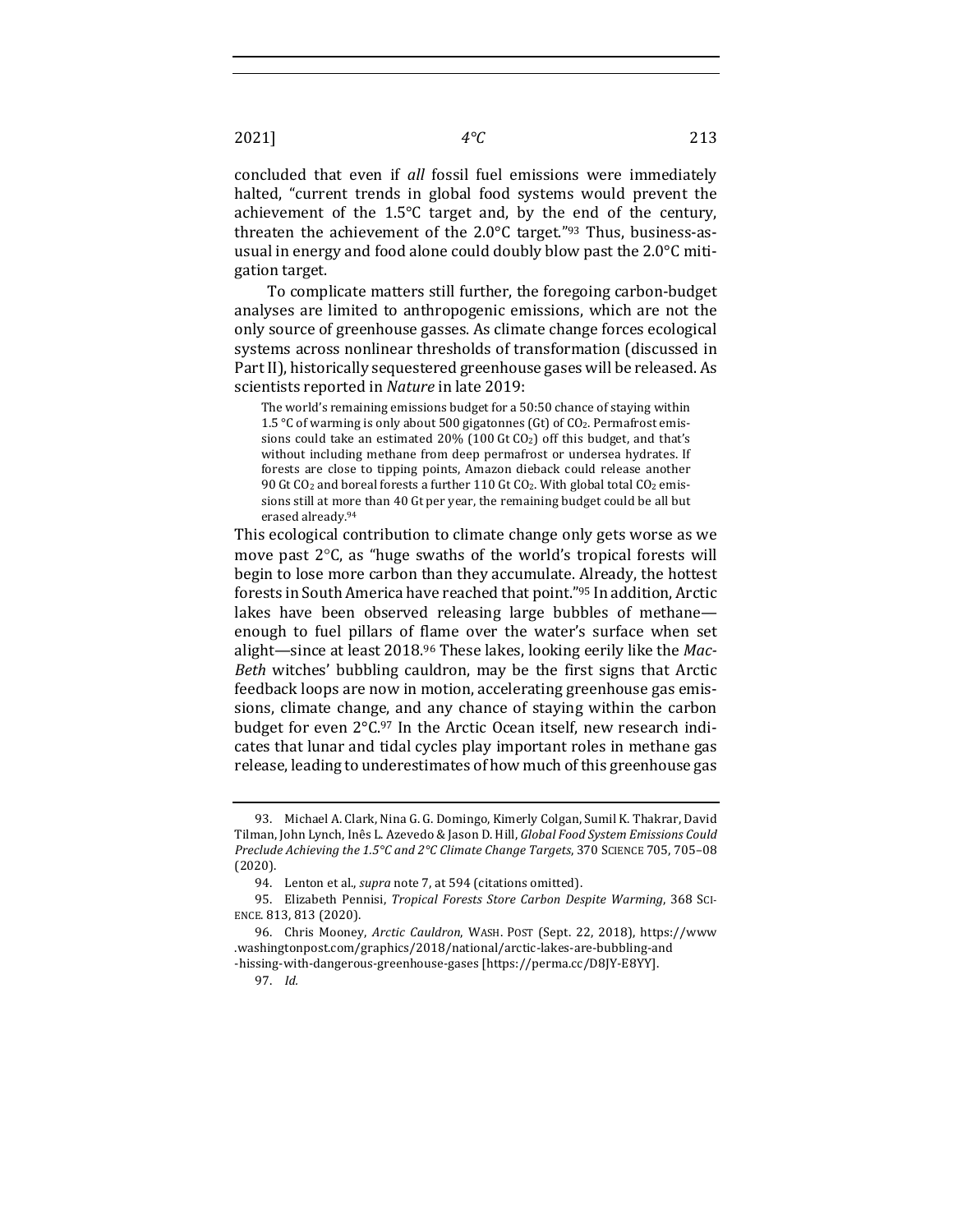concluded that even if all fossil fuel emissions were immediately halted, "current trends in global food systems would prevent the achievement of the  $1.5^{\circ}$ C target and, by the end of the century, threaten the achievement of the  $2.0^{\circ}$ C target."<sup>93</sup> Thus, business-asusual in energy and food alone could doubly blow past the  $2.0^{\circ}$ C mitigation target.

To complicate matters still further, the foregoing carbon-budget analyses are limited to anthropogenic emissions, which are not the only source of greenhouse gasses. As climate change forces ecological systems across nonlinear thresholds of transformation (discussed in Part II), historically sequestered greenhouse gases will be released. As scientists reported in *Nature* in late 2019:

The world's remaining emissions budget for a 50:50 chance of staying within 1.5  $\degree$ C of warming is only about 500 gigatonnes (Gt) of CO<sub>2</sub>. Permafrost emissions could take an estimated  $20\%$  (100 Gt CO<sub>2</sub>) off this budget, and that's without including methane from deep permafrost or undersea hydrates. If forests are close to tipping points, Amazon dieback could release another 90 Gt CO<sub>2</sub> and boreal forests a further 110 Gt CO<sub>2</sub>. With global total CO<sub>2</sub> emissions still at more than 40 Gt per year, the remaining budget could be all but erased already.<sup>94</sup>

This ecological contribution to climate change only gets worse as we move past  $2^{\circ}$ C, as "huge swaths of the world's tropical forests will begin to lose more carbon than they accumulate. Already, the hottest forests in South America have reached that point."95 In addition, Arctic lakes have been observed releasing large bubbles of methane enough to fuel pillars of flame over the water's surface when set alight-since at least 2018.<sup>96</sup> These lakes, looking eerily like the Mac-*Beth* witches' bubbling cauldron, may be the first signs that Arctic feedback loops are now in motion, accelerating greenhouse gas emissions, climate change, and any chance of staying within the carbon budget for even  $2^{\circ}C^{.97}$  In the Arctic Ocean itself, new research indicates that lunar and tidal cycles play important roles in methane gas release, leading to underestimates of how much of this greenhouse gas

<sup>93.</sup> Michael A. Clark, Nina G. G. Domingo, Kimerly Colgan, Sumil K. Thakrar, David Tilman, John Lynch, Inês L. Azevedo & Jason D. Hill, *Global Food System Emissions Could Preclude Achieving the 1.5°C and 2°C Climate Change Targets*, 370 SCIENCE 705, 705-08 (2020).

<sup>94.</sup> Lenton et al., *supra* note 7, at 594 (citations omitted).

<sup>95.</sup> Elizabeth Pennisi, *Tropical Forests Store Carbon Despite Warming*, 368 SCI-ENCE. 813, 813 (2020).

<sup>96.</sup> Chris Mooney, *Arctic Cauldron*, WASH. POST (Sept. 22, 2018), https://www .washingtonpost.com/graphics/2018/national/arctic-lakes-are-bubbling-and -hissing-with-dangerous-greenhouse-gases [https://perma.cc/D8JY-E8YY].

<sup>97.</sup> *Id.*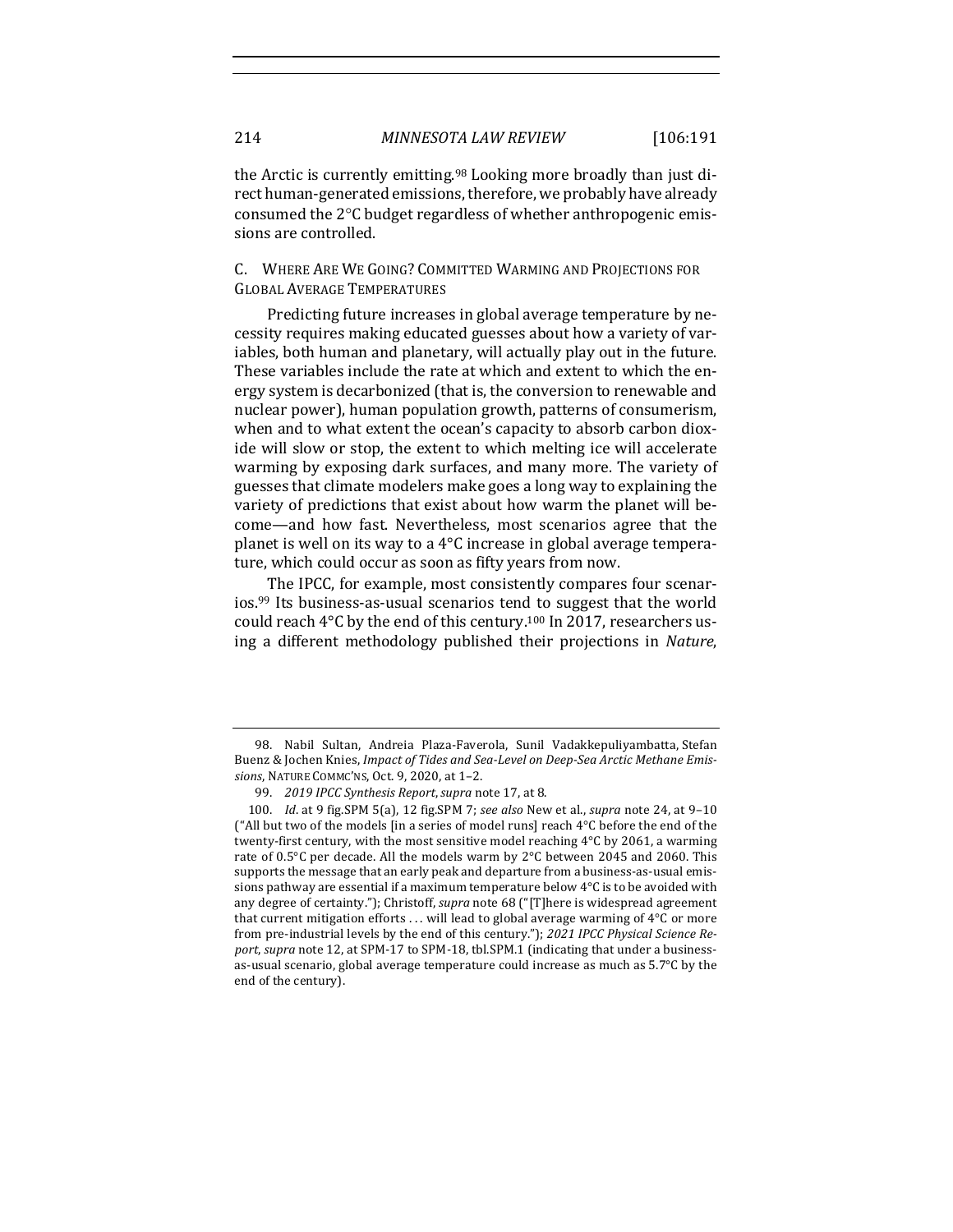the Arctic is currently emitting.<sup>98</sup> Looking more broadly than just direct human-generated emissions, therefore, we probably have already consumed the 2°C budget regardless of whether anthropogenic emissions are controlled.

C. WHERE ARE WE GOING? COMMITTED WARMING AND PROJECTIONS FOR GLOBAL AVERAGE TEMPERATURES

Predicting future increases in global average temperature by necessity requires making educated guesses about how a variety of variables, both human and planetary, will actually play out in the future. These variables include the rate at which and extent to which the energy system is decarbonized (that is, the conversion to renewable and nuclear power), human population growth, patterns of consumerism, when and to what extent the ocean's capacity to absorb carbon dioxide will slow or stop, the extent to which melting ice will accelerate warming by exposing dark surfaces, and many more. The variety of guesses that climate modelers make goes a long way to explaining the variety of predictions that exist about how warm the planet will become—and how fast. Nevertheless, most scenarios agree that the planet is well on its way to a  $4^{\circ}$ C increase in global average temperature, which could occur as soon as fifty years from now.

The IPCC, for example, most consistently compares four scenar- $\log_{10}$  is business-as-usual scenarios tend to suggest that the world could reach  $4^{\circ}$ C by the end of this century.<sup>100</sup> In 2017, researchers using a different methodology published their projections in Nature,

<sup>98.</sup> Nabil Sultan, Andreia Plaza-Faverola, Sunil Vadakkepuliyambatta, Stefan Buenz & Jochen Knies, *Impact of Tides and Sea-Level on Deep-Sea Arctic Methane Emis*sions, NATURE COMMC'NS, Oct. 9, 2020, at 1-2.

<sup>99. 2019</sup> *IPCC Synthesis Report, supra note* 17, at 8.

<sup>100.</sup> *Id.* at 9 fig.SPM 5(a), 12 fig.SPM 7; see also New et al., *supra* note 24, at 9-10 ("All but two of the models  $\lim_{x \to a}$  series of model runs] reach  $4^{\circ}C$  before the end of the twenty-first century, with the most sensitive model reaching  $4^{\circ}$ C by 2061, a warming rate of  $0.5^{\circ}$ C per decade. All the models warm by  $2^{\circ}$ C between 2045 and 2060. This supports the message that an early peak and departure from a business-as-usual emissions pathway are essential if a maximum temperature below  $4^{\circ}C$  is to be avoided with any degree of certainty."); Christoff, *supra* note 68 ("[T]here is widespread agreement that current mitigation efforts  $\dots$  will lead to global average warming of  $4^{\circ}C$  or more from pre-industrial levels by the end of this century."); 2021 IPCC Physical Science Report, supra note 12, at SPM-17 to SPM-18, tbl.SPM.1 (indicating that under a businessas-usual scenario, global average temperature could increase as much as 5.7°C by the end of the century).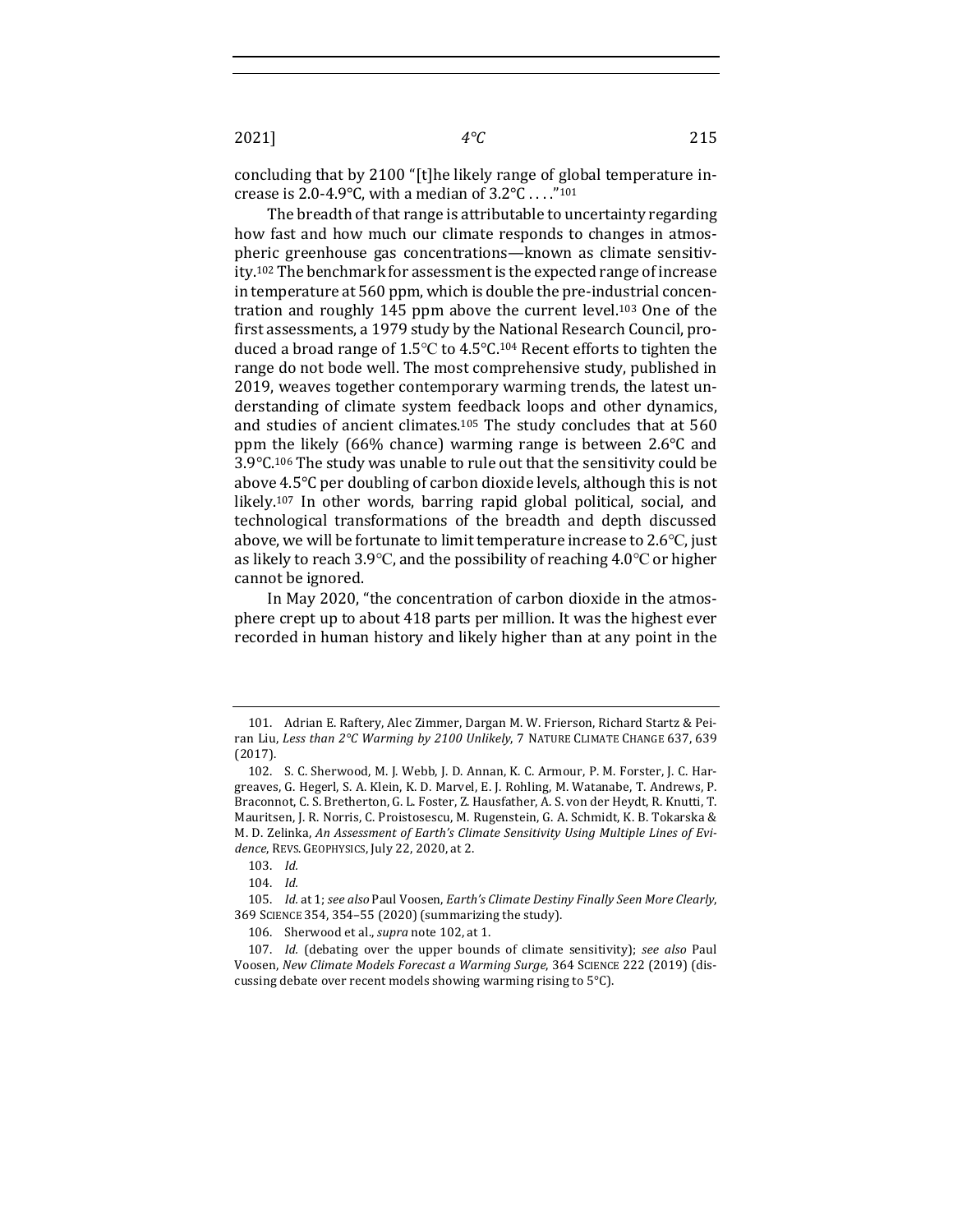concluding that by 2100 "[t]he likely range of global temperature increase is 2.0-4.9°C, with a median of  $3.2$ °C ...."<sup>101</sup>

The breadth of that range is attributable to uncertainty regarding how fast and how much our climate responds to changes in atmospheric greenhouse gas concentrations—known as climate sensitivity.<sup>102</sup> The benchmark for assessment is the expected range of increase in temperature at 560 ppm, which is double the pre-industrial concentration and roughly  $145$  ppm above the current level.<sup>103</sup> One of the first assessments, a 1979 study by the National Research Council, produced a broad range of 1.5°C to 4.5°C.<sup>104</sup> Recent efforts to tighten the range do not bode well. The most comprehensive study, published in 2019, weaves together contemporary warming trends, the latest understanding of climate system feedback loops and other dynamics, and studies of ancient climates.<sup>105</sup> The study concludes that at  $560$ ppm the likely (66% chance) warming range is between  $2.6^{\circ}$ C and  $3.9^{\circ}$ C.<sup>106</sup> The study was unable to rule out that the sensitivity could be above 4.5°C per doubling of carbon dioxide levels, although this is not likely.<sup>107</sup> In other words, barring rapid global political, social, and technological transformations of the breadth and depth discussed above, we will be fortunate to limit temperature increase to  $2.6^{\circ}$ C, just as likely to reach 3.9°C, and the possibility of reaching  $4.0$ °C or higher cannot be ignored.

In May 2020, "the concentration of carbon dioxide in the atmosphere crept up to about 418 parts per million. It was the highest ever recorded in human history and likely higher than at any point in the

<sup>101.</sup> Adrian E. Raftery, Alec Zimmer, Dargan M. W. Frierson, Richard Startz & Peiran Liu, *Less than* 2°C Warming by 2100 Unlikely, 7 NATURE CLIMATE CHANGE 637, 639 (2017).

<sup>102.</sup> S. C. Sherwood, M. J. Webb, J. D. Annan, K. C. Armour, P. M. Forster, J. C. Hargreaves, G. Hegerl, S. A. Klein, K. D. Marvel, E. J. Rohling, M. Watanabe, T. Andrews, P. Braconnot, C. S. Bretherton, G. L. Foster, Z. Hausfather, A. S. von der Heydt, R. Knutti, T. Mauritsen, J. R. Norris, C. Proistosescu, M. Rugenstein, G. A. Schmidt, K. B. Tokarska & M. D. Zelinka, An Assessment of Earth's Climate Sensitivity Using Multiple Lines of Evidence, REVS. GEOPHYSICS, July 22, 2020, at 2.

<sup>103.</sup> *Id.*

<sup>104.</sup> *Id.*

<sup>105.</sup> *Id.* at 1; see also Paul Voosen, *Earth's Climate Destiny Finally Seen More Clearly*, 369 SCIENCE 354, 354-55 (2020) (summarizing the study).

<sup>106.</sup> Sherwood et al., *supra* note 102, at 1.

<sup>107.</sup> *Id.* (debating over the upper bounds of climate sensitivity); see also Paul Voosen, New Climate Models Forecast a Warming Surge, 364 SCIENCE 222 (2019) (discussing debate over recent models showing warming rising to  $5^{\circ}$ C).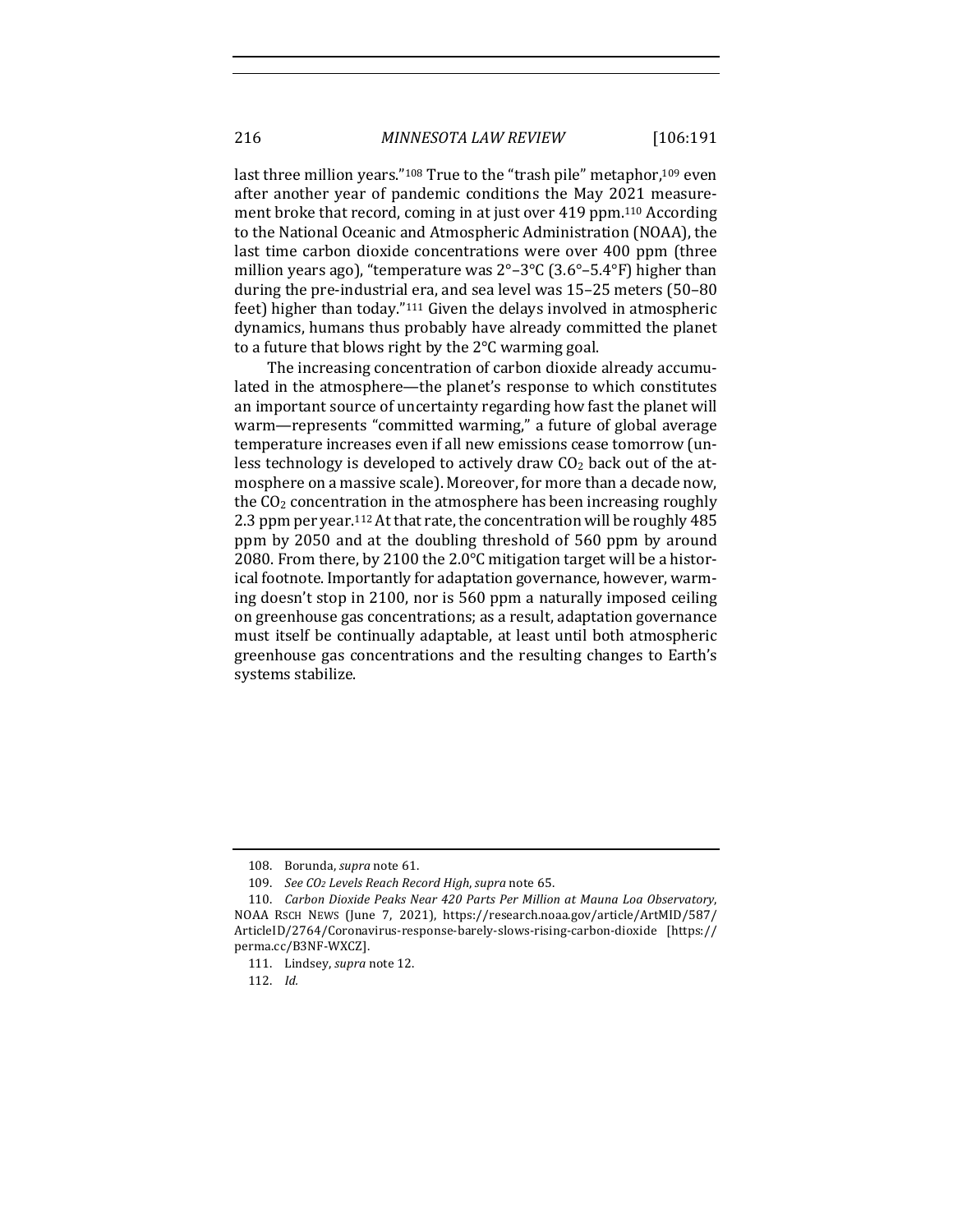last three million years."<sup>108</sup> True to the "trash pile" metaphor,<sup>109</sup> even after another year of pandemic conditions the May 2021 measurement broke that record, coming in at just over 419 ppm.<sup>110</sup> According to the National Oceanic and Atmospheric Administration (NOAA), the last time carbon dioxide concentrations were over 400 ppm (three million years ago), "temperature was  $2^{\circ}$ –3°C (3.6°–5.4°F) higher than during the pre-industrial era, and sea level was 15-25 meters (50-80) feet) higher than today." $111$  Given the delays involved in atmospheric dynamics, humans thus probably have already committed the planet to a future that blows right by the  $2^{\circ}$ C warming goal.

The increasing concentration of carbon dioxide already accumulated in the atmosphere—the planet's response to which constitutes an important source of uncertainty regarding how fast the planet will warm—represents "committed warming," a future of global average temperature increases even if all new emissions cease tomorrow (unless technology is developed to actively draw  $CO<sub>2</sub>$  back out of the atmosphere on a massive scale). Moreover, for more than a decade now, the  $CO<sub>2</sub>$  concentration in the atmosphere has been increasing roughly 2.3 ppm per year.<sup>112</sup> At that rate, the concentration will be roughly 485 ppm by 2050 and at the doubling threshold of 560 ppm by around 2080. From there, by 2100 the 2.0 $\degree$ C mitigation target will be a historical footnote. Importantly for adaptation governance, however, warming doesn't stop in 2100, nor is 560 ppm a naturally imposed ceiling on greenhouse gas concentrations; as a result, adaptation governance must itself be continually adaptable, at least until both atmospheric greenhouse gas concentrations and the resulting changes to Earth's systems stabilize.

<sup>108.</sup> Borunda, *supra* note 61.

<sup>109.</sup> *See CO<sub>2</sub> Levels Reach Record High, supra* note 65.

<sup>110.</sup> *Carbon Dioxide Peaks Near 420 Parts Per Million at Mauna Loa Observatory*, NOAA RSCH NEWS (June 7, 2021), https://research.noaa.gov/article/ArtMID/587/ ArticleID/2764/Coronavirus-response-barely-slows-rising-carbon-dioxide [https:// perma.cc/B3NF-WXCZ].

<sup>111.</sup> Lindsey, *supra* note 12.

<sup>112.</sup> *Id.*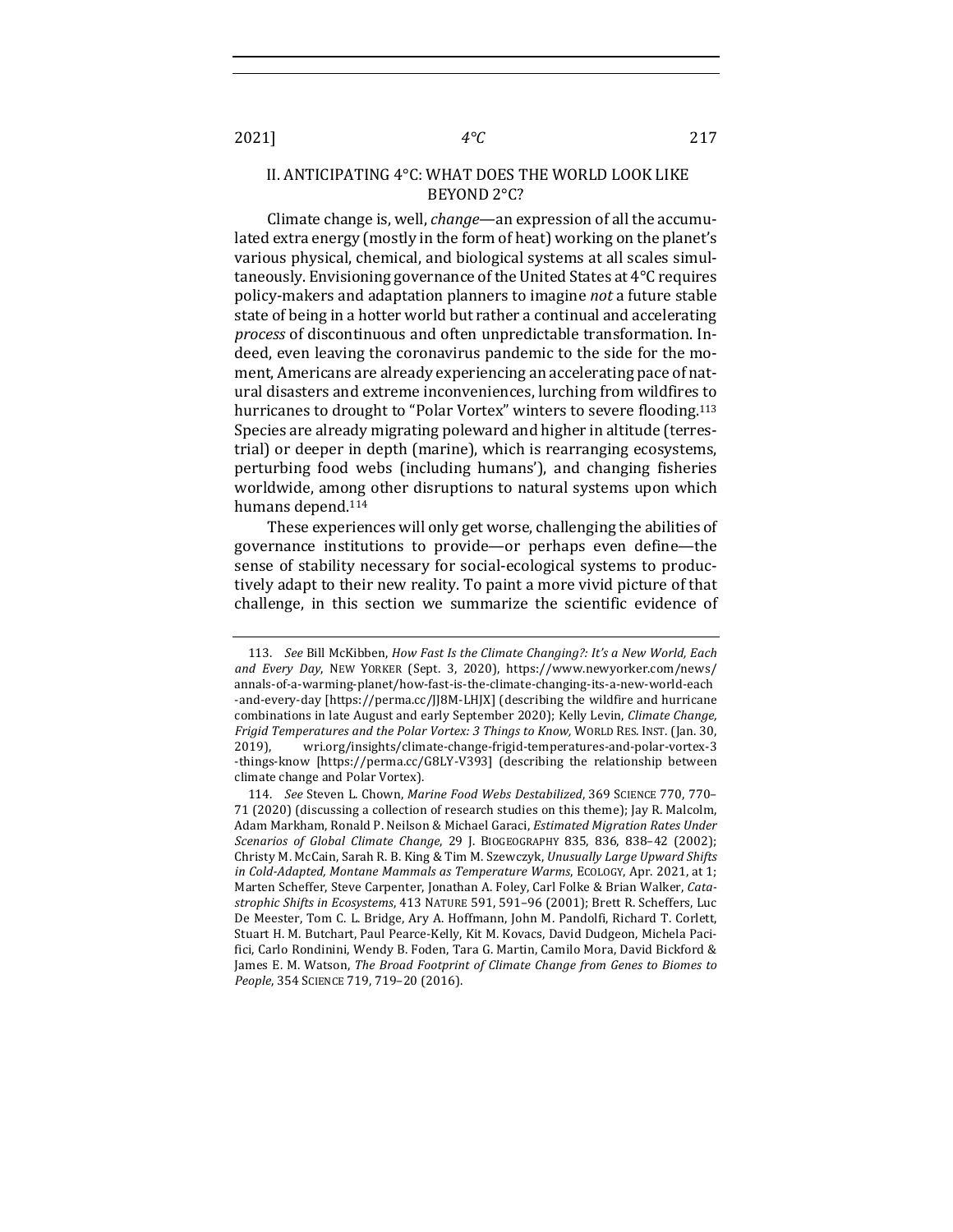#### II. ANTICIPATING 4°C: WHAT DOES THE WORLD LOOK LIKE BEYOND 2°C?

Climate change is, well, *change*—an expression of all the accumulated extra energy (mostly in the form of heat) working on the planet's various physical, chemical, and biological systems at all scales simultaneously. Envisioning governance of the United States at  $4^{\circ}$ C requires policy-makers and adaptation planners to imagine *not* a future stable state of being in a hotter world but rather a continual and accelerating process of discontinuous and often unpredictable transformation. Indeed, even leaving the coronavirus pandemic to the side for the moment, Americans are already experiencing an accelerating pace of natural disasters and extreme inconveniences, lurching from wildfires to hurricanes to drought to "Polar Vortex" winters to severe flooding.<sup>113</sup> Species are already migrating poleward and higher in altitude (terrestrial) or deeper in depth (marine), which is rearranging ecosystems, perturbing food webs (including humans'), and changing fisheries worldwide, among other disruptions to natural systems upon which humans depend.<sup>114</sup>

These experiences will only get worse, challenging the abilities of governance institutions to provide—or perhaps even define—the sense of stability necessary for social-ecological systems to productively adapt to their new reality. To paint a more vivid picture of that challenge, in this section we summarize the scientific evidence of

<sup>113.</sup> *See* Bill McKibben, *How Fast Is the Climate Changing?: It's a New World, Each* and *Every Day*, NEW YORKER (Sept. 3, 2020), https://www.newyorker.com/news/ annals-of-a-warming-planet/how-fast-is-the-climate-changing-its-a-new-world-each -and-every-day [https://perma.cc/JJ8M-LHJX] (describing the wildfire and hurricane combinations in late August and early September 2020); Kelly Levin, *Climate Change*, *Frigid Temperatures and the Polar Vortex: 3 Things to Know,* WORLD RES. INST. (Jan. 30, 2019), wri.org/insights/climate-change-frigid-temperatures-and-polar-vortex-3 -things-know [https://perma.cc/G8LY-V393] (describing the relationship between climate change and Polar Vortex).

<sup>114.</sup> *See* Steven L. Chown, *Marine Food Webs Destabilized*, 369 SCIENCE 770, 770-71 (2020) (discussing a collection of research studies on this theme); Jay R. Malcolm, Adam Markham, Ronald P. Neilson & Michael Garaci, *Estimated Migration Rates Under Scenarios of Global Climate Change*, 29 J. BIOGEOGRAPHY 835, 836, 838–42 (2002); Christy M. McCain, Sarah R. B. King & Tim M. Szewczyk, *Unusually Large Upward Shifts* in Cold-Adapted, Montane Mammals as Temperature Warms, ECOLOGY, Apr. 2021, at 1; Marten Scheffer, Steve Carpenter, Jonathan A. Foley, Carl Folke & Brian Walker, Cata*strophic Shifts in Ecosystems*, 413 NATURE 591, 591-96 (2001); Brett R. Scheffers, Luc De Meester, Tom C. L. Bridge, Ary A. Hoffmann, John M. Pandolfi, Richard T. Corlett, Stuart H. M. Butchart, Paul Pearce-Kelly, Kit M. Kovacs, David Dudgeon, Michela Pacifici, Carlo Rondinini, Wendy B. Foden, Tara G. Martin, Camilo Mora, David Bickford & James E. M. Watson, *The Broad Footprint of Climate Change from Genes to Biomes to* People, 354 SCIENCE 719, 719-20 (2016).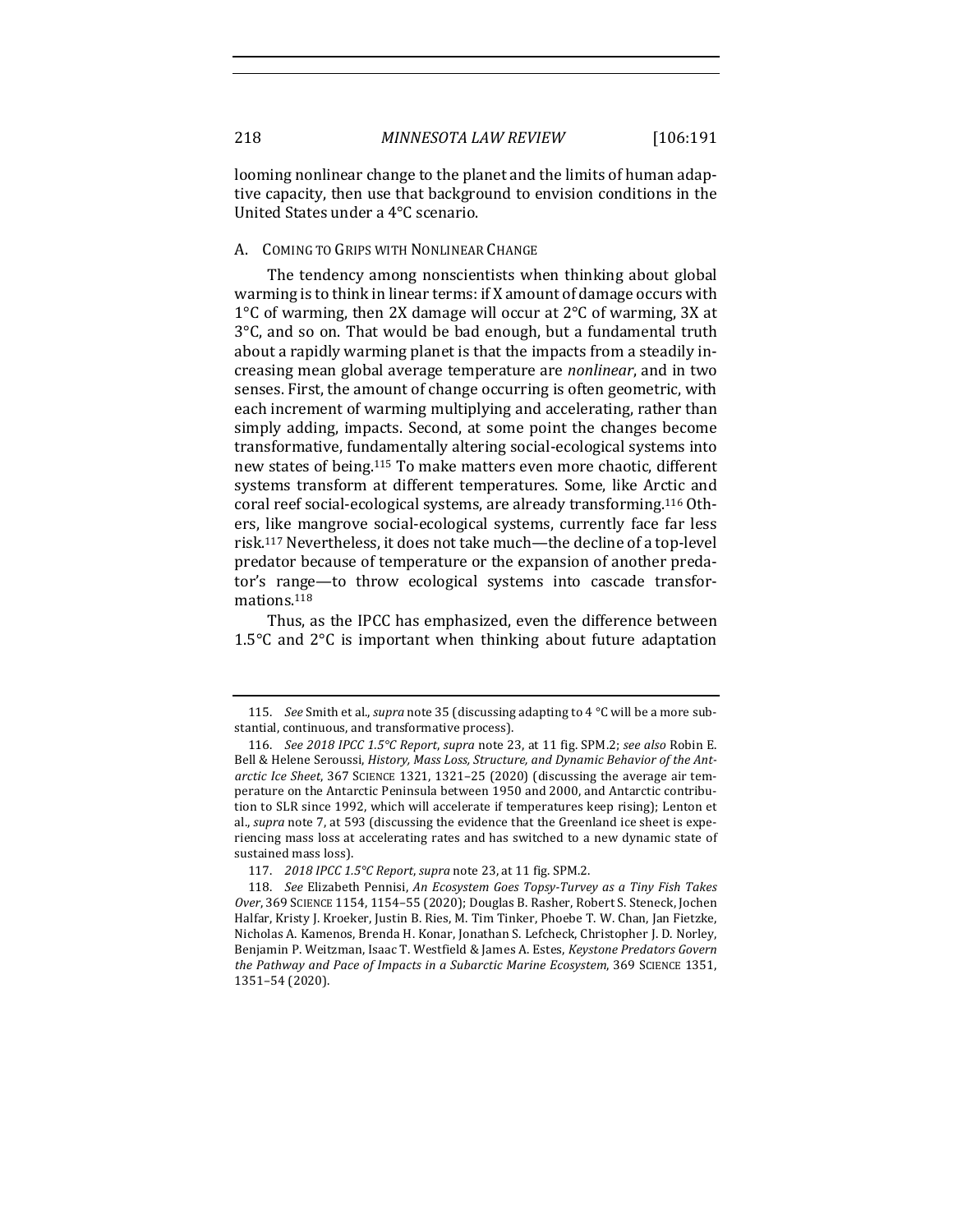looming nonlinear change to the planet and the limits of human adaptive capacity, then use that background to envision conditions in the United States under a 4°C scenario.

#### A. COMING TO GRIPS WITH NONLINEAR CHANGE

The tendency among nonscientists when thinking about global warming is to think in linear terms: if X amount of damage occurs with 1 $\degree$ C of warming, then 2X damage will occur at 2 $\degree$ C of warming, 3X at  $3^{\circ}$ C, and so on. That would be bad enough, but a fundamental truth about a rapidly warming planet is that the impacts from a steadily increasing mean global average temperature are *nonlinear*, and in two senses. First, the amount of change occurring is often geometric, with each increment of warming multiplying and accelerating, rather than simply adding, impacts. Second, at some point the changes become transformative, fundamentally altering social-ecological systems into new states of being.<sup>115</sup> To make matters even more chaotic, different systems transform at different temperatures. Some, like Arctic and coral reef social-ecological systems, are already transforming.<sup>116</sup> Others, like mangrove social-ecological systems, currently face far less risk.<sup>117</sup> Nevertheless, it does not take much—the decline of a top-level predator because of temperature or the expansion of another predator's range-to throw ecological systems into cascade transformations.118

Thus, as the IPCC has emphasized, even the difference between 1.5 $\degree$ C and  $2\degree$ C is important when thinking about future adaptation

<sup>115.</sup> *See* Smith et al., *supra* note 35 (discussing adapting to 4 °C will be a more substantial, continuous, and transformative process).

<sup>116.</sup> *See 2018 IPCC 1.5°C Report, supra* note 23, at 11 fig. SPM.2; *see also* Robin E. Bell & Helene Seroussi, *History, Mass Loss, Structure, and Dynamic Behavior of the Ant*arctic Ice Sheet, 367 SCIENCE 1321, 1321–25 (2020) (discussing the average air temperature on the Antarctic Peninsula between 1950 and 2000, and Antarctic contribution to SLR since 1992, which will accelerate if temperatures keep rising); Lenton et al., *supra* note 7, at 593 (discussing the evidence that the Greenland ice sheet is experiencing mass loss at accelerating rates and has switched to a new dynamic state of sustained mass loss).

<sup>117.</sup> *2018 IPCC* 1.5°C Report, supra note 23, at 11 fig. SPM.2.

<sup>118.</sup> *See* Elizabeth Pennisi, An Ecosystem Goes Topsy-Turvey as a Tiny Fish Takes *Over*, 369 SCIENCE 1154, 1154-55 (2020); Douglas B. Rasher, Robert S. Steneck, Jochen Halfar, Kristy J. Kroeker, Justin B. Ries, M. Tim Tinker, Phoebe T. W. Chan, Jan Fietzke, Nicholas A. Kamenos, Brenda H. Konar, Jonathan S. Lefcheck, Christopher J. D. Norley, Benjamin P. Weitzman, Isaac T. Westfield & James A. Estes, *Keystone Predators Govern* the Pathway and Pace of Impacts in a Subarctic Marine Ecosystem, 369 SCIENCE 1351, 1351–54 (2020).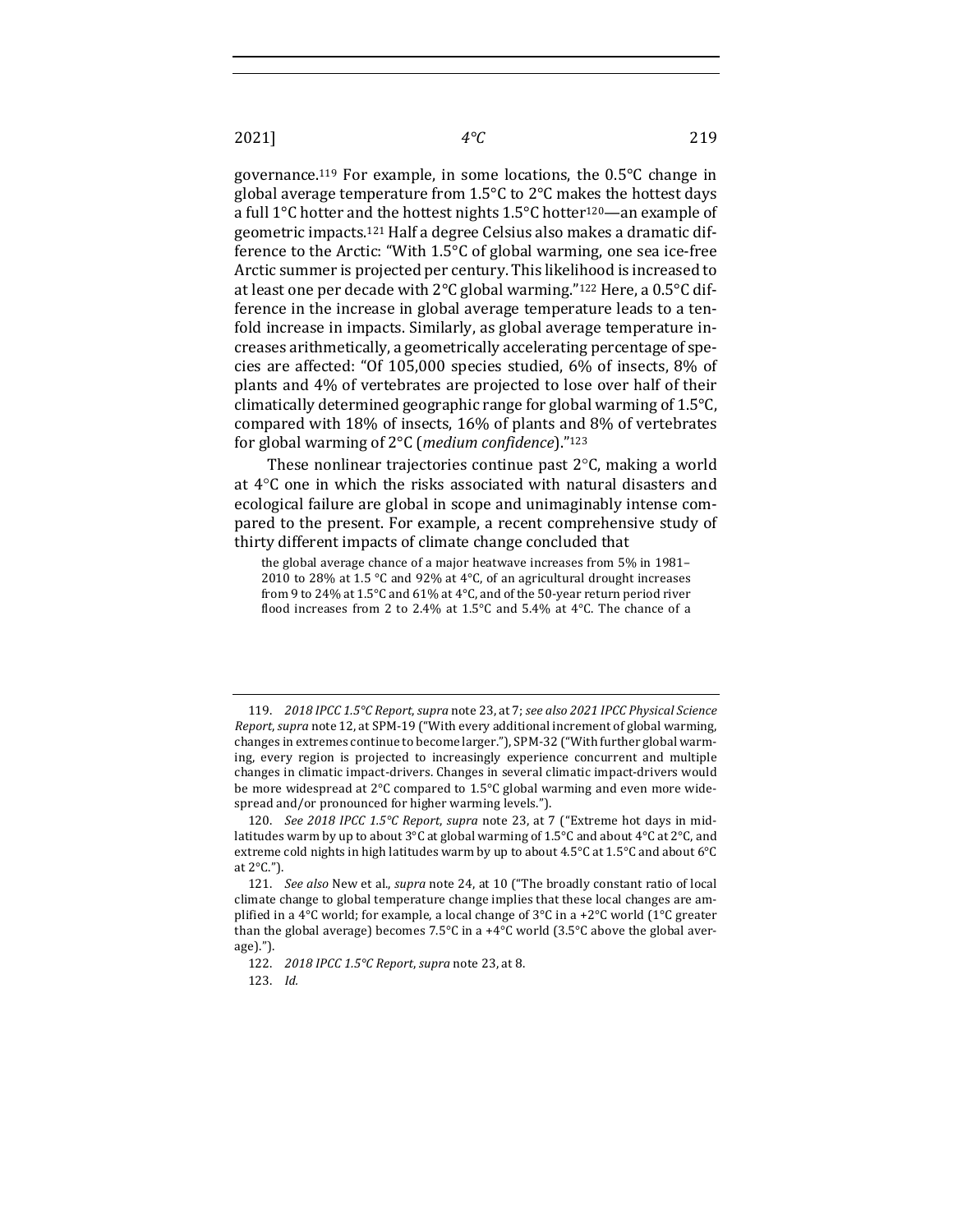governance.<sup>119</sup> For example, in some locations, the  $0.5^{\circ}$ C change in global average temperature from  $1.5^{\circ}$ C to  $2^{\circ}$ C makes the hottest days a full  $1^{\circ}$ C hotter and the hottest nights  $1.5^{\circ}$ C hotter<sup>120</sup>—an example of geometric impacts.<sup>121</sup> Half a degree Celsius also makes a dramatic difference to the Arctic: "With  $1.5^{\circ}$ C of global warming, one sea ice-free Arctic summer is projected per century. This likelihood is increased to at least one per decade with  $2^{\circ}C$  global warming."<sup>122</sup> Here, a 0.5 $^{\circ}C$  difference in the increase in global average temperature leads to a tenfold increase in impacts. Similarly, as global average temperature increases arithmetically, a geometrically accelerating percentage of species are affected: "Of  $105,000$  species studied,  $6\%$  of insects,  $8\%$  of plants and 4% of vertebrates are projected to lose over half of their climatically determined geographic range for global warming of  $1.5^{\circ}$ C, compared with 18% of insects, 16% of plants and 8% of vertebrates for global warming of 2°C (*medium confidence*)."<sup>123</sup>

These nonlinear trajectories continue past  $2^{\circ}$ C, making a world at  $4^{\circ}$ C one in which the risks associated with natural disasters and ecological failure are global in scope and unimaginably intense compared to the present. For example, a recent comprehensive study of thirty different impacts of climate change concluded that

the global average chance of a major heatwave increases from 5% in 1981– 2010 to 28% at 1.5 °C and 92% at 4°C, of an agricultural drought increases from 9 to 24% at 1.5 $\degree$ C and 61% at 4 $\degree$ C, and of the 50-year return period river flood increases from 2 to 2.4% at 1.5°C and 5.4% at 4°C. The chance of a

<sup>119.</sup> *2018* IPCC 1.5℃ Report, supra note 23, at 7; see also 2021 IPCC Physical Science *Report, supra* note 12, at SPM-19 ("With every additional increment of global warming, changes in extremes continue to become larger."), SPM-32 ("With further global warming, every region is projected to increasingly experience concurrent and multiple changes in climatic impact-drivers. Changes in several climatic impact-drivers would be more widespread at  $2^{\circ}$ C compared to 1.5°C global warming and even more widespread and/or pronounced for higher warming levels.").

<sup>120.</sup> *See 2018 IPCC 1.5°C Report, supra* note 23, at 7 ("Extreme hot days in midlatitudes warm by up to about  $3^{\circ}C$  at global warming of 1.5°C and about  $4^{\circ}C$  at  $2^{\circ}C$ , and extreme cold nights in high latitudes warm by up to about 4.5°C at 1.5°C and about  $6^{\circ}C$ at  $2^{\circ}$ C.").

<sup>121.</sup> *See also* New et al., *supra* note 24, at 10 ("The broadly constant ratio of local climate change to global temperature change implies that these local changes are amplified in a 4°C world; for example, a local change of 3°C in a +2°C world (1°C greater than the global average) becomes  $7.5^{\circ}$ C in a +4°C world (3.5°C above the global average).").

<sup>122.</sup> *2018 IPCC 1.5°C Report, supra* note 23, at 8.

<sup>123.</sup> *Id.*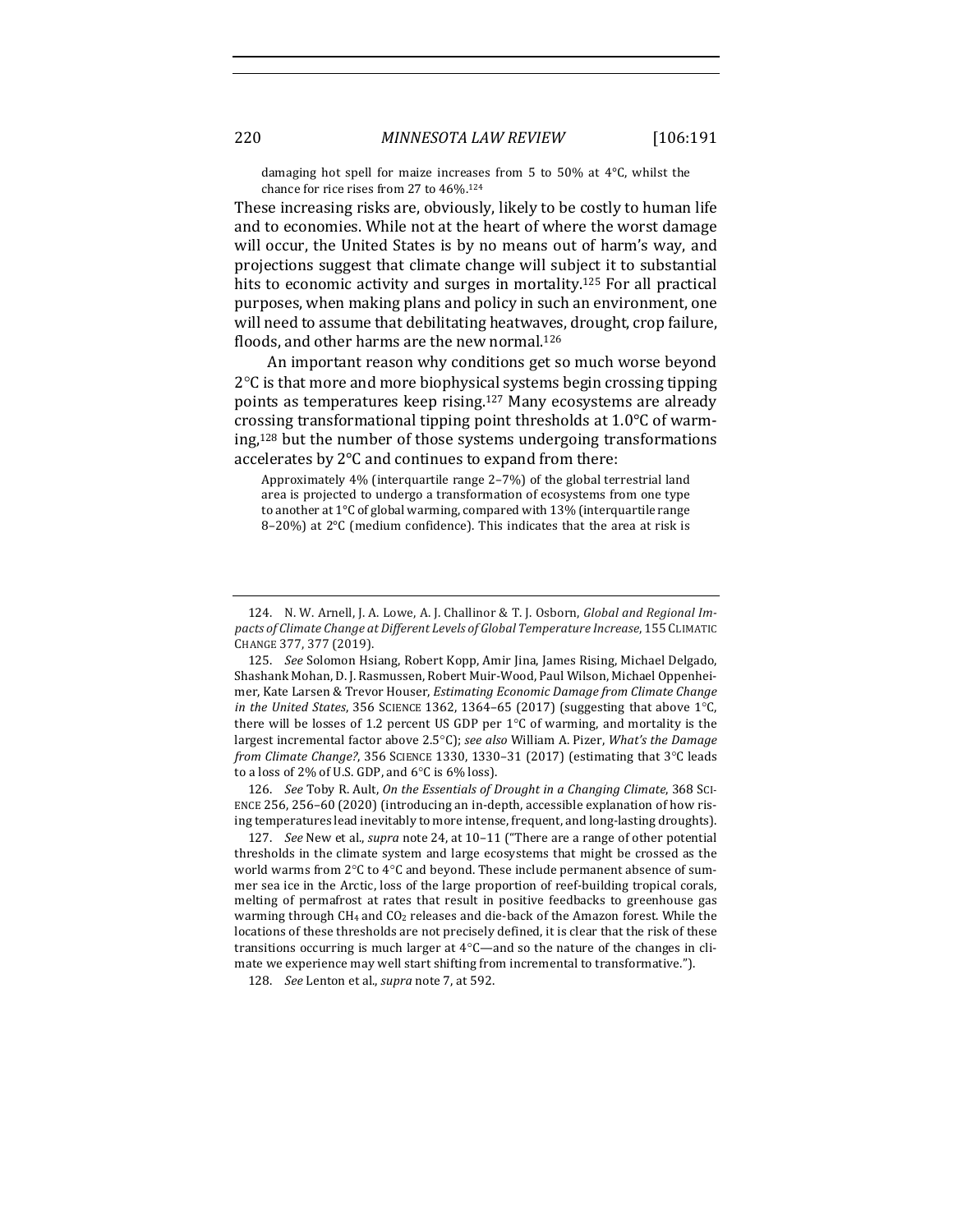damaging hot spell for maize increases from 5 to 50% at  $4^{\circ}$ C, whilst the chance for rice rises from 27 to 46%.<sup>124</sup>

These increasing risks are, obviously, likely to be costly to human life and to economies. While not at the heart of where the worst damage will occur, the United States is by no means out of harm's way, and projections suggest that climate change will subject it to substantial hits to economic activity and surges in mortality.<sup>125</sup> For all practical purposes, when making plans and policy in such an environment, one will need to assume that debilitating heatwaves, drought, crop failure, floods, and other harms are the new normal.<sup>126</sup>

An important reason why conditions get so much worse beyond  $2^{\circ}$ C is that more and more biophysical systems begin crossing tipping points as temperatures keep rising.<sup>127</sup> Many ecosystems are already crossing transformational tipping point thresholds at  $1.0^{\circ}$ C of warming, $128$  but the number of those systems undergoing transformations accelerates by  $2^{\circ}$ C and continues to expand from there:

Approximately 4% (interquartile range 2-7%) of the global terrestrial land area is projected to undergo a transformation of ecosystems from one type to another at 1°C of global warming, compared with 13% (interquartile range  $8-20%$ ) at  $2°C$  (medium confidence). This indicates that the area at risk is

126. *See* Toby R. Ault, *On the Essentials of Drought in a Changing Climate*, 368 SCI-ENCE 256, 256-60 (2020) (introducing an in-depth, accessible explanation of how rising temperatures lead inevitably to more intense, frequent, and long-lasting droughts).

127. *See* New et al., *supra* note 24, at 10-11 ("There are a range of other potential thresholds in the climate system and large ecosystems that might be crossed as the world warms from 2°C to 4°C and beyond. These include permanent absence of summer sea ice in the Arctic, loss of the large proportion of reef-building tropical corals, melting of permafrost at rates that result in positive feedbacks to greenhouse gas warming through  $CH_4$  and  $CO_2$  releases and die-back of the Amazon forest. While the locations of these thresholds are not precisely defined, it is clear that the risk of these transitions occurring is much larger at  $4^{\circ}$ C—and so the nature of the changes in climate we experience may well start shifting from incremental to transformative.").

128. *See* Lenton et al., *supra* note 7, at 592.

<sup>124.</sup> N. W. Arnell, J. A. Lowe, A. J. Challinor & T. J. Osborn, *Global and Regional Im*pacts of Climate Change at Different Levels of Global Temperature Increase, 155 CLIMATIC CHANGE 377, 377 (2019).

<sup>125.</sup> *See* Solomon Hsiang, Robert Kopp, Amir Jina, James Rising, Michael Delgado, Shashank Mohan, D. J. Rasmussen, Robert Muir-Wood, Paul Wilson, Michael Oppenheimer, Kate Larsen & Trevor Houser, *Estimating Economic Damage from Climate Change in* the United States, 356 SCIENCE 1362, 1364–65 (2017) (suggesting that above  $1^{\circ}$ C, there will be losses of 1.2 percent US GDP per  $1^{\circ}$ C of warming, and mortality is the largest incremental factor above 2.5°C); see also William A. Pizer, *What's* the Damage *from Climate Change?*, 356 SCIENCE 1330, 1330-31 (2017) (estimating that 3°C leads to a loss of 2% of U.S. GDP, and  $6^{\circ}$ C is  $6\%$  loss).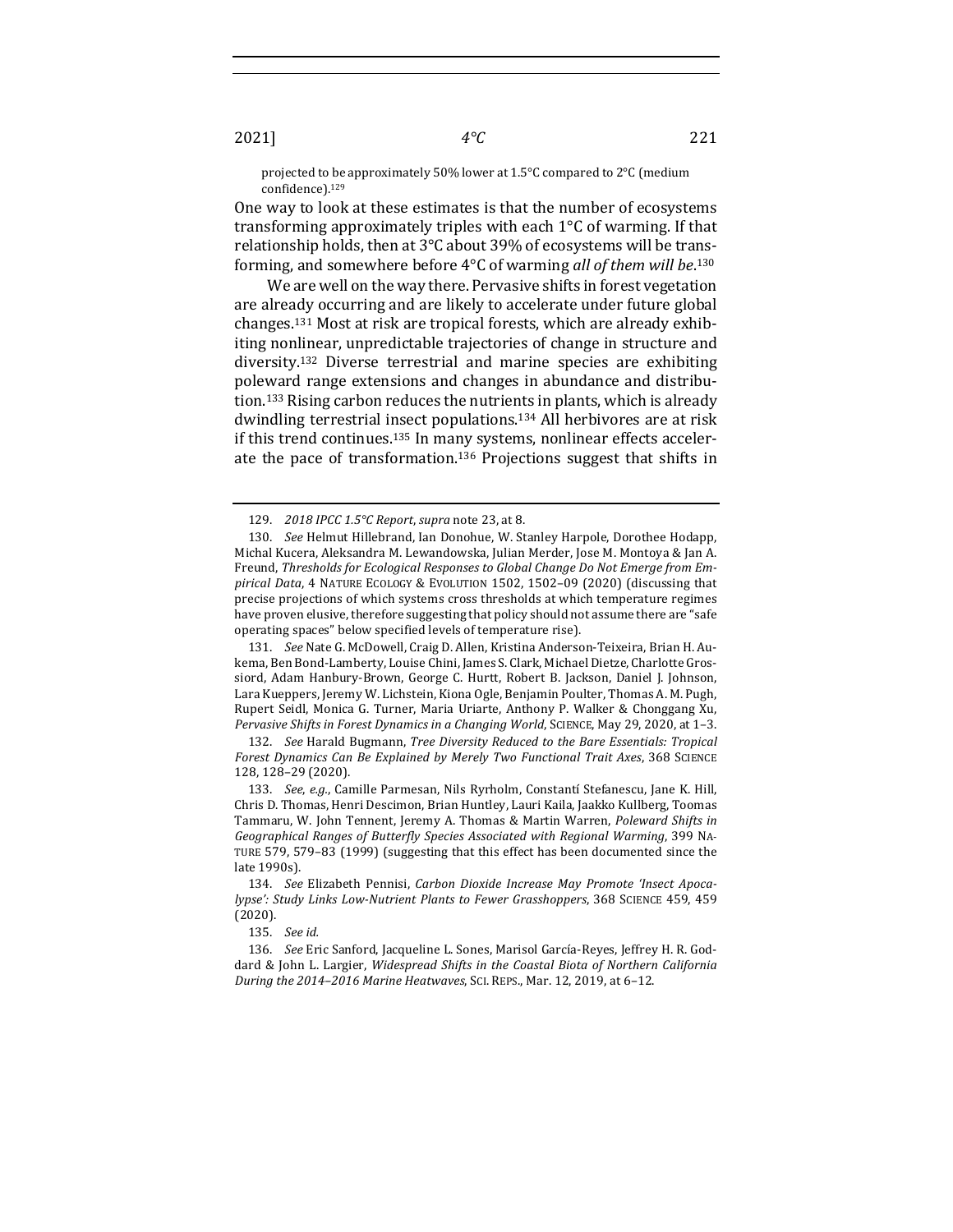projected to be approximately 50% lower at 1.5°C compared to 2°C (medium confidence).129

One way to look at these estimates is that the number of ecosystems transforming approximately triples with each  $1^{\circ}$ C of warming. If that relationship holds, then at  $3^{\circ}$ C about 39% of ecosystems will be transforming, and somewhere before 4°C of warming *all of them will be*.<sup>130</sup>

We are well on the way there. Pervasive shifts in forest vegetation are already occurring and are likely to accelerate under future global changes.<sup>131</sup> Most at risk are tropical forests, which are already exhibiting nonlinear, unpredictable trajectories of change in structure and diversity.<sup>132</sup> Diverse terrestrial and marine species are exhibiting poleward range extensions and changes in abundance and distribution.<sup>133</sup> Rising carbon reduces the nutrients in plants, which is already dwindling terrestrial insect populations.<sup>134</sup> All herbivores are at risk if this trend continues.<sup>135</sup> In many systems, nonlinear effects accelerate the pace of transformation.<sup>136</sup> Projections suggest that shifts in

131. *See* Nate G. McDowell, Craig D. Allen, Kristina Anderson-Teixeira, Brian H. Aukema, Ben Bond-Lamberty, Louise Chini, James S. Clark, Michael Dietze, Charlotte Grossiord, Adam Hanbury-Brown, George C. Hurtt, Robert B. Jackson, Daniel J. Johnson, Lara Kueppers, Jeremy W. Lichstein, Kiona Ogle, Benjamin Poulter, Thomas A. M. Pugh, Rupert Seidl, Monica G. Turner, Maria Uriarte, Anthony P. Walker & Chonggang Xu, *Pervasive Shifts in Forest Dynamics in a Changing World*, SCIENCE, May 29, 2020, at 1-3.

132. *See* Harald Bugmann, *Tree Diversity Reduced to the Bare Essentials: Tropical* Forest Dynamics Can Be Explained by Merely Two Functional Trait Axes, 368 SCIENCE 128, 128–29 (2020).

135. *See id.*

136. See Eric Sanford, Jacqueline L. Sones, Marisol García-Reyes, Jeffrey H. R. Goddard & John L. Largier, *Widespread Shifts in the Coastal Biota of Northern California During the 2014-2016 Marine Heatwaves*, Sci. REPS., Mar. 12, 2019, at 6-12.

<sup>129.</sup> *2018 IPCC 1.5°C Report, supra note 23, at 8.* 

<sup>130.</sup> *See* Helmut Hillebrand, Ian Donohue, W. Stanley Harpole, Dorothee Hodapp, Michal Kucera, Aleksandra M. Lewandowska, Julian Merder, Jose M. Montoya & Jan A. Freund, Thresholds for Ecological Responses to Global Change Do Not Emerge from Empirical Data, 4 NATURE ECOLOGY & EVOLUTION 1502, 1502-09 (2020) (discussing that precise projections of which systems cross thresholds at which temperature regimes have proven elusive, therefore suggesting that policy should not assume there are "safe operating spaces" below specified levels of temperature rise).

<sup>133.</sup> *See, e.g.,* Camille Parmesan, Nils Ryrholm, Constantí Stefanescu, Jane K. Hill, Chris D. Thomas, Henri Descimon, Brian Huntley, Lauri Kaila, Jaakko Kullberg, Toomas Tammaru, W. John Tennent, Jeremy A. Thomas & Martin Warren, *Poleward Shifts in Geographical Ranges of Butterfly Species Associated with Regional Warming*, 399 NA-TURE 579, 579-83 (1999) (suggesting that this effect has been documented since the late 1990s).

<sup>134.</sup> See Elizabeth Pennisi, Carbon Dioxide Increase May Promote 'Insect Apoca*lypse':* Study Links Low-Nutrient Plants to Fewer Grasshoppers, 368 SCIENCE 459, 459 (2020).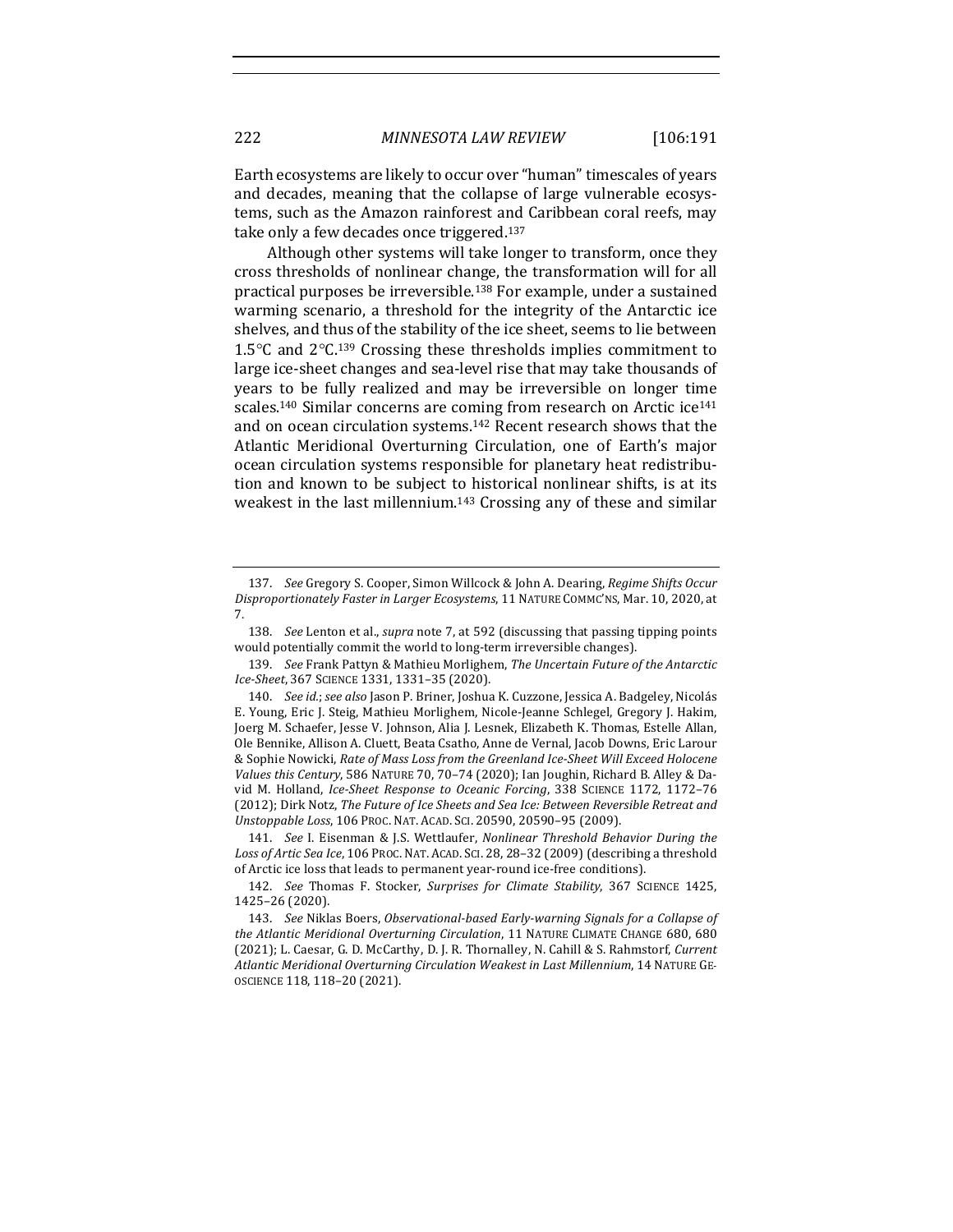Earth ecosystems are likely to occur over "human" timescales of years and decades, meaning that the collapse of large vulnerable ecosystems, such as the Amazon rainforest and Caribbean coral reefs, may take only a few decades once triggered.<sup>137</sup>

Although other systems will take longer to transform, once they cross thresholds of nonlinear change, the transformation will for all practical purposes be irreversible.<sup>138</sup> For example, under a sustained warming scenario, a threshold for the integrity of the Antarctic ice shelves, and thus of the stability of the ice sheet, seems to lie between 1.5 $\degree$ C and  $2\degree$ C.<sup>139</sup> Crossing these thresholds implies commitment to large ice-sheet changes and sea-level rise that may take thousands of years to be fully realized and may be irreversible on longer time scales.<sup>140</sup> Similar concerns are coming from research on Arctic ice<sup>141</sup> and on ocean circulation systems.<sup>142</sup> Recent research shows that the Atlantic Meridional Overturning Circulation, one of Earth's major ocean circulation systems responsible for planetary heat redistribution and known to be subject to historical nonlinear shifts, is at its weakest in the last millennium.<sup>143</sup> Crossing any of these and similar

138. *See* Lenton et al., *supra* note 7, at 592 (discussing that passing tipping points would potentially commit the world to long-term irreversible changes).

<sup>137.</sup> *See Gregory S. Cooper, Simon Willcock & John A. Dearing, Regime Shifts Occur* Disproportionately Faster in Larger Ecosystems, 11 NATURE COMMC'NS, Mar. 10, 2020, at 7. 

<sup>139.</sup> *See* Frank Pattyn & Mathieu Morlighem, *The Uncertain Future of the Antarctic Ice-Sheet*, 367 SCIENCE 1331, 1331–35 (2020).

<sup>140.</sup> *See id.; see also* Jason P. Briner, Joshua K. Cuzzone, Jessica A. Badgeley, Nicolás E. Young, Eric J. Steig, Mathieu Morlighem, Nicole-Jeanne Schlegel, Gregory J. Hakim, Joerg M. Schaefer, Jesse V. Johnson, Alia J. Lesnek, Elizabeth K. Thomas, Estelle Allan, Ole Bennike, Allison A. Cluett, Beata Csatho, Anne de Vernal, Jacob Downs, Eric Larour & Sophie Nowicki, Rate of Mass Loss from the Greenland Ice-Sheet Will Exceed Holocene *Values this Century*, 586 NATURE 70, 70-74 (2020); Ian Joughin, Richard B. Alley & David M. Holland, *Ice-Sheet Response to Oceanic Forcing*, 338 SCIENCE 1172, 1172-76 (2012); Dirk Notz, The Future of Ice Sheets and Sea Ice: Between Reversible Retreat and *Unstoppable Loss*, 106 PROC. NAT. ACAD. SCI. 20590, 20590–95 (2009).

<sup>141.</sup> *See I. Eisenman & J.S. Wettlaufer, Nonlinear Threshold Behavior During the* Loss of Artic Sea Ice, 106 PROC. NAT. ACAD. SCI. 28, 28-32 (2009) (describing a threshold of Arctic ice loss that leads to permanent year-round ice-free conditions).

<sup>142.</sup> *See* Thomas F. Stocker, *Surprises for Climate Stability*, 367 SCIENCE 1425, 1425–26 (2020). 

<sup>143.</sup> *See Niklas Boers, Observational-based Early-warning Signals for a Collapse of* the Atlantic Meridional Overturning Circulation, 11 NATURE CLIMATE CHANGE 680, 680 (2021); L. Caesar, G. D. McCarthy, D. J. R. Thornalley, N. Cahill & S. Rahmstorf, Current Atlantic Meridional Overturning Circulation Weakest in Last Millennium, 14 NATURE GE-OSCIENCE 118, 118–20 (2021).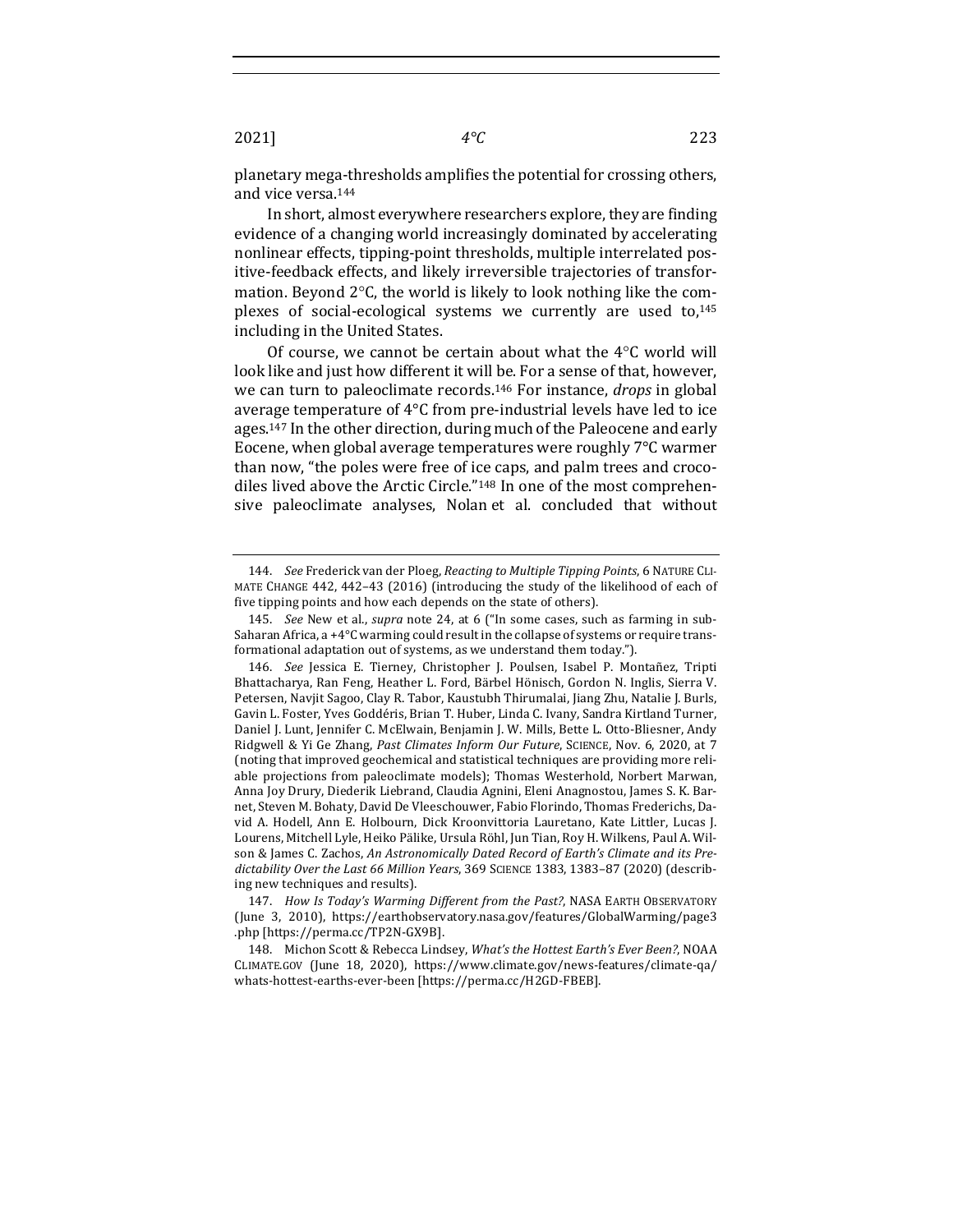planetary mega-thresholds amplifies the potential for crossing others, and vice versa.<sup>144</sup>

In short, almost everywhere researchers explore, they are finding evidence of a changing world increasingly dominated by accelerating nonlinear effects, tipping-point thresholds, multiple interrelated positive-feedback effects, and likely irreversible trajectories of transformation. Beyond  $2^{\circ}$ C, the world is likely to look nothing like the complexes of social-ecological systems we currently are used to,<sup>145</sup> including in the United States.

Of course, we cannot be certain about what the  $4^{\circ}$ C world will look like and just how different it will be. For a sense of that, however, we can turn to paleoclimate records.<sup>146</sup> For instance, *drops* in global average temperature of  $4^{\circ}$ C from pre-industrial levels have led to ice ages.<sup>147</sup> In the other direction, during much of the Paleocene and early Eocene, when global average temperatures were roughly  $7^{\circ}$ C warmer than now, "the poles were free of ice caps, and palm trees and crocodiles lived above the Arctic Circle."<sup>148</sup> In one of the most comprehensive paleoclimate analyses, Nolan et al. concluded that without

<sup>144.</sup> *See* Frederick van der Ploeg, *Reacting to Multiple Tipping Points*, 6 NATURE CLI-MATE CHANGE 442, 442-43 (2016) (introducing the study of the likelihood of each of five tipping points and how each depends on the state of others).

<sup>145.</sup> *See* New et al., *supra* note 24, at 6 ("In some cases, such as farming in sub-Saharan Africa, a +4°C warming could result in the collapse of systems or require transformational adaptation out of systems, as we understand them today.").

<sup>146.</sup> *See* Jessica E. Tierney, Christopher J. Poulsen, Isabel P. Montañez, Tripti Bhattacharya, Ran Feng, Heather L. Ford, Bärbel Hönisch, Gordon N. Inglis, Sierra V. Petersen, Navjit Sagoo, Clay R. Tabor, Kaustubh Thirumalai, Jiang Zhu, Natalie J. Burls, Gavin L. Foster, Yves Goddéris, Brian T. Huber, Linda C. Ivany, Sandra Kirtland Turner, Daniel J. Lunt, Jennifer C. McElwain, Benjamin J. W. Mills, Bette L. Otto-Bliesner, Andy Ridgwell & Yi Ge Zhang, *Past Climates Inform Our Future*, SCIENCE, Nov. 6, 2020, at 7 (noting that improved geochemical and statistical techniques are providing more reliable projections from paleoclimate models); Thomas Westerhold, Norbert Marwan, Anna Joy Drury, Diederik Liebrand, Claudia Agnini, Eleni Anagnostou, James S. K. Barnet, Steven M. Bohaty, David De Vleeschouwer, Fabio Florindo, Thomas Frederichs, David A. Hodell, Ann E. Holbourn, Dick Kroonvittoria Lauretano, Kate Littler, Lucas J. Lourens, Mitchell Lyle, Heiko Pälike, Ursula Röhl, Jun Tian, Roy H. Wilkens, Paul A. Wilson & James C. Zachos, An Astronomically Dated Record of Earth's Climate and its Predictability Over the Last 66 Million Years, 369 SCIENCE 1383, 1383-87 (2020) (describing new techniques and results).

<sup>147.</sup> *How Is Today's Warming Different from the Past?*, NASA EARTH OBSERVATORY (June 3, 2010), https://earthobservatory.nasa.gov/features/GlobalWarming/page3 .php [https://perma.cc/TP2N-GX9B].

<sup>148.</sup> Michon Scott & Rebecca Lindsey, What's the Hottest Earth's Ever Been?, NOAA CLIMATE.GOV (June 18, 2020), https://www.climate.gov/news-features/climate-qa/ whats-hottest-earths-ever-been [https://perma.cc/H2GD-FBEB].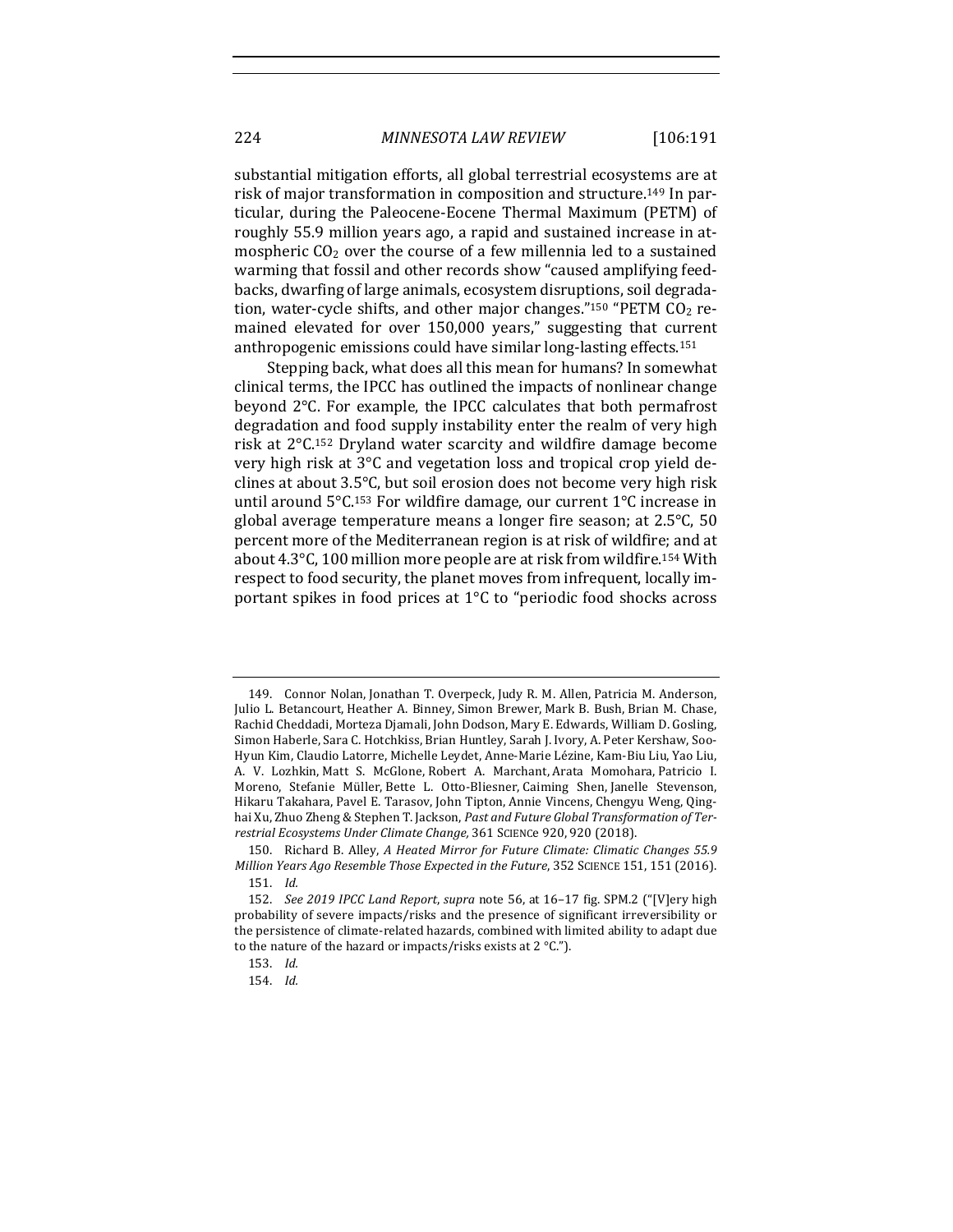substantial mitigation efforts, all global terrestrial ecosystems are at risk of major transformation in composition and structure.<sup>149</sup> In particular, during the Paleocene-Eocene Thermal Maximum (PETM) of roughly 55.9 million years ago, a rapid and sustained increase in atmospheric  $CO<sub>2</sub>$  over the course of a few millennia led to a sustained warming that fossil and other records show "caused amplifying feedbacks, dwarfing of large animals, ecosystem disruptions, soil degradation, water-cycle shifts, and other major changes."<sup>150</sup> "PETM  $CO<sub>2</sub>$  remained elevated for over 150,000 years," suggesting that current anthropogenic emissions could have similar long-lasting effects.<sup>151</sup>

Stepping back, what does all this mean for humans? In somewhat clinical terms, the IPCC has outlined the impacts of nonlinear change beyond 2°C. For example, the IPCC calculates that both permafrost degradation and food supply instability enter the realm of very high risk at  $2^{\circ}$ C.<sup>152</sup> Dryland water scarcity and wildfire damage become very high risk at  $3^{\circ}$ C and vegetation loss and tropical crop yield declines at about  $3.5^{\circ}$ C, but soil erosion does not become very high risk until around  $5^{\circ}$ C.<sup>153</sup> For wildfire damage, our current  $1^{\circ}$ C increase in global average temperature means a longer fire season; at  $2.5^{\circ}$ C, 50 percent more of the Mediterranean region is at risk of wildfire; and at about  $4.3^{\circ}$ C, 100 million more people are at risk from wildfire.<sup>154</sup> With respect to food security, the planet moves from infrequent, locally important spikes in food prices at  $1^{\circ}$ C to "periodic food shocks across

<sup>149.</sup> Connor Nolan, Jonathan T. Overpeck, Judy R. M. Allen, Patricia M. Anderson, Julio L. Betancourt, Heather A. Binney, Simon Brewer, Mark B. Bush, Brian M. Chase, Rachid Cheddadi, Morteza Djamali, John Dodson, Mary E. Edwards, William D. Gosling, Simon Haberle, Sara C. Hotchkiss, Brian Huntley, Sarah J. Ivory, A. Peter Kershaw, Soo-Hyun Kim, Claudio Latorre, Michelle Leydet, Anne-Marie Lézine, Kam-Biu Liu, Yao Liu, A. V. Lozhkin, Matt S. McGlone, Robert A. Marchant, Arata Momohara, Patricio I. Moreno, Stefanie Müller, Bette L. Otto-Bliesner, Caiming Shen, Janelle Stevenson, Hikaru Takahara, Pavel E. Tarasov, John Tipton, Annie Vincens, Chengyu Weng, Qinghai Xu, Zhuo Zheng & Stephen T. Jackson, *Past and Future Global Transformation of Ter*restrial *Ecosystems Under Climate Change*, 361 SCIENCe 920, 920 (2018).

<sup>150.</sup> Richard B. Alley, *A Heated Mirror for Future Climate: Climatic Changes 55.9 Million Years Ago Resemble Those Expected in the Future*, 352 SCIENCE 151, 151 (2016). 151. *Id.*

<sup>152.</sup> *See 2019 IPCC Land Report, supra* note 56, at 16-17 fig. SPM.2 ("[V]ery high probability of severe impacts/risks and the presence of significant irreversibility or the persistence of climate-related hazards, combined with limited ability to adapt due to the nature of the hazard or impacts/risks exists at 2  $^{\circ}$ C.").

<sup>153.</sup> *Id.*

<sup>154.</sup> *Id.*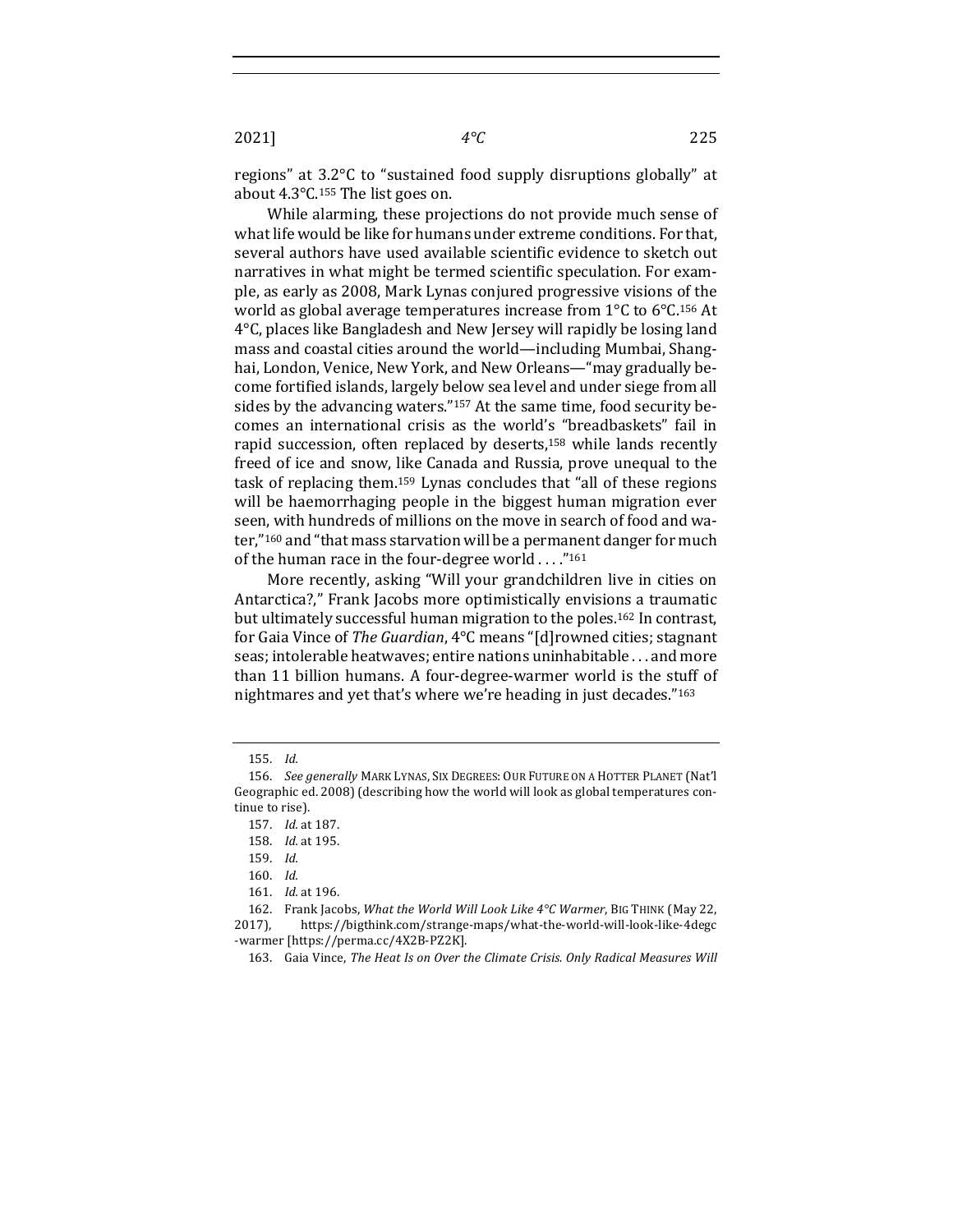regions" at  $3.2^{\circ}$ C to "sustained food supply disruptions globally" at about  $4.3^{\circ}$ C.<sup>155</sup> The list goes on.

While alarming, these projections do not provide much sense of what life would be like for humans under extreme conditions. For that, several authors have used available scientific evidence to sketch out narratives in what might be termed scientific speculation. For example, as early as 2008, Mark Lynas conjured progressive visions of the world as global average temperatures increase from  $1^{\circ}$ C to  $6^{\circ}$ C.<sup>156</sup> At  $4^{\circ}$ C, places like Bangladesh and New Jersey will rapidly be losing land mass and coastal cities around the world—including Mumbai, Shanghai, London, Venice, New York, and New Orleans—"may gradually become fortified islands, largely below sea level and under siege from all sides by the advancing waters."<sup>157</sup> At the same time, food security becomes an international crisis as the world's "breadbaskets" fail in rapid succession, often replaced by deserts,<sup>158</sup> while lands recently freed of ice and snow, like Canada and Russia, prove unequal to the task of replacing them.<sup>159</sup> Lynas concludes that "all of these regions will be haemorrhaging people in the biggest human migration ever seen, with hundreds of millions on the move in search of food and water,"<sup>160</sup> and "that mass starvation will be a permanent danger for much of the human race in the four-degree world  $\dots$ ."<sup>161</sup>

More recently, asking "Will your grandchildren live in cities on Antarctica?," Frank Jacobs more optimistically envisions a traumatic but ultimately successful human migration to the poles.<sup>162</sup> In contrast, for Gaia Vince of *The Guardian*, 4°C means "[d]rowned cities; stagnant seas; intolerable heatwaves; entire nations uninhabitable ... and more than 11 billion humans. A four-degree-warmer world is the stuff of nightmares and yet that's where we're heading in just decades."<sup>163</sup>

<sup>155.</sup> *Id.*

<sup>156.</sup> *See generally* MARK LYNAS, SIX DEGREES: OUR FUTURE ON A HOTTER PLANET (Nat'l Geographic ed. 2008) (describing how the world will look as global temperatures continue to rise).

<sup>157.</sup> *Id.* at 187.

<sup>158.</sup> *Id.* at 195.

<sup>159.</sup> *Id.*

<sup>160.</sup> *Id.*

<sup>161.</sup> *Id.* at 196.

<sup>162.</sup> Frank Jacobs, *What the World Will Look Like 4°C Warmer*, BIG THINK (May 22, 2017), https://bigthink.com/strange-maps/what-the-world-will-look-like-4degc -warmer [https://perma.cc/4X2B-PZ2K].

<sup>163.</sup> Gaia Vince, The Heat Is on Over the Climate Crisis. Only Radical Measures Will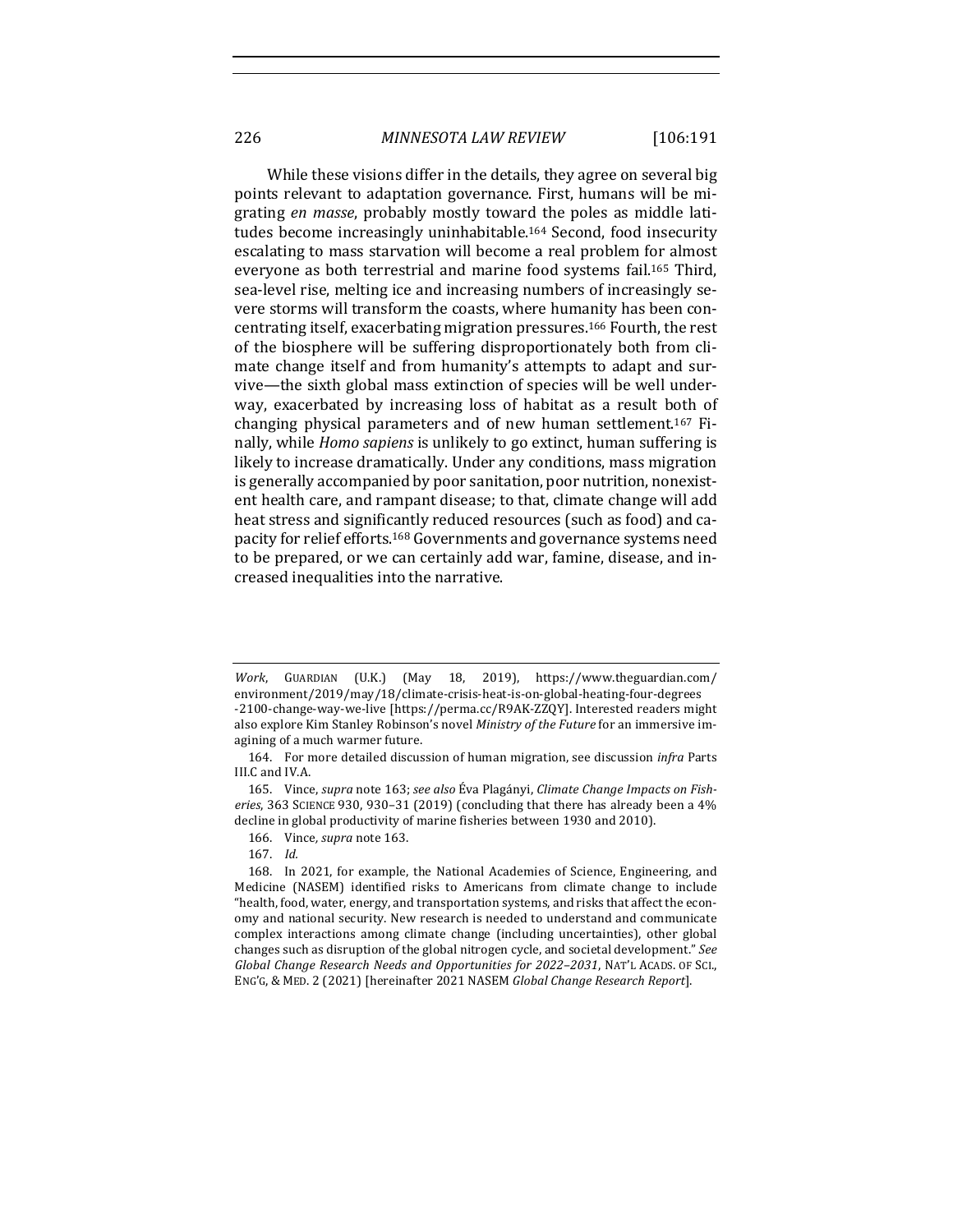While these visions differ in the details, they agree on several big. points relevant to adaptation governance. First, humans will be migrating *en masse*, probably mostly toward the poles as middle latitudes become increasingly uninhabitable.<sup>164</sup> Second, food insecurity escalating to mass starvation will become a real problem for almost everyone as both terrestrial and marine food systems fail.<sup>165</sup> Third, sea-level rise, melting ice and increasing numbers of increasingly severe storms will transform the coasts, where humanity has been concentrating itself, exacerbating migration pressures.<sup>166</sup> Fourth, the rest of the biosphere will be suffering disproportionately both from climate change itself and from humanity's attempts to adapt and survive—the sixth global mass extinction of species will be well underway, exacerbated by increasing loss of habitat as a result both of changing physical parameters and of new human settlement.<sup>167</sup> Finally, while *Homo sapiens* is unlikely to go extinct, human suffering is likely to increase dramatically. Under any conditions, mass migration is generally accompanied by poor sanitation, poor nutrition, nonexistent health care, and rampant disease; to that, climate change will add heat stress and significantly reduced resources (such as food) and capacity for relief efforts.<sup>168</sup> Governments and governance systems need to be prepared, or we can certainly add war, famine, disease, and increased inequalities into the narrative.

*Work*, GUARDIAN (U.K.) (May 18, 2019), https://www.theguardian.com/ environment/2019/may/18/climate-crisis-heat-is-on-global-heating-four-degrees -2100-change-way-we-live [https://perma.cc/R9AK-ZZQY]. Interested readers might also explore Kim Stanley Robinson's novel *Ministry of the Future* for an immersive imagining of a much warmer future.

<sup>164.</sup> For more detailed discussion of human migration, see discussion *infra* Parts III.C and IV.A.

<sup>165.</sup> Vince, *supra* note 163; see also Éva Plagányi, Climate Change Impacts on Fisheries, 363 SCIENCE 930, 930-31 (2019) (concluding that there has already been a 4% decline in global productivity of marine fisheries between 1930 and 2010).

<sup>166.</sup> Vince, *supra* note 163.

<sup>167.</sup> *Id.*

<sup>168.</sup> In 2021, for example, the National Academies of Science, Engineering, and Medicine (NASEM) identified risks to Americans from climate change to include "health, food, water, energy, and transportation systems, and risks that affect the economy and national security. New research is needed to understand and communicate complex interactions among climate change (including uncertainties), other global changes such as disruption of the global nitrogen cycle, and societal development." See Global Change Research Needs and Opportunities for 2022-2031, NAT'L ACADS. OF SCI., ENG'G, & MED. 2 (2021) [hereinafter 2021 NASEM *Global Change Research Report*].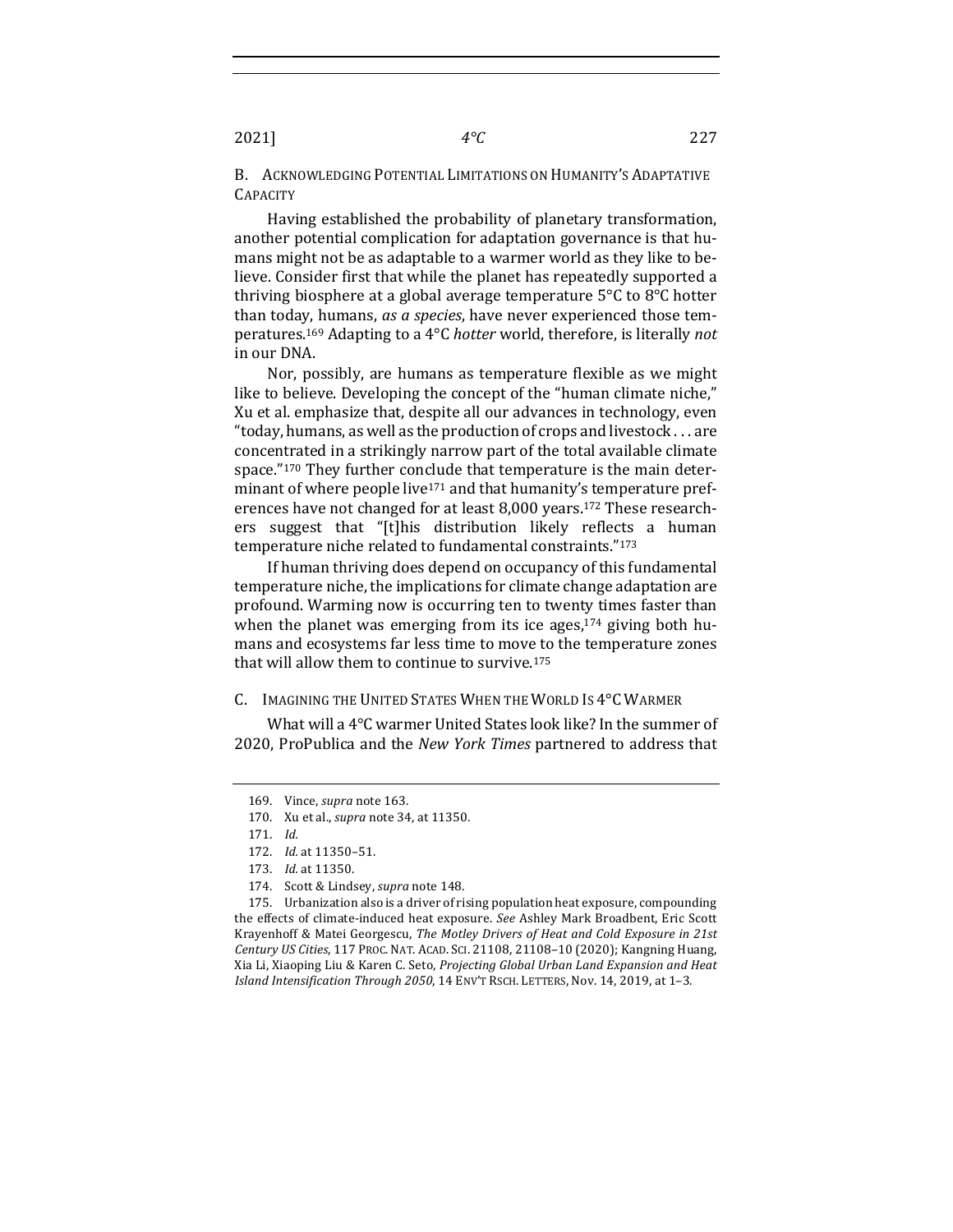2021] *4°C* 227

B. ACKNOWLEDGING POTENTIAL LIMITATIONS ON HUMANITY'S ADAPTATIVE **CAPACITY** 

Having established the probability of planetary transformation, another potential complication for adaptation governance is that humans might not be as adaptable to a warmer world as they like to believe. Consider first that while the planet has repeatedly supported a thriving biosphere at a global average temperature  $5^{\circ}$ C to  $8^{\circ}$ C hotter than today, humans, *as a species*, have never experienced those temperatures.<sup>169</sup> Adapting to a 4°C *hotter* world, therefore, is literally *not* in our DNA.

Nor, possibly, are humans as temperature flexible as we might like to believe. Developing the concept of the "human climate niche," Xu et al. emphasize that, despite all our advances in technology, even "today, humans, as well as the production of crops and livestock  $\dots$  are concentrated in a strikingly narrow part of the total available climate space." $170$  They further conclude that temperature is the main determinant of where people live<sup>171</sup> and that humanity's temperature preferences have not changed for at least 8,000 years.<sup>172</sup> These researchers suggest that "[t]his distribution likely reflects a human temperature niche related to fundamental constraints."173

If human thriving does depend on occupancy of this fundamental temperature niche, the implications for climate change adaptation are profound. Warming now is occurring ten to twenty times faster than when the planet was emerging from its ice ages, $174$  giving both humans and ecosystems far less time to move to the temperature zones that will allow them to continue to survive.<sup>175</sup>

# C. IMAGINING THE UNITED STATES WHEN THE WORLD IS 4°C WARMER

What will a  $4^{\circ}$ C warmer United States look like? In the summer of 2020, ProPublica and the *New York Times* partnered to address that

174. Scott & Lindsey, *supra* note 148.

175. Urbanization also is a driver of rising population heat exposure, compounding the effects of climate-induced heat exposure. See Ashley Mark Broadbent, Eric Scott Krayenhoff & Matei Georgescu, *The Motley Drivers of Heat and Cold Exposure in 21st* Century US Cities, 117 PROC. NAT. ACAD. SCI. 21108, 21108-10 (2020); Kangning Huang, Xia Li, Xiaoping Liu & Karen C. Seto, *Projecting Global Urban Land Expansion and Heat Island Intensification Through 2050,* 14 ENV'T RSCH. LETTERS, Nov. 14, 2019, at 1-3.

<sup>169.</sup> Vince, *supra* note 163.

<sup>170.</sup> Xu et al., *supra* note 34, at 11350.

<sup>171.</sup> *Id.*

<sup>172.</sup> *Id.* at 11350–51.

<sup>173.</sup> *Id.* at 11350.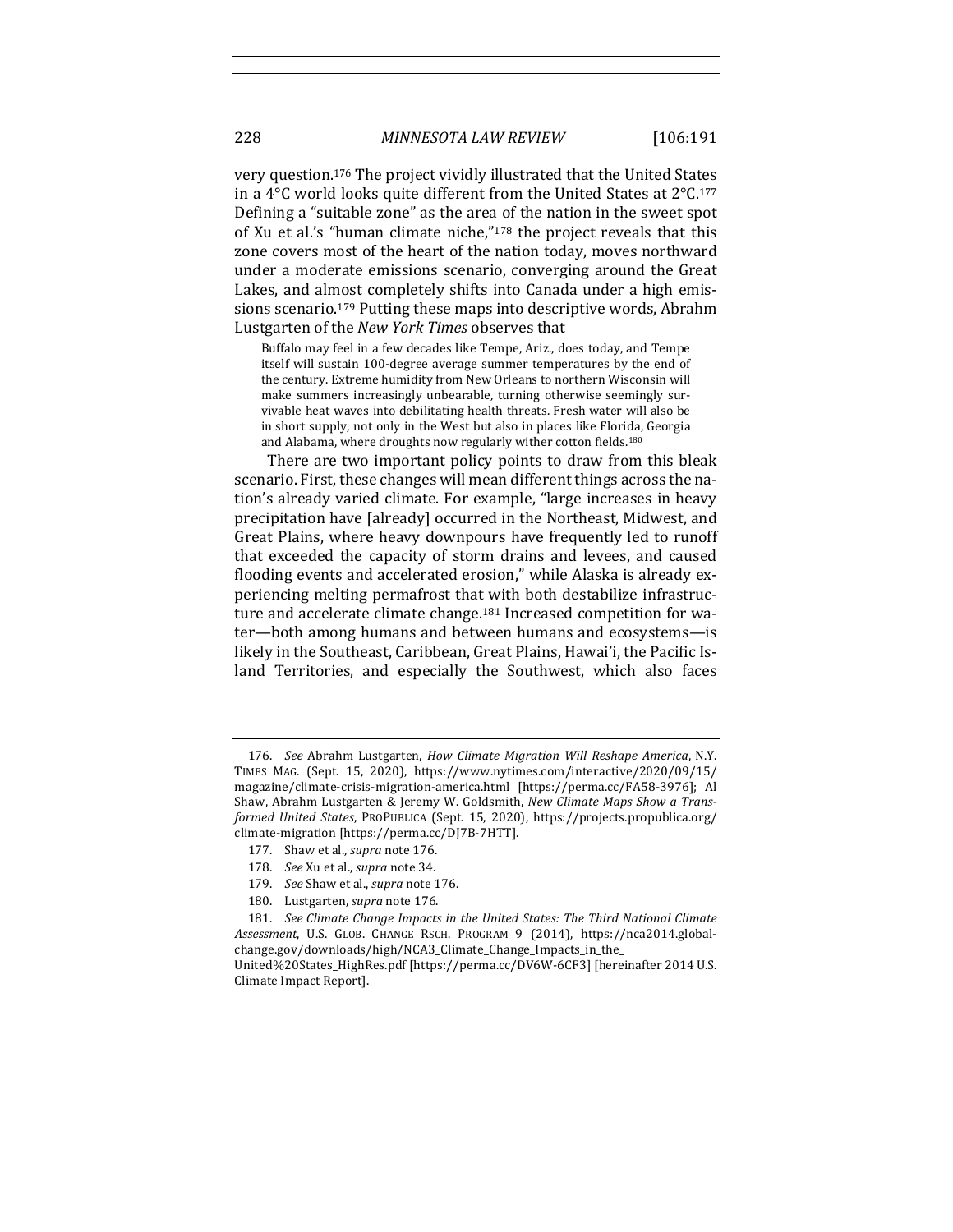very question.<sup>176</sup> The project vividly illustrated that the United States in a 4 $\degree$ C world looks quite different from the United States at  $2\degree$ C.<sup>177</sup> Defining a "suitable zone" as the area of the nation in the sweet spot of Xu et al.'s "human climate niche," $178$  the project reveals that this zone covers most of the heart of the nation today, moves northward under a moderate emissions scenario, converging around the Great Lakes, and almost completely shifts into Canada under a high emissions scenario.<sup>179</sup> Putting these maps into descriptive words, Abrahm Lustgarten of the *New York Times* observes that

Buffalo may feel in a few decades like Tempe, Ariz., does today, and Tempe itself will sustain 100-degree average summer temperatures by the end of the century. Extreme humidity from New Orleans to northern Wisconsin will make summers increasingly unbearable, turning otherwise seemingly survivable heat waves into debilitating health threats. Fresh water will also be in short supply, not only in the West but also in places like Florida, Georgia and Alabama, where droughts now regularly wither cotton fields.<sup>180</sup>

There are two important policy points to draw from this bleak scenario. First, these changes will mean different things across the nation's already varied climate. For example, "large increases in heavy precipitation have [already] occurred in the Northeast, Midwest, and Great Plains, where heavy downpours have frequently led to runoff that exceeded the capacity of storm drains and levees, and caused flooding events and accelerated erosion," while Alaska is already experiencing melting permafrost that with both destabilize infrastructure and accelerate climate change.<sup>181</sup> Increased competition for water—both among humans and between humans and ecosystems—is likely in the Southeast, Caribbean, Great Plains, Hawai'i, the Pacific Island Territories, and especially the Southwest, which also faces

<sup>176.</sup> *See* Abrahm Lustgarten, *How Climate Migration Will Reshape America*, N.Y. TIMES MAG. (Sept. 15, 2020), https://www.nytimes.com/interactive/2020/09/15/ magazine/climate-crisis-migration-america.html [https://perma.cc/FA58-3976]; Al Shaw, Abrahm Lustgarten & Jeremy W. Goldsmith, *New Climate Maps Show a Transformed United States*, PROPUBLICA (Sept. 15, 2020), https://projects.propublica.org/ climate-migration [https://perma.cc/DJ7B-7HTT].

<sup>177.</sup> Shaw et al., *supra* note 176.

<sup>178.</sup> *See* Xu et al., *supra* note 34.

<sup>179.</sup> *See* Shaw et al., *supra* note 176.

<sup>180.</sup> Lustgarten, *supra* note 176.

<sup>181.</sup> *See Climate Change Impacts in the United States: The Third National Climate Assessment*, U.S. GLOB. CHANGE RSCH. PROGRAM 9 (2014), https://nca2014.globalchange.gov/downloads/high/NCA3\_Climate\_Change\_Impacts\_in\_the\_

United%20States\_HighRes.pdf [https://perma.cc/DV6W-6CF3] [hereinafter 2014 U.S. Climate Impact Report].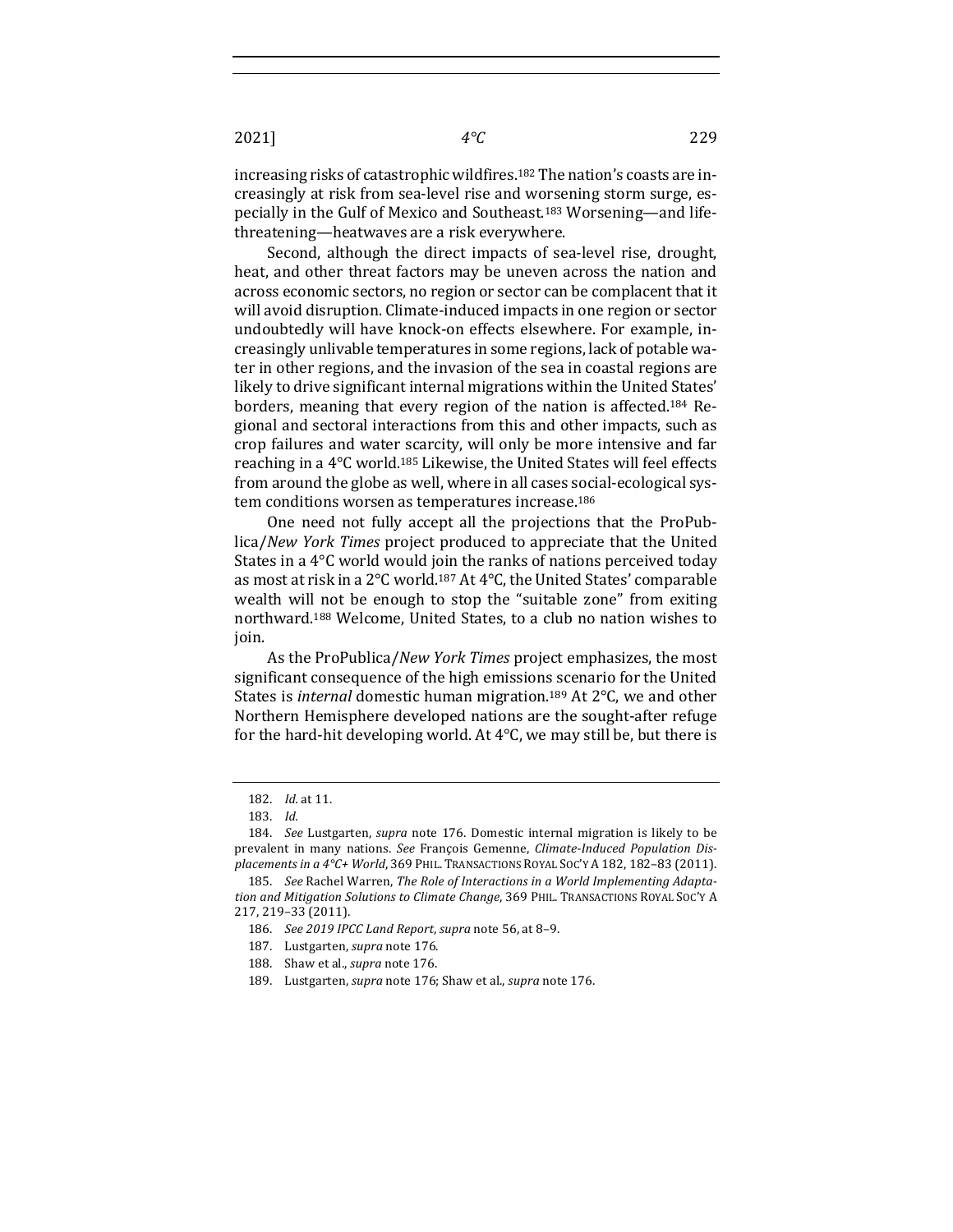increasing risks of catastrophic wildfires.<sup>182</sup> The nation's coasts are increasingly at risk from sea-level rise and worsening storm surge, especially in the Gulf of Mexico and Southeast.<sup>183</sup> Worsening—and lifethreatening—heatwaves are a risk everywhere.

Second, although the direct impacts of sea-level rise, drought, heat, and other threat factors may be uneven across the nation and across economic sectors, no region or sector can be complacent that it will avoid disruption. Climate-induced impacts in one region or sector undoubtedly will have knock-on effects elsewhere. For example, increasingly unlivable temperatures in some regions, lack of potable water in other regions, and the invasion of the sea in coastal regions are likely to drive significant internal migrations within the United States' borders, meaning that every region of the nation is affected.<sup>184</sup> Regional and sectoral interactions from this and other impacts, such as crop failures and water scarcity, will only be more intensive and far reaching in a  $4^{\circ}$ C world.<sup>185</sup> Likewise, the United States will feel effects from around the globe as well, where in all cases social-ecological system conditions worsen as temperatures increase.<sup>186</sup>

One need not fully accept all the projections that the ProPublica/*New York Times* project produced to appreciate that the United States in a  $4^{\circ}$ C world would join the ranks of nations perceived today as most at risk in a  $2^{\circ}$ C world.<sup>187</sup> At  $4^{\circ}$ C, the United States' comparable wealth will not be enough to stop the "suitable zone" from exiting northward.<sup>188</sup> Welcome, United States, to a club no nation wishes to join. 

As the ProPublica/*New York Times* project emphasizes, the most significant consequence of the high emissions scenario for the United States is *internal* domestic human migration.<sup>189</sup> At 2°C, we and other Northern Hemisphere developed nations are the sought-after refuge for the hard-hit developing world. At  $4^{\circ}$ C, we may still be, but there is

<sup>182.</sup> *Id.* at 11.

<sup>183.</sup> *Id.*

<sup>184.</sup> *See* Lustgarten, *supra* note 176. Domestic internal migration is likely to be prevalent in many nations. See François Gemenne, *Climate-Induced Population Dis*placements in a 4°C+ World, 369 PHIL. TRANSACTIONS ROYAL SOC'Y A 182, 182-83 (2011).

<sup>185.</sup> See Rachel Warren, The Role of Interactions in a World Implementing Adaptation and Mitigation Solutions to Climate Change, 369 PHIL. TRANSACTIONS ROYAL Soc'Y A 217, 219–33 (2011). 

<sup>186.</sup> *See 2019 IPCC Land Report*, *supra* note 56, at 8–9.

<sup>187.</sup> Lustgarten, *supra* note 176.

<sup>188.</sup> Shaw et al., *supra* note 176.

<sup>189.</sup> Lustgarten, *supra* note 176; Shaw et al., *supra* note 176.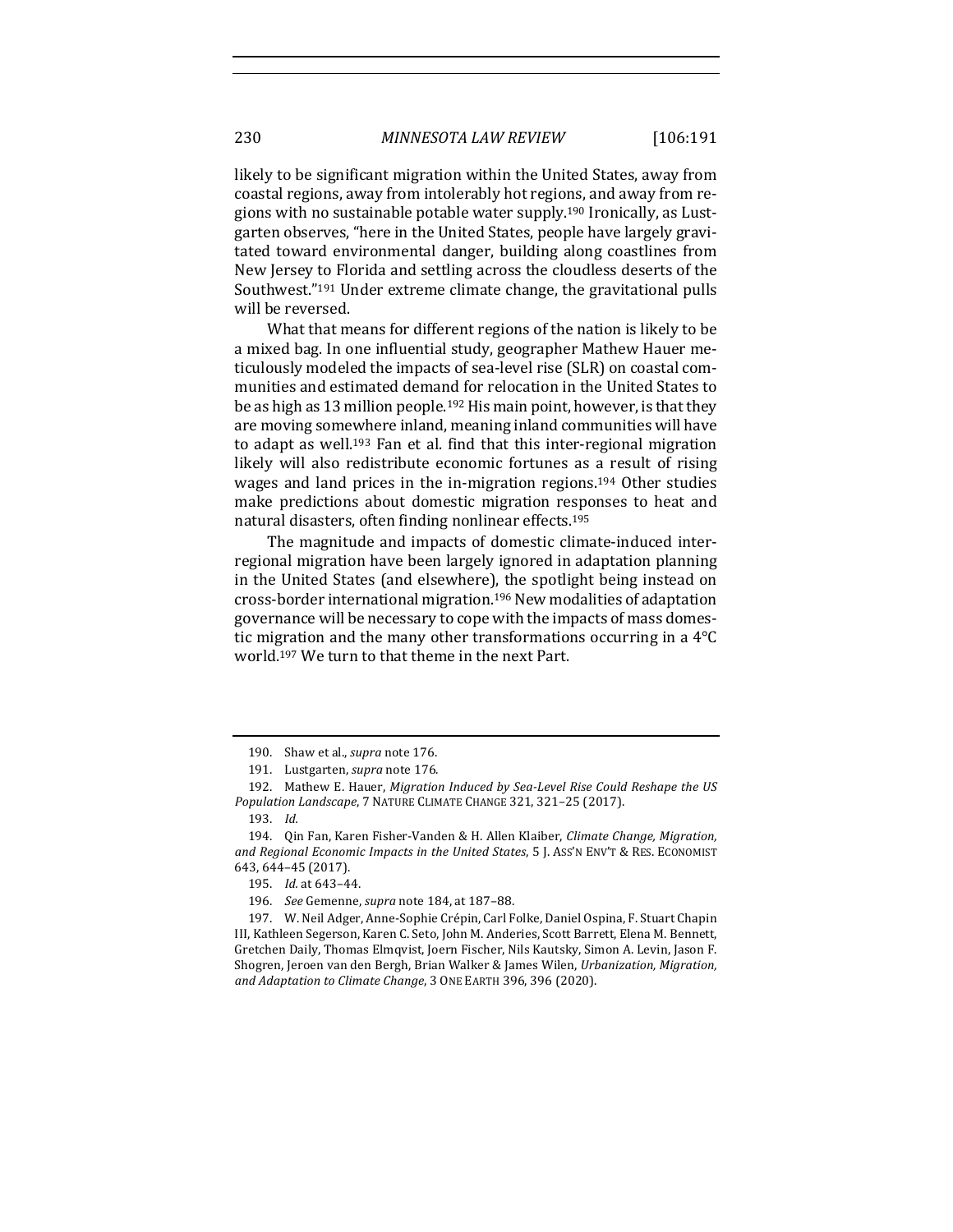likely to be significant migration within the United States, away from coastal regions, away from intolerably hot regions, and away from regions with no sustainable potable water supply.<sup>190</sup> Ironically, as Lustgarten observes, "here in the United States, people have largely gravitated toward environmental danger, building along coastlines from New Jersey to Florida and settling across the cloudless deserts of the Southwest."<sup>191</sup> Under extreme climate change, the gravitational pulls will be reversed.

What that means for different regions of the nation is likely to be a mixed bag. In one influential study, geographer Mathew Hauer meticulously modeled the impacts of sea-level rise (SLR) on coastal communities and estimated demand for relocation in the United States to be as high as 13 million people.<sup>192</sup> His main point, however, is that they are moving somewhere inland, meaning inland communities will have to adapt as well.<sup>193</sup> Fan et al. find that this inter-regional migration likely will also redistribute economic fortunes as a result of rising wages and land prices in the in-migration regions.<sup>194</sup> Other studies make predictions about domestic migration responses to heat and natural disasters, often finding nonlinear effects.<sup>195</sup>

The magnitude and impacts of domestic climate-induced interregional migration have been largely ignored in adaptation planning in the United States (and elsewhere), the spotlight being instead on cross-border international migration.<sup>196</sup> New modalities of adaptation governance will be necessary to cope with the impacts of mass domestic migration and the many other transformations occurring in a  $4^{\circ}$ C world.<sup>197</sup> We turn to that theme in the next Part.

<sup>190.</sup> Shaw et al., *supra* note 176.

<sup>191.</sup> Lustgarten, *supra* note 176.

<sup>192.</sup> Mathew E. Hauer, *Migration Induced by Sea-Level Rise Could Reshape the US* Population Landscape, 7 NATURE CLIMATE CHANGE 321, 321-25 (2017).

<sup>193.</sup> *Id.*

<sup>194.</sup> Qin Fan, Karen Fisher-Vanden & H. Allen Klaiber, *Climate Change, Migration,* and Regional Economic Impacts in the United States, 5 J. Ass'N ENV'T & RES. ECONOMIST 643, 644–45 (2017). 

<sup>195.</sup> *Id.* at 643–44.

<sup>196.</sup> *See* Gemenne, *supra* note 184, at 187-88.

<sup>197.</sup> W. Neil Adger, Anne-Sophie Crépin, Carl Folke, Daniel Ospina, F. Stuart Chapin III, Kathleen Segerson, Karen C. Seto, John M. Anderies, Scott Barrett, Elena M. Bennett, Gretchen Daily, Thomas Elmqvist, Joern Fischer, Nils Kautsky, Simon A. Levin, Jason F. Shogren, Jeroen van den Bergh, Brian Walker & James Wilen, *Urbanization, Migration, and Adaptation to Climate Change*, 3 ONE EARTH 396, 396 (2020).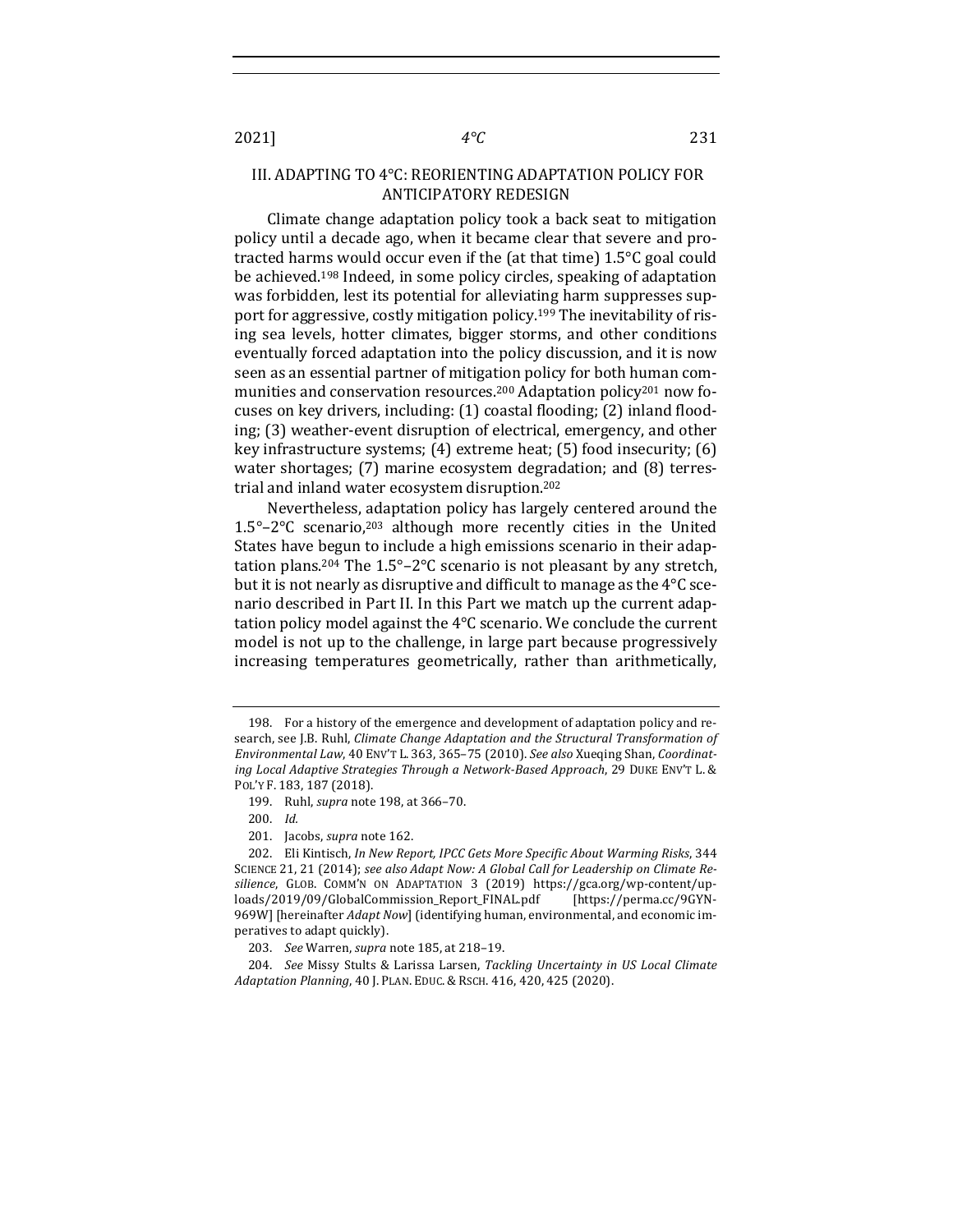# III. ADAPTING TO 4°C: REORIENTING ADAPTATION POLICY FOR ANTICIPATORY REDESIGN

Climate change adaptation policy took a back seat to mitigation policy until a decade ago, when it became clear that severe and protracted harms would occur even if the (at that time)  $1.5^{\circ}$ C goal could be achieved.<sup>198</sup> Indeed, in some policy circles, speaking of adaptation was forbidden, lest its potential for alleviating harm suppresses support for aggressive, costly mitigation policy.<sup>199</sup> The inevitability of rising sea levels, hotter climates, bigger storms, and other conditions eventually forced adaptation into the policy discussion, and it is now seen as an essential partner of mitigation policy for both human communities and conservation resources.<sup>200</sup> Adaptation policy<sup>201</sup> now focuses on key drivers, including: (1) coastal flooding; (2) inland flooding; (3) weather-event disruption of electrical, emergency, and other key infrastructure systems;  $(4)$  extreme heat;  $(5)$  food insecurity;  $(6)$ water shortages;  $(7)$  marine ecosystem degradation; and  $(8)$  terrestrial and inland water ecosystem disruption.<sup>202</sup>

Nevertheless, adaptation policy has largely centered around the  $1.5^{\circ}$ -2°C scenario,<sup>203</sup> although more recently cities in the United States have begun to include a high emissions scenario in their adaptation plans.<sup>204</sup> The  $1.5^{\circ}$ –2°C scenario is not pleasant by any stretch, but it is not nearly as disruptive and difficult to manage as the  $4^{\circ}$ C scenario described in Part II. In this Part we match up the current adaptation policy model against the  $4^{\circ}$ C scenario. We conclude the current model is not up to the challenge, in large part because progressively increasing temperatures geometrically, rather than arithmetically,

<sup>198.</sup> For a history of the emergence and development of adaptation policy and research, see J.B. Ruhl, *Climate Change Adaptation and the Structural Transformation of* Environmental Law, 40 ENV'T L. 363, 365-75 (2010). See also Xueqing Shan, Coordinating Local Adaptive Strategies Through a Network-Based Approach, 29 DUKE ENV'T L. & POL'Y F. 183, 187 (2018).

<sup>199.</sup> Ruhl, *supra* note 198, at 366-70.

<sup>200.</sup> Id.

<sup>201.</sup> Jacobs, *supra* note 162.

<sup>202.</sup> Eli Kintisch, *In New Report, IPCC Gets More Specific About Warming Risks*, 344 SCIENCE 21, 21 (2014); see also *Adapt Now: A Global Call for Leadership on Climate Resilience*, GLOB. COMM'N ON ADAPTATION 3 (2019) https://gca.org/wp-content/uploads/2019/09/GlobalCommission\_Report\_FINAL.pdf [https://perma.cc/9GYN-969W] [hereinafter *Adapt Now*] (identifying human, environmental, and economic imperatives to adapt quickly).

<sup>203.</sup> *See* Warren, *supra* note 185, at 218-19.

<sup>204.</sup> *See* Missy Stults & Larissa Larsen, *Tackling Uncertainty in US Local Climate Adaptation Planning*, 40 J. PLAN. EDUC. & RSCH. 416, 420, 425 (2020).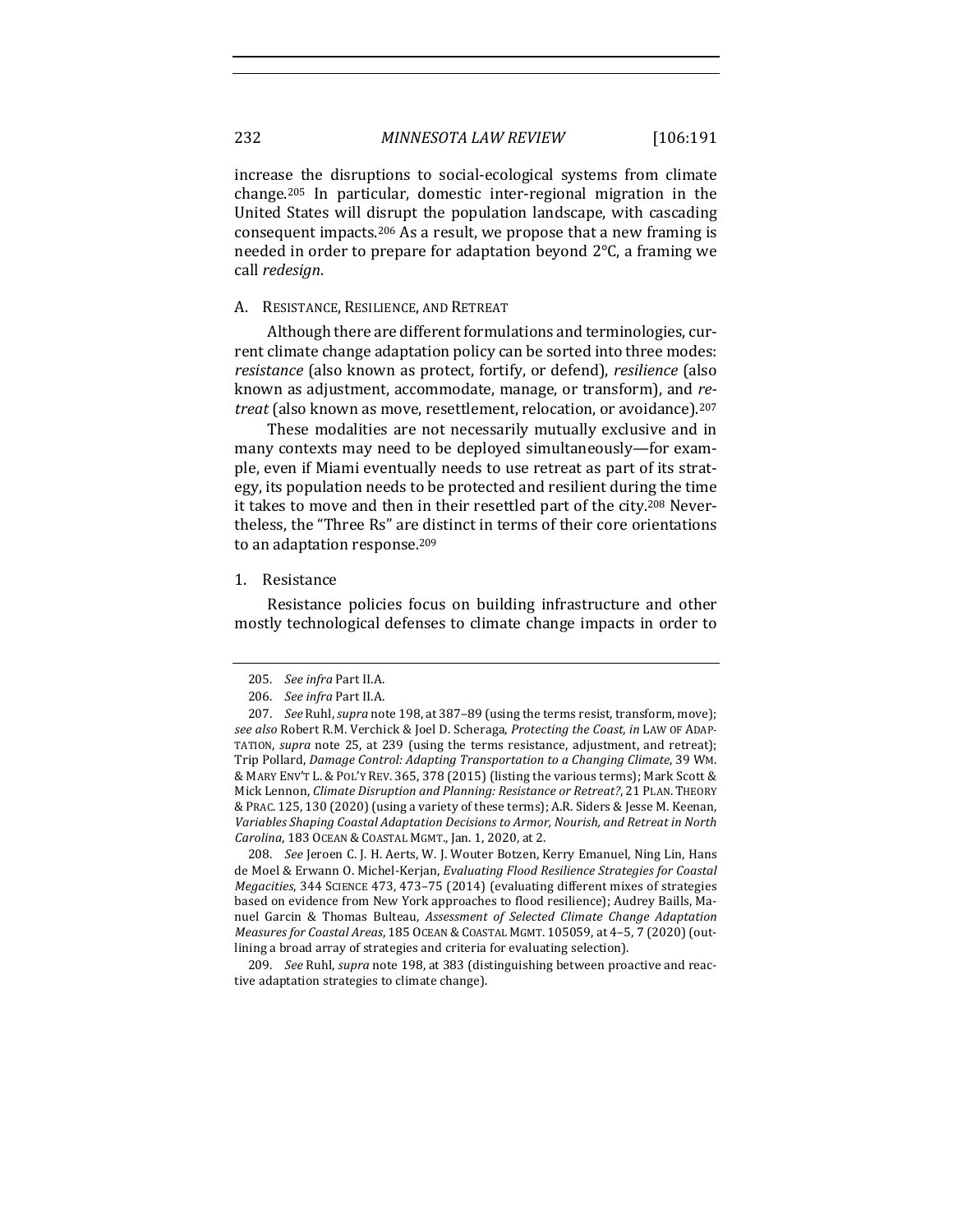increase the disruptions to social-ecological systems from climate change.<sup>205</sup> In particular, domestic inter-regional migration in the United States will disrupt the population landscape, with cascading consequent impacts.<sup>206</sup> As a result, we propose that a new framing is needed in order to prepare for adaptation beyond  $2^{\circ}$ C, a framing we call *redesign*.

# A. RESISTANCE, RESILIENCE, AND RETREAT

Although there are different formulations and terminologies, current climate change adaptation policy can be sorted into three modes: *resistance* (also known as protect, fortify, or defend), *resilience* (also known as adjustment, accommodate, manage, or transform), and *retreat* (also known as move, resettlement, relocation, or avoidance).<sup>207</sup>

These modalities are not necessarily mutually exclusive and in many contexts may need to be deployed simultaneously-for example, even if Miami eventually needs to use retreat as part of its strategy, its population needs to be protected and resilient during the time it takes to move and then in their resettled part of the city.<sup>208</sup> Nevertheless, the "Three Rs" are distinct in terms of their core orientations to an adaptation response.<sup>209</sup>

#### 1. Resistance

Resistance policies focus on building infrastructure and other mostly technological defenses to climate change impacts in order to

208. *See* Jeroen C. J. H. Aerts, W. J. Wouter Botzen, Kerry Emanuel, Ning Lin, Hans de Moel & Erwann O. Michel-Kerjan, *Evaluating Flood Resilience Strategies for Coastal Megacities*, 344 SCIENCE 473, 473-75 (2014) (evaluating different mixes of strategies based on evidence from New York approaches to flood resilience); Audrey Baills, Manuel Garcin & Thomas Bulteau, *Assessment of Selected Climate Change Adaptation Measures for Coastal Areas*, 185 OCEAN & COASTAL MGMT. 105059, at 4-5, 7 (2020) (outlining a broad array of strategies and criteria for evaluating selection).

209. *See* Ruhl, *supra* note 198, at 383 (distinguishing between proactive and reactive adaptation strategies to climate change).

<sup>205.</sup> *See infra Part II.A.* 

<sup>206.</sup> *See infra Part II.A.* 

<sup>207.</sup> *See* Ruhl, *supra* note 198, at 387-89 (using the terms resist, transform, move); *see also* Robert R.M. Verchick & Joel D. Scheraga, *Protecting the Coast*, *in* LAW OF ADAP-TATION, *supra* note 25, at 239 (using the terms resistance, adjustment, and retreat); Trip Pollard, *Damage Control: Adapting Transportation to a Changing Climate*, 39 WM. & MARY ENV'T L. & POL'Y REV. 365, 378 (2015) (listing the various terms); Mark Scott & Mick Lennon, *Climate Disruption and Planning: Resistance or Retreat?*, 21 PLAN. THEORY & PRAC. 125, 130 (2020) (using a variety of these terms); A.R. Siders & Jesse M. Keenan, Variables Shaping Coastal Adaptation Decisions to Armor, Nourish, and Retreat in North *Carolina*, 183 OCEAN & COASTAL MGMT., Jan. 1, 2020, at 2.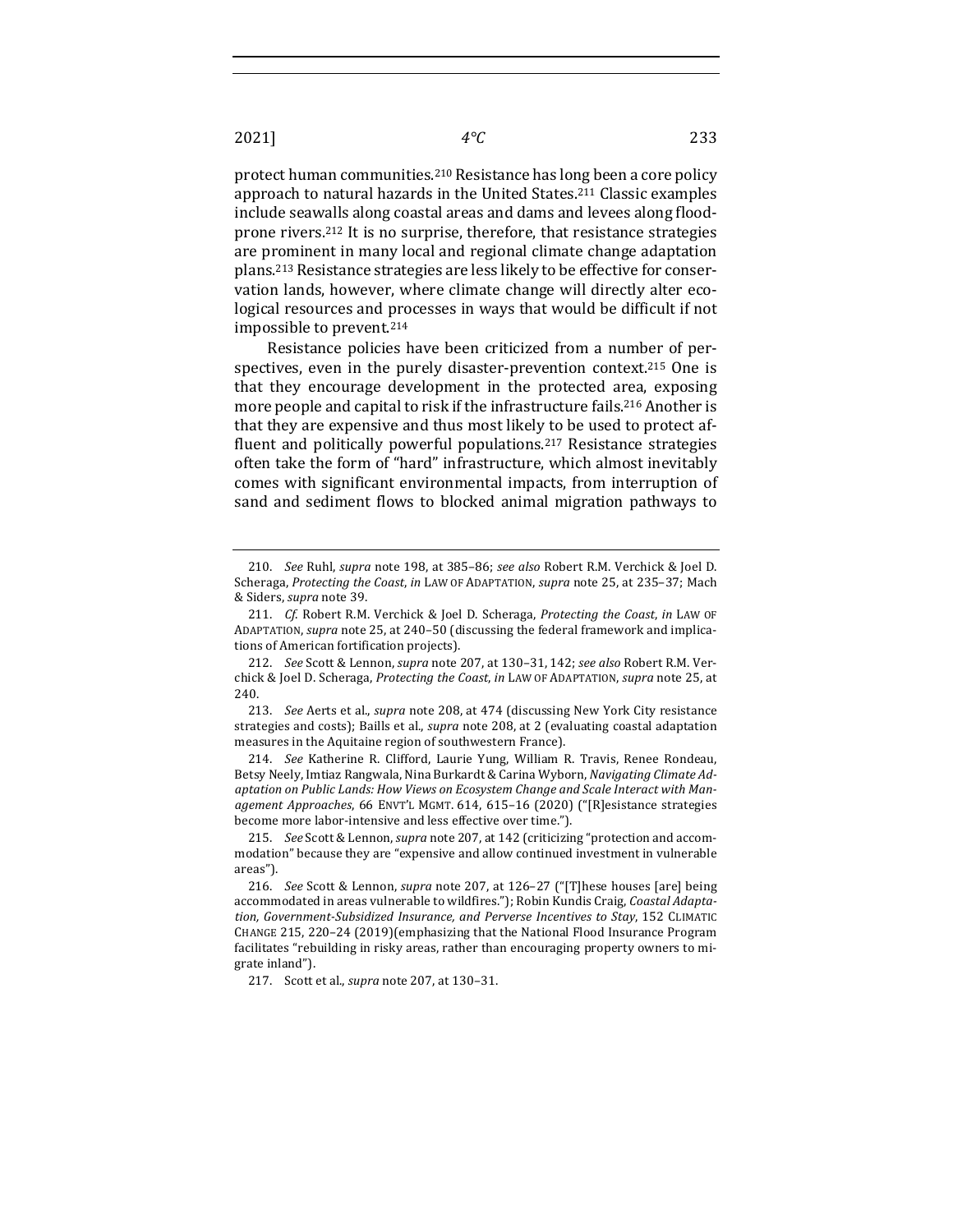protect human communities.<sup>210</sup> Resistance has long been a core policy approach to natural hazards in the United States.<sup>211</sup> Classic examples include seawalls along coastal areas and dams and levees along floodprone rivers.<sup>212</sup> It is no surprise, therefore, that resistance strategies are prominent in many local and regional climate change adaptation plans.<sup>213</sup> Resistance strategies are less likely to be effective for conservation lands, however, where climate change will directly alter ecological resources and processes in ways that would be difficult if not impossible to prevent.<sup>214</sup>

Resistance policies have been criticized from a number of perspectives, even in the purely disaster-prevention context.<sup>215</sup> One is that they encourage development in the protected area, exposing more people and capital to risk if the infrastructure fails.<sup>216</sup> Another is that they are expensive and thus most likely to be used to protect affluent and politically powerful populations.<sup>217</sup> Resistance strategies often take the form of "hard" infrastructure, which almost inevitably comes with significant environmental impacts, from interruption of sand and sediment flows to blocked animal migration pathways to

214. *See* Katherine R. Clifford, Laurie Yung, William R. Travis, Renee Rondeau, Betsy Neely, Imtiaz Rangwala, Nina Burkardt & Carina Wyborn, *Navigating Climate Ad*aptation on Public Lands: How Views on Ecosystem Change and Scale Interact with Management Approaches, 66 ENVT'L MGMT. 614, 615-16 (2020) ("[R]esistance strategies become more labor-intensive and less effective over time.").

215. *See* Scott & Lennon, *supra* note 207, at 142 (criticizing "protection and accommodation" because they are "expensive and allow continued investment in vulnerable areas").

<sup>210.</sup> *See* Ruhl, *supra* note 198, at 385-86; *see also* Robert R.M. Verchick & Joel D. Scheraga, Protecting the Coast, in LAW OF ADAPTATION, supra note 25, at 235-37; Mach & Siders, *supra* note 39.

<sup>211.</sup> *Cf.* Robert R.M. Verchick & Joel D. Scheraga, Protecting the Coast, in LAW OF ADAPTATION, *supra* note 25, at 240-50 (discussing the federal framework and implications of American fortification projects).

<sup>212.</sup> *See* Scott & Lennon, *supra* note 207, at 130-31, 142; see also Robert R.M. Verchick & Joel D. Scheraga, *Protecting the Coast*, *in* LAW OF ADAPTATION, *supra* note 25, at 240.

<sup>213.</sup> *See* Aerts et al., *supra* note 208, at 474 (discussing New York City resistance strategies and costs); Baills et al., *supra* note 208, at 2 (evaluating coastal adaptation measures in the Aquitaine region of southwestern France).

<sup>216.</sup> *See* Scott & Lennon, *supra* note 207, at 126-27 ("[T]hese houses [are] being accommodated in areas vulnerable to wildfires."); Robin Kundis Craig, *Coastal Adaptation, Government-Subsidized Insurance, and Perverse Incentives to Stay*, 152 CLIMATIC CHANGE 215, 220-24 (2019)(emphasizing that the National Flood Insurance Program facilitates "rebuilding in risky areas, rather than encouraging property owners to migrate inland").

<sup>217.</sup> Scott et al., *supra* note 207, at 130-31.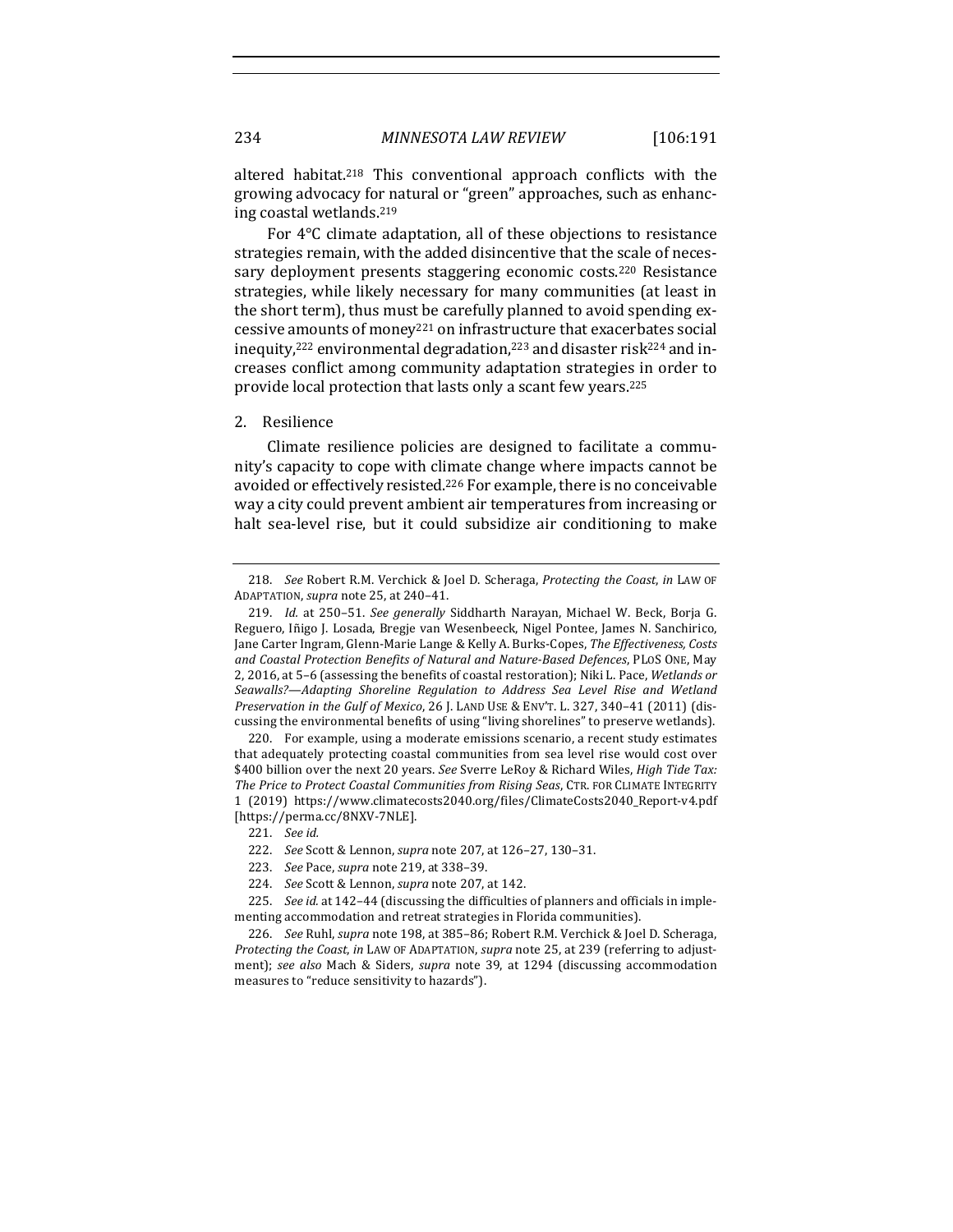altered habitat.<sup>218</sup> This conventional approach conflicts with the growing advocacy for natural or "green" approaches, such as enhancing coastal wetlands.<sup>219</sup>

For  $4^{\circ}$ C climate adaptation, all of these objections to resistance strategies remain, with the added disincentive that the scale of necessary deployment presents staggering economic costs.<sup>220</sup> Resistance strategies, while likely necessary for many communities (at least in the short term), thus must be carefully planned to avoid spending excessive amounts of money<sup>221</sup> on infrastructure that exacerbates social inequity,<sup>222</sup> environmental degradation,<sup>223</sup> and disaster risk<sup>224</sup> and increases conflict among community adaptation strategies in order to provide local protection that lasts only a scant few years.<sup>225</sup>

## 2. Resilience

Climate resilience policies are designed to facilitate a community's capacity to cope with climate change where impacts cannot be avoided or effectively resisted.<sup>226</sup> For example, there is no conceivable way a city could prevent ambient air temperatures from increasing or halt sea-level rise, but it could subsidize air conditioning to make

<sup>218.</sup> *See* Robert R.M. Verchick & Joel D. Scheraga, *Protecting the Coast*, in LAW OF ADAPTATION, *supra* note 25, at 240-41.

<sup>219.</sup> *Id.* at 250-51. *See generally* Siddharth Narayan, Michael W. Beck, Borja G. Reguero, Iñigo J. Losada, Bregje van Wesenbeeck, Nigel Pontee, James N. Sanchirico, Jane Carter Ingram, Glenn-Marie Lange & Kelly A. Burks-Copes, *The Effectiveness, Costs* and Coastal Protection Benefits of Natural and Nature-Based Defences, PLOS ONE, May 2, 2016, at 5-6 (assessing the benefits of coastal restoration); Niki L. Pace, Wetlands or Seawalls?—Adapting Shoreline Regulation to Address Sea Level Rise and Wetland *Preservation in the Gulf of Mexico,* 26 J. LAND USE & ENV'T. L. 327, 340-41 (2011) (discussing the environmental benefits of using "living shorelines" to preserve wetlands).

<sup>220.</sup> For example, using a moderate emissions scenario, a recent study estimates that adequately protecting coastal communities from sea level rise would cost over \$400 billion over the next 20 years. See Sverre LeRoy & Richard Wiles, *High Tide Tax:* The Price to Protect Coastal Communities from Rising Seas, CTR. FOR CLIMATE INTEGRITY 1 (2019) https://www.climatecosts2040.org/files/ClimateCosts2040\_Report-v4.pdf [https://perma.cc/8NXV-7NLE].

<sup>221.</sup> *See id.*

<sup>222.</sup> *See* Scott & Lennon, *supra* note 207, at 126-27, 130-31.

<sup>223.</sup> *See* Pace, *supra* note 219, at 338-39.

<sup>224.</sup> *See* Scott & Lennon, *supra* note 207, at 142.

<sup>225.</sup> *See id.* at 142-44 (discussing the difficulties of planners and officials in implementing accommodation and retreat strategies in Florida communities).

<sup>226.</sup> *See Ruhl, supra* note 198, at 385-86; Robert R.M. Verchick & Joel D. Scheraga, *Protecting the Coast, in LAW OF ADAPTATION, supra note* 25, at 239 (referring to adjustment); see also Mach & Siders, supra note 39, at 1294 (discussing accommodation measures to "reduce sensitivity to hazards").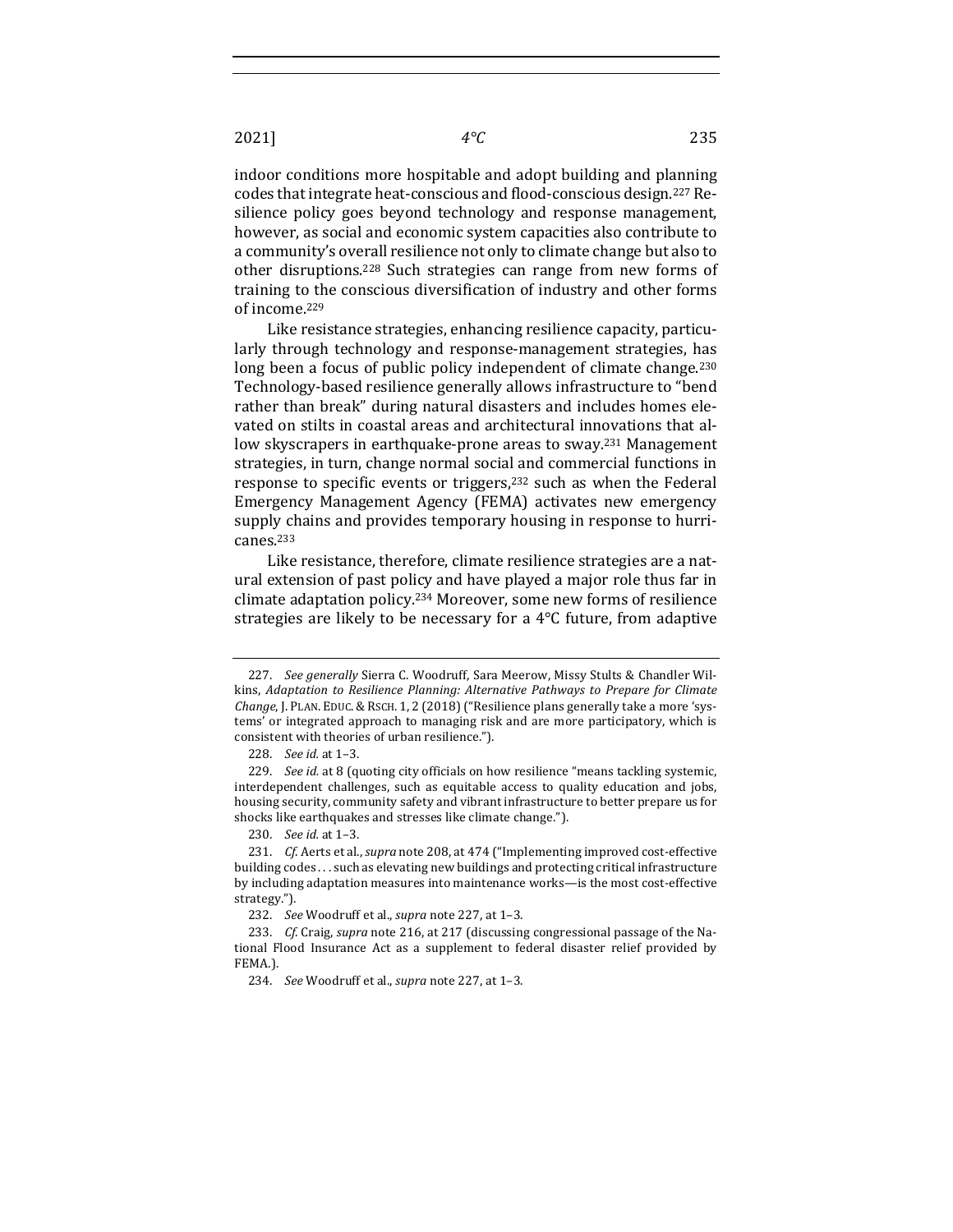indoor conditions more hospitable and adopt building and planning codes that integrate heat-conscious and flood-conscious design.<sup>227</sup> Resilience policy goes beyond technology and response management, however, as social and economic system capacities also contribute to a community's overall resilience not only to climate change but also to other disruptions.<sup>228</sup> Such strategies can range from new forms of training to the conscious diversification of industry and other forms of income.<sup>229</sup>

Like resistance strategies, enhancing resilience capacity, particularly through technology and response-management strategies, has long been a focus of public policy independent of climate change.<sup>230</sup> Technology-based resilience generally allows infrastructure to "bend rather than break" during natural disasters and includes homes elevated on stilts in coastal areas and architectural innovations that allow skyscrapers in earthquake-prone areas to sway.<sup>231</sup> Management strategies, in turn, change normal social and commercial functions in response to specific events or triggers, $232$  such as when the Federal Emergency Management Agency (FEMA) activates new emergency supply chains and provides temporary housing in response to hurricanes.233

Like resistance, therefore, climate resilience strategies are a natural extension of past policy and have played a major role thus far in climate adaptation policy.<sup>234</sup> Moreover, some new forms of resilience strategies are likely to be necessary for a  $4^{\circ}$ C future, from adaptive

<sup>227.</sup> *See generally* Sierra C. Woodruff, Sara Meerow, Missy Stults & Chandler Wilkins, *Adaptation to Resilience Planning: Alternative Pathways to Prepare for Climate Change*, J. PLAN. EDUC. & RSCH. 1, 2 (2018) ("Resilience plans generally take a more 'systems' or integrated approach to managing risk and are more participatory, which is consistent with theories of urban resilience.").

<sup>228.</sup> *See id.* at 1–3.

<sup>229.</sup> *See id.* at 8 (quoting city officials on how resilience "means tackling systemic, interdependent challenges, such as equitable access to quality education and jobs, housing security, community safety and vibrant infrastructure to better prepare us for shocks like earthquakes and stresses like climate change.").

<sup>230.</sup> *See id.* at 1–3.

<sup>231.</sup> *Cf.* Aerts et al., *supra* note 208, at 474 ("Implementing improved cost-effective building codes ... such as elevating new buildings and protecting critical infrastructure by including adaptation measures into maintenance works-is the most cost-effective strategy.").

<sup>232.</sup> *See* Woodruff et al., *supra* note 227, at 1-3.

<sup>233.</sup> *Cf.* Craig, *supra* note 216, at 217 (discussing congressional passage of the National Flood Insurance Act as a supplement to federal disaster relief provided by FEMA.).

<sup>234.</sup> *See* Woodruff et al., *supra* note 227, at 1-3.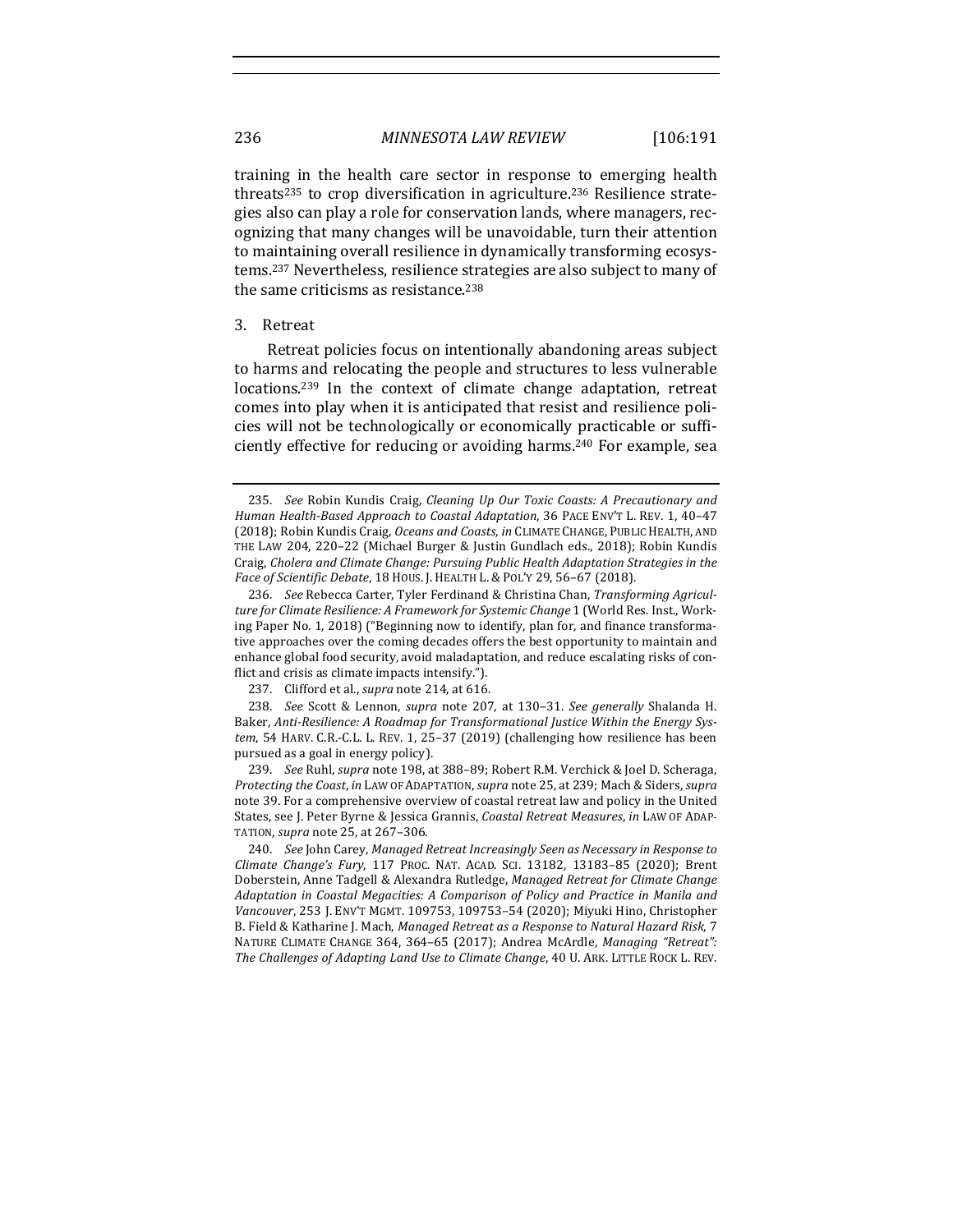training in the health care sector in response to emerging health threats<sup>235</sup> to crop diversification in agriculture.<sup>236</sup> Resilience strategies also can play a role for conservation lands, where managers, recognizing that many changes will be unavoidable, turn their attention to maintaining overall resilience in dynamically transforming ecosystems.<sup>237</sup> Nevertheless, resilience strategies are also subject to many of the same criticisms as resistance.<sup>238</sup>

# 3. Retreat

Retreat policies focus on intentionally abandoning areas subject to harms and relocating the people and structures to less vulnerable  $locations.<sup>239</sup>$  In the context of climate change adaptation, retreat comes into play when it is anticipated that resist and resilience policies will not be technologically or economically practicable or sufficiently effective for reducing or avoiding harms.<sup>240</sup> For example, sea

239. *See* Ruhl, *supra* note 198, at 388-89; Robert R.M. Verchick & Joel D. Scheraga, *Protecting the Coast, in LAW OF ADAPTATION, supra note 25, at 239; Mach & Siders, supra* note 39. For a comprehensive overview of coastal retreat law and policy in the United States, see J. Peter Byrne & Jessica Grannis, *Coastal Retreat Measures*, *in LAW OF ADAP-*TATION, *supra* note 25, at 267-306.

240. *See* John Carey, *Managed Retreat Increasingly Seen as Necessary in Response to Climate Change's Fury*, 117 PROC. NAT. ACAD. SCI. 13182, 13183–85 (2020); Brent Doberstein, Anne Tadgell & Alexandra Rutledge, *Managed Retreat for Climate Change* Adaptation in Coastal Megacities: A Comparison of Policy and Practice in Manila and Vancouver, 253 J. ENV'T MGMT. 109753, 109753-54 (2020); Miyuki Hino, Christopher B. Field & Katharine J. Mach, *Managed Retreat as a Response to Natural Hazard Risk*, 7 NATURE CLIMATE CHANGE 364, 364-65 (2017); Andrea McArdle, *Managing "Retreat":* The Challenges of Adapting Land Use to Climate Change, 40 U. ARK. LITTLE ROCK L. REV.

<sup>235.</sup> *See* Robin Kundis Craig, *Cleaning Up Our Toxic Coasts: A Precautionary and Human Health-Based Approach to Coastal Adaptation*, 36 PACE ENV'T L. REV. 1, 40–47 (2018); Robin Kundis Craig, *Oceans and Coasts*, *in* CLIMATE CHANGE, PUBLIC HEALTH, AND THE LAW 204, 220-22 (Michael Burger & Justin Gundlach eds., 2018); Robin Kundis Craig, *Cholera and Climate Change: Pursuing Public Health Adaptation Strategies in the Face of Scientific Debate*, 18 HOUS. J. HEALTH L. & POL'Y 29, 56–67 (2018).

<sup>236.</sup> See Rebecca Carter, Tyler Ferdinand & Christina Chan, *Transforming Agriculture for Climate Resilience: A Framework for Systemic Change* 1 (World Res. Inst., Working Paper No. 1, 2018) ("Beginning now to identify, plan for, and finance transformative approaches over the coming decades offers the best opportunity to maintain and enhance global food security, avoid maladaptation, and reduce escalating risks of conflict and crisis as climate impacts intensify.").

<sup>237.</sup> Clifford et al., *supra* note 214, at 616.

<sup>238.</sup> *See*  Scott & Lennon, *supra* note 207, at 130–31. *See generally* Shalanda H. Baker, *Anti-Resilience: A Roadmap for Transformational Justice Within the Energy Sys*tem, 54 HARV. C.R.-C.L. L. REV. 1, 25-37 (2019) (challenging how resilience has been pursued as a goal in energy policy).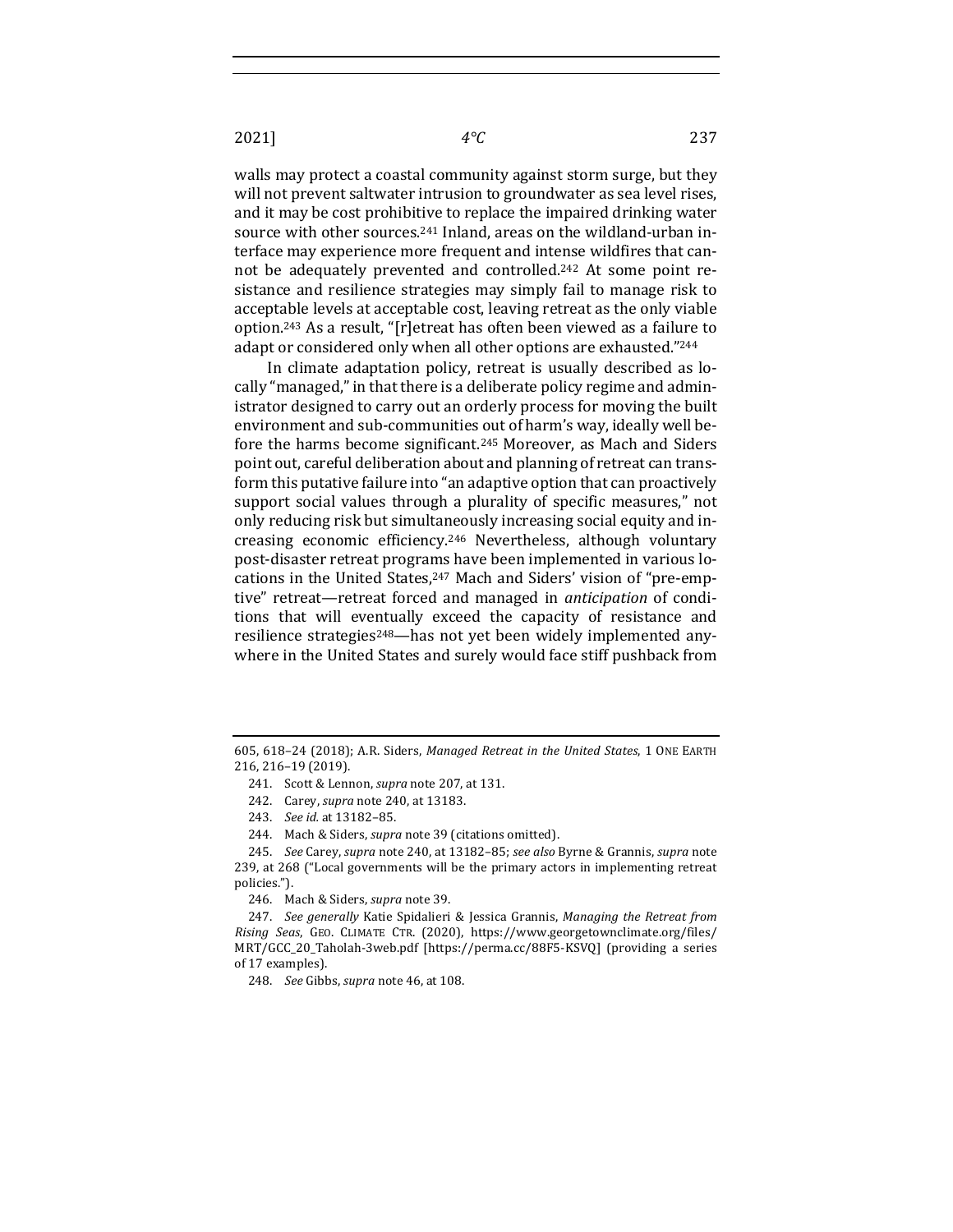2021] *4°C* 237

walls may protect a coastal community against storm surge, but they will not prevent saltwater intrusion to groundwater as sea level rises, and it may be cost prohibitive to replace the impaired drinking water source with other sources.<sup>241</sup> Inland, areas on the wildland-urban interface may experience more frequent and intense wildfires that cannot be adequately prevented and controlled.<sup>242</sup> At some point resistance and resilience strategies may simply fail to manage risk to acceptable levels at acceptable cost, leaving retreat as the only viable option.<sup>243</sup> As a result, "[r]etreat has often been viewed as a failure to adapt or considered only when all other options are exhausted."244

In climate adaptation policy, retreat is usually described as locally "managed," in that there is a deliberate policy regime and administrator designed to carry out an orderly process for moving the built environment and sub-communities out of harm's way, ideally well before the harms become significant.<sup>245</sup> Moreover, as Mach and Siders point out, careful deliberation about and planning of retreat can transform this putative failure into "an adaptive option that can proactively support social values through a plurality of specific measures," not only reducing risk but simultaneously increasing social equity and increasing economic efficiency.<sup>246</sup> Nevertheless, although voluntary post-disaster retreat programs have been implemented in various locations in the United States,<sup>247</sup> Mach and Siders' vision of "pre-emptive" retreat—retreat forced and managed in *anticipation* of conditions that will eventually exceed the capacity of resistance and resilience strategies<sup>248</sup>—has not yet been widely implemented anywhere in the United States and surely would face stiff pushback from

<sup>605, 618-24 (2018);</sup> A.R. Siders, *Managed Retreat in the United States*, 1 ONE EARTH 216, 216–19 (2019).

<sup>241.</sup> Scott & Lennon, *supra* note 207, at 131.

<sup>242.</sup> Carey, *supra* note 240, at 13183.

<sup>243.</sup> *See id.* at 13182-85.

<sup>244.</sup> Mach & Siders, *supra* note 39 (citations omitted).

<sup>245.</sup> *See* Carey, *supra* note 240, at 13182-85; *see also* Byrne & Grannis, *supra* note 239, at 268 ("Local governments will be the primary actors in implementing retreat policies.").

<sup>246.</sup> Mach & Siders, *supra* note 39.

<sup>247.</sup> *See generally* Katie Spidalieri & Jessica Grannis, *Managing the Retreat from Rising Seas*, GEO. CLIMATE CTR. (2020), https://www.georgetownclimate.org/files/ MRT/GCC\_20\_Taholah-3web.pdf [https://perma.cc/88F5-KSVQ] (providing a series of 17 examples).

<sup>248.</sup> *See* Gibbs, *supra* note 46, at 108.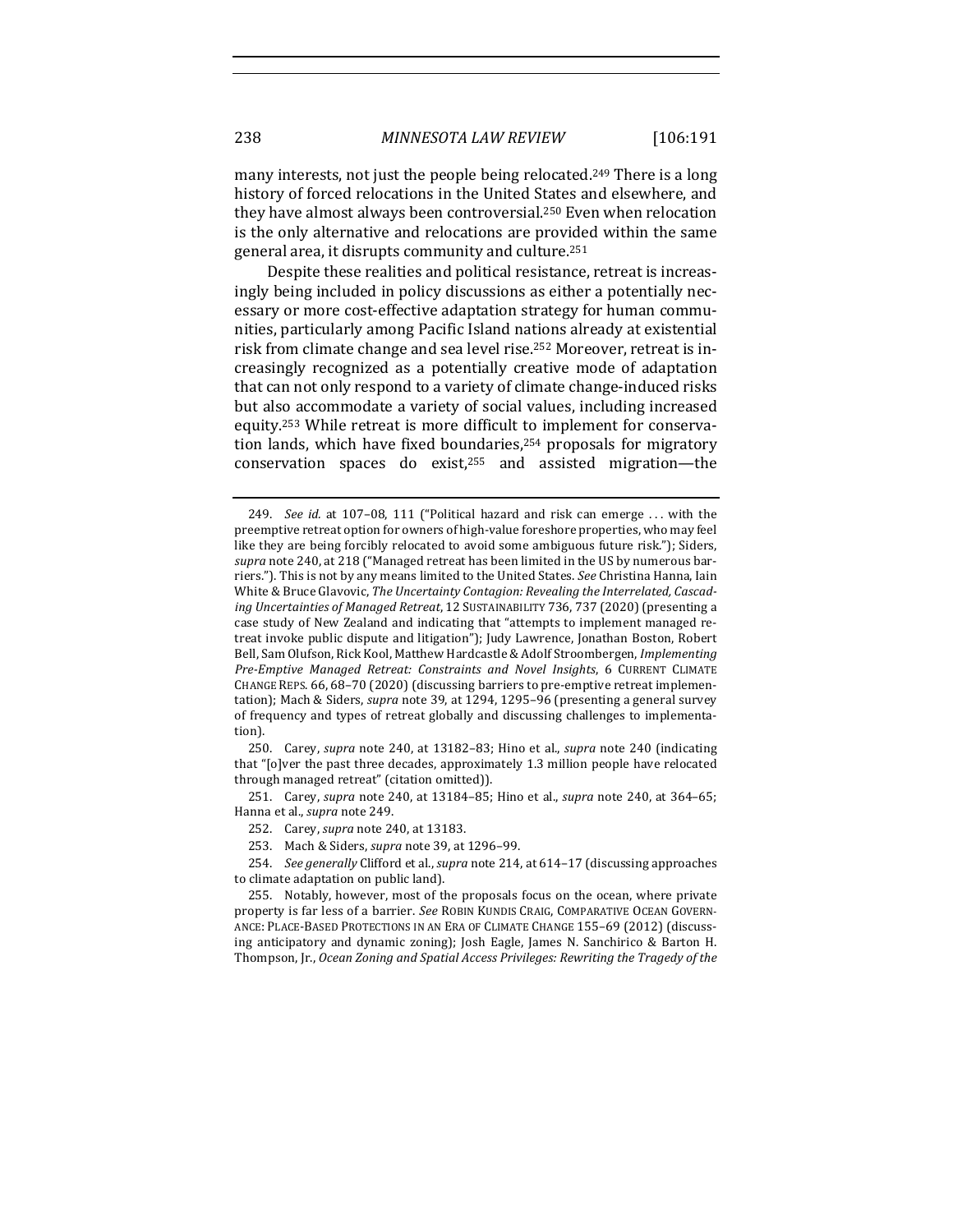many interests, not just the people being relocated.<sup>249</sup> There is a long history of forced relocations in the United States and elsewhere, and they have almost always been controversial.<sup>250</sup> Even when relocation is the only alternative and relocations are provided within the same general area, it disrupts community and culture.<sup>251</sup>

Despite these realities and political resistance, retreat is increasingly being included in policy discussions as either a potentially necessary or more cost-effective adaptation strategy for human communities, particularly among Pacific Island nations already at existential risk from climate change and sea level rise.<sup>252</sup> Moreover, retreat is increasingly recognized as a potentially creative mode of adaptation that can not only respond to a variety of climate change-induced risks but also accommodate a variety of social values, including increased equity.<sup>253</sup> While retreat is more difficult to implement for conservation lands, which have fixed boundaries, $254$  proposals for migratory conservation spaces do exist, $255$  and assisted migration—the

250. Carey, *supra* note 240, at 13182–83; Hino et al., *supra* note 240 (indicating that " $[o]$  ver the past three decades, approximately 1.3 million people have relocated through managed retreat" (citation omitted)).

251. Carey, *supra* note 240, at 13184-85; Hino et al., *supra* note 240, at 364-65; Hanna et al., *supra* note 249.

254. *See generally* Clifford et al., *supra* note 214, at 614-17 (discussing approaches to climate adaptation on public land).

<sup>249.</sup> *See id.* at 107-08, 111 ("Political hazard and risk can emerge ... with the preemptive retreat option for owners of high-value foreshore properties, who may feel like they are being forcibly relocated to avoid some ambiguous future risk."); Siders, supra note 240, at 218 ("Managed retreat has been limited in the US by numerous barriers."). This is not by any means limited to the United States. See Christina Hanna, Iain White & Bruce Glavovic, The Uncertainty Contagion: Revealing the Interrelated, Cascading Uncertainties of Managed Retreat, 12 SUSTAINABILITY 736, 737 (2020) (presenting a case study of New Zealand and indicating that "attempts to implement managed retreat invoke public dispute and litigation"); Judy Lawrence, Jonathan Boston, Robert Bell, Sam Olufson, Rick Kool, Matthew Hardcastle & Adolf Stroombergen, *Implementing* Pre-Emptive Managed Retreat: Constraints and Novel Insights, 6 CURRENT CLIMATE CHANGE REPS. 66, 68-70 (2020) (discussing barriers to pre-emptive retreat implementation); Mach & Siders, *supra* note 39, at 1294, 1295-96 (presenting a general survey of frequency and types of retreat globally and discussing challenges to implementation).

<sup>252.</sup> Carey, *supra* note 240, at 13183.

<sup>253.</sup> Mach & Siders, *supra* note 39, at 1296-99.

<sup>255.</sup> Notably, however, most of the proposals focus on the ocean, where private property is far less of a barrier. *See* ROBIN KUNDIS CRAIG, COMPARATIVE OCEAN GOVERN-ANCE: PLACE-BASED PROTECTIONS IN AN ERA OF CLIMATE CHANGE 155-69 (2012) (discussing anticipatory and dynamic zoning); Josh Eagle, James N. Sanchirico & Barton H. Thompson, Jr., Ocean Zoning and Spatial Access Privileges: Rewriting the Tragedy of the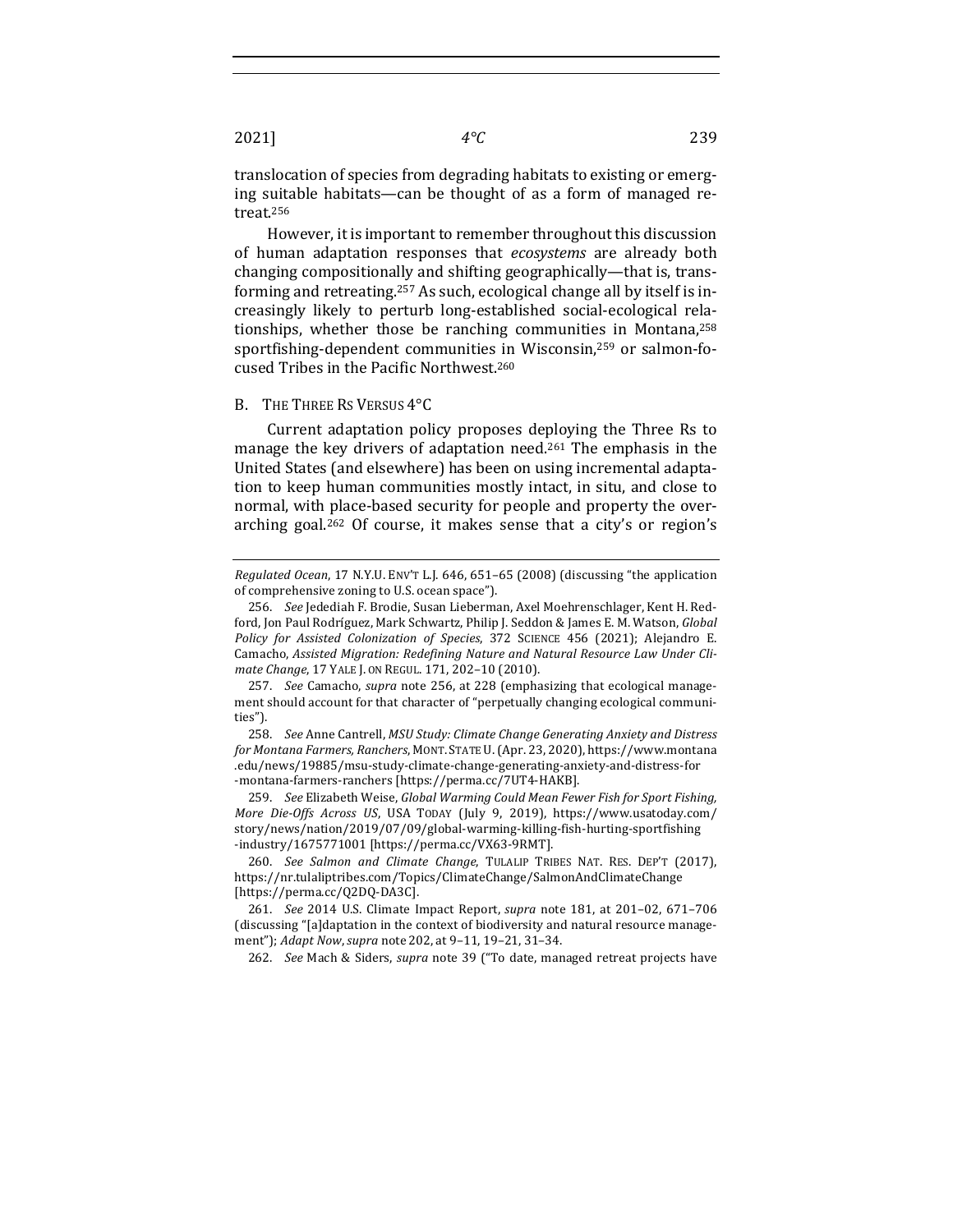translocation of species from degrading habitats to existing or emerging suitable habitats—can be thought of as a form of managed retreat.256

However, it is important to remember throughout this discussion of human adaptation responses that *ecosystems* are already both changing compositionally and shifting geographically—that is, transforming and retreating.<sup>257</sup> As such, ecological change all by itself is increasingly likely to perturb long-established social-ecological relationships, whether those be ranching communities in Montana, $258$ sportfishing-dependent communities in Wisconsin,<sup>259</sup> or salmon-focused Tribes in the Pacific Northwest.<sup>260</sup>

### B. THE THREE RS VERSUS 4°C

Current adaptation policy proposes deploying the Three Rs to manage the key drivers of adaptation need.<sup>261</sup> The emphasis in the United States (and elsewhere) has been on using incremental adaptation to keep human communities mostly intact, in situ, and close to normal, with place-based security for people and property the overarching goal.<sup>262</sup> Of course, it makes sense that a city's or region's

259. *See* Elizabeth Weise, *Global Warming Could Mean Fewer Fish for Sport Fishing, More Die-Offs Across US*, USA TODAY (July 9, 2019), https://www.usatoday.com/ story/news/nation/2019/07/09/global-warming-killing-fish-hurting-sportfishing -industry/1675771001 [https://perma.cc/VX63-9RMT].

262. *See* Mach & Siders, *supra* note 39 ("To date, managed retreat projects have

*Regulated Ocean,* 17 N.Y.U. ENV'T L.J. 646, 651-65 (2008) (discussing "the application of comprehensive zoning to U.S. ocean space").

<sup>256.</sup> See Jedediah F. Brodie, Susan Lieberman, Axel Moehrenschlager, Kent H. Redford, Jon Paul Rodríguez, Mark Schwartz, Philip J. Seddon & James E. M. Watson, *Global* Policy for Assisted Colonization of Species, 372 SCIENCE 456 (2021); Alejandro E. Camacho, Assisted Migration: Redefining Nature and Natural Resource Law Under Cli*mate Change*, 17 YALE J. ON REGUL. 171, 202-10 (2010).

<sup>257.</sup> *See* Camacho, *supra* note 256, at 228 (emphasizing that ecological management should account for that character of "perpetually changing ecological communities").

<sup>258.</sup> *See* Anne Cantrell, *MSU Study: Climate Change Generating Anxiety and Distress for Montana Farmers, Ranchers*, MONT. STATE U.(Apr. 23, 2020), https://www.montana .edu/news/19885/msu-study-climate-change-generating-anxiety-and-distress-for -montana-farmers-ranchers [https://perma.cc/7UT4-HAKB].

<sup>260.</sup> *See Salmon and Climate Change*, TULALIP TRIBES NAT. RES. DEP'T (2017), https://nr.tulaliptribes.com/Topics/ClimateChange/SalmonAndClimateChange [https://perma.cc/Q2DQ-DA3C]. 

<sup>261.</sup> *See* 2014 U.S. Climate Impact Report, *supra* note 181, at 201-02, 671-706 (discussing "[a]daptation in the context of biodiversity and natural resource management"); Adapt Now, supra note 202, at 9-11, 19-21, 31-34.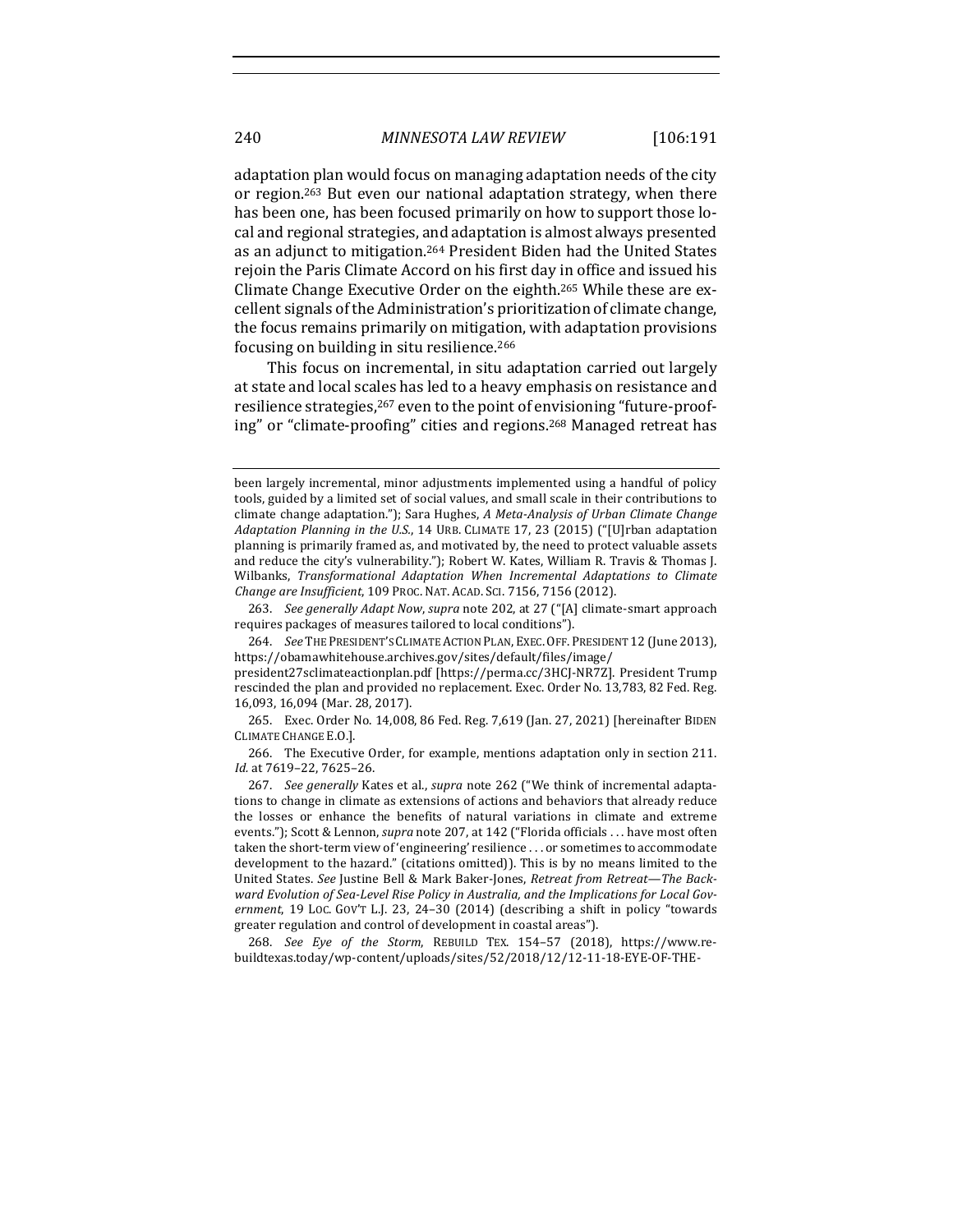adaptation plan would focus on managing adaptation needs of the city or region.<sup>263</sup> But even our national adaptation strategy, when there has been one, has been focused primarily on how to support those local and regional strategies, and adaptation is almost always presented as an adjunct to mitigation.<sup>264</sup> President Biden had the United States rejoin the Paris Climate Accord on his first day in office and issued his Climate Change Executive Order on the eighth.<sup>265</sup> While these are excellent signals of the Administration's prioritization of climate change, the focus remains primarily on mitigation, with adaptation provisions focusing on building in situ resilience.<sup>266</sup>

This focus on incremental, in situ adaptation carried out largely at state and local scales has led to a heavy emphasis on resistance and resilience strategies,<sup>267</sup> even to the point of envisioning "future-proofing" or "climate-proofing" cities and regions.<sup>268</sup> Managed retreat has

been largely incremental, minor adjustments implemented using a handful of policy tools, guided by a limited set of social values, and small scale in their contributions to climate change adaptation."); Sara Hughes, *A Meta-Analysis of Urban Climate Change Adaptation Planning in the U.S.*, 14 URB. CLIMATE 17, 23 (2015) ("[U]rban adaptation planning is primarily framed as, and motivated by, the need to protect valuable assets and reduce the city's vulnerability."); Robert W. Kates, William R. Travis & Thomas J. Wilbanks, *Transformational Adaptation When Incremental Adaptations to Climate Change are Insufficient*, 109 PROC. NAT. ACAD. SCI. 7156, 7156 (2012).

<sup>263.</sup> *See generally Adapt Now, supra* note 202, at 27 ("[A] climate-smart approach requires packages of measures tailored to local conditions").

<sup>264.</sup> *See* THE PRESIDENT'S CLIMATE ACTION PLAN, EXEC. OFF. PRESIDENT 12 (June 2013), https://obamawhitehouse.archives.gov/sites/default/files/image/

president27sclimateactionplan.pdf [https://perma.cc/3HCJ-NR7Z]. President Trump rescinded the plan and provided no replacement. Exec. Order No. 13,783, 82 Fed. Reg. 16,093, 16,094 (Mar. 28, 2017).

<sup>265.</sup> Exec. Order No. 14,008, 86 Fed. Reg. 7,619 (Jan. 27, 2021) [hereinafter BIDEN CLIMATE CHANGE E.O.].

<sup>266.</sup> The Executive Order, for example, mentions adaptation only in section 211. *Id.* at 7619–22, 7625–26.

<sup>267.</sup> *See generally* Kates et al., *supra* note 262 ("We think of incremental adaptations to change in climate as extensions of actions and behaviors that already reduce the losses or enhance the benefits of natural variations in climate and extreme events."); Scott & Lennon, *supra* note 207, at 142 ("Florida officials . . . have most often taken the short-term view of 'engineering' resilience . . . or sometimes to accommodate development to the hazard." (citations omitted)). This is by no means limited to the United States. See Justine Bell & Mark Baker-Jones, *Retreat from Retreat—The Back*ward Evolution of Sea-Level Rise Policy in Australia, and the Implications for Local Gov*ernment*, 19 Loc. Gov'T L.J. 23, 24–30 (2014) (describing a shift in policy "towards greater regulation and control of development in coastal areas").

<sup>268.</sup> See Eye of the Storm, REBUILD TEX. 154-57 (2018), https://www.rebuildtexas.today/wp-content/uploads/sites/52/2018/12/12-11-18-EYE-OF-THE-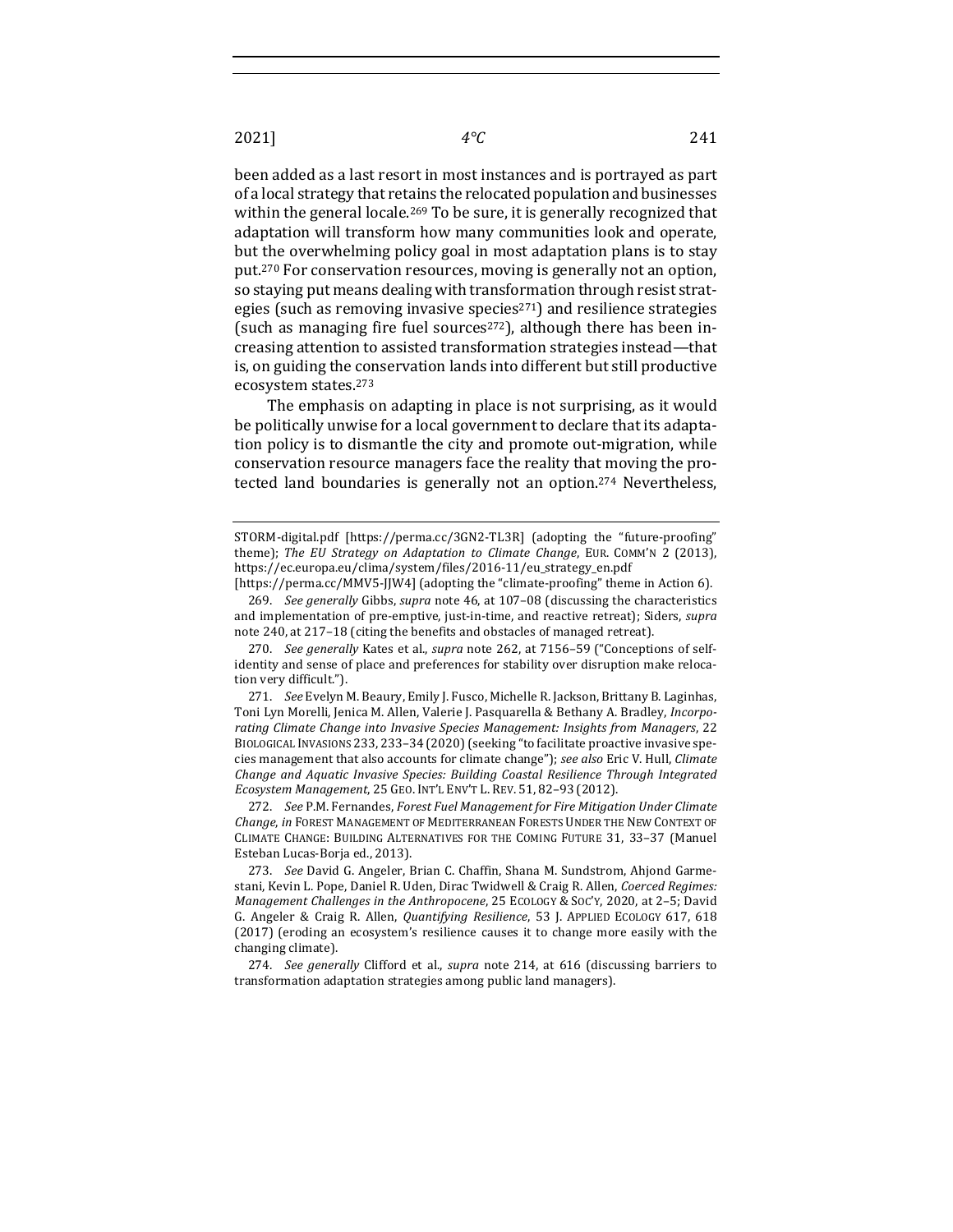been added as a last resort in most instances and is portrayed as part of a local strategy that retains the relocated population and businesses within the general locale.<sup>269</sup> To be sure, it is generally recognized that adaptation will transform how many communities look and operate, but the overwhelming policy goal in most adaptation plans is to stay put.<sup>270</sup> For conservation resources, moving is generally not an option, so staying put means dealing with transformation through resist strategies (such as removing invasive species<sup>271</sup>) and resilience strategies (such as managing fire fuel sources<sup>272</sup>), although there has been increasing attention to assisted transformation strategies instead—that is, on guiding the conservation lands into different but still productive ecosystem states.273

The emphasis on adapting in place is not surprising, as it would be politically unwise for a local government to declare that its adaptation policy is to dismantle the city and promote out-migration, while conservation resource managers face the reality that moving the protected land boundaries is generally not an option.<sup>274</sup> Nevertheless,

270. *See generally* Kates et al., *supra* note 262, at 7156-59 ("Conceptions of selfidentity and sense of place and preferences for stability over disruption make relocation very difficult.").

271. *See* Evelyn M. Beaury, Emily J. Fusco, Michelle R. Jackson, Brittany B. Laginhas, Toni Lyn Morelli, Jenica M. Allen, Valerie J. Pasquarella & Bethany A. Bradley, *Incorpo*rating Climate Change into Invasive Species Management: Insights from Managers, 22 BIOLOGICAL INVASIONS 233, 233-34 (2020) (seeking "to facilitate proactive invasive species management that also accounts for climate change"); see also Eric V. Hull, *Climate* Change and Aquatic Invasive Species: Building Coastal Resilience Through Integrated *Ecosystem Management*, 25 GEO. INT'L ENV'T L. REV. 51, 82–93 (2012).

272. *See* P.M. Fernandes, *Forest Fuel Management for Fire Mitigation Under Climate Change*, in FOREST MANAGEMENT OF MEDITERRANEAN FORESTS UNDER THE NEW CONTEXT OF CLIMATE CHANGE: BUILDING ALTERNATIVES FOR THE COMING FUTURE 31, 33-37 (Manuel Esteban Lucas-Borja ed., 2013).

273. *See* David G. Angeler, Brian C. Chaffin, Shana M. Sundstrom, Ahjond Garmestani, Kevin L. Pope, Daniel R. Uden, Dirac Twidwell & Craig R. Allen, *Coerced Regimes: Management Challenges in the Anthropocene*, 25 ECOLOGY & SOC'Y, 2020, at 2-5; David G. Angeler & Craig R. Allen, *Quantifying Resilience*, 53 J. APPLIED ECOLOGY 617, 618 (2017) (eroding an ecosystem's resilience causes it to change more easily with the changing climate).

274. *See generally* Clifford et al., *supra* note 214, at 616 (discussing barriers to transformation adaptation strategies among public land managers).

STORM-digital.pdf [https://perma.cc/3GN2-TL3R] (adopting the "future-proofing" theme); *The EU Strategy on Adaptation to Climate Change*, EUR. COMM'N 2 (2013), https://ec.europa.eu/clima/system/files/2016-11/eu\_strategy\_en.pdf

<sup>[</sup>https://perma.cc/MMV5-JJW4] (adopting the "climate-proofing" theme in Action 6). 269. *See generally* Gibbs, *supra* note 46, at 107-08 (discussing the characteristics and implementation of pre-emptive, just-in-time, and reactive retreat); Siders, *supra* note 240, at 217-18 (citing the benefits and obstacles of managed retreat).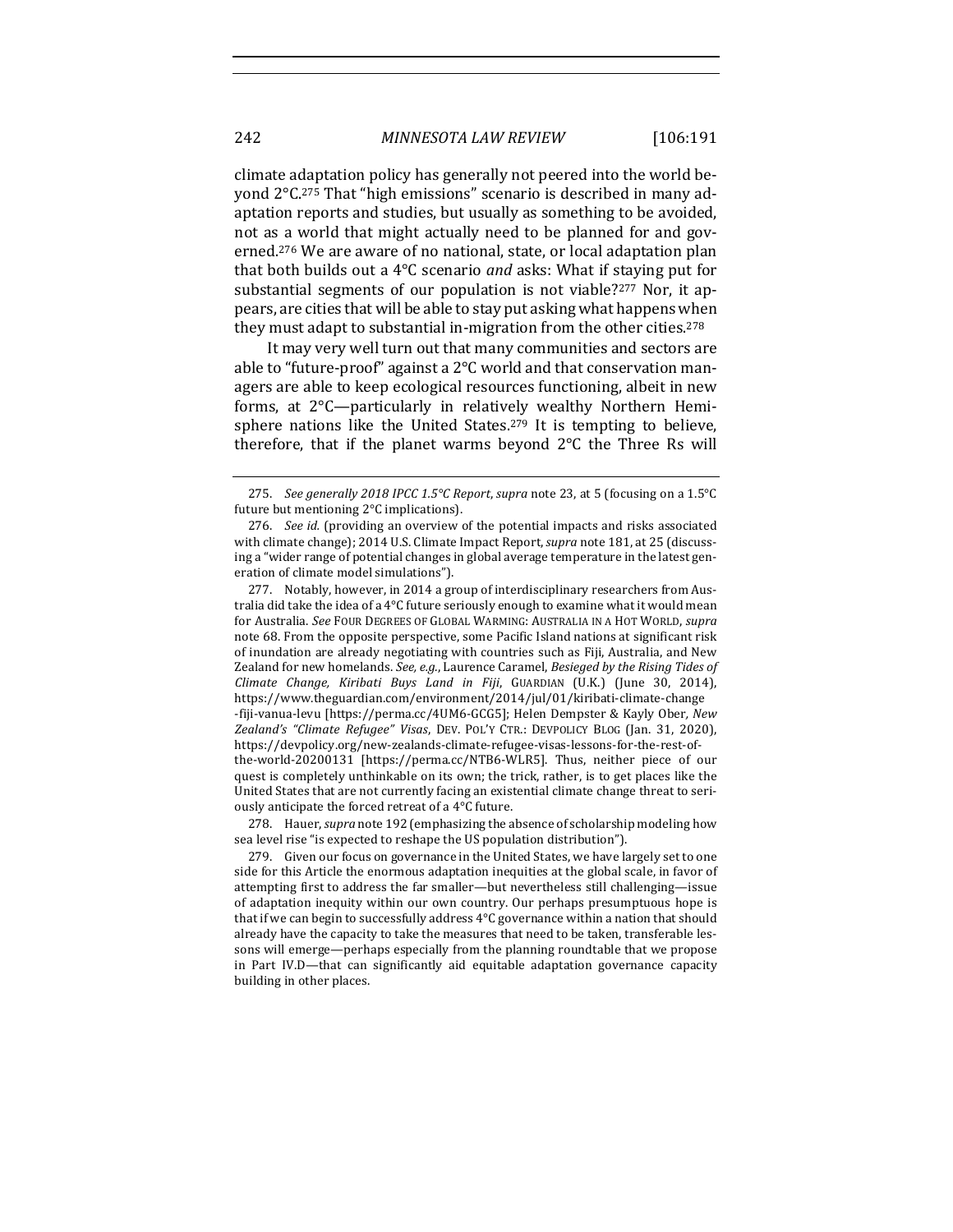climate adaptation policy has generally not peered into the world beyond  $2^{\circ}$ C.<sup>275</sup> That "high emissions" scenario is described in many adaptation reports and studies, but usually as something to be avoided, not as a world that might actually need to be planned for and governed.<sup>276</sup> We are aware of no national, state, or local adaptation plan that both builds out a 4<sup>o</sup>C scenario *and* asks: What if staying put for substantial segments of our population is not viable?<sup>277</sup> Nor, it appears, are cities that will be able to stay put asking what happens when they must adapt to substantial in-migration from the other cities.<sup>278</sup>

It may very well turn out that many communities and sectors are able to "future-proof" against a  $2^{\circ}$ C world and that conservation managers are able to keep ecological resources functioning, albeit in new forms, at  $2^{\circ}$ C—particularly in relatively wealthy Northern Hemisphere nations like the United States.<sup>279</sup> It is tempting to believe, therefore, that if the planet warms beyond  $2^{\circ}C$  the Three Rs will

277. Notably, however, in 2014 a group of interdisciplinary researchers from Australia did take the idea of a 4°C future seriously enough to examine what it would mean for Australia. See FOUR DEGREES OF GLOBAL WARMING: AUSTRALIA IN A HOT WORLD, *supra* note 68. From the opposite perspective, some Pacific Island nations at significant risk of inundation are already negotiating with countries such as Fiji, Australia, and New Zealand for new homelands. See, e.g., Laurence Caramel, Besieged by the Rising Tides of *Climate Change, Kiribati Buys Land in Fiji*, GUARDIAN (U.K.) (June 30, 2014), https://www.theguardian.com/environment/2014/jul/01/kiribati-climate-change -fiji-vanua-levu [https://perma.cc/4UM6-GCG5]; Helen Dempster & Kayly Ober*, New Zealand's "Climate Refugee" Visas*, DEV. POL'Y CTR.: DEVPOLICY BLOG (Jan. 31, 2020), https://devpolicy.org/new-zealands-climate-refugee-visas-lessons-for-the-rest-ofthe-world-20200131 [https://perma.cc/NTB6-WLR5]. Thus, neither piece of our quest is completely unthinkable on its own; the trick, rather, is to get places like the United States that are not currently facing an existential climate change threat to seriously anticipate the forced retreat of a  $4^{\circ}$ C future.

278. Hauer, *supra* note 192 (emphasizing the absence of scholarship modeling how sea level rise "is expected to reshape the US population distribution").

<sup>275.</sup> *See generally 2018 IPCC 1.5°C Report*, *supra* note 23, at 5 (focusing on a 1.5°C future but mentioning  $2^{\circ}$ C implications).

<sup>276.</sup> *See id.* (providing an overview of the potential impacts and risks associated with climate change); 2014 U.S. Climate Impact Report, *supra* note 181, at 25 (discussing a "wider range of potential changes in global average temperature in the latest generation of climate model simulations").

<sup>279.</sup> Given our focus on governance in the United States, we have largely set to one side for this Article the enormous adaptation inequities at the global scale, in favor of attempting first to address the far smaller—but nevertheless still challenging—issue of adaptation inequity within our own country. Our perhaps presumptuous hope is that if we can begin to successfully address  $4^{\circ}C$  governance within a nation that should already have the capacity to take the measures that need to be taken, transferable lessons will emerge—perhaps especially from the planning roundtable that we propose in Part IV.D-that can significantly aid equitable adaptation governance capacity building in other places.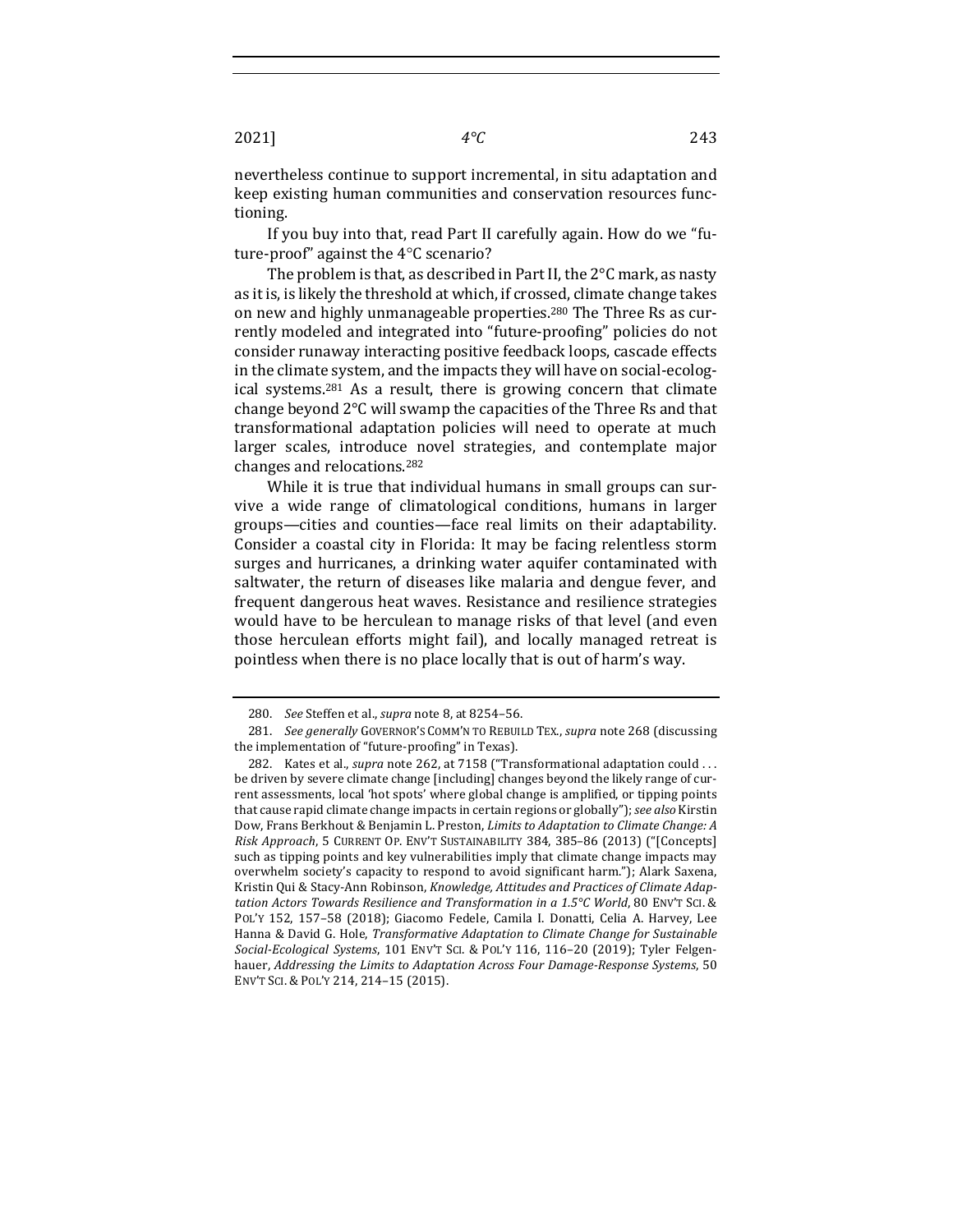nevertheless continue to support incremental, in situ adaptation and keep existing human communities and conservation resources functioning.

If you buy into that, read Part II carefully again. How do we "future-proof" against the  $4^{\circ}$ C scenario?

The problem is that, as described in Part II, the  $2^{\circ}$ C mark, as nasty as it is, is likely the threshold at which, if crossed, climate change takes on new and highly unmanageable properties.<sup>280</sup> The Three Rs as currently modeled and integrated into "future-proofing" policies do not consider runaway interacting positive feedback loops, cascade effects in the climate system, and the impacts they will have on social-ecological systems.<sup>281</sup> As a result, there is growing concern that climate change beyond 2°C will swamp the capacities of the Three Rs and that transformational adaptation policies will need to operate at much larger scales, introduce novel strategies, and contemplate major changes and relocations.<sup>282</sup>

While it is true that individual humans in small groups can survive a wide range of climatological conditions, humans in larger groups—cities and counties—face real limits on their adaptability. Consider a coastal city in Florida: It may be facing relentless storm surges and hurricanes, a drinking water aquifer contaminated with saltwater, the return of diseases like malaria and dengue fever, and frequent dangerous heat waves. Resistance and resilience strategies would have to be herculean to manage risks of that level (and even those herculean efforts might fail), and locally managed retreat is pointless when there is no place locally that is out of harm's way.

<sup>280.</sup> *See* Steffen et al., *supra* note 8, at 8254-56.

<sup>281.</sup> *See generally* GOVERNOR'S COMM'N TO REBUILD TEX., *supra* note 268 (discussing the implementation of "future-proofing" in Texas).

<sup>282.</sup> Kates et al., *supra* note 262, at 7158 ("Transformational adaptation could ... be driven by severe climate change [including] changes beyond the likely range of current assessments, local 'hot spots' where global change is amplified, or tipping points that cause rapid climate change impacts in certain regions or globally"); see also Kirstin Dow, Frans Berkhout & Benjamin L. Preston, *Limits to Adaptation to Climate Change: A Risk Approach*, 5 CURRENT OP. ENV'T SUSTAINABILITY 384, 385-86 (2013) ("[Concepts] such as tipping points and key vulnerabilities imply that climate change impacts may overwhelm society's capacity to respond to avoid significant harm."); Alark Saxena, Kristin Qui & Stacy-Ann Robinson, *Knowledge, Attitudes and Practices of Climate Adaptation Actors Towards Resilience and Transformation in a 1.5°C World*, 80 ENV'T SCI. & POL'Y 152, 157-58 (2018); Giacomo Fedele, Camila I. Donatti, Celia A. Harvey, Lee Hanna & David G. Hole, *Transformative Adaptation to Climate Change for Sustainable Social-Ecological Systems*, 101 ENV'T SCI. & POL'Y 116, 116–20 (2019); Tyler Felgenhauer, *Addressing the Limits to Adaptation Across Four Damage-Response Systems*, 50 ENV'T SCI. & POL'Y 214, 214-15 (2015).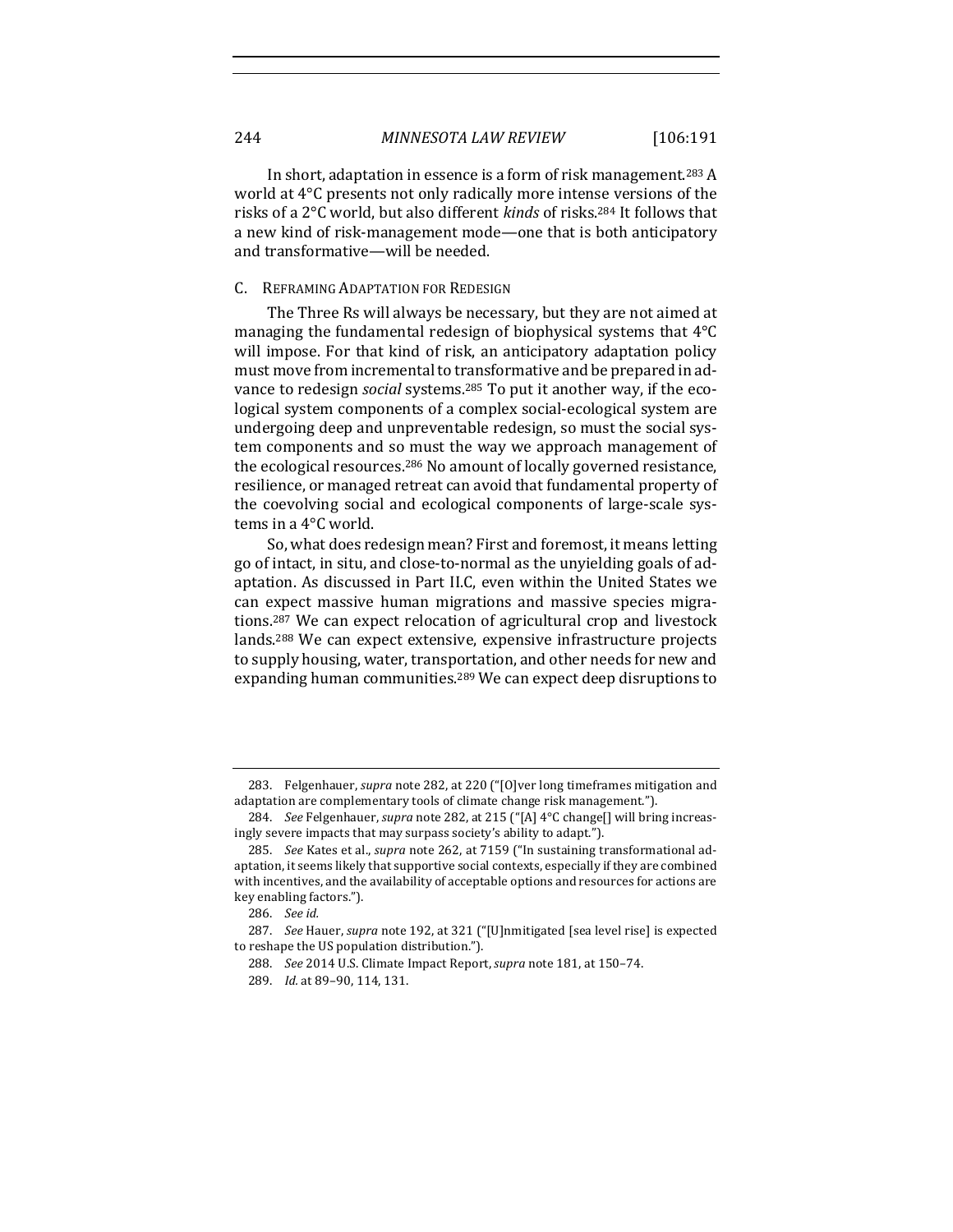In short, adaptation in essence is a form of risk management.<sup>283</sup> A world at  $4^{\circ}$ C presents not only radically more intense versions of the risks of a 2°C world, but also different *kinds* of risks.<sup>284</sup> It follows that a new kind of risk-management mode—one that is both anticipatory and transformative—will be needed.

# C. REFRAMING ADAPTATION FOR REDESIGN

The Three Rs will always be necessary, but they are not aimed at managing the fundamental redesign of biophysical systems that  $4^{\circ}C$ will impose. For that kind of risk, an anticipatory adaptation policy must move from incremental to transformative and be prepared in advance to redesign *social* systems.<sup>285</sup> To put it another way, if the ecological system components of a complex social-ecological system are undergoing deep and unpreventable redesign, so must the social system components and so must the way we approach management of the ecological resources.<sup>286</sup> No amount of locally governed resistance, resilience, or managed retreat can avoid that fundamental property of the coevolving social and ecological components of large-scale systems in a 4°C world.

So, what does redesign mean? First and foremost, it means letting go of intact, in situ, and close-to-normal as the unyielding goals of adaptation. As discussed in Part II.C, even within the United States we can expect massive human migrations and massive species migrations.<sup>287</sup> We can expect relocation of agricultural crop and livestock lands.<sup>288</sup> We can expect extensive, expensive infrastructure projects to supply housing, water, transportation, and other needs for new and expanding human communities.<sup>289</sup> We can expect deep disruptions to

<sup>283.</sup> Felgenhauer, *supra* note 282, at 220 ("[O]ver long timeframes mitigation and adaptation are complementary tools of climate change risk management.").

<sup>284.</sup> *See* Felgenhauer, *supra* note 282, at 215 ("[A] 4°C change[] will bring increasingly severe impacts that may surpass society's ability to adapt.").

<sup>285.</sup> *See* Kates et al., *supra* note 262, at 7159 ("In sustaining transformational adaptation, it seems likely that supportive social contexts, especially if they are combined with incentives, and the availability of acceptable options and resources for actions are key enabling factors.").

<sup>286.</sup> *See id.*

<sup>287.</sup> *See* Hauer, *supra* note 192, at 321 ("[U]nmitigated [sea level rise] is expected to reshape the US population distribution.").

<sup>288.</sup> *See* 2014 U.S. Climate Impact Report, *supra* note 181, at 150-74.

<sup>289.</sup> *Id.* at 89-90, 114, 131.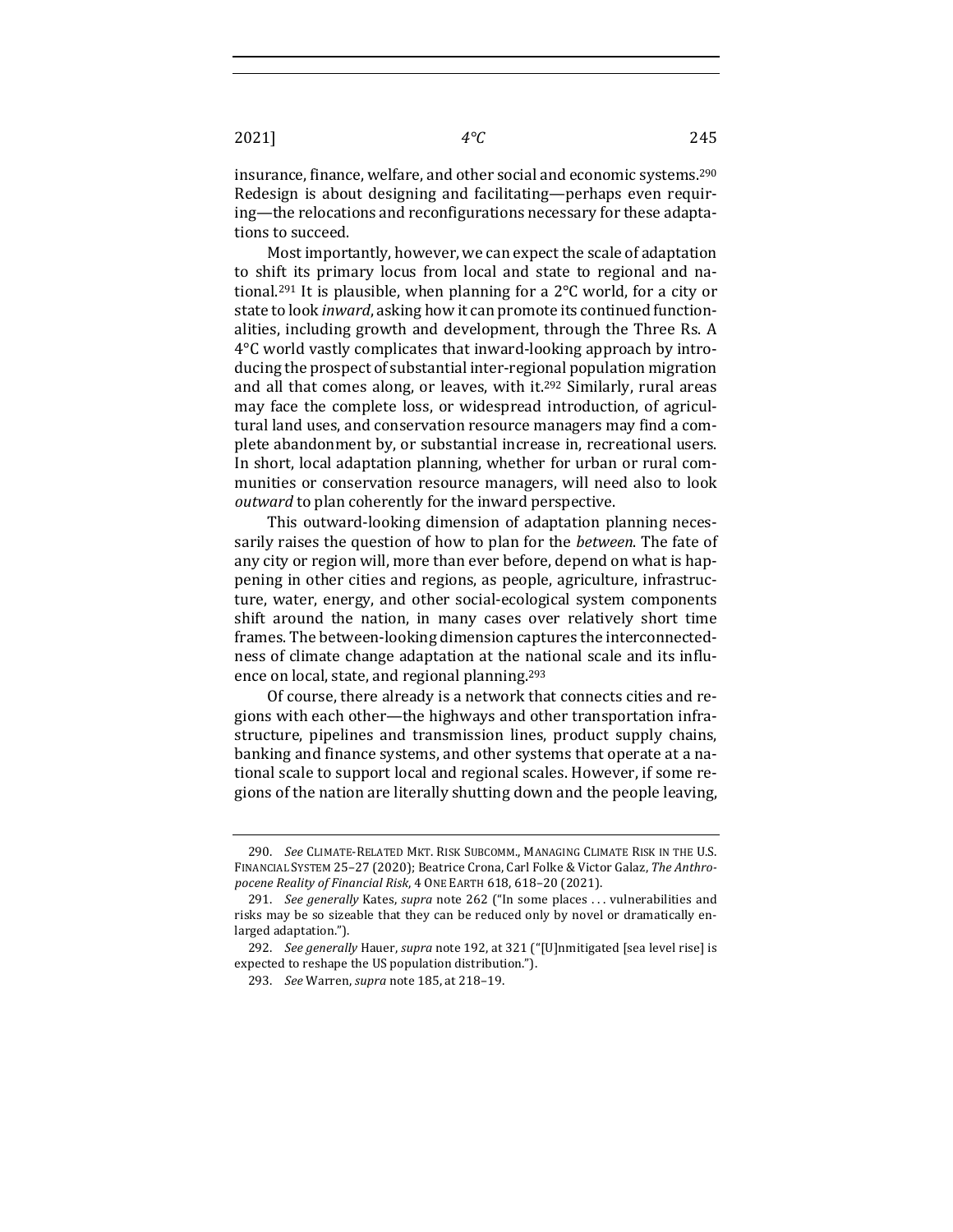insurance, finance, welfare, and other social and economic systems.<sup>290</sup> Redesign is about designing and facilitating—perhaps even requiring—the relocations and reconfigurations necessary for these adaptations to succeed.

Most importantly, however, we can expect the scale of adaptation to shift its primary locus from local and state to regional and national.<sup>291</sup> It is plausible, when planning for a  $2^{\circ}C$  world, for a city or state to look *inward*, asking how it can promote its continued functionalities, including growth and development, through the Three Rs. A  $4^{\circ}$ C world vastly complicates that inward-looking approach by introducing the prospect of substantial inter-regional population migration and all that comes along, or leaves, with  $it^{292}$  Similarly, rural areas may face the complete loss, or widespread introduction, of agricultural land uses, and conservation resource managers may find a complete abandonment by, or substantial increase in, recreational users. In short, local adaptation planning, whether for urban or rural communities or conservation resource managers, will need also to look *outward* to plan coherently for the inward perspective.

This outward-looking dimension of adaptation planning necessarily raises the question of how to plan for the *between*. The fate of any city or region will, more than ever before, depend on what is happening in other cities and regions, as people, agriculture, infrastructure, water, energy, and other social-ecological system components shift around the nation, in many cases over relatively short time frames. The between-looking dimension captures the interconnectedness of climate change adaptation at the national scale and its influence on local, state, and regional planning.<sup>293</sup>

Of course, there already is a network that connects cities and regions with each other—the highways and other transportation infrastructure, pipelines and transmission lines, product supply chains, banking and finance systems, and other systems that operate at a national scale to support local and regional scales. However, if some regions of the nation are literally shutting down and the people leaving,

<sup>290.</sup> *See* CLIMATE-RELATED MKT. RISK SUBCOMM., MANAGING CLIMATE RISK IN THE U.S. FINANCIAL SYSTEM 25-27 (2020); Beatrice Crona, Carl Folke & Victor Galaz, The Anthro*pocene Reality of Financial Risk*, 4 ONE EARTH 618, 618–20 (2021).

<sup>291.</sup> *See generally* Kates, *supra* note 262 ("In some places ... vulnerabilities and risks may be so sizeable that they can be reduced only by novel or dramatically enlarged adaptation.").

<sup>292.</sup> *See generally* Hauer, *supra* note 192, at 321 ("[U]nmitigated [sea level rise] is expected to reshape the US population distribution.").

<sup>293.</sup> *See* Warren, *supra* note 185, at 218-19.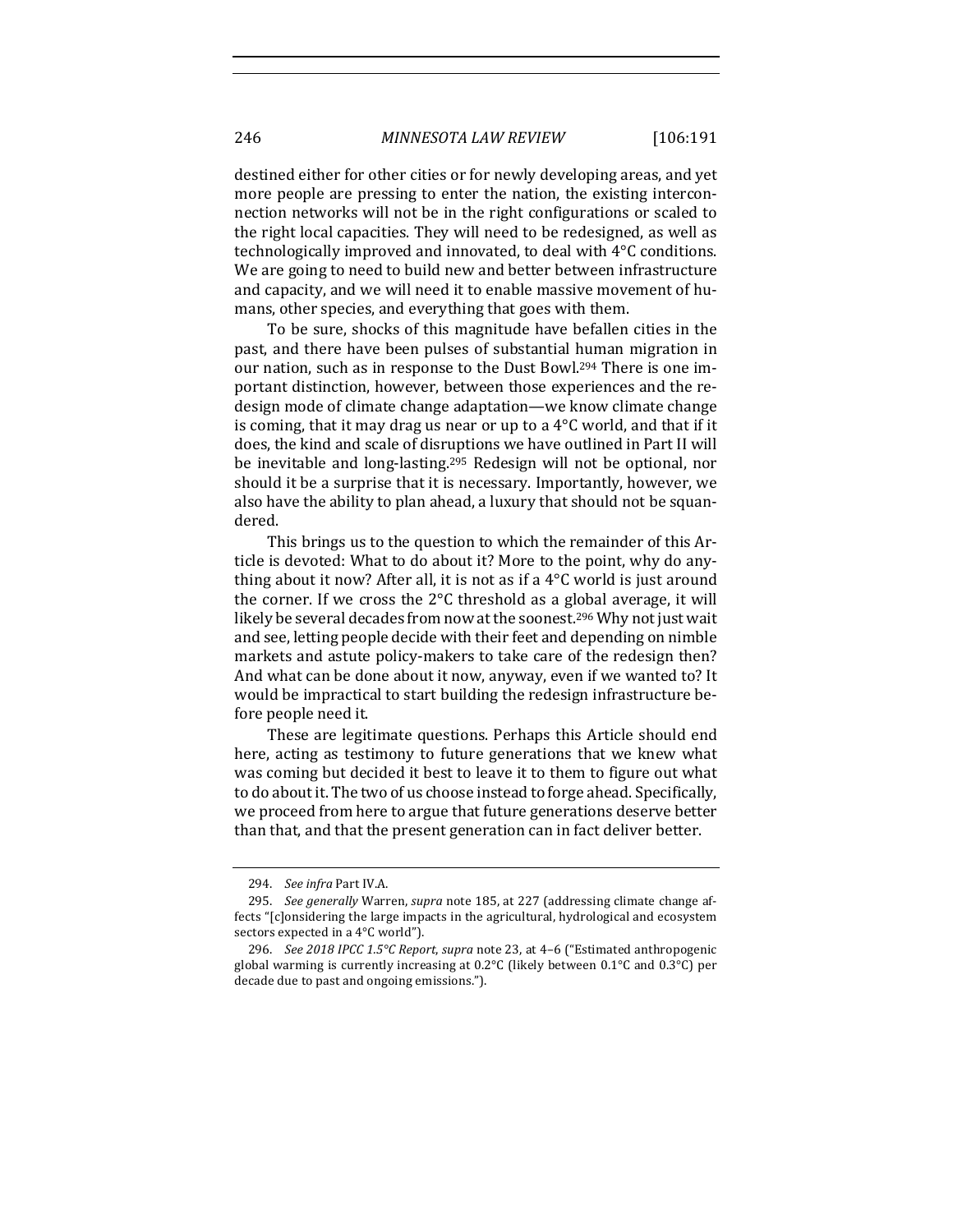destined either for other cities or for newly developing areas, and yet more people are pressing to enter the nation, the existing interconnection networks will not be in the right configurations or scaled to the right local capacities. They will need to be redesigned, as well as technologically improved and innovated, to deal with  $4^{\circ}C$  conditions. We are going to need to build new and better between infrastructure and capacity, and we will need it to enable massive movement of humans, other species, and everything that goes with them.

To be sure, shocks of this magnitude have befallen cities in the past, and there have been pulses of substantial human migration in our nation, such as in response to the Dust Bowl.<sup>294</sup> There is one important distinction, however, between those experiences and the redesign mode of climate change adaptation—we know climate change is coming, that it may drag us near or up to a  $4^{\circ}C$  world, and that if it does, the kind and scale of disruptions we have outlined in Part II will be inevitable and long-lasting.<sup>295</sup> Redesign will not be optional, nor should it be a surprise that it is necessary. Importantly, however, we also have the ability to plan ahead, a luxury that should not be squandered.

This brings us to the question to which the remainder of this Article is devoted: What to do about it? More to the point, why do anything about it now? After all, it is not as if a  $4^{\circ}$ C world is just around the corner. If we cross the  $2^{\circ}C$  threshold as a global average, it will likely be several decades from now at the soonest.<sup>296</sup> Why not just wait and see, letting people decide with their feet and depending on nimble markets and astute policy-makers to take care of the redesign then? And what can be done about it now, anyway, even if we wanted to? It would be impractical to start building the redesign infrastructure before people need it.

These are legitimate questions. Perhaps this Article should end here, acting as testimony to future generations that we knew what was coming but decided it best to leave it to them to figure out what to do about it. The two of us choose instead to forge ahead. Specifically, we proceed from here to argue that future generations deserve better than that, and that the present generation can in fact deliver better.

<sup>294.</sup> *See infra Part IV.A.* 

<sup>295.</sup> *See generally* Warren, *supra* note 185, at 227 (addressing climate change affects "[c]onsidering the large impacts in the agricultural, hydrological and ecosystem sectors expected in a 4°C world").

<sup>296.</sup> *See 2018 IPCC 1.5°C Report, supra* note 23, at 4-6 ("Estimated anthropogenic global warming is currently increasing at  $0.2$ °C (likely between  $0.1$ °C and  $0.3$ °C) per decade due to past and ongoing emissions.").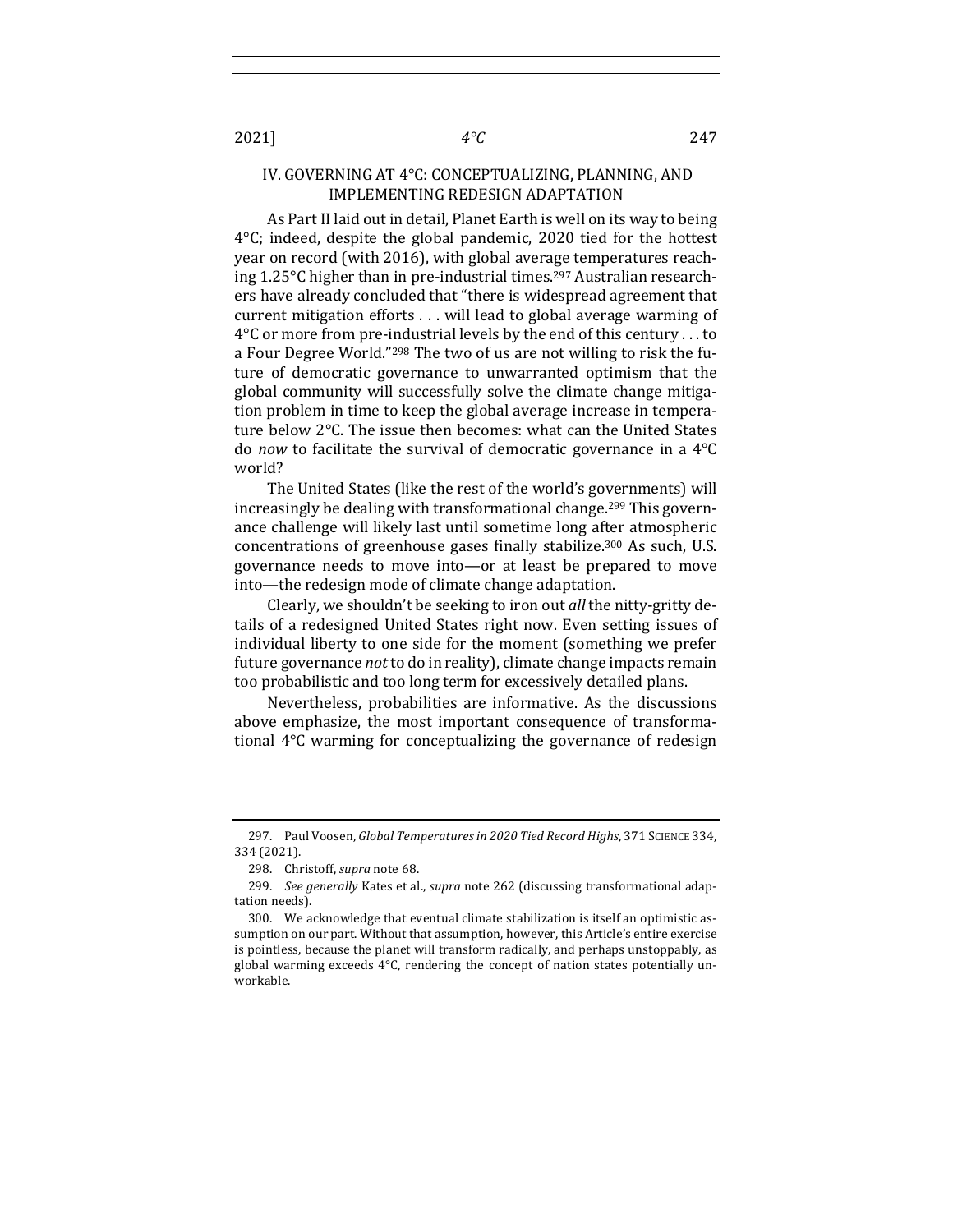## IV. GOVERNING AT 4°C: CONCEPTUALIZING, PLANNING, AND IMPLEMENTING REDESIGN ADAPTATION

As Part II laid out in detail, Planet Earth is well on its way to being  $4^{\circ}$ C; indeed, despite the global pandemic, 2020 tied for the hottest year on record (with 2016), with global average temperatures reaching  $1.25^{\circ}$ C higher than in pre-industrial times.<sup>297</sup> Australian researchers have already concluded that "there is widespread agreement that current mitigation efforts  $\dots$  will lead to global average warming of  $4^{\circ}$ C or more from pre-industrial levels by the end of this century ... to a Four Degree World."<sup>298</sup> The two of us are not willing to risk the future of democratic governance to unwarranted optimism that the global community will successfully solve the climate change mitigation problem in time to keep the global average increase in temperature below  $2^{\circ}$ C. The issue then becomes: what can the United States do *now* to facilitate the survival of democratic governance in a 4<sup>o</sup>C world?

The United States (like the rest of the world's governments) will increasingly be dealing with transformational change.<sup>299</sup> This governance challenge will likely last until sometime long after atmospheric concentrations of greenhouse gases finally stabilize.<sup>300</sup> As such, U.S. governance needs to move into—or at least be prepared to move into—the redesign mode of climate change adaptation.

Clearly, we shouldn't be seeking to iron out *all* the nitty-gritty details of a redesigned United States right now. Even setting issues of individual liberty to one side for the moment (something we prefer future governance *not* to do in reality), climate change impacts remain too probabilistic and too long term for excessively detailed plans.

Nevertheless, probabilities are informative. As the discussions above emphasize, the most important consequence of transformational  $4^{\circ}$ C warming for conceptualizing the governance of redesign

<sup>297.</sup> Paul Voosen, Global Temperatures in 2020 Tied Record Highs, 371 SCIENCE 334, 334 (2021).

<sup>298.</sup> Christoff, *supra* note 68.

<sup>299.</sup> *See generally* Kates et al., *supra* note 262 (discussing transformational adaptation needs).

<sup>300.</sup> We acknowledge that eventual climate stabilization is itself an optimistic assumption on our part. Without that assumption, however, this Article's entire exercise is pointless, because the planet will transform radically, and perhaps unstoppably, as global warming exceeds  $4^{\circ}$ C, rendering the concept of nation states potentially unworkable.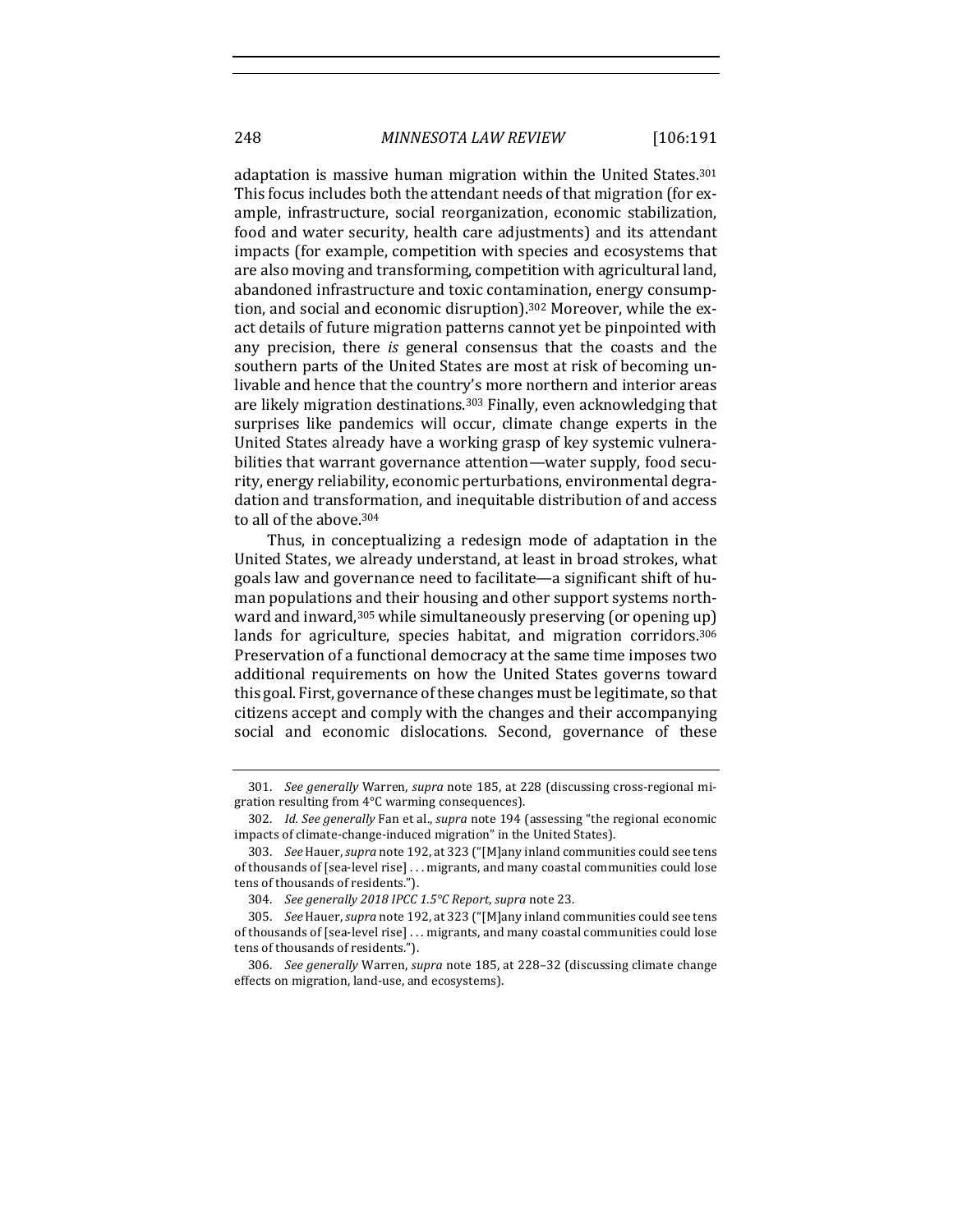adaptation is massive human migration within the United States.<sup>301</sup> This focus includes both the attendant needs of that migration (for example, infrastructure, social reorganization, economic stabilization, food and water security, health care adjustments) and its attendant impacts (for example, competition with species and ecosystems that are also moving and transforming, competition with agricultural land, abandoned infrastructure and toxic contamination, energy consumption, and social and economic disruption).<sup>302</sup> Moreover, while the exact details of future migration patterns cannot yet be pinpointed with any precision, there *is* general consensus that the coasts and the southern parts of the United States are most at risk of becoming unlivable and hence that the country's more northern and interior areas are likely migration destinations.<sup>303</sup> Finally, even acknowledging that surprises like pandemics will occur, climate change experts in the United States already have a working grasp of key systemic vulnerabilities that warrant governance attention—water supply, food security, energy reliability, economic perturbations, environmental degradation and transformation, and inequitable distribution of and access to all of the above.<sup>304</sup>

Thus, in conceptualizing a redesign mode of adaptation in the United States, we already understand, at least in broad strokes, what goals law and governance need to facilitate—a significant shift of human populations and their housing and other support systems northward and inward,  $305$  while simultaneously preserving (or opening up) lands for agriculture, species habitat, and migration corridors.<sup>306</sup> Preservation of a functional democracy at the same time imposes two additional requirements on how the United States governs toward this goal. First, governance of these changes must be legitimate, so that citizens accept and comply with the changes and their accompanying social and economic dislocations. Second, governance of these

<sup>301.</sup> *See generally* Warren, *supra* note 185, at 228 (discussing cross-regional migration resulting from 4°C warming consequences).

<sup>302.</sup> *Id. See generally* Fan et al., *supra* note 194 (assessing "the regional economic impacts of climate-change-induced migration" in the United States).

<sup>303.</sup> *See* Hauer, *supra* note 192, at 323 ("[M]any inland communities could see tens of thousands of [sea-level rise] ... migrants, and many coastal communities could lose tens of thousands of residents.").

<sup>304.</sup> *See generally 2018 IPCC 1.5°C Report*, *supra* note 23.

<sup>305.</sup> *See* Hauer, *supra* note 192, at 323 ("[M]any inland communities could see tens of thousands of [sea-level rise] ... migrants, and many coastal communities could lose tens of thousands of residents.").

<sup>306.</sup> *See generally* Warren, *supra* note 185, at 228-32 (discussing climate change effects on migration, land-use, and ecosystems).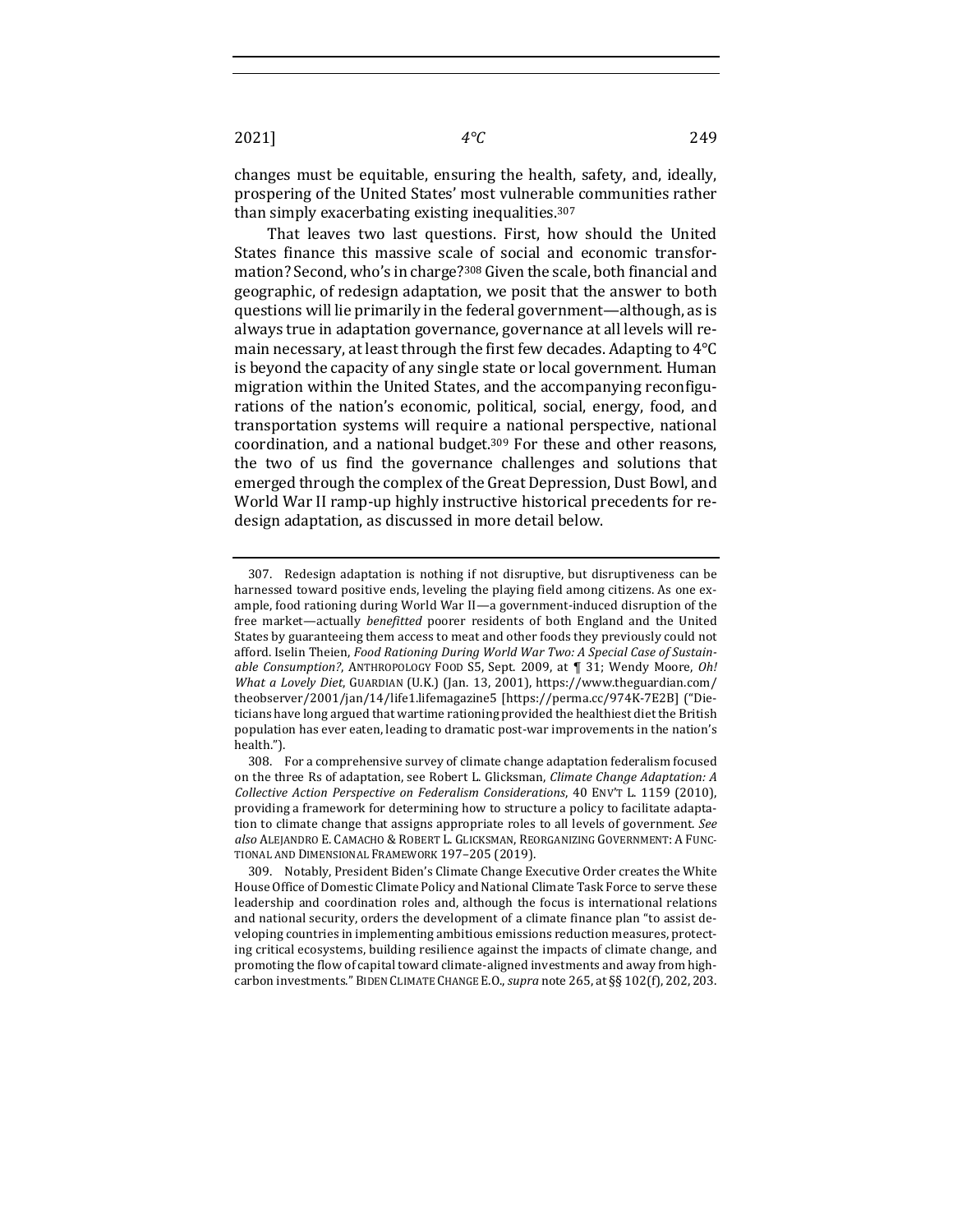2021] *4°C* 249

changes must be equitable, ensuring the health, safety, and, ideally, prospering of the United States' most vulnerable communities rather than simply exacerbating existing inequalities.<sup>307</sup>

That leaves two last questions. First, how should the United States finance this massive scale of social and economic transformation? Second, who's in charge?<sup>308</sup> Given the scale, both financial and geographic, of redesign adaptation, we posit that the answer to both questions will lie primarily in the federal government—although, as is always true in adaptation governance, governance at all levels will remain necessary, at least through the first few decades. Adapting to  $4^{\circ}C$ is beyond the capacity of any single state or local government. Human migration within the United States, and the accompanying reconfigurations of the nation's economic, political, social, energy, food, and transportation systems will require a national perspective, national coordination, and a national budget.<sup>309</sup> For these and other reasons, the two of us find the governance challenges and solutions that emerged through the complex of the Great Depression, Dust Bowl, and World War II ramp-up highly instructive historical precedents for redesign adaptation, as discussed in more detail below.

<sup>307.</sup> Redesign adaptation is nothing if not disruptive, but disruptiveness can be harnessed toward positive ends, leveling the playing field among citizens. As one example, food rationing during World War II-a government-induced disruption of the free market—actually *benefitted* poorer residents of both England and the United States by guaranteeing them access to meat and other foods they previously could not afford. Iselin Theien, *Food Rationing During World War Two: A Special Case of Sustainable Consumption?*, ANTHROPOLOGY FOOD S5, Sept. 2009, at  $\P$  31; Wendy Moore, *Oh! What a Lovely Diet*, GUARDIAN (U.K.) (Jan. 13, 2001), https://www.theguardian.com/ theobserver/2001/jan/14/life1.lifemagazine5 [https://perma.cc/974K-7E2B] ("Dieticians have long argued that wartime rationing provided the healthiest diet the British population has ever eaten, leading to dramatic post-war improvements in the nation's health.").

<sup>308.</sup> For a comprehensive survey of climate change adaptation federalism focused on the three Rs of adaptation, see Robert L. Glicksman, *Climate Change Adaptation: A Collective Action Perspective on Federalism Considerations*, 40 ENV'T L. 1159 (2010), providing a framework for determining how to structure a policy to facilitate adaptation to climate change that assigns appropriate roles to all levels of government. *See also* ALEJANDRO E. CAMACHO & ROBERT L. GLICKSMAN, REORGANIZING GOVERNMENT: A FUNC-TIONAL AND DIMENSIONAL FRAMEWORK 197-205 (2019).

<sup>309.</sup> Notably, President Biden's Climate Change Executive Order creates the White House Office of Domestic Climate Policy and National Climate Task Force to serve these leadership and coordination roles and, although the focus is international relations and national security, orders the development of a climate finance plan "to assist developing countries in implementing ambitious emissions reduction measures, protecting critical ecosystems, building resilience against the impacts of climate change, and promoting the flow of capital toward climate-aligned investments and away from highcarbon investments." BIDEN CLIMATE CHANGE E.O., *supra* note 265, at §§ 102(f), 202, 203.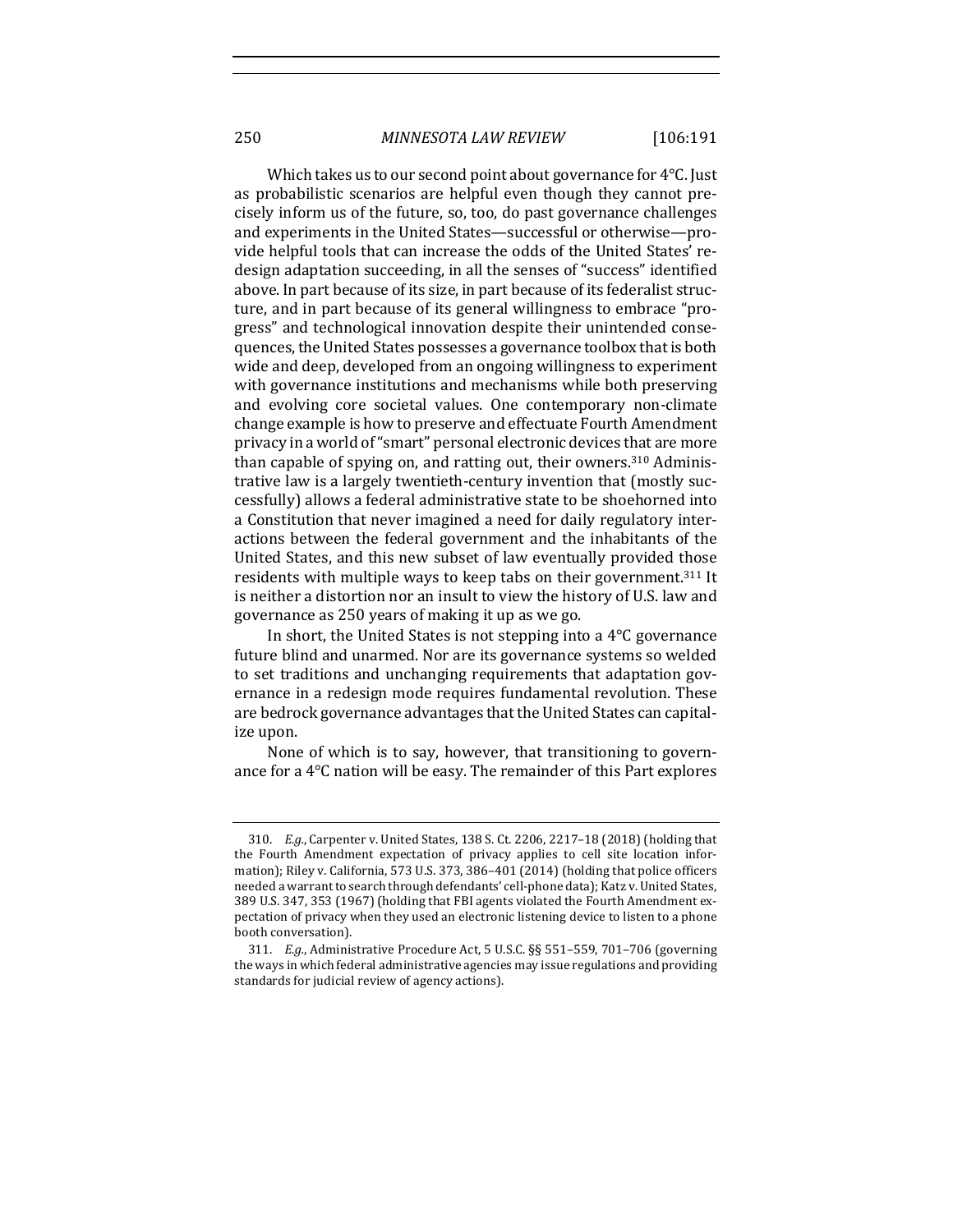Which takes us to our second point about governance for  $4^{\circ}$ C. Just as probabilistic scenarios are helpful even though they cannot precisely inform us of the future, so, too, do past governance challenges and experiments in the United States—successful or otherwise—provide helpful tools that can increase the odds of the United States' redesign adaptation succeeding, in all the senses of "success" identified above. In part because of its size, in part because of its federalist structure, and in part because of its general willingness to embrace "progress" and technological innovation despite their unintended consequences, the United States possesses a governance toolbox that is both wide and deep, developed from an ongoing willingness to experiment with governance institutions and mechanisms while both preserving and evolving core societal values. One contemporary non-climate change example is how to preserve and effectuate Fourth Amendment privacy in a world of "smart" personal electronic devices that are more than capable of spying on, and ratting out, their owners.<sup>310</sup> Administrative law is a largely twentieth-century invention that (mostly successfully) allows a federal administrative state to be shoehorned into a Constitution that never imagined a need for daily regulatory interactions between the federal government and the inhabitants of the United States, and this new subset of law eventually provided those residents with multiple ways to keep tabs on their government.<sup>311</sup> It is neither a distortion nor an insult to view the history of U.S. law and governance as 250 years of making it up as we go.

In short, the United States is not stepping into a  $4^{\circ}C$  governance future blind and unarmed. Nor are its governance systems so welded to set traditions and unchanging requirements that adaptation governance in a redesign mode requires fundamental revolution. These are bedrock governance advantages that the United States can capitalize upon.

None of which is to say, however, that transitioning to governance for a  $4^{\circ}$ C nation will be easy. The remainder of this Part explores

<sup>310.</sup> *E.g.*, Carpenter v. United States, 138 S. Ct. 2206, 2217-18 (2018) (holding that the Fourth Amendment expectation of privacy applies to cell site location information); Riley v. California, 573 U.S. 373, 386-401 (2014) (holding that police officers needed a warrant to search through defendants' cell-phone data); Katz v. United States, 389 U.S. 347, 353 (1967) (holding that FBI agents violated the Fourth Amendment expectation of privacy when they used an electronic listening device to listen to a phone booth conversation).

<sup>311.</sup> *E.g.*, Administrative Procedure Act, 5 U.S.C. §§ 551-559, 701-706 (governing the ways in which federal administrative agencies may issue regulations and providing standards for judicial review of agency actions).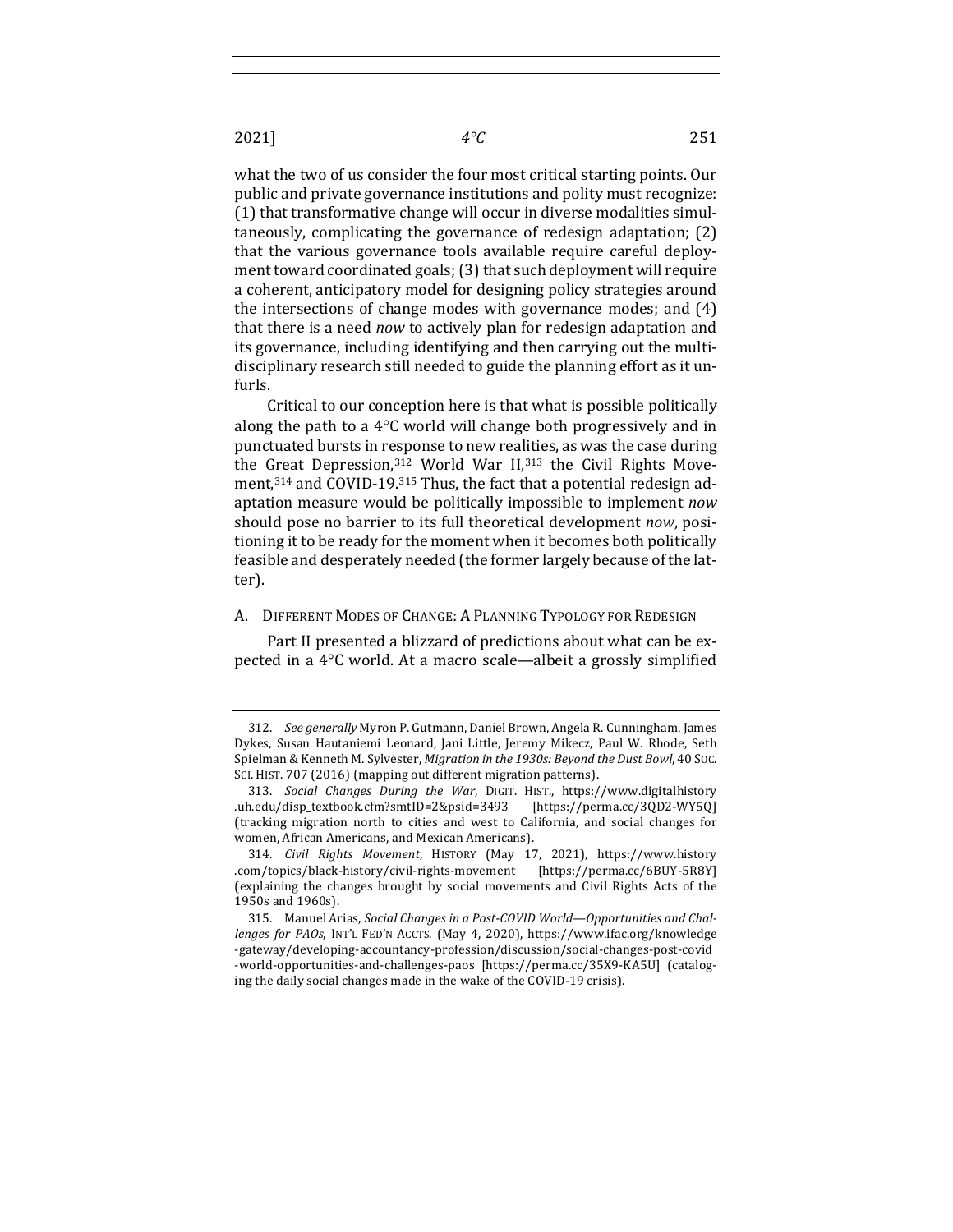what the two of us consider the four most critical starting points. Our public and private governance institutions and polity must recognize: (1) that transformative change will occur in diverse modalities simul $taneously,$  complicating the governance of redesign adaptation;  $(2)$ that the various governance tools available require careful deployment toward coordinated goals;  $(3)$  that such deployment will require a coherent, anticipatory model for designing policy strategies around the intersections of change modes with governance modes; and  $(4)$ that there is a need *now* to actively plan for redesign adaptation and its governance, including identifying and then carrying out the multidisciplinary research still needed to guide the planning effort as it unfurls.

Critical to our conception here is that what is possible politically along the path to a  $4^{\circ}$ C world will change both progressively and in punctuated bursts in response to new realities, as was the case during the Great Depression,  $312$  World War II,  $313$  the Civil Rights Movement, $314$  and COVID-19. $315$  Thus, the fact that a potential redesign adaptation measure would be politically impossible to implement *now* should pose no barrier to its full theoretical development *now*, positioning it to be ready for the moment when it becomes both politically feasible and desperately needed (the former largely because of the latter).

## A. DIFFERENT MODES OF CHANGE: A PLANNING TYPOLOGY FOR REDESIGN

Part II presented a blizzard of predictions about what can be expected in a  $4^{\circ}$ C world. At a macro scale—albeit a grossly simplified

<sup>312.</sup> *See generally* Myron P. Gutmann, Daniel Brown, Angela R. Cunningham, James Dykes, Susan Hautaniemi Leonard, Jani Little, Jeremy Mikecz, Paul W. Rhode, Seth Spielman & Kenneth M. Sylvester, *Migration in the 1930s: Beyond the Dust Bowl*, 40 Soc. SCI. HIST. 707 (2016) (mapping out different migration patterns).

<sup>313.</sup> *Social Changes During the War*, DIGIT. HIST., https://www.digitalhistory .uh.edu/disp\_textbook.cfm?smtID=2&psid=3493 [https://perma.cc/3QD2-WY5Q] (tracking migration north to cities and west to California, and social changes for women, African Americans, and Mexican Americans).

<sup>314.</sup> *Civil Rights Movement*, HISTORY (May 17, 2021), https://www.history .com/topics/black-history/civil-rights-movement [https://perma.cc/6BUY-5R8Y] (explaining the changes brought by social movements and Civil Rights Acts of the 1950s and 1960s).

<sup>315.</sup> Manuel Arias, *Social Changes in a Post-COVID World—Opportunities and Challenges for PAOs*, INT'L FED'N ACCTS. (May 4, 2020), https://www.ifac.org/knowledge -gateway/developing-accountancy-profession/discussion/social-changes-post-covid -world-opportunities-and-challenges-paos [https://perma.cc/35X9-KA5U] (cataloging the daily social changes made in the wake of the COVID-19 crisis).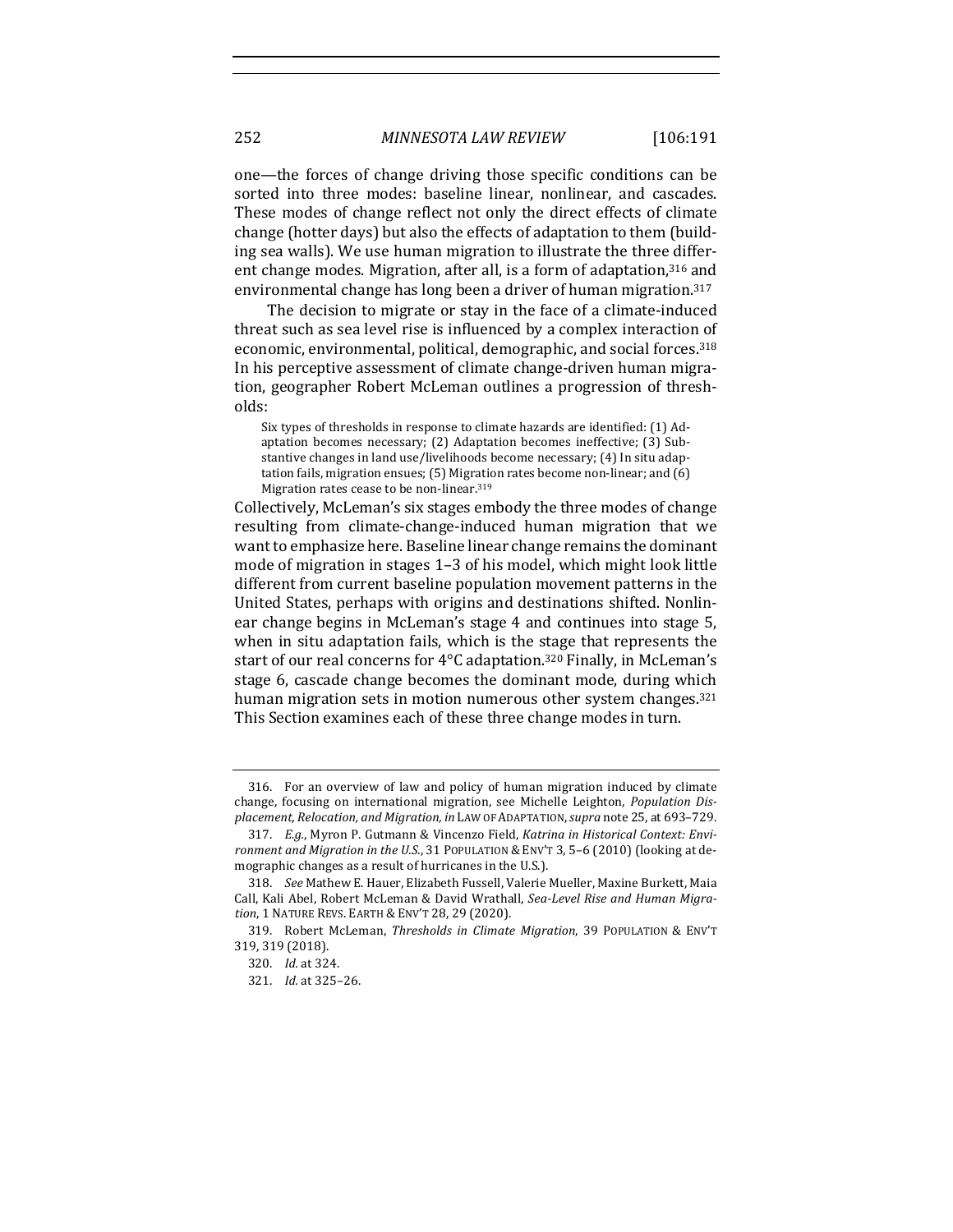one—the forces of change driving those specific conditions can be sorted into three modes: baseline linear, nonlinear, and cascades. These modes of change reflect not only the direct effects of climate change (hotter days) but also the effects of adaptation to them (building sea walls). We use human migration to illustrate the three different change modes. Migration, after all, is a form of adaptation,<sup>316</sup> and environmental change has long been a driver of human migration.<sup>317</sup>

The decision to migrate or stay in the face of a climate-induced threat such as sea level rise is influenced by a complex interaction of economic, environmental, political, demographic, and social forces.<sup>318</sup> In his perceptive assessment of climate change-driven human migration, geographer Robert McLeman outlines a progression of thresholds:

Six types of thresholds in response to climate hazards are identified: (1) Adaptation becomes necessary; (2) Adaptation becomes ineffective; (3) Substantive changes in land use/livelihoods become necessary; (4) In situ adaptation fails, migration ensues;  $(5)$  Migration rates become non-linear; and  $(6)$ Migration rates cease to be non-linear.<sup>319</sup>

Collectively, McLeman's six stages embody the three modes of change resulting from climate-change-induced human migration that we want to emphasize here. Baseline linear change remains the dominant mode of migration in stages  $1-3$  of his model, which might look little different from current baseline population movement patterns in the United States, perhaps with origins and destinations shifted. Nonlinear change begins in McLeman's stage 4 and continues into stage 5, when in situ adaptation fails, which is the stage that represents the start of our real concerns for 4°C adaptation.<sup>320</sup> Finally, in McLeman's stage 6, cascade change becomes the dominant mode, during which human migration sets in motion numerous other system changes.<sup>321</sup> This Section examines each of these three change modes in turn.

<sup>316.</sup> For an overview of law and policy of human migration induced by climate change, focusing on international migration, see Michelle Leighton, *Population Displacement, Relocation, and Migration, in* LAW OF ADAPTATION, *supra* note 25, at 693–729.

<sup>317.</sup> E.g., Myron P. Gutmann & Vincenzo Field, *Katrina in Historical Context: Environment and Migration in the U.S.*, 31 POPULATION & ENV'T 3, 5–6 (2010) (looking at demographic changes as a result of hurricanes in the U.S.).

<sup>318.</sup> *See* Mathew E. Hauer, Elizabeth Fussell, Valerie Mueller, Maxine Burkett, Maia Call, Kali Abel, Robert McLeman & David Wrathall, *Sea-Level Rise and Human Migra*tion, 1 NATURE REVS. EARTH & ENV'T 28, 29 (2020).

<sup>319.</sup> Robert McLeman, *Thresholds in Climate Migration*, 39 POPULATION & ENV'T 319, 319 (2018).

<sup>320.</sup> *Id.* at 324.

<sup>321.</sup> *Id.* at 325–26.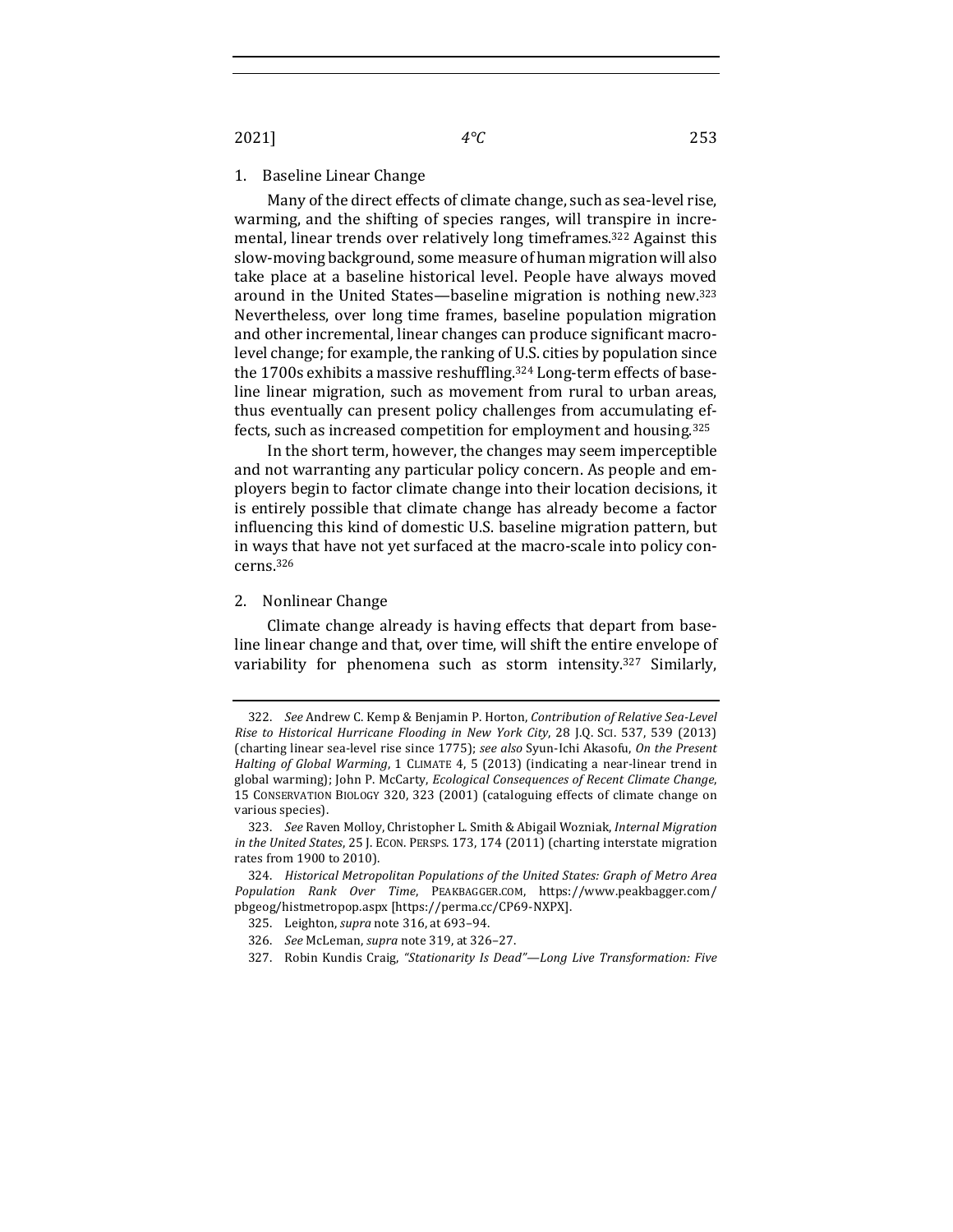2021] *4°C* 253

### 1. Baseline Linear Change

Many of the direct effects of climate change, such as sea-level rise, warming, and the shifting of species ranges, will transpire in incremental, linear trends over relatively long timeframes.<sup>322</sup> Against this slow-moving background, some measure of human migration will also take place at a baseline historical level. People have always moved around in the United States—baseline migration is nothing new. $323$ Nevertheless, over long time frames, baseline population migration and other incremental, linear changes can produce significant macrolevel change; for example, the ranking of U.S. cities by population since the 1700s exhibits a massive reshuffling.<sup>324</sup> Long-term effects of baseline linear migration, such as movement from rural to urban areas, thus eventually can present policy challenges from accumulating effects, such as increased competition for employment and housing.<sup>325</sup>

In the short term, however, the changes may seem imperceptible and not warranting any particular policy concern. As people and employers begin to factor climate change into their location decisions, it is entirely possible that climate change has already become a factor influencing this kind of domestic U.S. baseline migration pattern, but in ways that have not yet surfaced at the macro-scale into policy concerns.326

# 2. Nonlinear Change

Climate change already is having effects that depart from baseline linear change and that, over time, will shift the entire envelope of variability for phenomena such as storm intensity.<sup>327</sup> Similarly,

327. Robin Kundis Craig, "Stationarity Is Dead"-Long Live Transformation: Five

<sup>322.</sup> *See* Andrew C. Kemp & Benjamin P. Horton, *Contribution of Relative Sea-Level* Rise to Historical Hurricane Flooding in New York City, 28 J.Q. SCI. 537, 539 (2013) (charting linear sea-level rise since 1775); see also Syun-Ichi Akasofu, On the Present *Halting of Global Warming*, 1 CLIMATE 4, 5 (2013) (indicating a near-linear trend in global warming); John P. McCarty, *Ecological Consequences of Recent Climate Change*, 15 CONSERVATION BIOLOGY 320, 323 (2001) (cataloguing effects of climate change on various species).

<sup>323.</sup> *See* Raven Molloy, Christopher L. Smith & Abigail Wozniak, *Internal Migration in the United States*, 25 J. ECON. PERSPS. 173, 174 (2011) (charting interstate migration rates from 1900 to 2010).

<sup>324.</sup> *Historical Metropolitan Populations of the United States: Graph of Metro Area Population Rank Over Time*, PEAKBAGGER.COM, https://www.peakbagger.com/ pbgeog/histmetropop.aspx [https://perma.cc/CP69-NXPX]. 

<sup>325.</sup> Leighton, *supra* note 316, at 693-94.

<sup>326.</sup> *See* McLeman, *supra* note 319, at 326-27.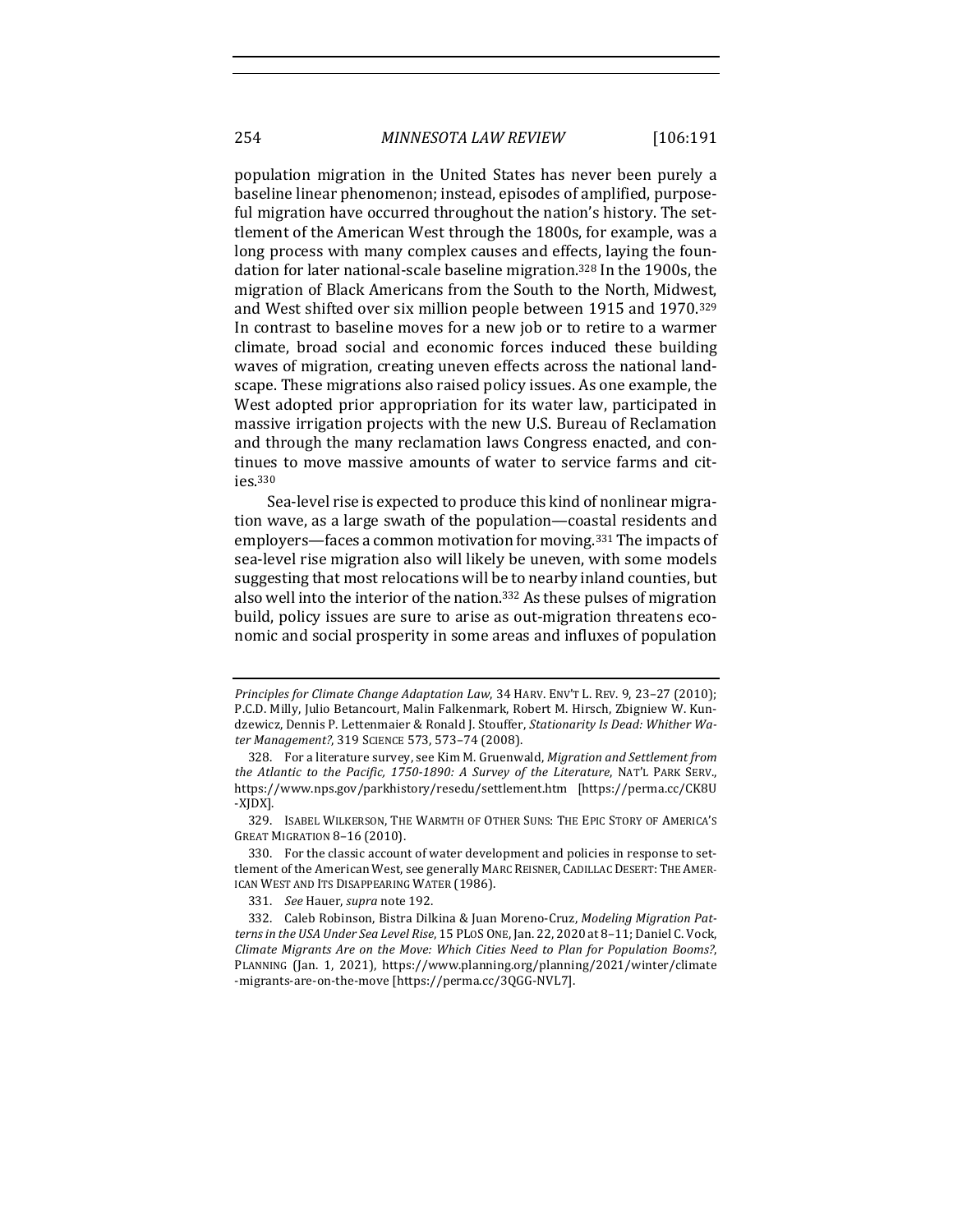population migration in the United States has never been purely a baseline linear phenomenon; instead, episodes of amplified, purposeful migration have occurred throughout the nation's history. The settlement of the American West through the 1800s, for example, was a long process with many complex causes and effects, laying the foundation for later national-scale baseline migration.<sup>328</sup> In the 1900s, the migration of Black Americans from the South to the North, Midwest, and West shifted over six million people between 1915 and 1970.<sup>329</sup> In contrast to baseline moves for a new job or to retire to a warmer climate, broad social and economic forces induced these building waves of migration, creating uneven effects across the national landscape. These migrations also raised policy issues. As one example, the West adopted prior appropriation for its water law, participated in massive irrigation projects with the new U.S. Bureau of Reclamation and through the many reclamation laws Congress enacted, and continues to move massive amounts of water to service farms and cities.330

Sea-level rise is expected to produce this kind of nonlinear migration wave, as a large swath of the population—coastal residents and employers—faces a common motivation for moving.<sup>331</sup> The impacts of sea-level rise migration also will likely be uneven, with some models suggesting that most relocations will be to nearby inland counties, but also well into the interior of the nation.<sup>332</sup> As these pulses of migration build, policy issues are sure to arise as out-migration threatens economic and social prosperity in some areas and influxes of population

329. ISABEL WILKERSON, THE WARMTH OF OTHER SUNS: THE EPIC STORY OF AMERICA'S GREAT MIGRATION 8-16 (2010).

330. For the classic account of water development and policies in response to settlement of the American West, see generally MARC REISNER, CADILLAC DESERT: THE AMER-ICAN WEST AND ITS DISAPPEARING WATER (1986).

331. *See* Hauer, *supra* note 192.

*Principles for Climate Change Adaptation Law,* 34 HARV. ENV'T L. REV. 9, 23-27 (2010); P.C.D. Milly, Julio Betancourt, Malin Falkenmark, Robert M. Hirsch, Zbigniew W. Kundzewicz, Dennis P. Lettenmaier & Ronald J. Stouffer, *Stationarity Is Dead: Whither Water Management?*, 319 SCIENCE 573, 573–74 (2008).

<sup>328.</sup> For a literature survey, see Kim M. Gruenwald, *Migration and Settlement from the Atlantic to the Pacific, 1750-1890: A Survey of the Literature*, NAT'L PARK SERV., https://www.nps.gov/parkhistory/resedu/settlement.htm [https://perma.cc/CK8U -XJDX]. 

<sup>332.</sup> Caleb Robinson, Bistra Dilkina & Juan Moreno-Cruz, *Modeling Migration Pat*terns in the USA Under Sea Level Rise, 15 PLOS ONE, Jan. 22, 2020 at 8-11; Daniel C. Vock, *Climate Migrants Are on the Move: Which Cities Need to Plan for Population Booms?*, PLANNING (Jan. 1, 2021), https://www.planning.org/planning/2021/winter/climate -migrants-are-on-the-move [https://perma.cc/3QGG-NVL7].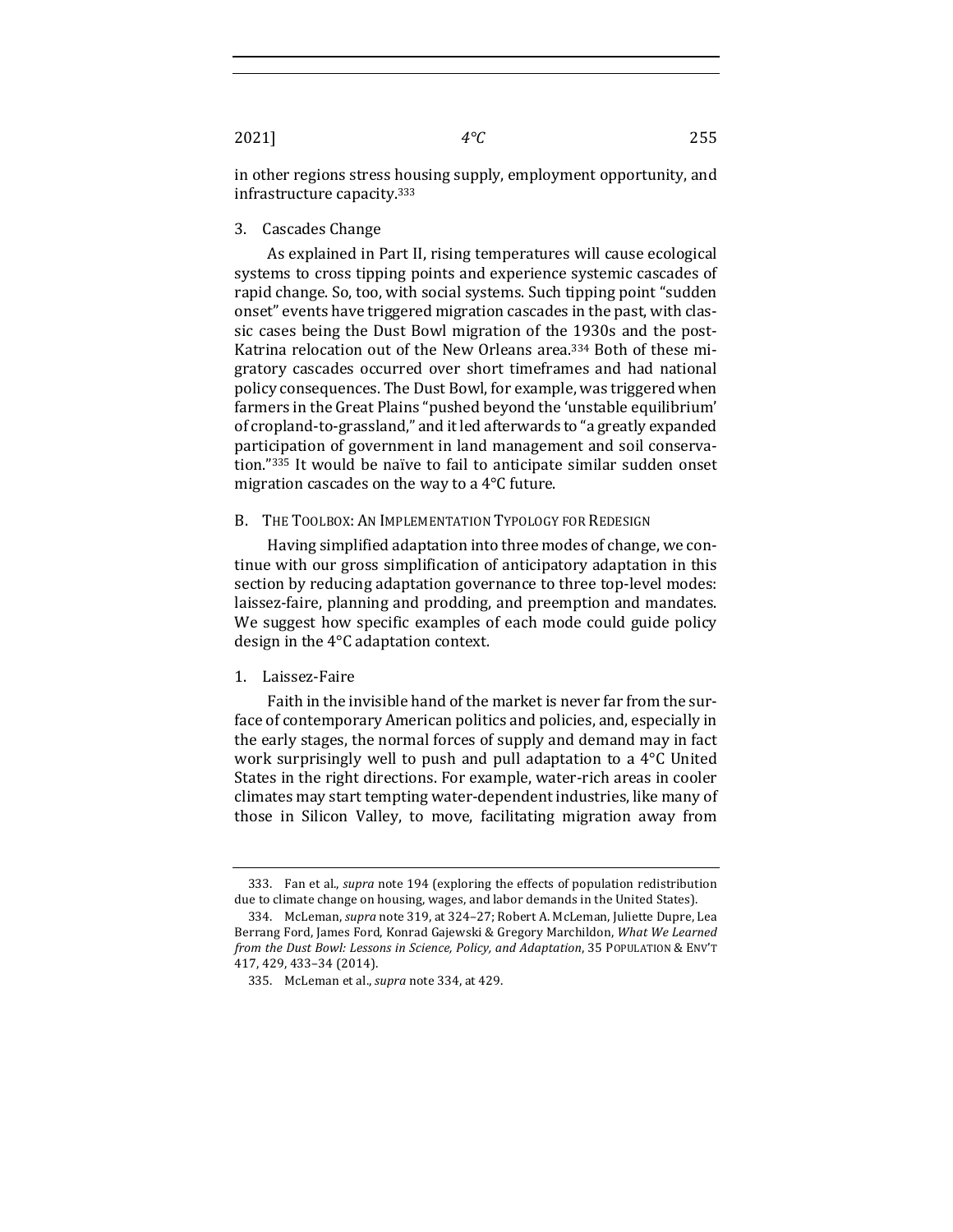2021] *4°C* 255

in other regions stress housing supply, employment opportunity, and infrastructure capacity. $333$ 

3. Cascades Change

As explained in Part II, rising temperatures will cause ecological systems to cross tipping points and experience systemic cascades of rapid change. So, too, with social systems. Such tipping point "sudden onset" events have triggered migration cascades in the past, with classic cases being the Dust Bowl migration of the 1930s and the post-Katrina relocation out of the New Orleans area.<sup>334</sup> Both of these migratory cascades occurred over short timeframes and had national policy consequences. The Dust Bowl, for example, was triggered when farmers in the Great Plains "pushed beyond the 'unstable equilibrium' of cropland-to-grassland," and it led afterwards to "a greatly expanded participation of government in land management and soil conservation."335 It would be naïve to fail to anticipate similar sudden onset migration cascades on the way to a  $4^{\circ}$ C future.

#### B. THE TOOLBOX: AN IMPLEMENTATION TYPOLOGY FOR REDESIGN

Having simplified adaptation into three modes of change, we continue with our gross simplification of anticipatory adaptation in this section by reducing adaptation governance to three top-level modes: laissez-faire, planning and prodding, and preemption and mandates. We suggest how specific examples of each mode could guide policy design in the  $4^{\circ}$ C adaptation context.

# 1. Laissez-Faire

Faith in the invisible hand of the market is never far from the surface of contemporary American politics and policies, and, especially in the early stages, the normal forces of supply and demand may in fact work surprisingly well to push and pull adaptation to a  $4^{\circ}$ C United States in the right directions. For example, water-rich areas in cooler climates may start tempting water-dependent industries, like many of those in Silicon Valley, to move, facilitating migration away from

<sup>333.</sup> Fan et al., *supra* note 194 (exploring the effects of population redistribution due to climate change on housing, wages, and labor demands in the United States).

<sup>334.</sup> McLeman, *supra* note 319, at 324-27; Robert A. McLeman, Juliette Dupre, Lea Berrang Ford, James Ford, Konrad Gajewski & Gregory Marchildon, *What We Learned from the Dust Bowl: Lessons in Science, Policy, and Adaptation, 35 POPULATION & ENV'T* 417, 429, 433–34 (2014).

<sup>335.</sup> McLeman et al., *supra* note 334, at 429.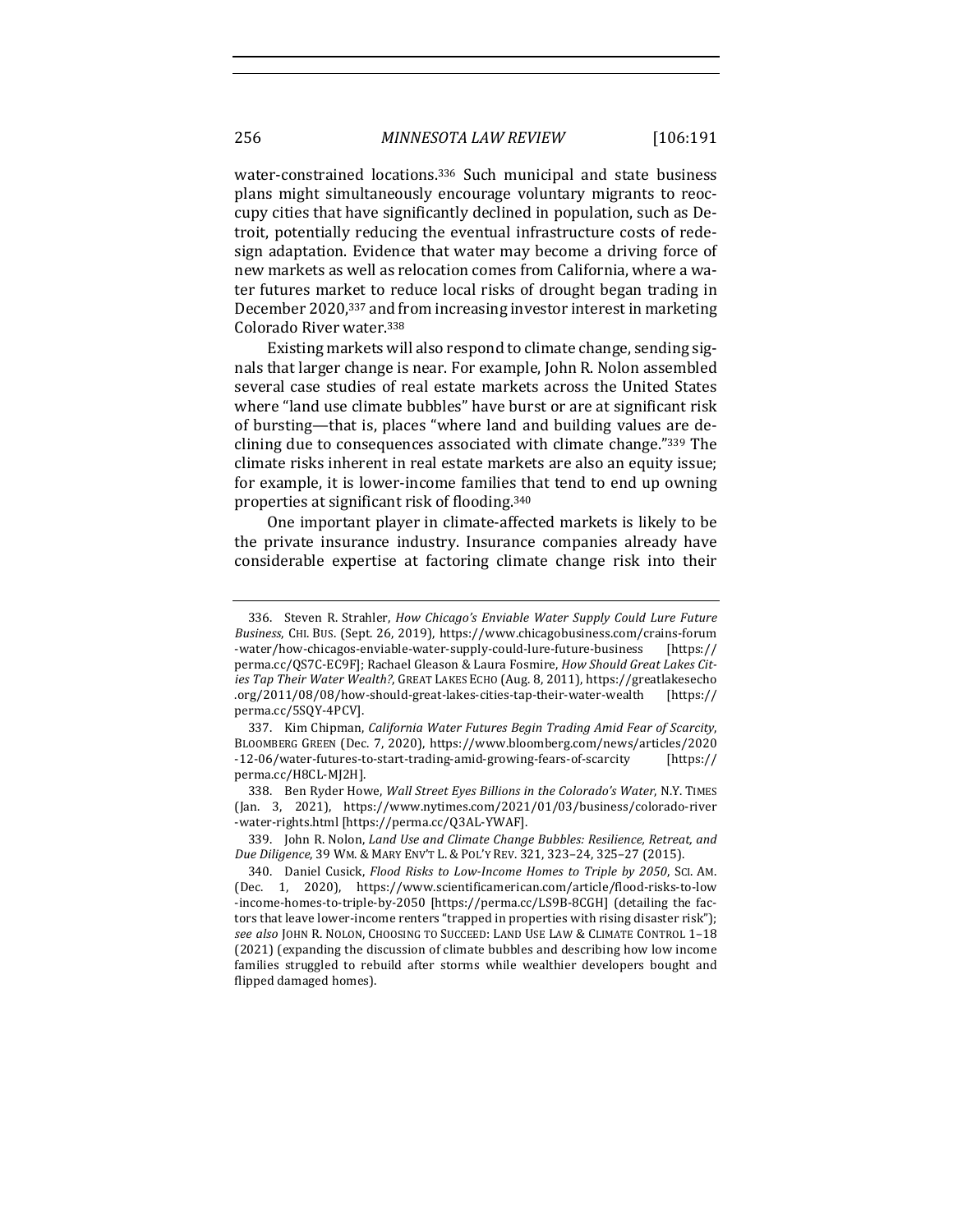water-constrained locations.<sup>336</sup> Such municipal and state business plans might simultaneously encourage voluntary migrants to reoccupy cities that have significantly declined in population, such as Detroit, potentially reducing the eventual infrastructure costs of redesign adaptation. Evidence that water may become a driving force of new markets as well as relocation comes from California, where a water futures market to reduce local risks of drought began trading in December 2020,<sup>337</sup> and from increasing investor interest in marketing Colorado River water.<sup>338</sup>

Existing markets will also respond to climate change, sending signals that larger change is near. For example, John R. Nolon assembled several case studies of real estate markets across the United States where "land use climate bubbles" have burst or are at significant risk of bursting—that is, places "where land and building values are declining due to consequences associated with climate change."339 The climate risks inherent in real estate markets are also an equity issue; for example, it is lower-income families that tend to end up owning properties at significant risk of flooding.<sup>340</sup>

One important player in climate-affected markets is likely to be the private insurance industry. Insurance companies already have considerable expertise at factoring climate change risk into their

<sup>336.</sup> Steven R. Strahler, *How Chicago's Enviable Water Supply Could Lure Future* Business, CHI. BUS. (Sept. 26, 2019), https://www.chicagobusiness.com/crains-forum -water/how-chicagos-enviable-water-supply-could-lure-future-business [https:// perma.cc/QS7C-EC9F]; Rachael Gleason & Laura Fosmire, *How Should Great Lakes Cit*ies Tap Their Water Wealth?, GREAT LAKES ECHO (Aug. 8, 2011), https://greatlakesecho .org/2011/08/08/how-should-great-lakes-cities-tap-their-water-wealth [https:// perma.cc/5SQY-4PCV].

<sup>337.</sup> Kim Chipman, *California Water Futures Begin Trading Amid Fear of Scarcity*, BLOOMBERG GREEN (Dec. 7, 2020), https://www.bloomberg.com/news/articles/2020 -12-06/water-futures-to-start-trading-amid-growing-fears-of-scarcity [https:// perma.cc/H8CL-MJ2H]. 

<sup>338.</sup> Ben Ryder Howe, *Wall Street Eyes Billions in the Colorado's Water*, N.Y. TIMES (Jan. 3, 2021), https://www.nytimes.com/2021/01/03/business/colorado-river -water-rights.html [https://perma.cc/Q3AL-YWAF].

<sup>339.</sup> John R. Nolon, *Land Use and Climate Change Bubbles: Resilience, Retreat, and Due Diligence*, 39 WM. & MARY ENV'T L. & POL'Y REV. 321, 323–24, 325–27 (2015). 

<sup>340.</sup> Daniel Cusick, *Flood Risks to Low-Income Homes to Triple by 2050*, SCI. AM. (Dec. 1, 2020), https://www.scientificamerican.com/article/flood-risks-to-low -income-homes-to-triple-by-2050 [https://perma.cc/LS9B-8CGH] (detailing the factors that leave lower-income renters "trapped in properties with rising disaster risk"); *see also* JOHN R. NOLON, CHOOSING TO SUCCEED: LAND USE LAW & CLIMATE CONTROL 1–18 (2021) (expanding the discussion of climate bubbles and describing how low income families struggled to rebuild after storms while wealthier developers bought and flipped damaged homes).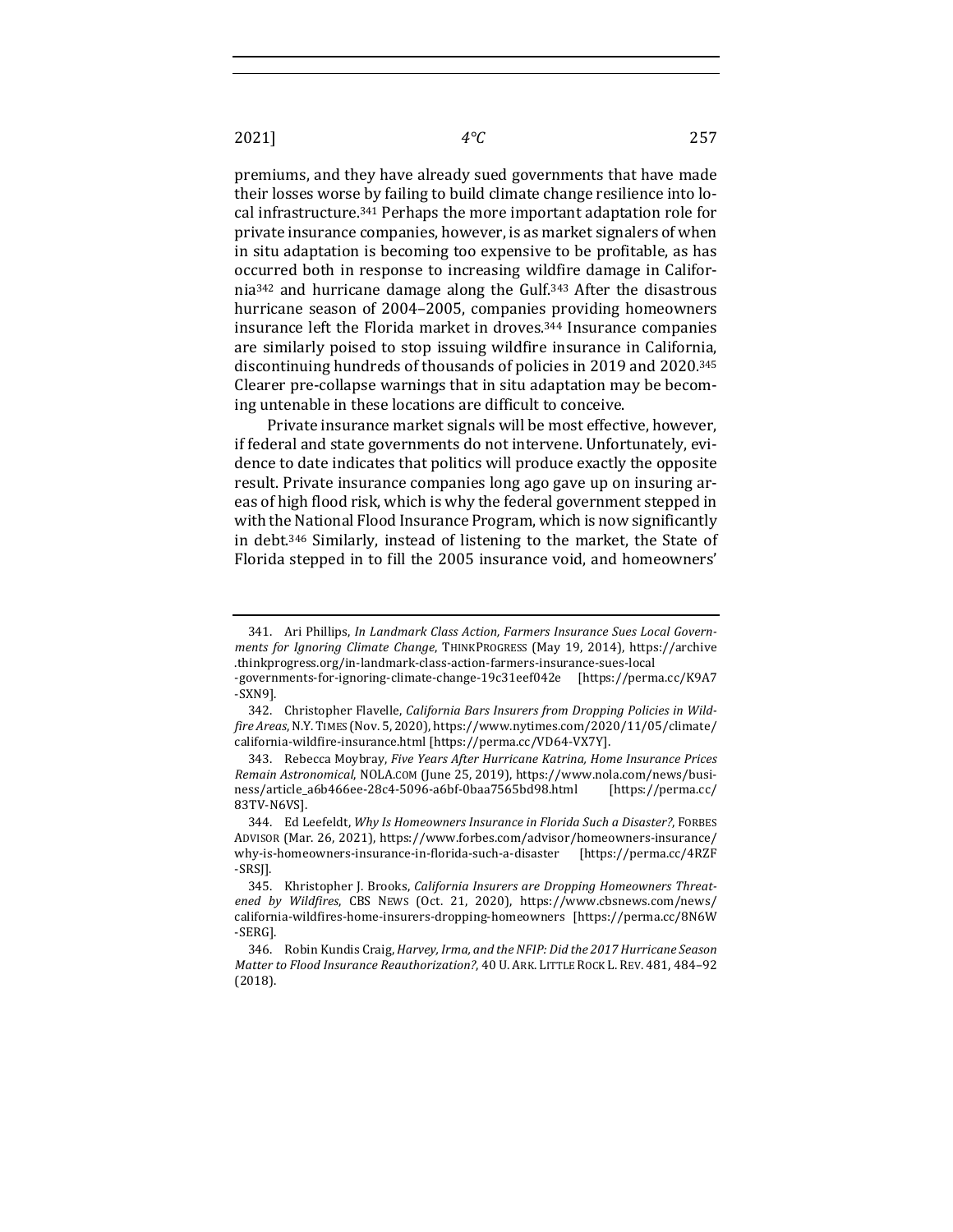premiums, and they have already sued governments that have made their losses worse by failing to build climate change resilience into local infrastructure.<sup>341</sup> Perhaps the more important adaptation role for private insurance companies, however, is as market signalers of when in situ adaptation is becoming too expensive to be profitable, as has occurred both in response to increasing wildfire damage in California<sup>342</sup> and hurricane damage along the Gulf.<sup>343</sup> After the disastrous hurricane season of 2004–2005, companies providing homeowners insurance left the Florida market in droves.<sup>344</sup> Insurance companies are similarly poised to stop issuing wildfire insurance in California, discontinuing hundreds of thousands of policies in 2019 and 2020.<sup>345</sup> Clearer pre-collapse warnings that in situ adaptation may be becoming untenable in these locations are difficult to conceive.

Private insurance market signals will be most effective, however, if federal and state governments do not intervene. Unfortunately, evidence to date indicates that politics will produce exactly the opposite result. Private insurance companies long ago gave up on insuring areas of high flood risk, which is why the federal government stepped in with the National Flood Insurance Program, which is now significantly in debt. $346$  Similarly, instead of listening to the market, the State of Florida stepped in to fill the 2005 insurance void, and homeowners'

<sup>341.</sup> Ari Phillips, *In Landmark Class Action, Farmers Insurance Sues Local Governments for Ignoring Climate Change*, THINKPROGRESS (May 19, 2014), https://archive .thinkprogress.org/in-landmark-class-action-farmers-insurance-sues-local

<sup>-</sup>governments-for-ignoring-climate-change-19c31eef042e [https://perma.cc/K9A7 -SXN9].

<sup>342.</sup> Christopher Flavelle, *California Bars Insurers from Dropping Policies in Wildfire Areas*, N.Y.TIMES (Nov. 5, 2020), https://www.nytimes.com/2020/11/05/climate/ california-wildfire-insurance.html [https://perma.cc/VD64-VX7Y].

<sup>343.</sup> Rebecca Moybray, *Five Years After Hurricane Katrina, Home Insurance Prices Remain Astronomical, NOLA.COM (June 25, 2019), https://www.nola.com/news/busi*ness/article\_a6b466ee-28c4-5096-a6bf-0baa7565bd98.html [https://perma.cc/ 83TV-N6VS].

<sup>344.</sup> Ed Leefeldt, *Why Is Homeowners Insurance in Florida Such a Disaster?*, FORBES ADVISOR (Mar. 26, 2021), https://www.forbes.com/advisor/homeowners-insurance/ why-is-homeowners-insurance-in-florida-such-a-disaster [https://perma.cc/4RZF -SRSJ]. 

<sup>345.</sup> Khristopher J. Brooks, *California Insurers are Dropping Homeowners Threat*ened by Wildfires, CBS NEWS (Oct. 21, 2020), https://www.cbsnews.com/news/ california-wildfires-home-insurers-dropping-homeowners [https://perma.cc/8N6W -SERG]. 

<sup>346.</sup> Robin Kundis Craig, *Harvey, Irma, and the NFIP: Did the 2017 Hurricane Season Matter to Flood Insurance Reauthorization?*, 40 U. ARK. LITTLE ROCK L. REV. 481, 484-92 (2018).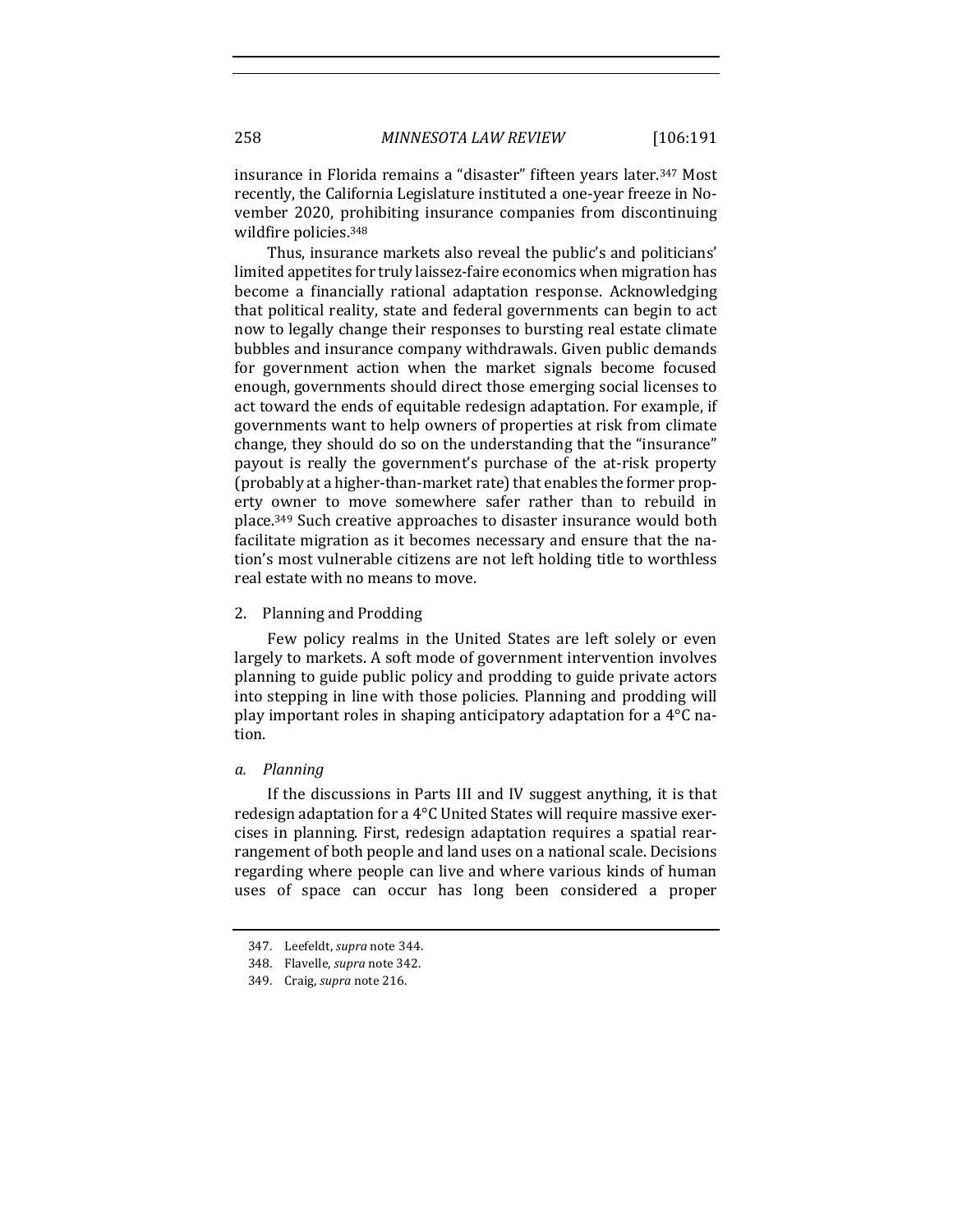insurance in Florida remains a "disaster" fifteen years later.<sup>347</sup> Most recently, the California Legislature instituted a one-year freeze in November 2020, prohibiting insurance companies from discontinuing wildfire policies.<sup>348</sup>

Thus, insurance markets also reveal the public's and politicians' limited appetites for truly laissez-faire economics when migration has become a financially rational adaptation response. Acknowledging that political reality, state and federal governments can begin to act now to legally change their responses to bursting real estate climate bubbles and insurance company withdrawals. Given public demands for government action when the market signals become focused enough, governments should direct those emerging social licenses to act toward the ends of equitable redesign adaptation. For example, if governments want to help owners of properties at risk from climate change, they should do so on the understanding that the "insurance" payout is really the government's purchase of the at-risk property (probably at a higher-than-market rate) that enables the former property owner to move somewhere safer rather than to rebuild in place.<sup>349</sup> Such creative approaches to disaster insurance would both facilitate migration as it becomes necessary and ensure that the nation's most vulnerable citizens are not left holding title to worthless real estate with no means to move.

## 2. Planning and Prodding

Few policy realms in the United States are left solely or even largely to markets. A soft mode of government intervention involves planning to guide public policy and prodding to guide private actors into stepping in line with those policies. Planning and prodding will play important roles in shaping anticipatory adaptation for a  $4^{\circ}C$  nation.

## *a. Planning*

If the discussions in Parts III and IV suggest anything, it is that redesign adaptation for a 4°C United States will require massive exercises in planning. First, redesign adaptation requires a spatial rearrangement of both people and land uses on a national scale. Decisions regarding where people can live and where various kinds of human uses of space can occur has long been considered a proper

<sup>347.</sup> Leefeldt, *supra* note 344.

<sup>348.</sup> Flavelle, *supra* note 342.

<sup>349.</sup> Craig, *supra* note 216.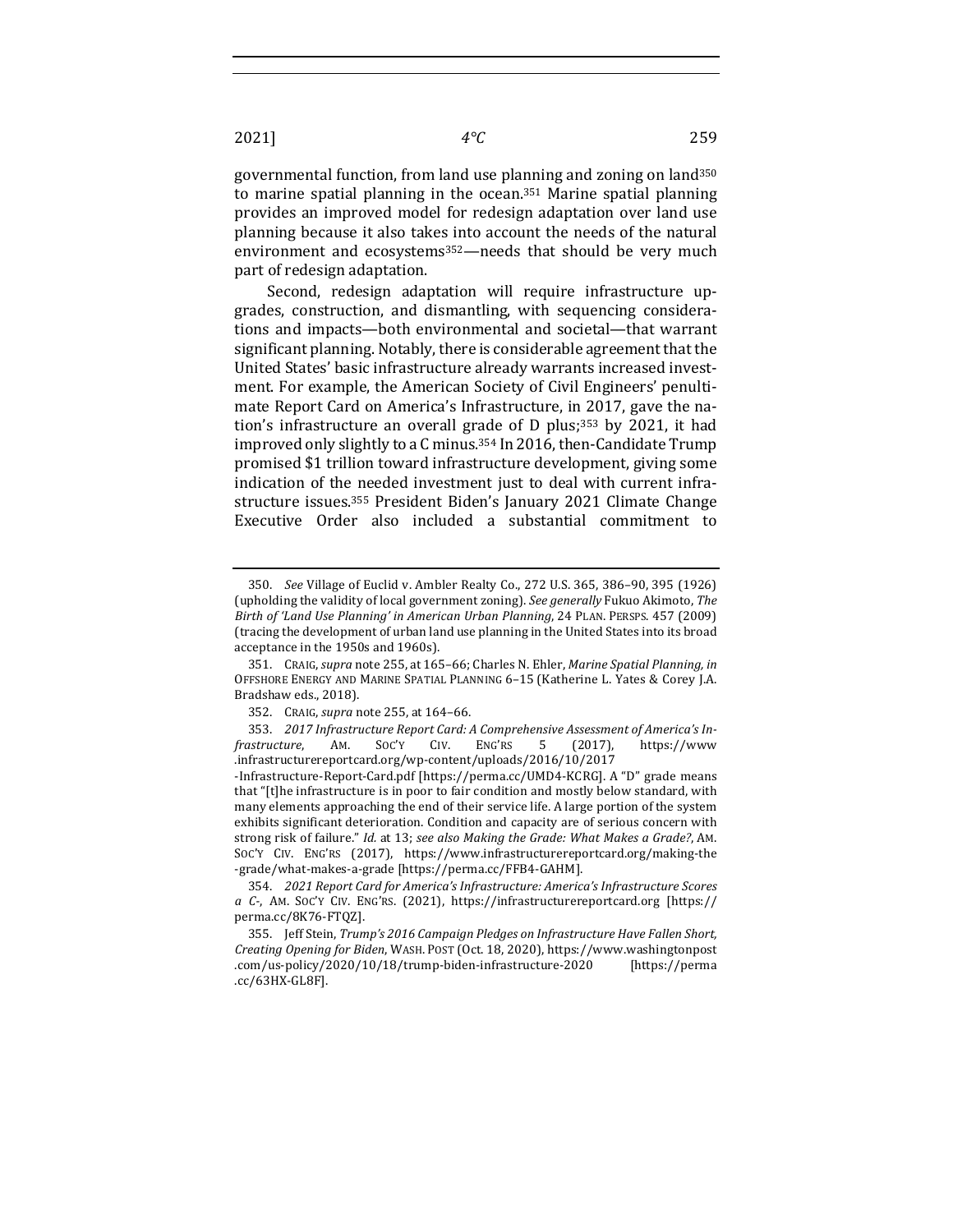governmental function, from land use planning and zoning on land<sup>350</sup> to marine spatial planning in the ocean.<sup>351</sup> Marine spatial planning provides an improved model for redesign adaptation over land use planning because it also takes into account the needs of the natural environment and ecosystems<sup>352</sup>—needs that should be very much part of redesign adaptation.

Second, redesign adaptation will require infrastructure upgrades, construction, and dismantling, with sequencing considerations and impacts—both environmental and societal—that warrant significant planning. Notably, there is considerable agreement that the United States' basic infrastructure already warrants increased investment. For example, the American Society of Civil Engineers' penultimate Report Card on America's Infrastructure, in 2017, gave the nation's infrastructure an overall grade of D plus;<sup>353</sup> by 2021, it had improved only slightly to a C minus.<sup>354</sup> In 2016, then-Candidate Trump promised \$1 trillion toward infrastructure development, giving some indication of the needed investment just to deal with current infrastructure issues.<sup>355</sup> President Biden's January 2021 Climate Change Executive Order also included a substantial commitment to

<sup>350.</sup> *See* Village of Euclid v. Ambler Realty Co., 272 U.S. 365, 386-90, 395 (1926) (upholding the validity of local government zoning). See generally Fukuo Akimoto, The Birth of 'Land Use Planning' in American Urban Planning, 24 PLAN. PERSPS. 457 (2009) (tracing the development of urban land use planning in the United States into its broad acceptance in the 1950s and 1960s).

<sup>351.</sup> CRAIG, *supra* note 255, at 165-66; Charles N. Ehler, *Marine Spatial Planning, in* OFFSHORE ENERGY AND MARINE SPATIAL PLANNING 6-15 (Katherine L. Yates & Corey J.A. Bradshaw eds., 2018).

<sup>352.</sup> CRAIG, *supra* note 255, at 164-66.

<sup>353. 2017</sup> Infrastructure Report Card: A Comprehensive Assessment of America's In*frastructure*, AM. SOC'Y CIV. ENG'RS 5 (2017), https://www .infrastructurereportcard.org/wp-content/uploads/2016/10/2017

<sup>-</sup>Infrastructure-Report-Card.pdf [https://perma.cc/UMD4-KCRG]. A "D" grade means that "[t]he infrastructure is in poor to fair condition and mostly below standard, with many elements approaching the end of their service life. A large portion of the system exhibits significant deterioration. Condition and capacity are of serious concern with strong risk of failure." Id. at 13; see also Making the Grade: What Makes a Grade?, AM. Soc'y CIV. ENG'RS (2017), https://www.infrastructurereportcard.org/making-the -grade/what-makes-a-grade [https://perma.cc/FFB4-GAHM].

<sup>354.</sup> *2021 Report Card for America's Infrastructure: America's Infrastructure Scores a C-*, AM. SOC'Y CIV. ENG'RS. (2021), https://infrastructurereportcard.org [https:// perma.cc/8K76-FTQZ].

<sup>355.</sup> Jeff Stein, Trump's 2016 Campaign Pledges on Infrastructure Have Fallen Short, *Creating Opening for Biden*, WASH. POST (Oct. 18, 2020), https://www.washingtonpost .com/us-policy/2020/10/18/trump-biden-infrastructure-2020 [https://perma .cc/63HX-GL8F].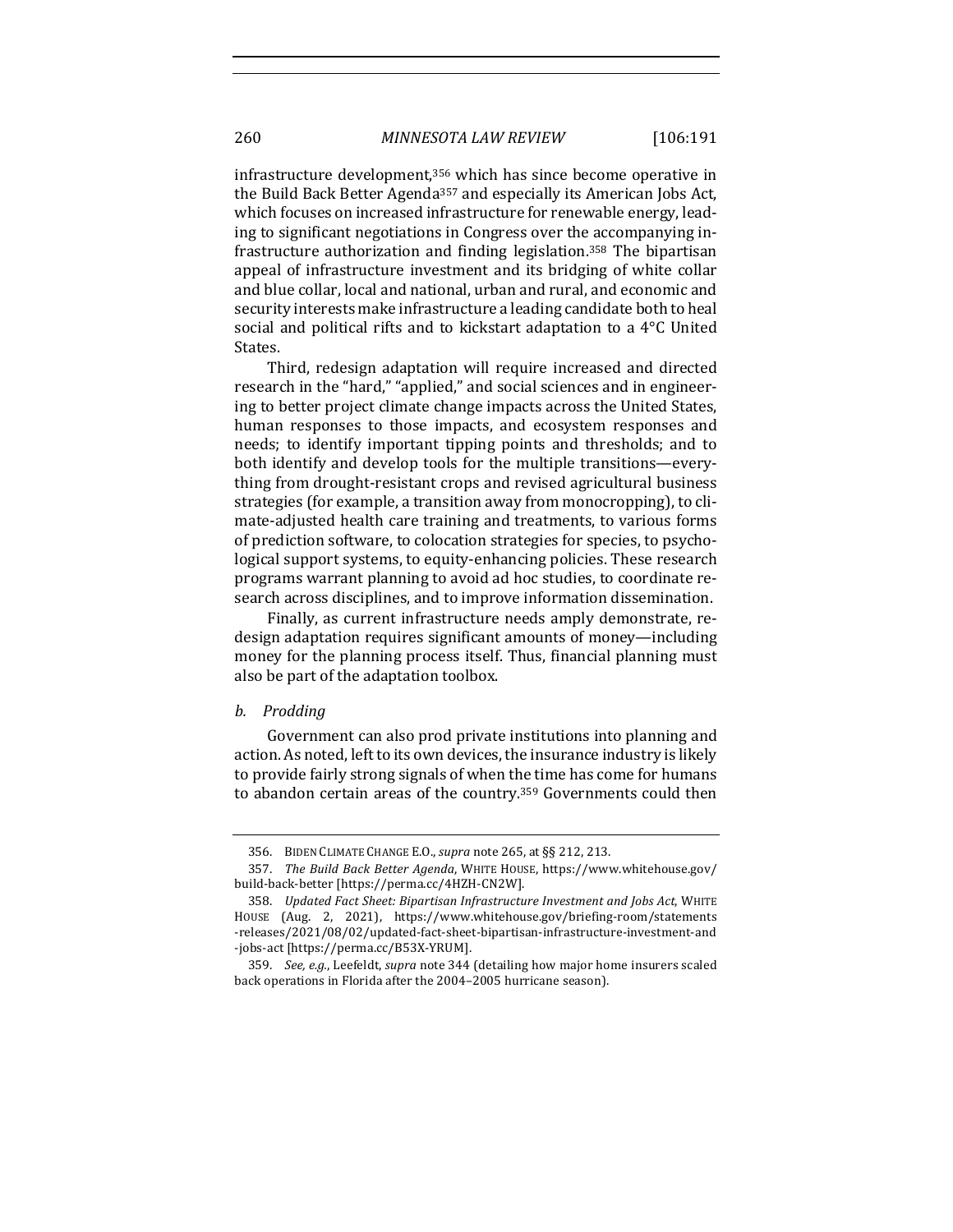infrastructure development,<sup>356</sup> which has since become operative in the Build Back Better Agenda<sup>357</sup> and especially its American Jobs Act, which focuses on increased infrastructure for renewable energy, leading to significant negotiations in Congress over the accompanying infrastructure authorization and finding legislation.<sup>358</sup> The bipartisan appeal of infrastructure investment and its bridging of white collar and blue collar, local and national, urban and rural, and economic and security interests make infrastructure a leading candidate both to heal social and political rifts and to kickstart adaptation to a  $4^{\circ}$ C United States.

Third, redesign adaptation will require increased and directed research in the "hard," "applied," and social sciences and in engineering to better project climate change impacts across the United States, human responses to those impacts, and ecosystem responses and needs; to identify important tipping points and thresholds; and to both identify and develop tools for the multiple transitions—everything from drought-resistant crops and revised agricultural business strategies (for example, a transition away from monocropping), to climate-adjusted health care training and treatments, to various forms of prediction software, to colocation strategies for species, to psychological support systems, to equity-enhancing policies. These research programs warrant planning to avoid ad hoc studies, to coordinate research across disciplines, and to improve information dissemination.

Finally, as current infrastructure needs amply demonstrate, redesign adaptation requires significant amounts of money-including money for the planning process itself. Thus, financial planning must also be part of the adaptation toolbox.

### *b. Prodding*

Government can also prod private institutions into planning and action. As noted, left to its own devices, the insurance industry is likely to provide fairly strong signals of when the time has come for humans to abandon certain areas of the country.<sup>359</sup> Governments could then

<sup>356.</sup> BIDEN CLIMATE CHANGE E.O., *supra* note 265, at §§ 212, 213.

<sup>357.</sup> *The Build Back Better Agenda*, WHITE HOUSE, https://www.whitehouse.gov/ build-back-better [https://perma.cc/4HZH-CN2W].

<sup>358.</sup> *Updated Fact Sheet: Bipartisan Infrastructure Investment and Jobs Act*, WHITE HOUSE (Aug. 2, 2021), https://www.whitehouse.gov/briefing-room/statements -releases/2021/08/02/updated-fact-sheet-bipartisan-infrastructure-investment-and -jobs-act [https://perma.cc/B53X-YRUM].

<sup>359.</sup> *See, e.g.*, Leefeldt, *supra* note 344 (detailing how major home insurers scaled back operations in Florida after the 2004–2005 hurricane season).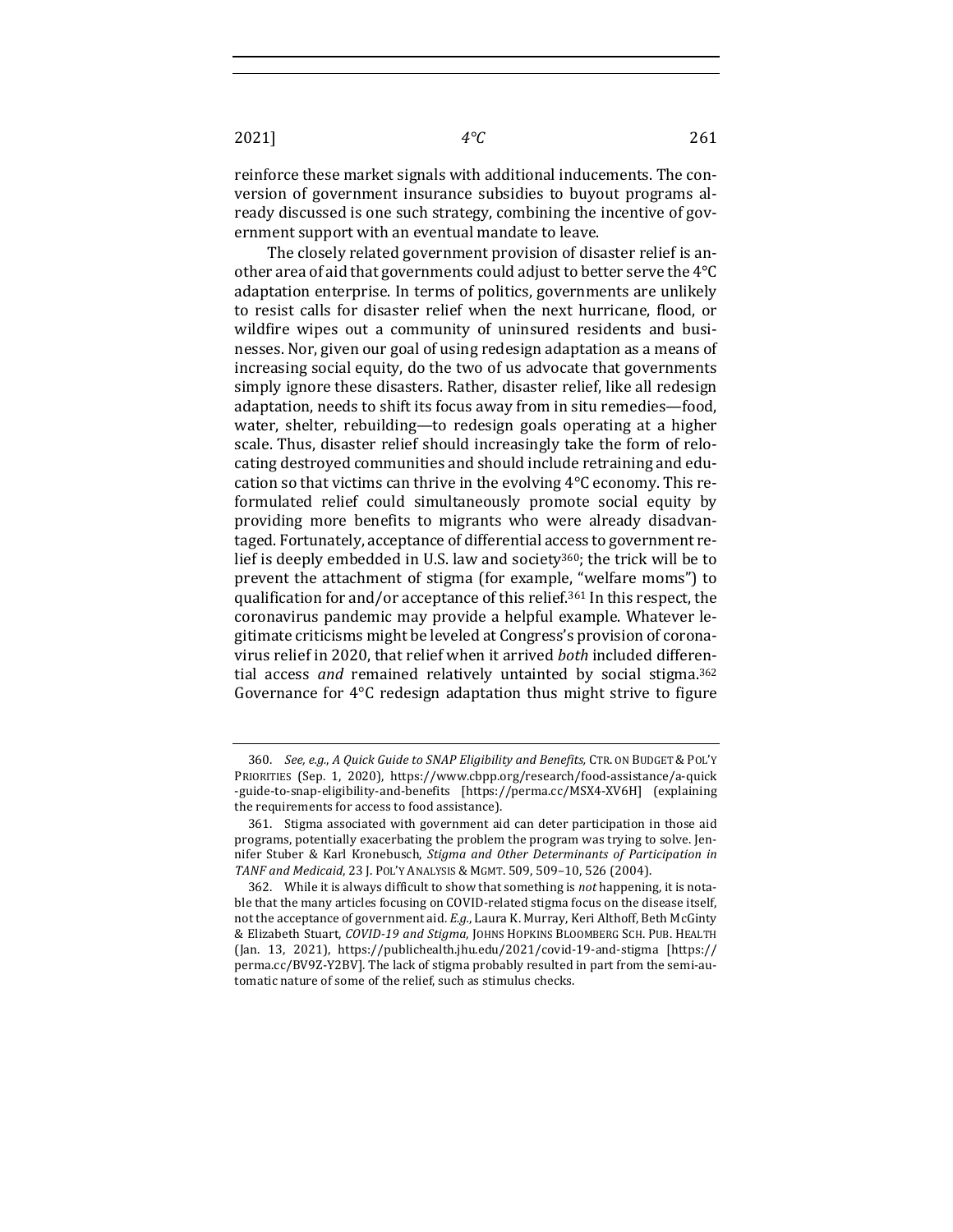2021] *4°C* 261

reinforce these market signals with additional inducements. The conversion of government insurance subsidies to buyout programs already discussed is one such strategy, combining the incentive of government support with an eventual mandate to leave.

The closely related government provision of disaster relief is another area of aid that governments could adjust to better serve the  $4^{\circ}C$ adaptation enterprise. In terms of politics, governments are unlikely to resist calls for disaster relief when the next hurricane, flood, or wildfire wipes out a community of uninsured residents and businesses. Nor, given our goal of using redesign adaptation as a means of increasing social equity, do the two of us advocate that governments simply ignore these disasters. Rather, disaster relief, like all redesign adaptation, needs to shift its focus away from in situ remedies—food, water, shelter, rebuilding—to redesign goals operating at a higher scale. Thus, disaster relief should increasingly take the form of relocating destroyed communities and should include retraining and education so that victims can thrive in the evolving  $4^{\circ}$ C economy. This reformulated relief could simultaneously promote social equity by providing more benefits to migrants who were already disadvantaged. Fortunately, acceptance of differential access to government relief is deeply embedded in U.S. law and society<sup>360</sup>; the trick will be to prevent the attachment of stigma (for example, "welfare moms") to qualification for and/or acceptance of this relief.<sup>361</sup> In this respect, the coronavirus pandemic may provide a helpful example. Whatever legitimate criticisms might be leveled at Congress's provision of coronavirus relief in 2020, that relief when it arrived *both* included differential access and remained relatively untainted by social stigma.<sup>362</sup> Governance for  $4^{\circ}$ C redesign adaptation thus might strive to figure

<sup>360.</sup> *See, e.g., A Quick Guide to SNAP Eligibility and Benefits, CTR. ON BUDGET & POL'Y* PRIORITIES (Sep. 1, 2020), https://www.cbpp.org/research/food-assistance/a-quick -guide-to-snap-eligibility-and-benefits [https://perma.cc/MSX4-XV6H] (explaining the requirements for access to food assistance).

<sup>361.</sup> Stigma associated with government aid can deter participation in those aid programs, potentially exacerbating the problem the program was trying to solve. Jennifer Stuber & Karl Kronebusch, *Stigma and Other Determinants of Participation in TANF and Medicaid*, 23 J. POL'Y ANALYSIS & MGMT. 509, 509–10, 526 (2004).

<sup>362.</sup> While it is always difficult to show that something is *not* happening, it is notable that the many articles focusing on COVID-related stigma focus on the disease itself, not the acceptance of government aid. *E.g.*, Laura K. Murray, Keri Althoff, Beth McGinty & Elizabeth Stuart, *COVID-19 and Stigma*, JOHNS HOPKINS BLOOMBERG SCH. PUB. HEALTH (Jan. 13, 2021), https://publichealth.jhu.edu/2021/covid-19-and-stigma [https:// perma.cc/BV9Z-Y2BV]. The lack of stigma probably resulted in part from the semi-automatic nature of some of the relief, such as stimulus checks.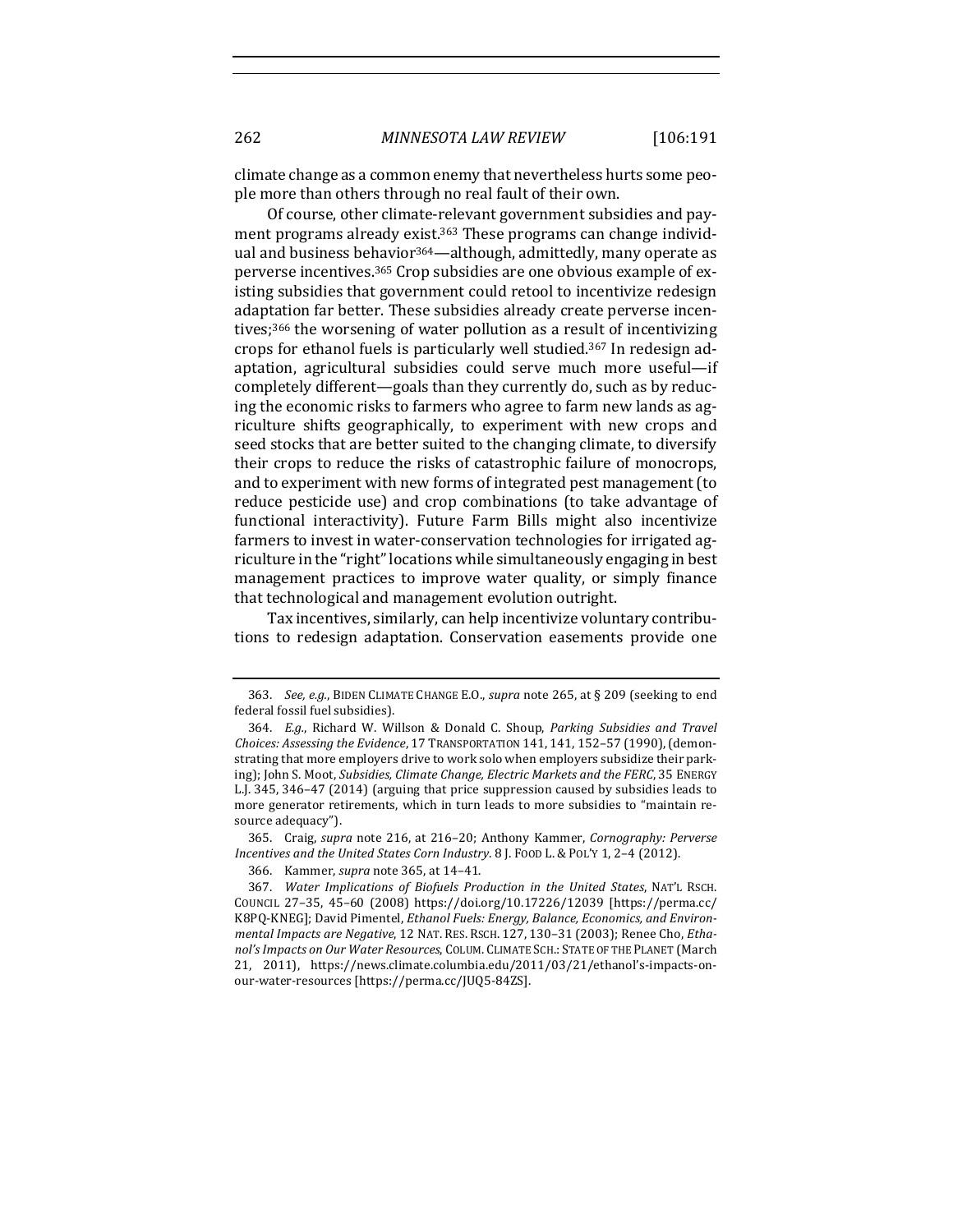climate change as a common enemy that nevertheless hurts some people more than others through no real fault of their own.

Of course, other climate-relevant government subsidies and payment programs already exist.<sup>363</sup> These programs can change individual and business behavior<sup>364</sup>—although, admittedly, many operate as perverse incentives.<sup>365</sup> Crop subsidies are one obvious example of existing subsidies that government could retool to incentivize redesign adaptation far better. These subsidies already create perverse incentives;<sup>366</sup> the worsening of water pollution as a result of incentivizing crops for ethanol fuels is particularly well studied.<sup>367</sup> In redesign adaptation, agricultural subsidies could serve much more useful-if completely different—goals than they currently do, such as by reducing the economic risks to farmers who agree to farm new lands as agriculture shifts geographically, to experiment with new crops and seed stocks that are better suited to the changing climate, to diversify their crops to reduce the risks of catastrophic failure of monocrops, and to experiment with new forms of integrated pest management (to reduce pesticide use) and crop combinations (to take advantage of functional interactivity). Future Farm Bills might also incentivize farmers to invest in water-conservation technologies for irrigated agriculture in the "right" locations while simultaneously engaging in best management practices to improve water quality, or simply finance that technological and management evolution outright.

Tax incentives, similarly, can help incentivize voluntary contributions to redesign adaptation. Conservation easements provide one

<sup>363.</sup> *See, e.g.*, BIDEN CLIMATE CHANGE E.O., *supra* note 265, at § 209 (seeking to end federal fossil fuel subsidies).

<sup>364.</sup> E.g., Richard W. Willson & Donald C. Shoup, Parking Subsidies and Travel *Choices: Assessing the Evidence,* 17 TRANSPORTATION 141, 141, 152-57 (1990), (demonstrating that more employers drive to work solo when employers subsidize their parking); John S. Moot, *Subsidies, Climate Change, Electric Markets and the FERC*, 35 ENERGY L.J. 345, 346-47 (2014) (arguing that price suppression caused by subsidies leads to more generator retirements, which in turn leads to more subsidies to "maintain resource adequacy").

<sup>365.</sup> Craig, *supra* note 216, at 216-20; Anthony Kammer, *Cornography: Perverse Incentives and the United States Corn Industry*. 8 J. FOOD L. & POL'Y 1, 2-4 (2012).

<sup>366.</sup> Kammer, *supra* note 365, at 14-41.

<sup>367.</sup> Water Implications of Biofuels Production in the United States, NAT'L RSCH. COUNCIL 27–35, 45–60 (2008) https://doi.org/10.17226/12039 [https://perma.cc/ K8PQ-KNEG]; David Pimentel, *Ethanol Fuels: Energy, Balance, Economics, and Environ*mental Impacts are Negative, 12 NAT. RES. RSCH. 127, 130-31 (2003); Renee Cho, Ethanol's Impacts on Our Water Resources, COLUM. CLIMATE SCH.: STATE OF THE PLANET (March 21, 2011), https://news.climate.columbia.edu/2011/03/21/ethanol's-impacts-onour-water-resources [https://perma.cc/JUQ5-84ZS].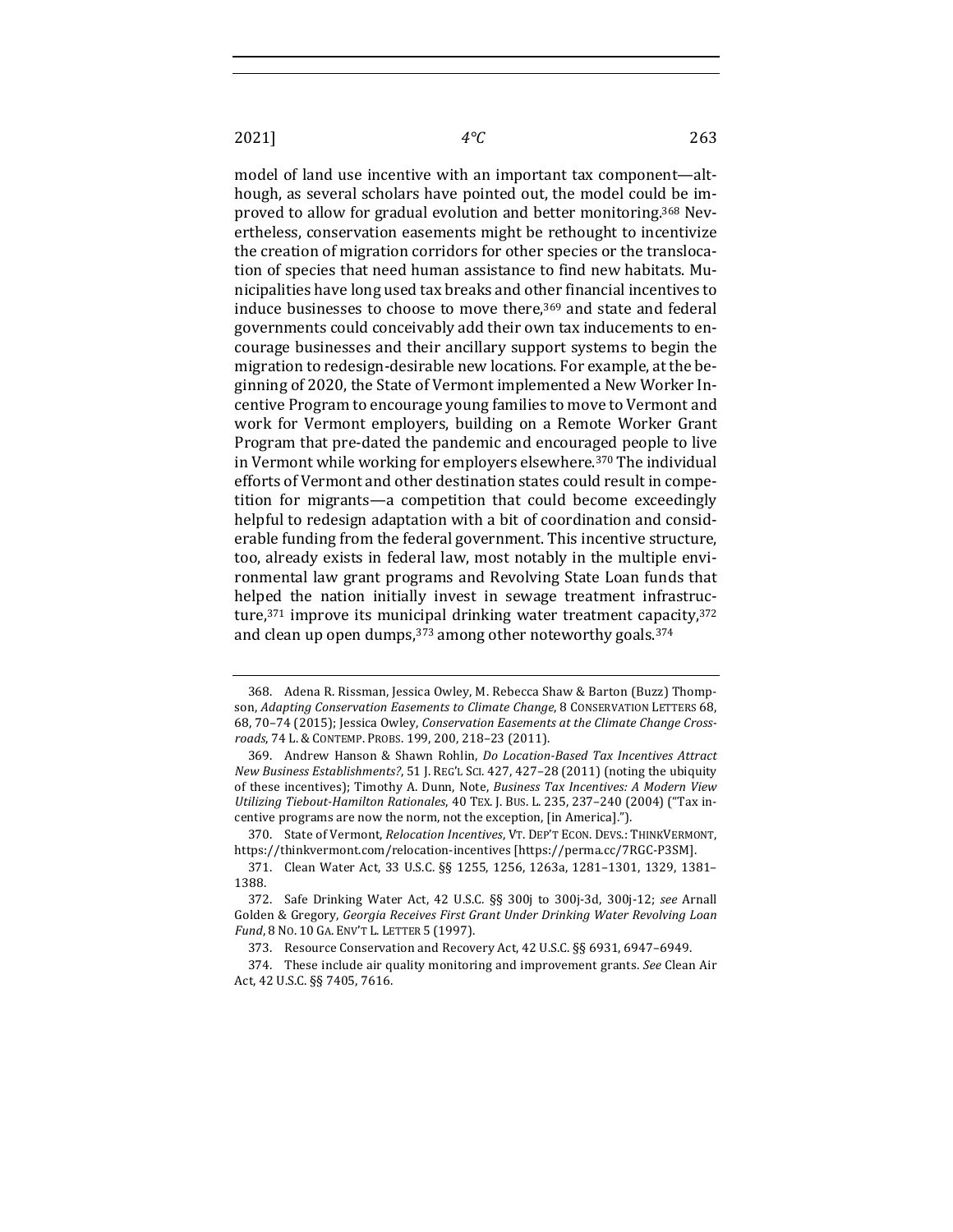model of land use incentive with an important tax component—although, as several scholars have pointed out, the model could be improved to allow for gradual evolution and better monitoring.<sup>368</sup> Nevertheless, conservation easements might be rethought to incentivize the creation of migration corridors for other species or the translocation of species that need human assistance to find new habitats. Municipalities have long used tax breaks and other financial incentives to induce businesses to choose to move there, $369$  and state and federal governments could conceivably add their own tax inducements to encourage businesses and their ancillary support systems to begin the migration to redesign-desirable new locations. For example, at the beginning of 2020, the State of Vermont implemented a New Worker Incentive Program to encourage young families to move to Vermont and work for Vermont employers, building on a Remote Worker Grant Program that pre-dated the pandemic and encouraged people to live in Vermont while working for employers elsewhere.<sup>370</sup> The individual efforts of Vermont and other destination states could result in competition for migrants—a competition that could become exceedingly helpful to redesign adaptation with a bit of coordination and considerable funding from the federal government. This incentive structure, too, already exists in federal law, most notably in the multiple environmental law grant programs and Revolving State Loan funds that helped the nation initially invest in sewage treatment infrastructure, $371$  improve its municipal drinking water treatment capacity, $372$ and clean up open dumps,  $373$  among other noteworthy goals.  $374$ 

370. State of Vermont, *Relocation Incentives*, VT. DEP'T ECON, DEVS.: THINKVERMONT, https://thinkvermont.com/relocation-incentives [https://perma.cc/7RGC-P3SM].

<sup>368.</sup> Adena R. Rissman, Jessica Owley, M. Rebecca Shaw & Barton (Buzz) Thompson, *Adapting Conservation Easements to Climate Change*, 8 CONSERVATION LETTERS 68, 68, 70-74 (2015); Jessica Owley, *Conservation Easements at the Climate Change Crossroads*, 74 L. & CONTEMP. PROBS. 199, 200, 218–23 (2011).

<sup>369.</sup> Andrew Hanson & Shawn Rohlin, *Do Location-Based Tax Incentives Attract New Business Establishments?*, 51 J. REG'L SCI. 427, 427-28 (2011) (noting the ubiquity of these incentives); Timothy A. Dunn, Note, *Business Tax Incentives: A Modern View Utilizing Tiebout-Hamilton Rationales*, 40 TEX. J. BUS. L. 235, 237–240 (2004) ("Tax incentive programs are now the norm, not the exception, [in America].").

<sup>371.</sup> Clean Water Act, 33 U.S.C. §§ 1255, 1256, 1263a, 1281-1301, 1329, 1381-1388.

<sup>372.</sup> Safe Drinking Water Act, 42 U.S.C. §§ 300j to 300j-3d, 300j-12; see Arnall Golden & Gregory, Georgia Receives First Grant Under Drinking Water Revolving Loan Fund, 8 No. 10 GA. ENV'T L. LETTER 5 (1997).

<sup>373.</sup> Resource Conservation and Recovery Act, 42 U.S.C. §§ 6931, 6947-6949.

<sup>374.</sup> These include air quality monitoring and improvement grants. See Clean Air Act, 42 U.S.C. §§ 7405, 7616.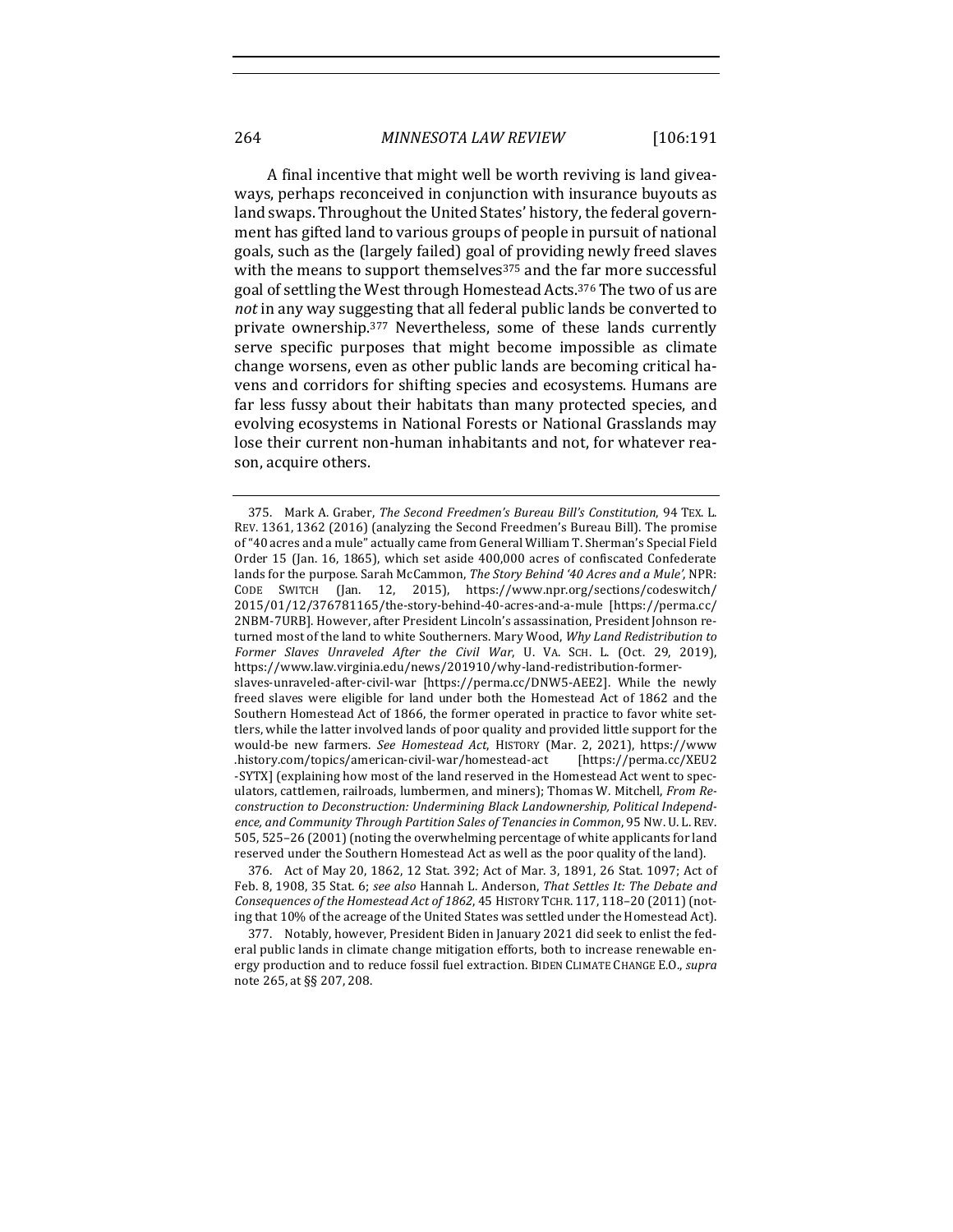A final incentive that might well be worth reviving is land giveaways, perhaps reconceived in conjunction with insurance buyouts as land swaps. Throughout the United States' history, the federal government has gifted land to various groups of people in pursuit of national goals, such as the (largely failed) goal of providing newly freed slaves with the means to support themselves<sup>375</sup> and the far more successful goal of settling the West through Homestead Acts.<sup>376</sup> The two of us are not in any way suggesting that all federal public lands be converted to private ownership.<sup>377</sup> Nevertheless, some of these lands currently serve specific purposes that might become impossible as climate change worsens, even as other public lands are becoming critical havens and corridors for shifting species and ecosystems. Humans are far less fussy about their habitats than many protected species, and evolving ecosystems in National Forests or National Grasslands may lose their current non-human inhabitants and not, for whatever reason, acquire others.

376. Act of May 20, 1862, 12 Stat. 392; Act of Mar. 3, 1891, 26 Stat. 1097; Act of Feb. 8, 1908, 35 Stat. 6; *see also* Hannah L. Anderson, *That Settles It: The Debate and Consequences of the Homestead Act of 1862, 45 HISTORY TCHR. 117, 118-20 (2011)* (noting that 10% of the acreage of the United States was settled under the Homestead Act).

377. Notably, however, President Biden in January 2021 did seek to enlist the federal public lands in climate change mitigation efforts, both to increase renewable energy production and to reduce fossil fuel extraction. BIDEN CLIMATE CHANGE E.O., *supra* note 265, at §§ 207, 208.

<sup>375.</sup> Mark A. Graber, *The Second Freedmen's Bureau Bill's Constitution*, 94 TEX. L. REV. 1361, 1362 (2016) (analyzing the Second Freedmen's Bureau Bill). The promise of "40 acres and a mule" actually came from General William T. Sherman's Special Field Order 15 (Jan. 16, 1865), which set aside 400,000 acres of confiscated Confederate lands for the purpose. Sarah McCammon, *The Story Behind '40 Acres and a Mule'*, NPR: CODE SWITCH (Jan. 12, 2015), https://www.npr.org/sections/codeswitch/ 2015/01/12/376781165/the-story-behind-40-acres-and-a-mule [https://perma.cc/ 2NBM-7URB]. However, after President Lincoln's assassination, President Johnson returned most of the land to white Southerners. Mary Wood, Why Land Redistribution to Former Slaves Unraveled After the Civil War, U. VA. SCH. L. (Oct. 29, 2019), https://www.law.virginia.edu/news/201910/why-land-redistribution-formerslaves-unraveled-after-civil-war [https://perma.cc/DNW5-AEE2]. While the newly freed slaves were eligible for land under both the Homestead Act of 1862 and the Southern Homestead Act of 1866, the former operated in practice to favor white settlers, while the latter involved lands of poor quality and provided little support for the would-be new farmers. See Homestead Act, HISTORY (Mar. 2, 2021), https://www .history.com/topics/american-civil-war/homestead-act [https://perma.cc/XEU2 -SYTX] (explaining how most of the land reserved in the Homestead Act went to speculators, cattlemen, railroads, lumbermen, and miners); Thomas W. Mitchell, *From Re*construction to Deconstruction: Undermining Black Landownership, Political Independence, and Community Through Partition Sales of Tenancies in Common, 95 Nw. U. L. REV. 505, 525–26 (2001) (noting the overwhelming percentage of white applicants for land reserved under the Southern Homestead Act as well as the poor quality of the land).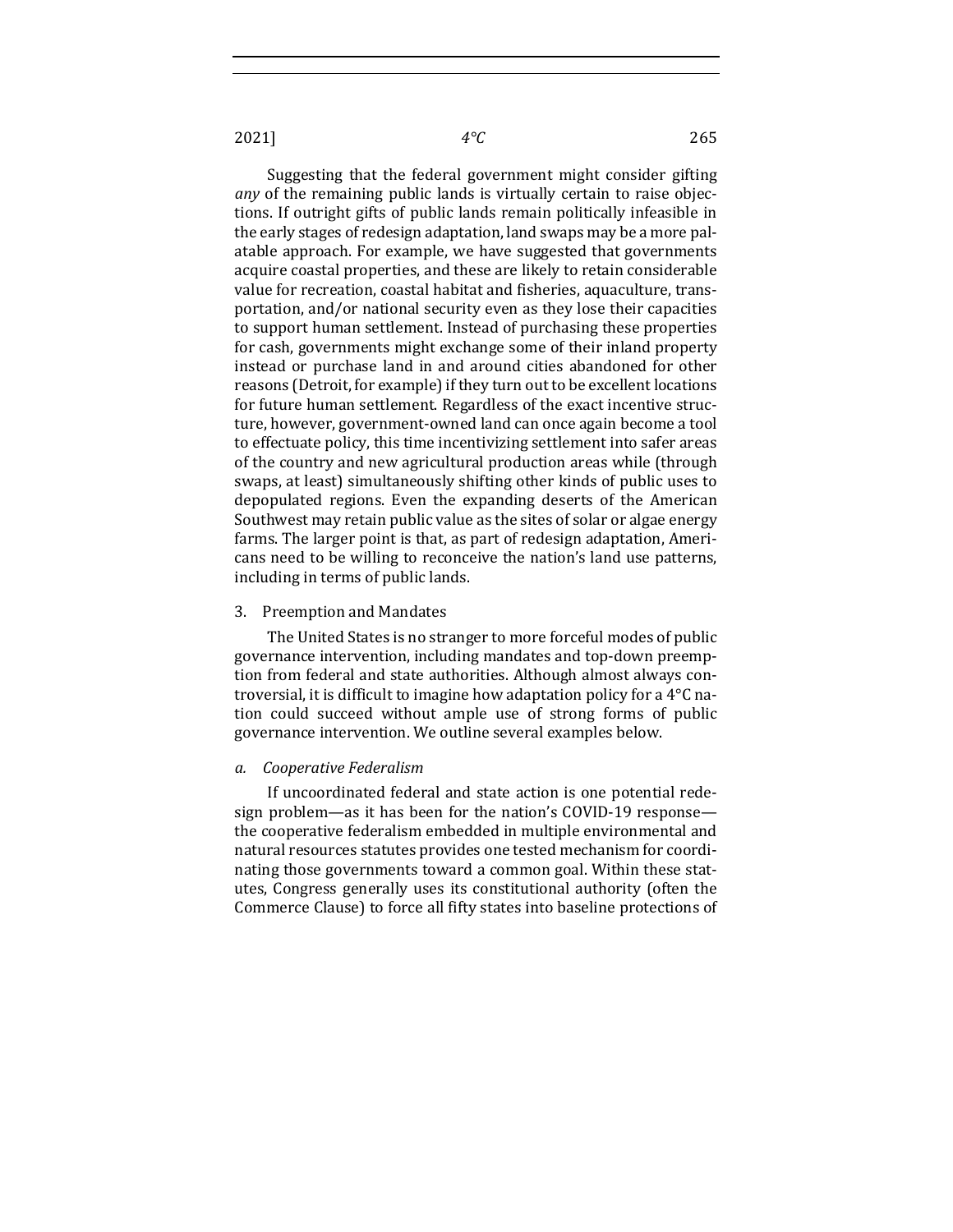Suggesting that the federal government might consider gifting *any* of the remaining public lands is virtually certain to raise objections. If outright gifts of public lands remain politically infeasible in the early stages of redesign adaptation, land swaps may be a more palatable approach. For example, we have suggested that governments acquire coastal properties, and these are likely to retain considerable value for recreation, coastal habitat and fisheries, aquaculture, transportation, and/or national security even as they lose their capacities to support human settlement. Instead of purchasing these properties for cash, governments might exchange some of their inland property instead or purchase land in and around cities abandoned for other reasons (Detroit, for example) if they turn out to be excellent locations for future human settlement. Regardless of the exact incentive structure, however, government-owned land can once again become a tool to effectuate policy, this time incentivizing settlement into safer areas of the country and new agricultural production areas while (through swaps, at least) simultaneously shifting other kinds of public uses to depopulated regions. Even the expanding deserts of the American Southwest may retain public value as the sites of solar or algae energy farms. The larger point is that, as part of redesign adaptation, Americans need to be willing to reconceive the nation's land use patterns, including in terms of public lands.

#### 3. Preemption and Mandates

The United States is no stranger to more forceful modes of public governance intervention, including mandates and top-down preemption from federal and state authorities. Although almost always controversial, it is difficult to imagine how adaptation policy for a  $4^{\circ}C$  nation could succeed without ample use of strong forms of public governance intervention. We outline several examples below.

## *a. Cooperative Federalism*

If uncoordinated federal and state action is one potential redesign problem—as it has been for the nation's COVID-19 response the cooperative federalism embedded in multiple environmental and natural resources statutes provides one tested mechanism for coordinating those governments toward a common goal. Within these statutes, Congress generally uses its constitutional authority (often the Commerce Clause) to force all fifty states into baseline protections of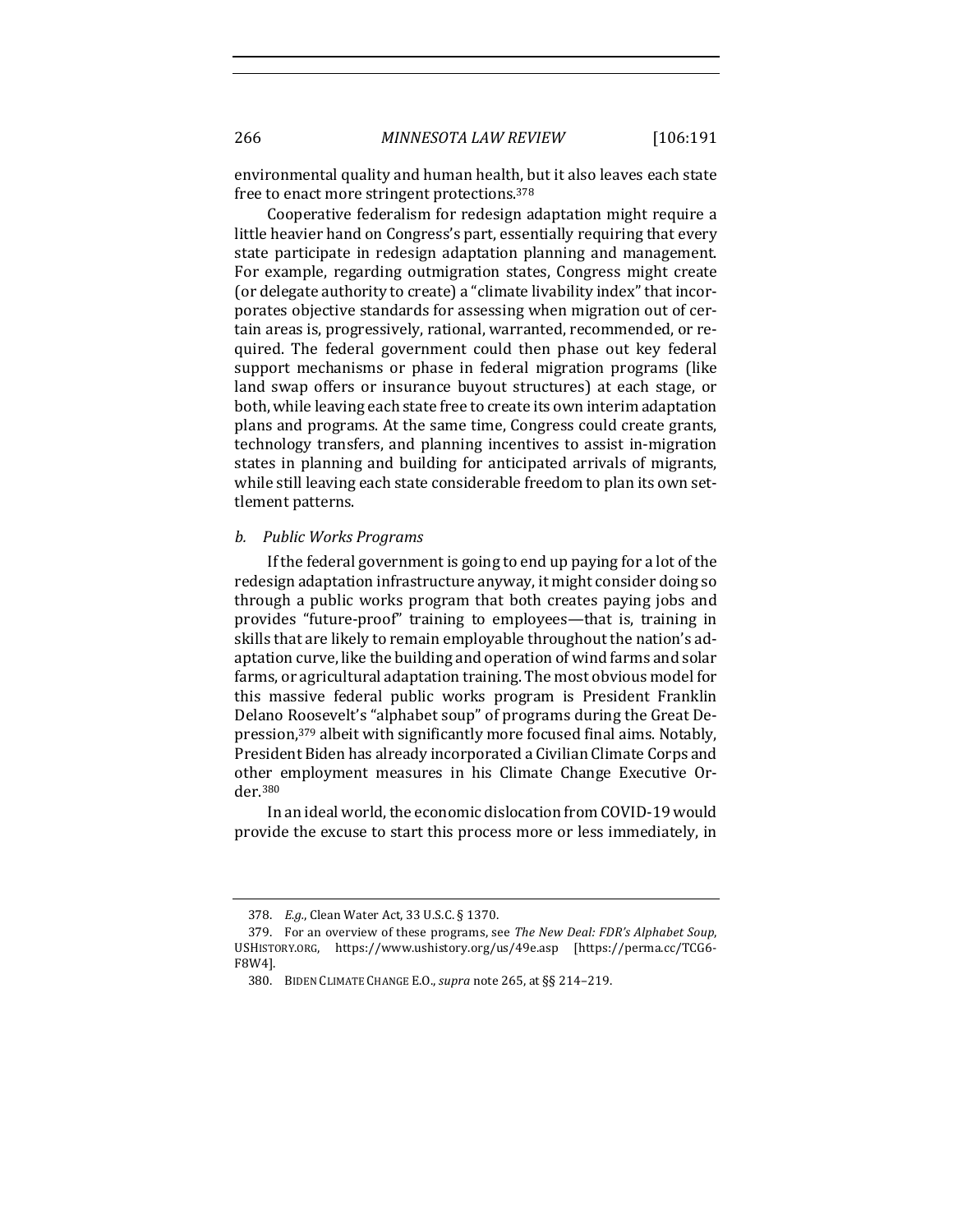environmental quality and human health, but it also leaves each state free to enact more stringent protections.<sup>378</sup>

Cooperative federalism for redesign adaptation might require a little heavier hand on Congress's part, essentially requiring that every state participate in redesign adaptation planning and management. For example, regarding outmigration states, Congress might create (or delegate authority to create) a "climate livability index" that incorporates objective standards for assessing when migration out of certain areas is, progressively, rational, warranted, recommended, or required. The federal government could then phase out key federal support mechanisms or phase in federal migration programs (like land swap offers or insurance buyout structures) at each stage, or both, while leaving each state free to create its own interim adaptation plans and programs. At the same time, Congress could create grants, technology transfers, and planning incentives to assist in-migration states in planning and building for anticipated arrivals of migrants, while still leaving each state considerable freedom to plan its own settlement patterns.

#### *b. Public Works Programs*

If the federal government is going to end up paying for a lot of the redesign adaptation infrastructure anyway, it might consider doing so through a public works program that both creates paying jobs and provides "future-proof" training to employees—that is, training in skills that are likely to remain employable throughout the nation's adaptation curve, like the building and operation of wind farms and solar farms, or agricultural adaptation training. The most obvious model for this massive federal public works program is President Franklin Delano Roosevelt's "alphabet soup" of programs during the Great Depression,<sup>379</sup> albeit with significantly more focused final aims. Notably, President Biden has already incorporated a Civilian Climate Corps and other employment measures in his Climate Change Executive Order.380

In an ideal world, the economic dislocation from COVID-19 would provide the excuse to start this process more or less immediately, in

<sup>378.</sup> *E.g.*, Clean Water Act, 33 U.S.C. § 1370.

<sup>379.</sup> For an overview of these programs, see *The New Deal: FDR's Alphabet Soup*, USHISTORY.ORG, https://www.ushistory.org/us/49e.asp [https://perma.cc/TCG6- F8W4].

<sup>380.</sup> BIDEN CLIMATE CHANGE E.O., *supra* note 265, at §§ 214-219.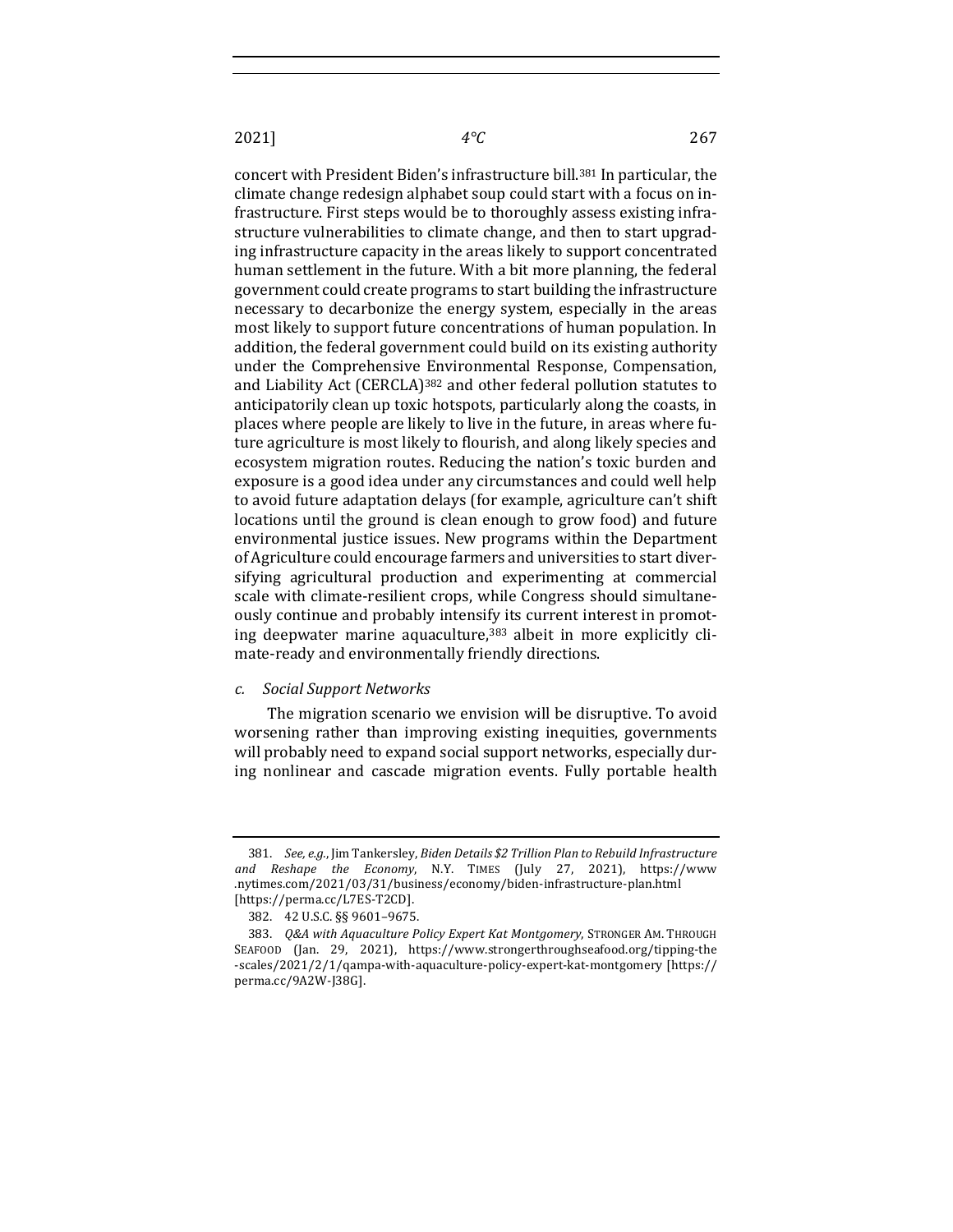concert with President Biden's infrastructure bill.<sup>381</sup> In particular, the climate change redesign alphabet soup could start with a focus on infrastructure. First steps would be to thoroughly assess existing infrastructure vulnerabilities to climate change, and then to start upgrading infrastructure capacity in the areas likely to support concentrated human settlement in the future. With a bit more planning, the federal government could create programs to start building the infrastructure necessary to decarbonize the energy system, especially in the areas most likely to support future concentrations of human population. In addition, the federal government could build on its existing authority under the Comprehensive Environmental Response, Compensation, and Liability Act  $(CERCLA)^{382}$  and other federal pollution statutes to anticipatorily clean up toxic hotspots, particularly along the coasts, in places where people are likely to live in the future, in areas where future agriculture is most likely to flourish, and along likely species and ecosystem migration routes. Reducing the nation's toxic burden and exposure is a good idea under any circumstances and could well help to avoid future adaptation delays (for example, agriculture can't shift locations until the ground is clean enough to grow food) and future environmental justice issues. New programs within the Department of Agriculture could encourage farmers and universities to start diversifying agricultural production and experimenting at commercial scale with climate-resilient crops, while Congress should simultaneously continue and probably intensify its current interest in promoting deepwater marine aquaculture,<sup>383</sup> albeit in more explicitly climate-ready and environmentally friendly directions.

### *c. Social Support Networks*

The migration scenario we envision will be disruptive. To avoid worsening rather than improving existing inequities, governments will probably need to expand social support networks, especially during nonlinear and cascade migration events. Fully portable health

<sup>381.</sup> *See, e.g.*, Jim Tankersley, Biden Details \$2 Trillion Plan to Rebuild Infrastructure *and Reshape the Economy*, N.Y. TIMES (July 27, 2021), https://www .nytimes.com/2021/03/31/business/economy/biden-infrastructure-plan.html [https://perma.cc/L7ES-T2CD].

<sup>382. 42</sup> U.S.C. §§ 9601-9675.

<sup>383.</sup> *Q&A with Aquaculture Policy Expert Kat Montgomery*, STRONGER AM. THROUGH SEAFOOD (Jan. 29, 2021), https://www.strongerthroughseafood.org/tipping-the -scales/2021/2/1/qampa-with-aquaculture-policy-expert-kat-montgomery [https:// perma.cc/9A2W-J38G].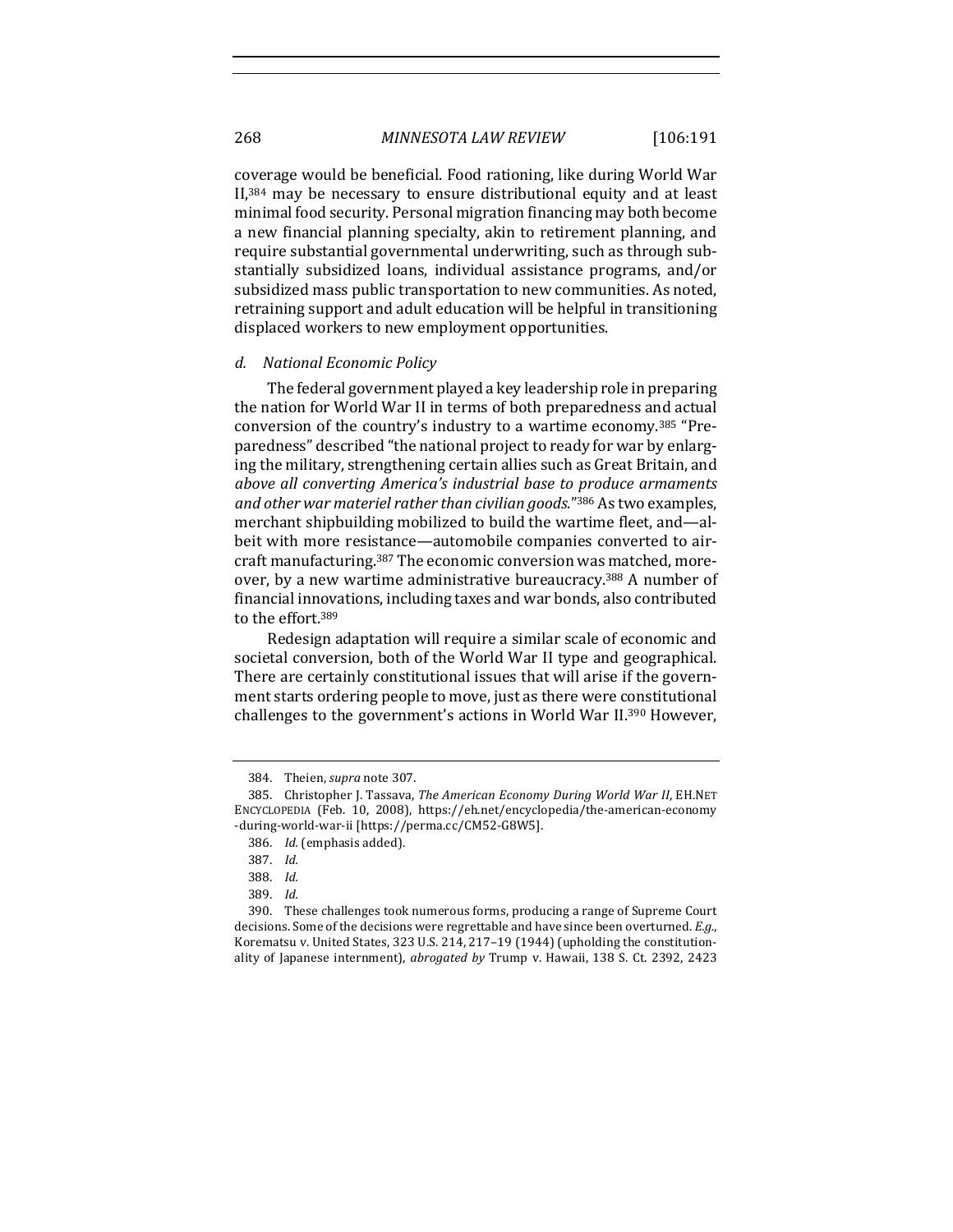coverage would be beneficial. Food rationing, like during World War  $II$ ,  $384$  may be necessary to ensure distributional equity and at least minimal food security. Personal migration financing may both become a new financial planning specialty, akin to retirement planning, and require substantial governmental underwriting, such as through substantially subsidized loans, individual assistance programs, and/or subsidized mass public transportation to new communities. As noted, retraining support and adult education will be helpful in transitioning displaced workers to new employment opportunities.

#### *d. National Economic Policy*

The federal government played a key leadership role in preparing the nation for World War II in terms of both preparedness and actual conversion of the country's industry to a wartime economy.<sup>385</sup> "Preparedness" described "the national project to ready for war by enlarging the military, strengthening certain allies such as Great Britain, and *above all converting America's industrial base to produce armaments* and other war materiel rather than civilian goods."<sup>386</sup> As two examples, merchant shipbuilding mobilized to build the wartime fleet, and-albeit with more resistance—automobile companies converted to aircraft manufacturing.<sup>387</sup> The economic conversion was matched, moreover, by a new wartime administrative bureaucracy.<sup>388</sup> A number of financial innovations, including taxes and war bonds, also contributed to the effort.<sup>389</sup>

Redesign adaptation will require a similar scale of economic and societal conversion, both of the World War II type and geographical. There are certainly constitutional issues that will arise if the government starts ordering people to move, just as there were constitutional challenges to the government's actions in World War II.<sup>390</sup> However,

<sup>384.</sup> Theien, *supra* note 307.

<sup>385.</sup> Christopher J. Tassava, *The American Economy During World War II*, EH.NET ENCYCLOPEDIA (Feb. 10, 2008), https://eh.net/encyclopedia/the-american-economy -during-world-war-ii [https://perma.cc/CM52-G8W5].

<sup>386.</sup> *Id.* (emphasis added).

<sup>387.</sup> *Id.*

<sup>388.</sup> *Id.*

<sup>389.</sup> *Id.*

<sup>390.</sup> These challenges took numerous forms, producing a range of Supreme Court decisions. Some of the decisions were regrettable and have since been overturned. *E.g.*, Korematsu v. United States, 323 U.S. 214, 217-19 (1944) (upholding the constitutionality of Japanese internment), abrogated by Trump v. Hawaii, 138 S. Ct. 2392, 2423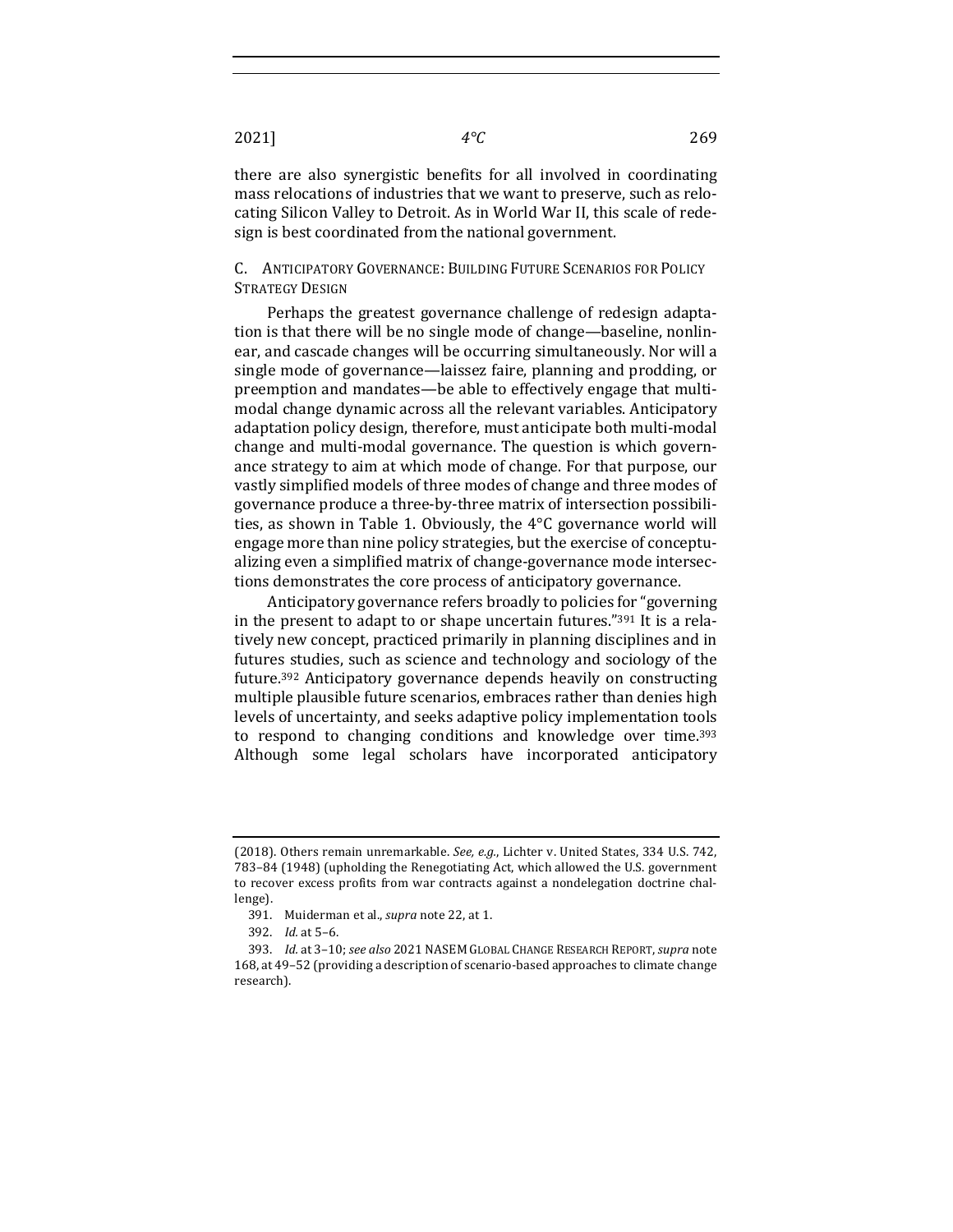there are also synergistic benefits for all involved in coordinating mass relocations of industries that we want to preserve, such as relocating Silicon Valley to Detroit. As in World War II, this scale of redesign is best coordinated from the national government.

# C. ANTICIPATORY GOVERNANCE: BUILDING FUTURE SCENARIOS FOR POLICY STRATEGY DESIGN

Perhaps the greatest governance challenge of redesign adaptation is that there will be no single mode of change—baseline, nonlinear, and cascade changes will be occurring simultaneously. Nor will a single mode of governance—laissez faire, planning and prodding, or preemption and mandates—be able to effectively engage that multimodal change dynamic across all the relevant variables. Anticipatory adaptation policy design, therefore, must anticipate both multi-modal change and multi-modal governance. The question is which governance strategy to aim at which mode of change. For that purpose, our vastly simplified models of three modes of change and three modes of governance produce a three-by-three matrix of intersection possibilities, as shown in Table 1. Obviously, the  $4^{\circ}$ C governance world will engage more than nine policy strategies, but the exercise of conceptualizing even a simplified matrix of change-governance mode intersections demonstrates the core process of anticipatory governance.

Anticipatory governance refers broadly to policies for "governing" in the present to adapt to or shape uncertain futures." $391$  It is a relatively new concept, practiced primarily in planning disciplines and in futures studies, such as science and technology and sociology of the future.<sup>392</sup> Anticipatory governance depends heavily on constructing multiple plausible future scenarios, embraces rather than denies high levels of uncertainty, and seeks adaptive policy implementation tools to respond to changing conditions and knowledge over time.<sup>393</sup> Although some legal scholars have incorporated anticipatory

<sup>(2018).</sup> Others remain unremarkable. See, e.g., Lichter v. United States, 334 U.S. 742, 783-84 (1948) (upholding the Renegotiating Act, which allowed the U.S. government to recover excess profits from war contracts against a nondelegation doctrine challenge).

<sup>391.</sup> Muiderman et al., *supra* note 22, at 1.

<sup>392.</sup> *Id.* at 5-6.

<sup>393.</sup> *Id.* at 3-10; see also 2021 NASEM GLOBAL CHANGE RESEARCH REPORT, supra note 168, at 49-52 (providing a description of scenario-based approaches to climate change research).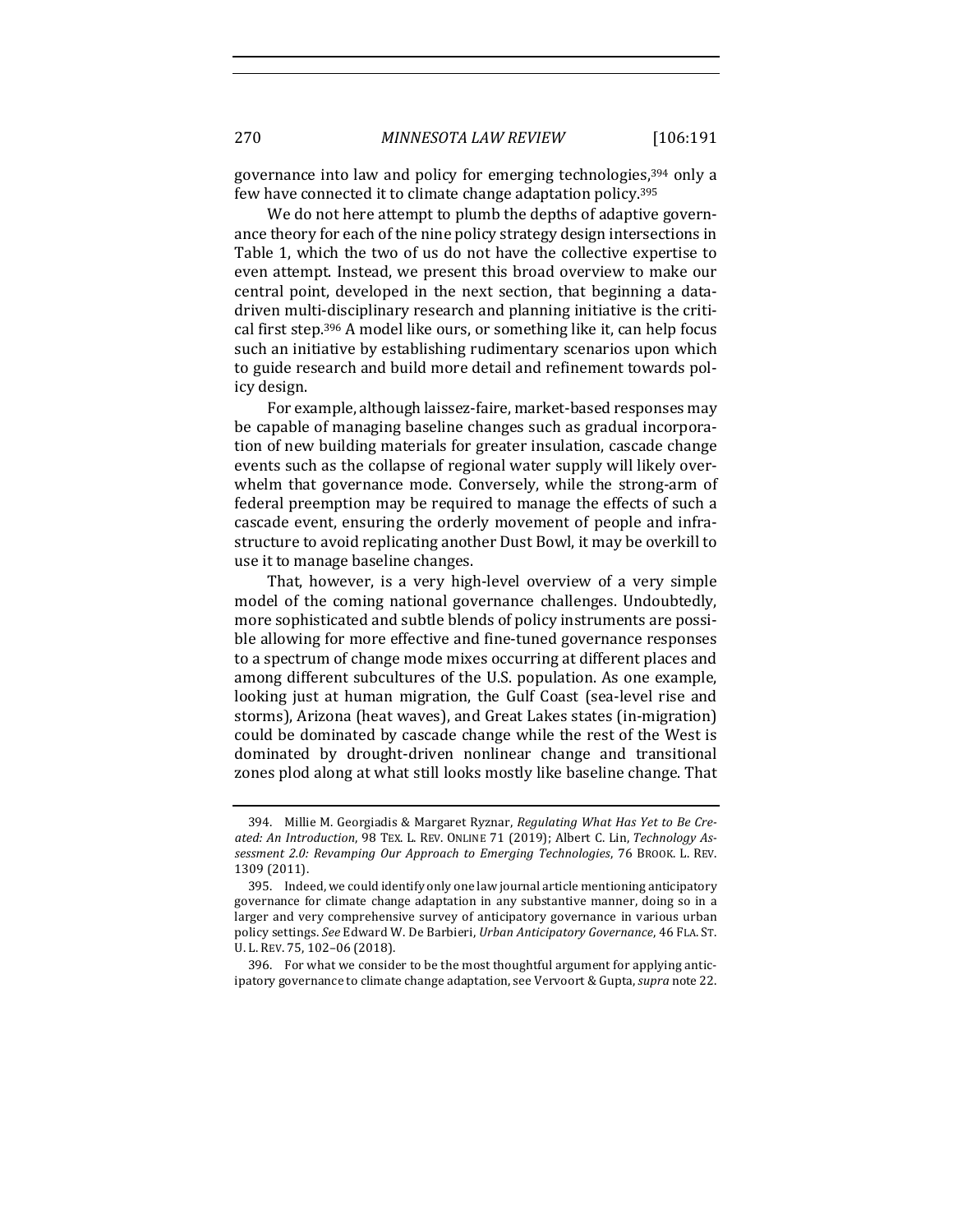governance into law and policy for emerging technologies,<sup>394</sup> only a few have connected it to climate change adaptation policy.<sup>395</sup>

We do not here attempt to plumb the depths of adaptive governance theory for each of the nine policy strategy design intersections in Table 1, which the two of us do not have the collective expertise to even attempt. Instead, we present this broad overview to make our central point, developed in the next section, that beginning a datadriven multi-disciplinary research and planning initiative is the critical first step.<sup>396</sup> A model like ours, or something like it, can help focus such an initiative by establishing rudimentary scenarios upon which to guide research and build more detail and refinement towards policy design.

For example, although laissez-faire, market-based responses may be capable of managing baseline changes such as gradual incorporation of new building materials for greater insulation, cascade change events such as the collapse of regional water supply will likely overwhelm that governance mode. Conversely, while the strong-arm of federal preemption may be required to manage the effects of such a cascade event, ensuring the orderly movement of people and infrastructure to avoid replicating another Dust Bowl, it may be overkill to use it to manage baseline changes.

That, however, is a very high-level overview of a very simple model of the coming national governance challenges. Undoubtedly, more sophisticated and subtle blends of policy instruments are possible allowing for more effective and fine-tuned governance responses to a spectrum of change mode mixes occurring at different places and among different subcultures of the U.S. population. As one example, looking just at human migration, the Gulf Coast (sea-level rise and storms), Arizona (heat waves), and Great Lakes states (in-migration) could be dominated by cascade change while the rest of the West is dominated by drought-driven nonlinear change and transitional zones plod along at what still looks mostly like baseline change. That

396. For what we consider to be the most thoughtful argument for applying anticipatory governance to climate change adaptation, see Vervoort & Gupta, *supra* note 22.

<sup>394.</sup> Millie M. Georgiadis & Margaret Ryznar, *Regulating What Has Yet to Be Created: An Introduction*, 98 TEX. L. REV. ONLINE 71 (2019); Albert C. Lin, *Technology Assessment 2.0: Revamping Our Approach to Emerging Technologies*, 76 BROOK. L. REV. 1309 (2011).

<sup>395.</sup> Indeed, we could identify only one law journal article mentioning anticipatory governance for climate change adaptation in any substantive manner, doing so in a larger and very comprehensive survey of anticipatory governance in various urban policy settings. *See* Edward W. De Barbieri, *Urban Anticipatory Governance*, 46 FLA. ST. U. L. REV. 75, 102–06 (2018).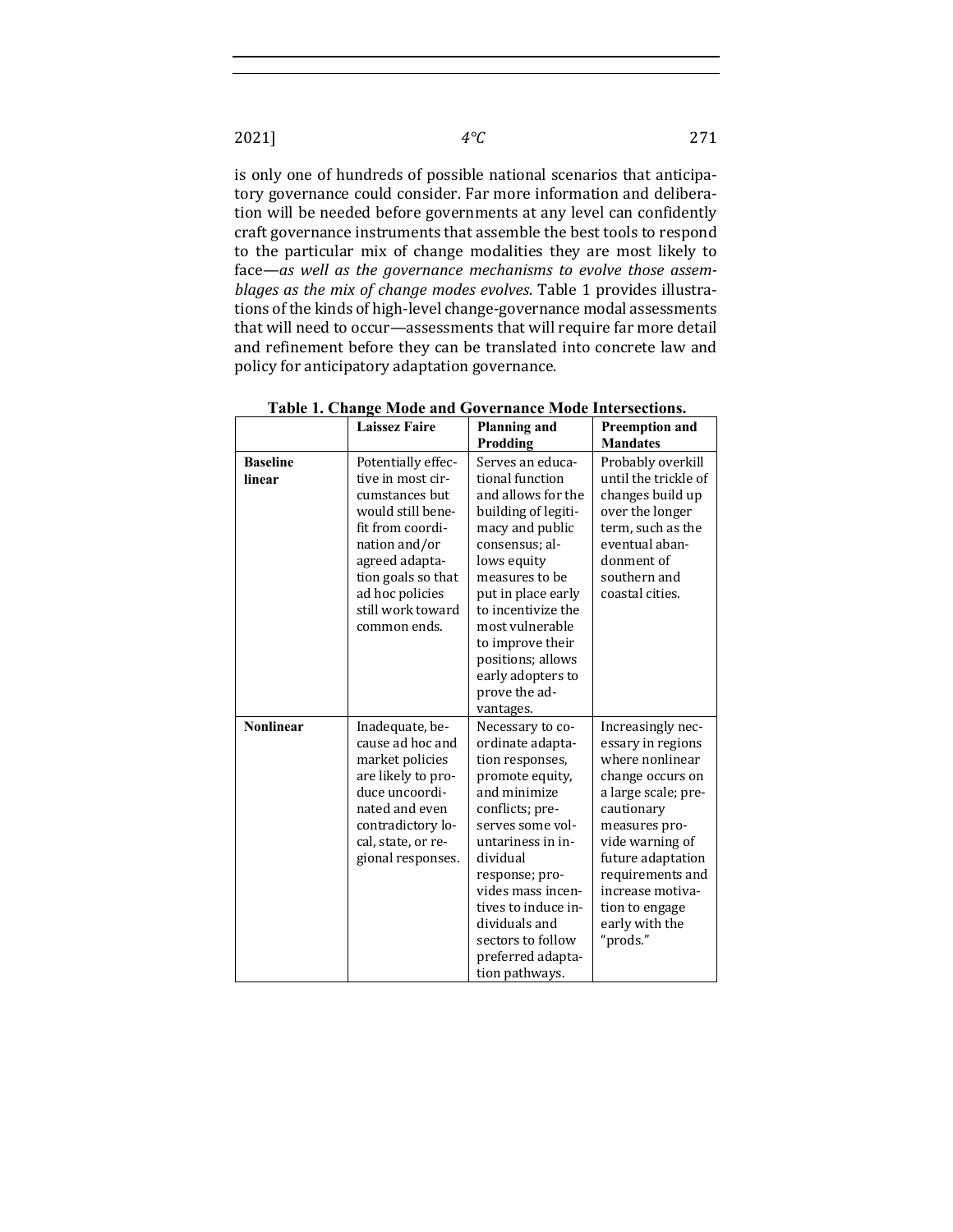is only one of hundreds of possible national scenarios that anticipatory governance could consider. Far more information and deliberation will be needed before governments at any level can confidently craft governance instruments that assemble the best tools to respond to the particular mix of change modalities they are most likely to face—as well as the governance mechanisms to evolve those assem*blages as the mix of change modes evolves*. Table 1 provides illustrations of the kinds of high-level change-governance modal assessments that will need to occur—assessments that will require far more detail and refinement before they can be translated into concrete law and policy for anticipatory adaptation governance.

|                           | Tuole 11 Chunge Mouel<br><b>Laissez Faire</b>                                                                                                                                                                       | <b>Planning and</b>                                                                                                                                                                                                                                                                                               | Preemption and                                                                                                                                                                                                                                                      |
|---------------------------|---------------------------------------------------------------------------------------------------------------------------------------------------------------------------------------------------------------------|-------------------------------------------------------------------------------------------------------------------------------------------------------------------------------------------------------------------------------------------------------------------------------------------------------------------|---------------------------------------------------------------------------------------------------------------------------------------------------------------------------------------------------------------------------------------------------------------------|
|                           |                                                                                                                                                                                                                     | Prodding                                                                                                                                                                                                                                                                                                          | <b>Mandates</b>                                                                                                                                                                                                                                                     |
| <b>Baseline</b><br>linear | Potentially effec-<br>tive in most cir-<br>cumstances but<br>would still bene-<br>fit from coordi-<br>nation and/or<br>agreed adapta-<br>tion goals so that<br>ad hoc policies<br>still work toward<br>common ends. | Serves an educa-<br>tional function<br>and allows for the<br>building of legiti-<br>macy and public<br>consensus; al-<br>lows equity<br>measures to be<br>put in place early<br>to incentivize the<br>most vulnerable<br>to improve their<br>positions; allows<br>early adopters to<br>prove the ad-<br>vantages. | Probably overkill<br>until the trickle of<br>changes build up<br>over the longer<br>term, such as the<br>eventual aban-<br>donment of<br>southern and<br>coastal cities.                                                                                            |
| <b>Nonlinear</b>          | Inadequate, be-<br>cause ad hoc and<br>market policies<br>are likely to pro-<br>duce uncoordi-<br>nated and even<br>contradictory lo-<br>cal, state, or re-<br>gional responses.                                    | Necessary to co-<br>ordinate adapta-<br>tion responses,<br>promote equity,<br>and minimize<br>conflicts; pre-<br>serves some vol-<br>untariness in in-<br>dividual<br>response; pro-<br>vides mass incen-<br>tives to induce in-<br>dividuals and<br>sectors to follow<br>preferred adapta-<br>tion pathways.     | Increasingly nec-<br>essary in regions<br>where nonlinear<br>change occurs on<br>a large scale; pre-<br>cautionary<br>measures pro-<br>vide warning of<br>future adaptation<br>requirements and<br>increase motiva-<br>tion to engage<br>early with the<br>"prods." |

**Table 1. Change Mode and Governance Mode Intersections.**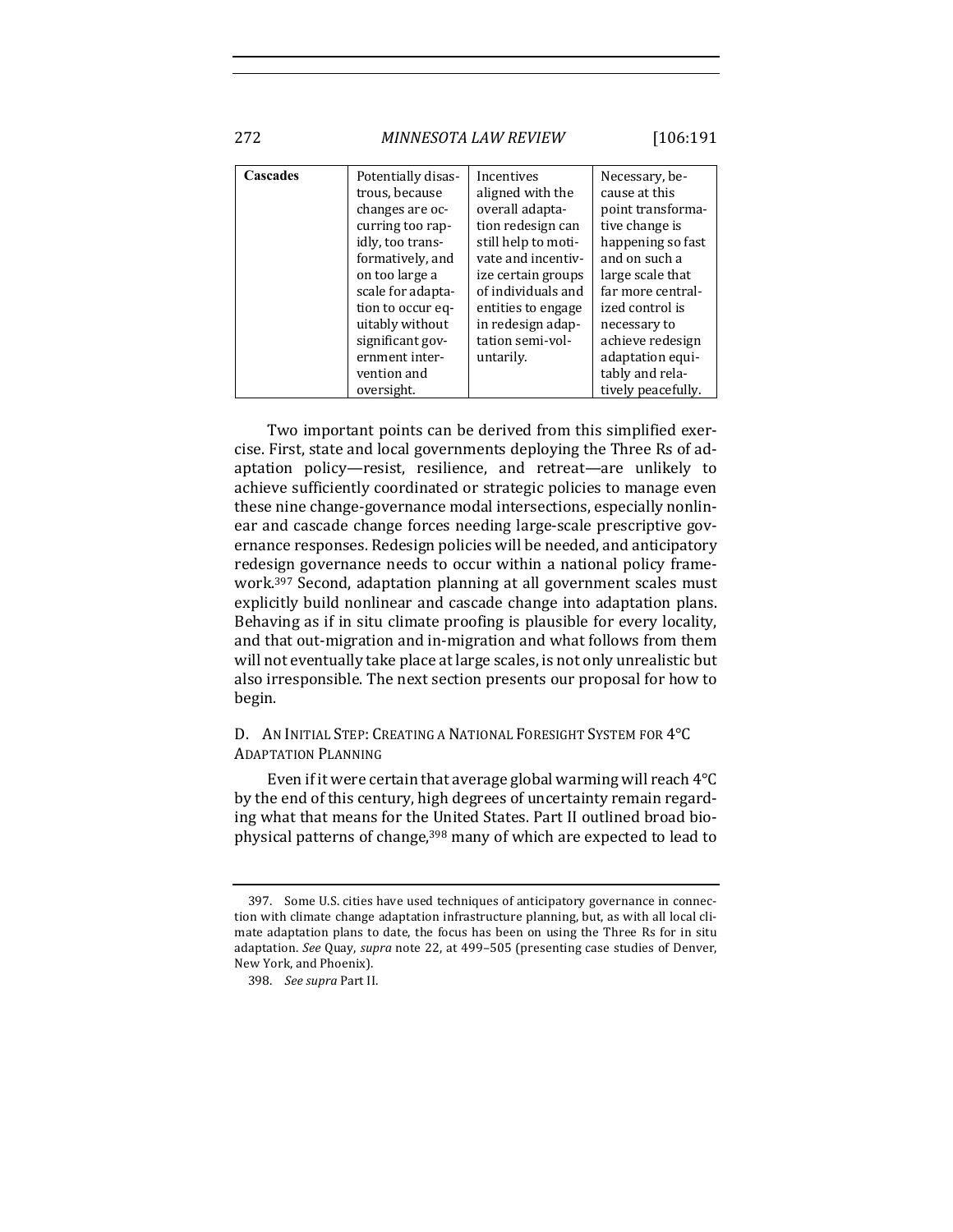272 *MINNESOTA LAW REVIEW* [106:191

**Cascades** Potentially disastrous, because changes are occurring too rapidly, too transformatively, and on too large a scale for adaptation to occur equitably without significant government intervention and Incentives aligned with the overall adaptation redesign can still help to motivate and incentivize certain groups of individuals and entities to engage in redesign adaptation semi-voluntarily. Necessary, because at this point transformative change is happening so fast and on such a large scale that far more centralized control is necessary to achieve redesign adaptation equitably and rela-

Two important points can be derived from this simplified exercise. First, state and local governments deploying the Three Rs of adaptation policy—resist, resilience, and retreat—are unlikely to achieve sufficiently coordinated or strategic policies to manage even these nine change-governance modal intersections, especially nonlinear and cascade change forces needing large-scale prescriptive governance responses. Redesign policies will be needed, and anticipatory redesign governance needs to occur within a national policy framework.<sup>397</sup> Second, adaptation planning at all government scales must explicitly build nonlinear and cascade change into adaptation plans. Behaving as if in situ climate proofing is plausible for every locality, and that out-migration and in-migration and what follows from them will not eventually take place at large scales, is not only unrealistic but also irresponsible. The next section presents our proposal for how to begin.

oversight.

## D. AN INITIAL STEP: CREATING A NATIONAL FORESIGHT SYSTEM FOR 4°C ADAPTATION PLANNING

Even if it were certain that average global warming will reach  $4^{\circ}C$ by the end of this century, high degrees of uncertainty remain regarding what that means for the United States. Part II outlined broad biophysical patterns of change,<sup>398</sup> many of which are expected to lead to

tively peacefully.

<sup>397.</sup> Some U.S. cities have used techniques of anticipatory governance in connection with climate change adaptation infrastructure planning, but, as with all local climate adaptation plans to date, the focus has been on using the Three Rs for in situ adaptation. *See* Quay, *supra* note 22, at 499-505 (presenting case studies of Denver, New York, and Phoenix).

<sup>398.</sup> *See supra Part II.*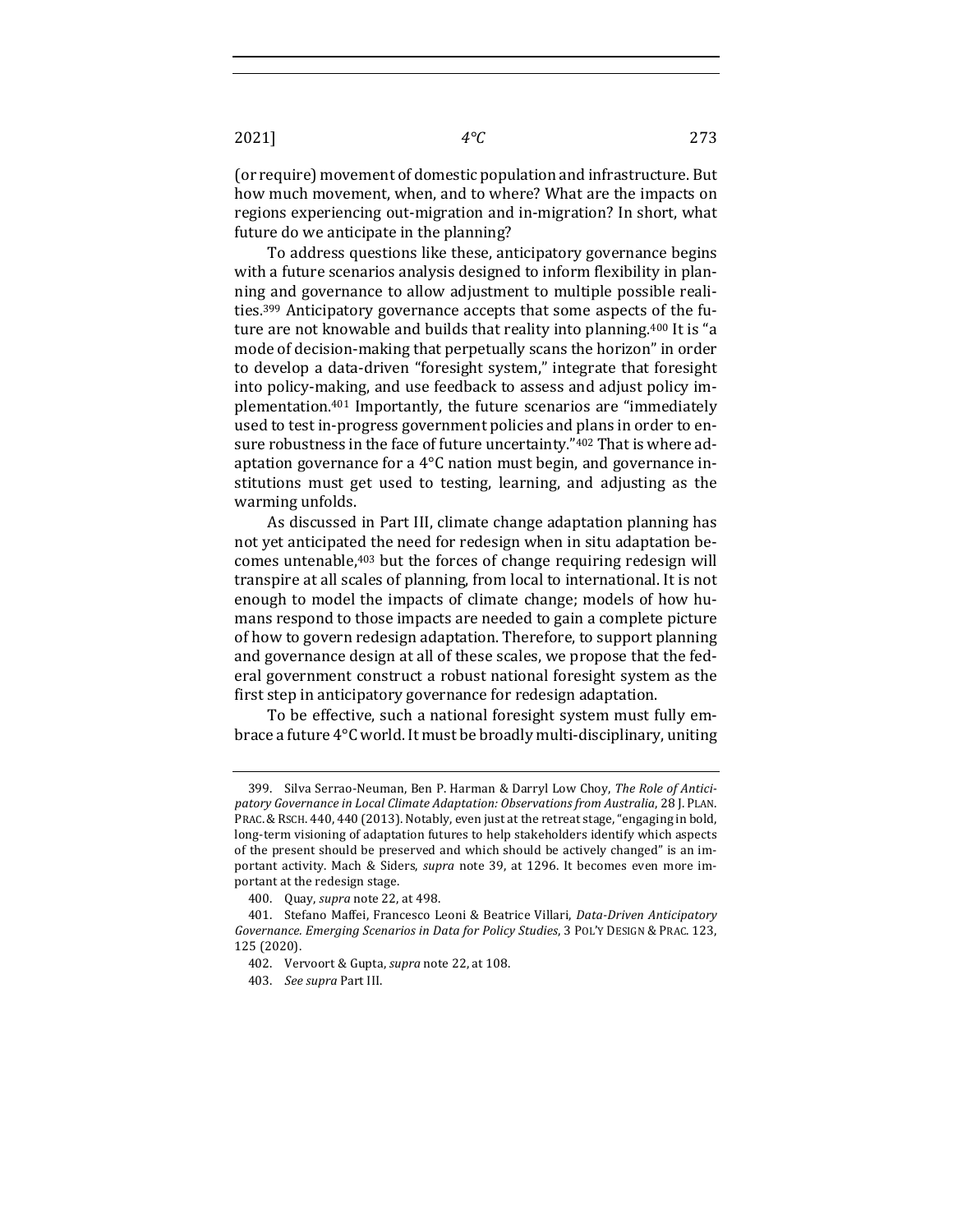(or require) movement of domestic population and infrastructure. But how much movement, when, and to where? What are the impacts on regions experiencing out-migration and in-migration? In short, what future do we anticipate in the planning?

To address questions like these, anticipatory governance begins with a future scenarios analysis designed to inform flexibility in planning and governance to allow adjustment to multiple possible realities.<sup>399</sup> Anticipatory governance accepts that some aspects of the future are not knowable and builds that reality into planning.<sup>400</sup> It is "a mode of decision-making that perpetually scans the horizon" in order to develop a data-driven "foresight system," integrate that foresight into policy-making, and use feedback to assess and adjust policy implementation.<sup>401</sup> Importantly, the future scenarios are "immediately used to test in-progress government policies and plans in order to ensure robustness in the face of future uncertainty."402 That is where adaptation governance for a  $4^{\circ}$ C nation must begin, and governance institutions must get used to testing, learning, and adjusting as the warming unfolds.

As discussed in Part III, climate change adaptation planning has not vet anticipated the need for redesign when in situ adaptation becomes untenable, $403$  but the forces of change requiring redesign will transpire at all scales of planning, from local to international. It is not enough to model the impacts of climate change; models of how humans respond to those impacts are needed to gain a complete picture of how to govern redesign adaptation. Therefore, to support planning and governance design at all of these scales, we propose that the federal government construct a robust national foresight system as the first step in anticipatory governance for redesign adaptation.

To be effective, such a national foresight system must fully embrace a future 4°C world. It must be broadly multi-disciplinary, uniting

<sup>399.</sup> Silva Serrao-Neuman, Ben P. Harman & Darryl Low Choy, The Role of Anticipatory Governance in Local Climate Adaptation: Observations from Australia, 28 J. PLAN. PRAC. & RSCH. 440, 440 (2013). Notably, even just at the retreat stage, "engaging in bold, long-term visioning of adaptation futures to help stakeholders identify which aspects of the present should be preserved and which should be actively changed" is an important activity. Mach & Siders, *supra* note 39, at 1296. It becomes even more important at the redesign stage.

<sup>400.</sup> Quay, *supra* note 22, at 498.

<sup>401.</sup> Stefano Maffei, Francesco Leoni & Beatrice Villari, *Data-Driven Anticipatory Governance. Emerging Scenarios in Data for Policy Studies*, 3 POL'Y DESIGN & PRAC. 123, 125 (2020).

<sup>402.</sup> Vervoort & Gupta, *supra* note 22, at 108.

<sup>403.</sup> *See supra* Part III.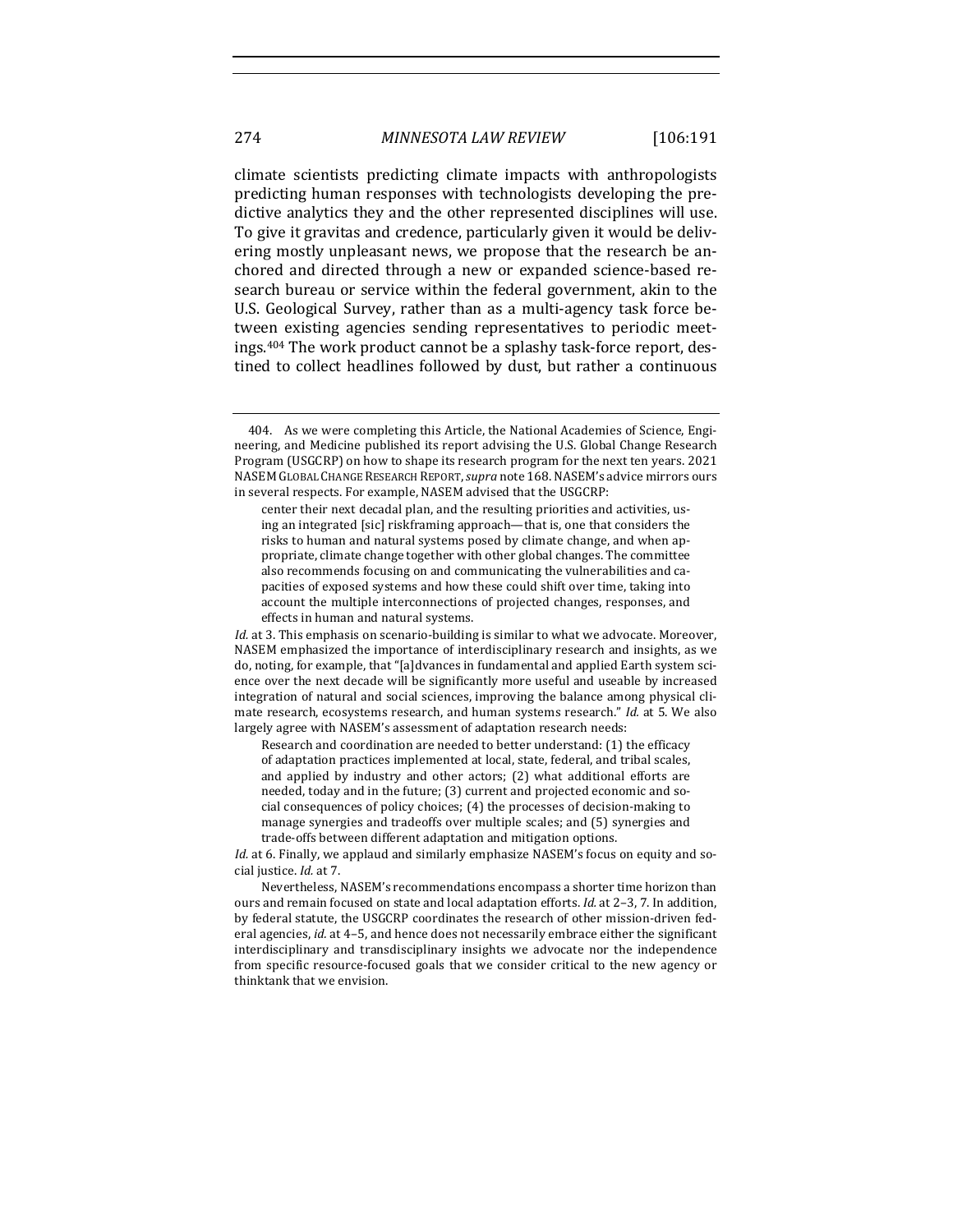climate scientists predicting climate impacts with anthropologists predicting human responses with technologists developing the predictive analytics they and the other represented disciplines will use. To give it gravitas and credence, particularly given it would be delivering mostly unpleasant news, we propose that the research be anchored and directed through a new or expanded science-based research bureau or service within the federal government, akin to the U.S. Geological Survey, rather than as a multi-agency task force between existing agencies sending representatives to periodic meetings.<sup>404</sup> The work product cannot be a splashy task-force report, destined to collect headlines followed by dust, but rather a continuous

Research and coordination are needed to better understand: (1) the efficacy of adaptation practices implemented at local, state, federal, and tribal scales, and applied by industry and other actors; (2) what additional efforts are needed, today and in the future; (3) current and projected economic and social consequences of policy choices; (4) the processes of decision-making to manage synergies and tradeoffs over multiple scales; and (5) synergies and trade-offs between different adaptation and mitigation options.

<sup>404.</sup> As we were completing this Article, the National Academies of Science, Engineering, and Medicine published its report advising the U.S. Global Change Research Program (USGCRP) on how to shape its research program for the next ten years. 2021 NASEM GLOBAL CHANGE RESEARCH REPORT, *supra* note 168. NASEM's advice mirrors ours in several respects. For example, NASEM advised that the USGCRP:

center their next decadal plan, and the resulting priorities and activities, using an integrated [sic] riskframing approach—that is, one that considers the risks to human and natural systems posed by climate change, and when appropriate, climate change together with other global changes. The committee also recommends focusing on and communicating the vulnerabilities and capacities of exposed systems and how these could shift over time, taking into account the multiple interconnections of projected changes, responses, and effects in human and natural systems.

*Id.* at 3. This emphasis on scenario-building is similar to what we advocate. Moreover, NASEM emphasized the importance of interdisciplinary research and insights, as we do, noting, for example, that "[a]dvances in fundamental and applied Earth system science over the next decade will be significantly more useful and useable by increased integration of natural and social sciences, improving the balance among physical climate research, ecosystems research, and human systems research." *Id.* at 5. We also largely agree with NASEM's assessment of adaptation research needs:

*Id.* at 6. Finally, we applaud and similarly emphasize NASEM's focus on equity and social justice. *Id.* at 7.

Nevertheless, NASEM's recommendations encompass a shorter time horizon than ours and remain focused on state and local adaptation efforts. *Id.* at 2-3, 7. In addition, by federal statute, the USGCRP coordinates the research of other mission-driven federal agencies, *id.* at 4-5, and hence does not necessarily embrace either the significant interdisciplinary and transdisciplinary insights we advocate nor the independence from specific resource-focused goals that we consider critical to the new agency or thinktank that we envision.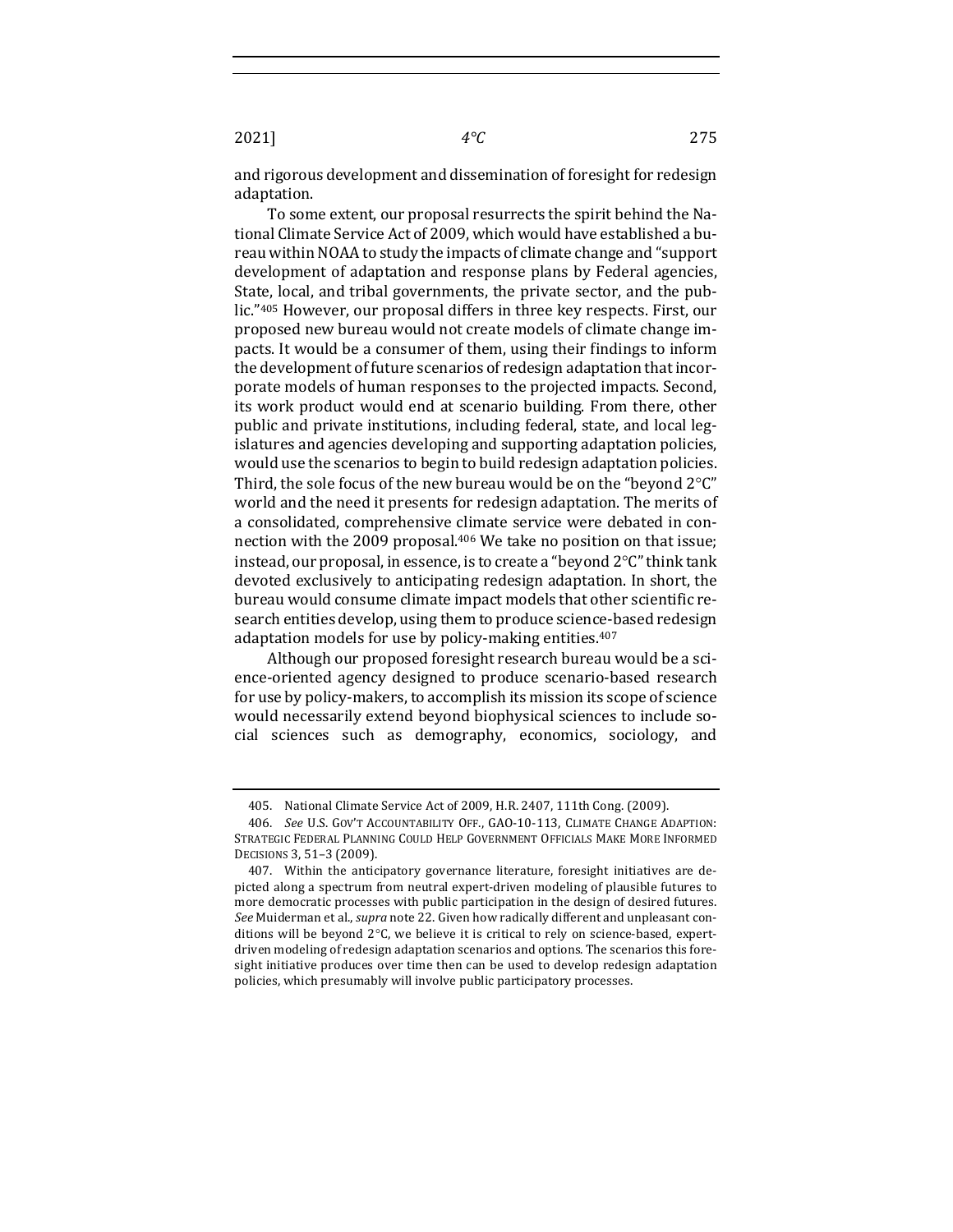and rigorous development and dissemination of foresight for redesign adaptation.

To some extent, our proposal resurrects the spirit behind the National Climate Service Act of 2009, which would have established a bureau within NOAA to study the impacts of climate change and "support development of adaptation and response plans by Federal agencies, State, local, and tribal governments, the private sector, and the public."<sup>405</sup> However, our proposal differs in three key respects. First, our proposed new bureau would not create models of climate change impacts. It would be a consumer of them, using their findings to inform the development of future scenarios of redesign adaptation that incorporate models of human responses to the projected impacts. Second, its work product would end at scenario building. From there, other public and private institutions, including federal, state, and local legislatures and agencies developing and supporting adaptation policies, would use the scenarios to begin to build redesign adaptation policies. Third, the sole focus of the new bureau would be on the "beyond  $2^{\circ}C$ " world and the need it presents for redesign adaptation. The merits of a consolidated, comprehensive climate service were debated in connection with the 2009 proposal.<sup>406</sup> We take no position on that issue; instead, our proposal, in essence, is to create a "beyond  $2^{\circ}C$ " think tank devoted exclusively to anticipating redesign adaptation. In short, the bureau would consume climate impact models that other scientific research entities develop, using them to produce science-based redesign adaptation models for use by policy-making entities.<sup>407</sup>

Although our proposed foresight research bureau would be a science-oriented agency designed to produce scenario-based research for use by policy-makers, to accomplish its mission its scope of science would necessarily extend beyond biophysical sciences to include social sciences such as demography, economics, sociology, and 

<sup>405.</sup> National Climate Service Act of 2009, H.R. 2407, 111th Cong. (2009).

<sup>406.</sup> *See* U.S. GOV'T ACCOUNTABILITY OFF., GAO-10-113, CLIMATE CHANGE ADAPTION: STRATEGIC FEDERAL PLANNING COULD HELP GOVERNMENT OFFICIALS MAKE MORE INFORMED DECISIONS 3, 51-3 (2009).

<sup>407.</sup> Within the anticipatory governance literature, foresight initiatives are depicted along a spectrum from neutral expert-driven modeling of plausible futures to more democratic processes with public participation in the design of desired futures. See Muiderman et al., *supra* note 22. Given how radically different and unpleasant conditions will be beyond  $2^{\circ}$ C, we believe it is critical to rely on science-based, expertdriven modeling of redesign adaptation scenarios and options. The scenarios this foresight initiative produces over time then can be used to develop redesign adaptation policies, which presumably will involve public participatory processes.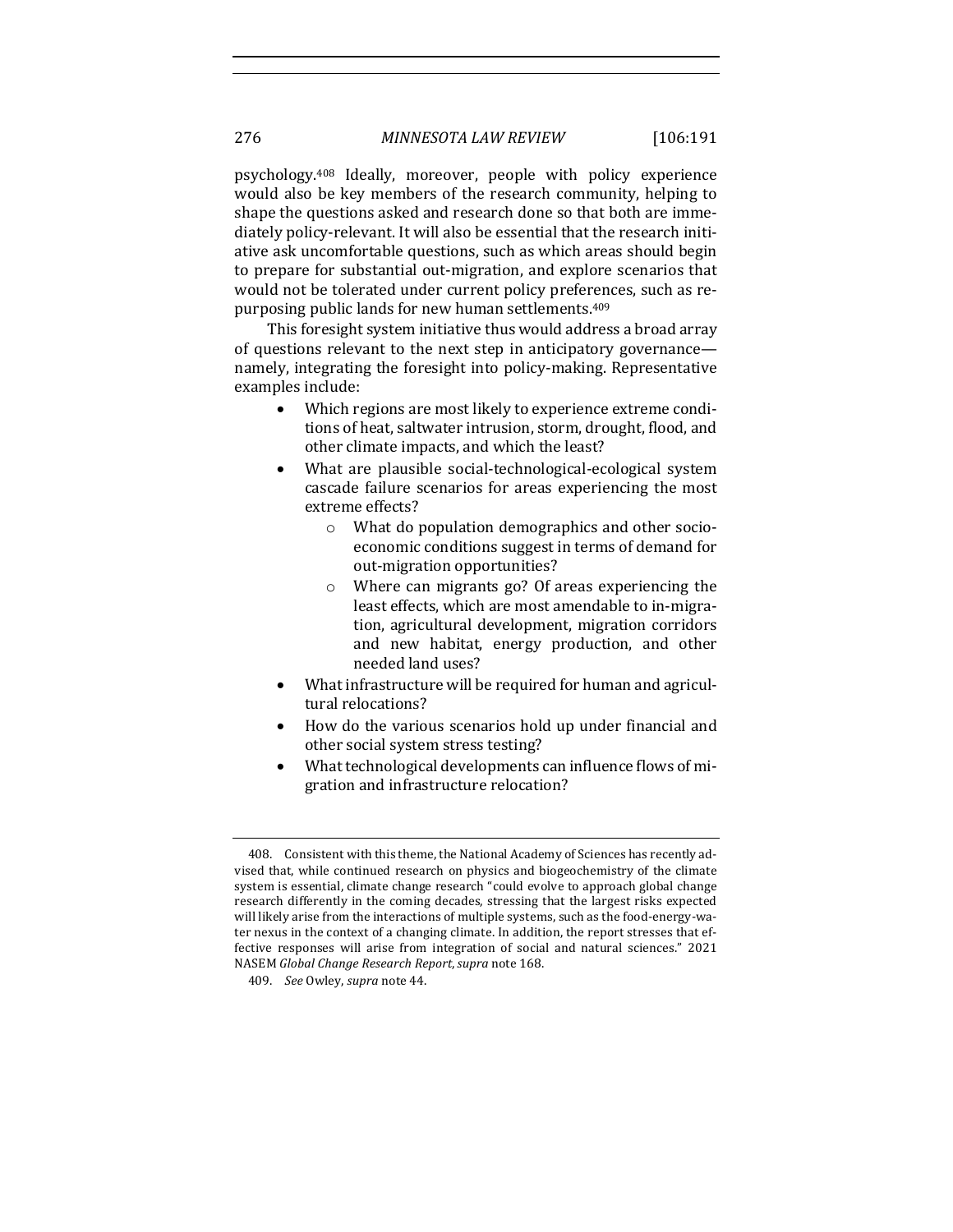psychology.<sup>408</sup> Ideally, moreover, people with policy experience would also be key members of the research community, helping to shape the questions asked and research done so that both are immediately policy-relevant. It will also be essential that the research initiative ask uncomfortable questions, such as which areas should begin to prepare for substantial out-migration, and explore scenarios that would not be tolerated under current policy preferences, such as repurposing public lands for new human settlements.<sup>409</sup>

This foresight system initiative thus would address a broad array of questions relevant to the next step in anticipatory governance namely, integrating the foresight into policy-making. Representative examples include:

- Which regions are most likely to experience extreme conditions of heat, saltwater intrusion, storm, drought, flood, and other climate impacts, and which the least?
- What are plausible social-technological-ecological system cascade failure scenarios for areas experiencing the most extreme effects?
	- $\circ$  What do population demographics and other socioeconomic conditions suggest in terms of demand for out-migration opportunities?
	- $\circ$  Where can migrants go? Of areas experiencing the least effects, which are most amendable to in-migration, agricultural development, migration corridors and new habitat, energy production, and other needed land uses?
- What infrastructure will be required for human and agricultural relocations?
- How do the various scenarios hold up under financial and other social system stress testing?
- What technological developments can influence flows of migration and infrastructure relocation?

<sup>408.</sup> Consistent with this theme, the National Academy of Sciences has recently advised that, while continued research on physics and biogeochemistry of the climate system is essential, climate change research "could evolve to approach global change research differently in the coming decades, stressing that the largest risks expected will likely arise from the interactions of multiple systems, such as the food-energy-water nexus in the context of a changing climate. In addition, the report stresses that effective responses will arise from integration of social and natural sciences." 2021 NASEM *Global Change Research Report*,*supra* note 168.

<sup>409.</sup> *See* Owley, *supra* note 44.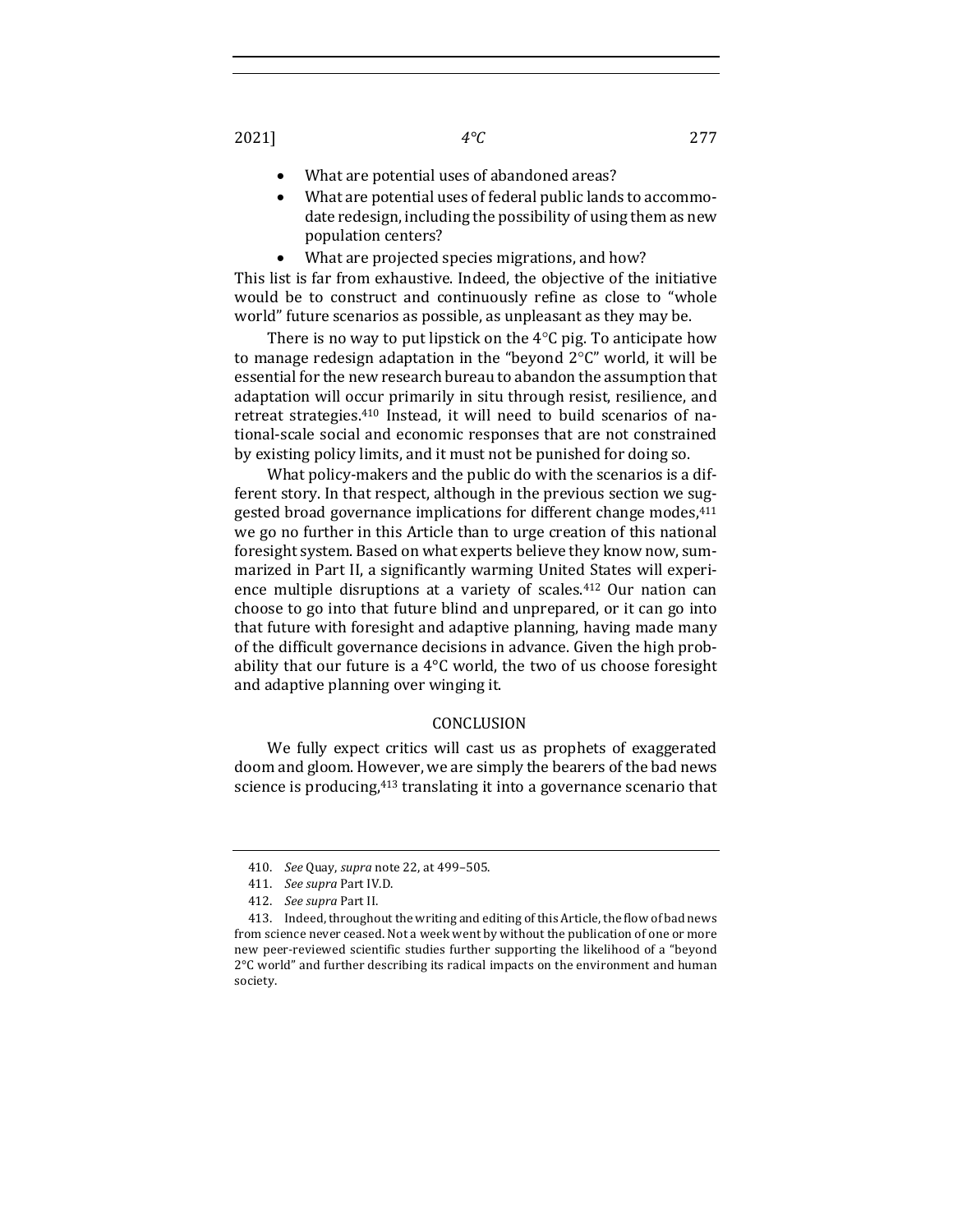- What are potential uses of abandoned areas?
- What are potential uses of federal public lands to accommodate redesign, including the possibility of using them as new population centers?
- What are projected species migrations, and how?

This list is far from exhaustive. Indeed, the objective of the initiative would be to construct and continuously refine as close to "whole world" future scenarios as possible, as unpleasant as they may be.

There is no way to put lipstick on the  $4^{\circ}$ C pig. To anticipate how to manage redesign adaptation in the "beyond  $2^{\circ}C''$  world, it will be essential for the new research bureau to abandon the assumption that adaptation will occur primarily in situ through resist, resilience, and retreat strategies.<sup>410</sup> Instead, it will need to build scenarios of national-scale social and economic responses that are not constrained by existing policy limits, and it must not be punished for doing so.

What policy-makers and the public do with the scenarios is a different story. In that respect, although in the previous section we suggested broad governance implications for different change modes,<sup>411</sup> we go no further in this Article than to urge creation of this national foresight system. Based on what experts believe they know now, summarized in Part II, a significantly warming United States will experience multiple disruptions at a variety of scales. $412$  Our nation can choose to go into that future blind and unprepared, or it can go into that future with foresight and adaptive planning, having made many of the difficult governance decisions in advance. Given the high probability that our future is a  $4^{\circ}$ C world, the two of us choose foresight and adaptive planning over winging it.

### CONCLUSION

We fully expect critics will cast us as prophets of exaggerated doom and gloom. However, we are simply the bearers of the bad news science is producing,<sup>413</sup> translating it into a governance scenario that

<sup>410.</sup> *See* Quay, *supra* note 22, at 499–505.

<sup>411.</sup> *See supra Part IV.D.* 

<sup>412.</sup> *See supra* Part II.

<sup>413.</sup> Indeed, throughout the writing and editing of this Article, the flow of bad news from science never ceased. Not a week went by without the publication of one or more new peer-reviewed scientific studies further supporting the likelihood of a "beyond 2°C world" and further describing its radical impacts on the environment and human society.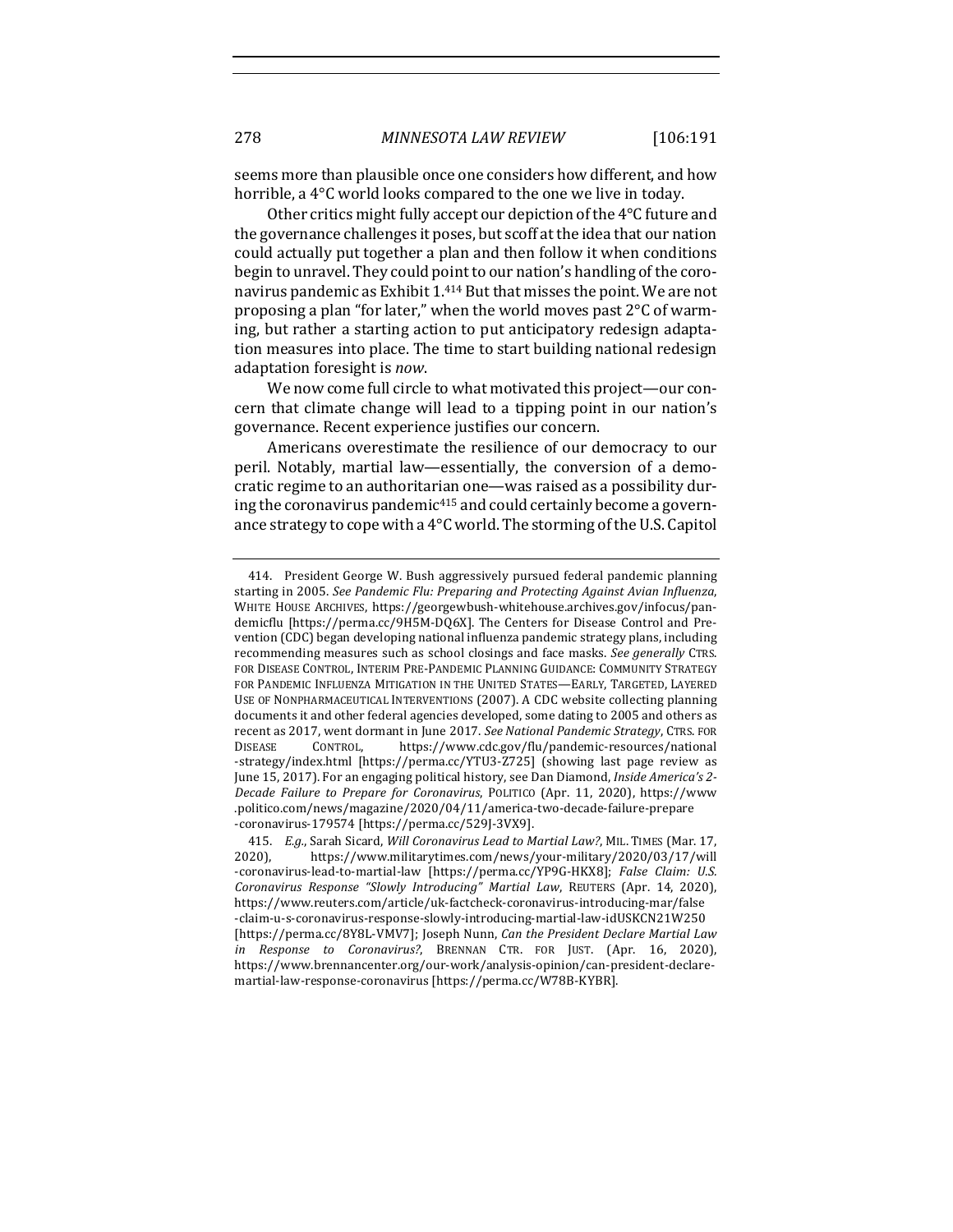seems more than plausible once one considers how different, and how horrible, a  $4^{\circ}$ C world looks compared to the one we live in today.

Other critics might fully accept our depiction of the 4°C future and the governance challenges it poses, but scoff at the idea that our nation could actually put together a plan and then follow it when conditions begin to unravel. They could point to our nation's handling of the coronavirus pandemic as Exhibit 1.<sup>414</sup> But that misses the point. We are not proposing a plan "for later," when the world moves past  $2^{\circ}C$  of warming, but rather a starting action to put anticipatory redesign adaptation measures into place. The time to start building national redesign adaptation foresight is now.

We now come full circle to what motivated this project—our concern that climate change will lead to a tipping point in our nation's governance. Recent experience justifies our concern.

Americans overestimate the resilience of our democracy to our peril. Notably, martial law—essentially, the conversion of a democratic regime to an authoritarian one—was raised as a possibility during the coronavirus pandemic<sup>415</sup> and could certainly become a governance strategy to cope with a  $4^{\circ}$ C world. The storming of the U.S. Capitol

<sup>414.</sup> President George W. Bush aggressively pursued federal pandemic planning starting in 2005. See Pandemic Flu: Preparing and Protecting Against Avian Influenza, WHITE HOUSE ARCHIVES, https://georgewbush-whitehouse.archives.gov/infocus/pandemicflu [https://perma.cc/9H5M-DQ6X]. The Centers for Disease Control and Prevention (CDC) began developing national influenza pandemic strategy plans, including recommending measures such as school closings and face masks. *See generally* CTRS. FOR DISEASE CONTROL, INTERIM PRE-PANDEMIC PLANNING GUIDANCE: COMMUNITY STRATEGY FOR PANDEMIC INFLUENZA MITIGATION IN THE UNITED STATES-EARLY, TARGETED, LAYERED USE OF NONPHARMACEUTICAL INTERVENTIONS (2007). A CDC website collecting planning documents it and other federal agencies developed, some dating to 2005 and others as recent as 2017, went dormant in June 2017. See National Pandemic Strategy, CTRS. FOR DISEASE CONTROL, https://www.cdc.gov/flu/pandemic-resources/national -strategy/index.html [https://perma.cc/YTU3-Z725] (showing last page review as June 15, 2017). For an engaging political history, see Dan Diamond, *Inside America's 2-Decade Failure to Prepare for Coronavirus*, POLITICO (Apr. 11, 2020), https://www .politico.com/news/magazine/2020/04/11/america-two-decade-failure-prepare -coronavirus-179574 [https://perma.cc/529J-3VX9].

<sup>415.</sup> E.g., Sarah Sicard, *Will Coronavirus Lead to Martial Law?*, MIL. TIMES (Mar. 17, 2020), https://www.militarytimes.com/news/your-military/2020/03/17/will -coronavirus-lead-to-martial-law [https://perma.cc/YP9G-HKX8]; False Claim: U.S. *Coronavirus Response "Slowly Introducing" Martial Law*, REUTERS (Apr. 14, 2020), https://www.reuters.com/article/uk-factcheck-coronavirus-introducing-mar/false -claim-u-s-coronavirus-response-slowly-introducing-martial-law-idUSKCN21W250 [https://perma.cc/8Y8L-VMV7]; Joseph Nunn, *Can the President Declare Martial Law in Response to Coronavirus?*, BRENNAN CTR. FOR JUST. (Apr. 16, 2020), https://www.brennancenter.org/our-work/analysis-opinion/can-president-declaremartial-law-response-coronavirus [https://perma.cc/W78B-KYBR].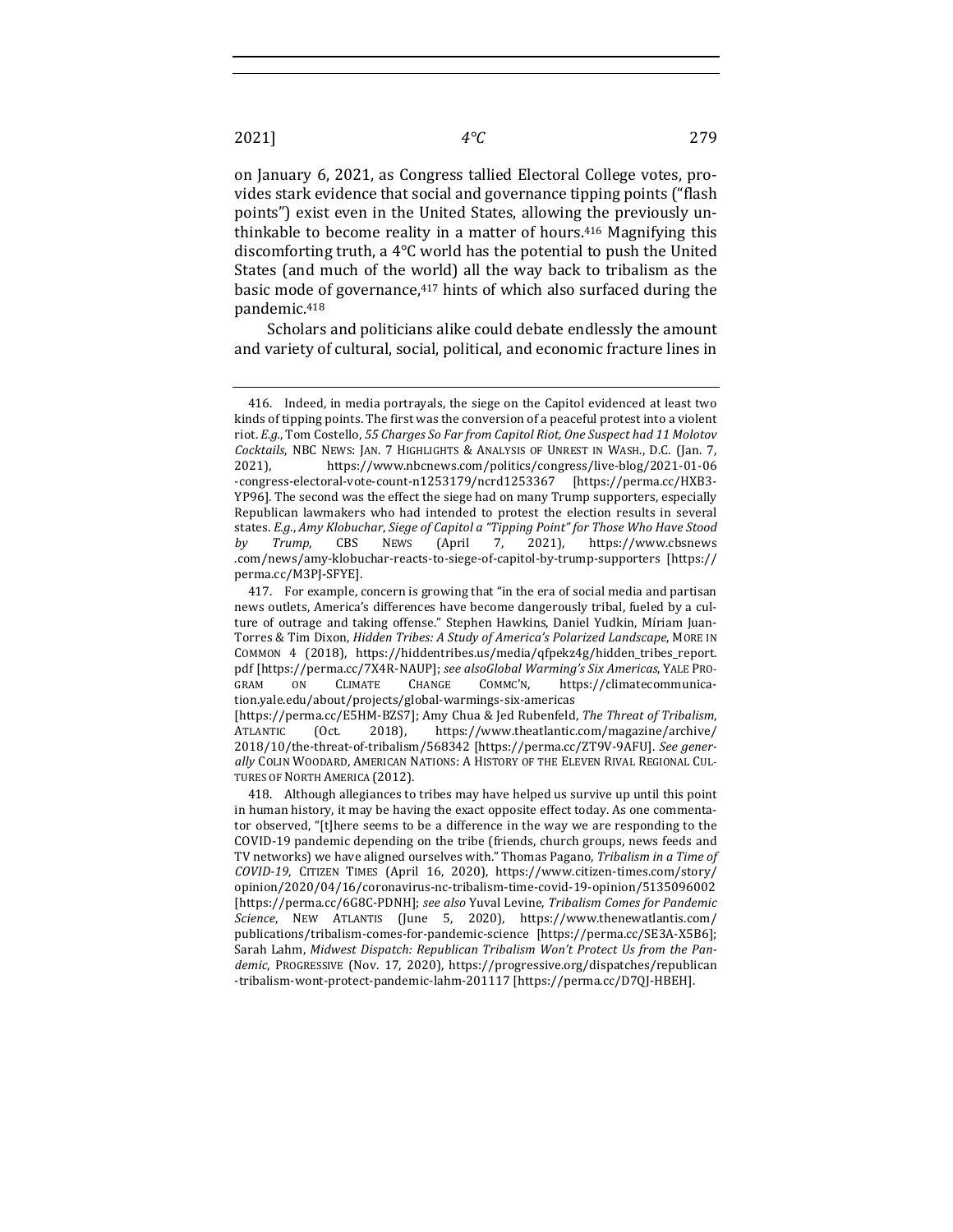on January 6, 2021, as Congress tallied Electoral College votes, provides stark evidence that social and governance tipping points ("flash points") exist even in the United States, allowing the previously unthinkable to become reality in a matter of hours.<sup>416</sup> Magnifying this discomforting truth, a  $4^{\circ}$ C world has the potential to push the United States (and much of the world) all the way back to tribalism as the basic mode of governance, $417$  hints of which also surfaced during the pandemic.418

Scholars and politicians alike could debate endlessly the amount and variety of cultural, social, political, and economic fracture lines in

<sup>416.</sup> Indeed, in media portrayals, the siege on the Capitol evidenced at least two kinds of tipping points. The first was the conversion of a peaceful protest into a violent riot. *E.g.*, Tom Costello, 55 Charges So Far from Capitol Riot, One Suspect had 11 Molotov *Cocktails*, NBC NEWS: JAN. 7 HIGHLIGHTS & ANALYSIS OF UNREST IN WASH., D.C. (Jan. 7, 2021), https://www.nbcnews.com/politics/congress/live-blog/2021-01-06 -congress-electoral-vote-count-n1253179/ncrd1253367 [https://perma.cc/HXB3- YP96]. The second was the effect the siege had on many Trump supporters, especially Republican lawmakers who had intended to protest the election results in several states. *E.g.*, Amy Klobuchar, Siege of Capitol a "Tipping Point" for Those Who Have Stood *by Trump*, CBS NEWS (April 7, 2021), https://www.cbsnews .com/news/amy-klobuchar-reacts-to-siege-of-capitol-by-trump-supporters [https:// perma.cc/M3PJ-SFYE].

<sup>417.</sup> For example, concern is growing that "in the era of social media and partisan news outlets, America's differences have become dangerously tribal, fueled by a culture of outrage and taking offense." Stephen Hawkins, Daniel Yudkin, Míriam Juan-Torres & Tim Dixon, *Hidden Tribes: A Study of America's Polarized Landscape*, MORE IN COMMON 4 (2018), https://hiddentribes.us/media/qfpekz4g/hidden\_tribes\_report. pdf [https://perma.cc/7X4R-NAUP]; see alsoGlobal Warming's Six Americas, YALE PRO-GRAM ON CLIMATE CHANGE COMMC'N, https://climatecommunication.yale.edu/about/projects/global-warmings-six-americas [https://perma.cc/E5HM-BZS7]; Amy Chua & Jed Rubenfeld, *The Threat of Tribalism*,

ATLANTIC (Oct. 2018), https://www.theatlantic.com/magazine/archive/ 2018/10/the-threat-of-tribalism/568342 [https://perma.cc/ZT9V-9AFU]. *See gener*ally COLIN WOODARD, AMERICAN NATIONS: A HISTORY OF THE ELEVEN RIVAL REGIONAL CUL-TURES OF NORTH AMERICA (2012).

<sup>418.</sup> Although allegiances to tribes may have helped us survive up until this point in human history, it may be having the exact opposite effect today. As one commentator observed, "[t]here seems to be a difference in the way we are responding to the COVID-19 pandemic depending on the tribe (friends, church groups, news feeds and TV networks) we have aligned ourselves with." Thomas Pagano, Tribalism in a Time of *COVID-19*, CITIZEN TIMES (April 16, 2020), https://www.citizen-times.com/story/ opinion/2020/04/16/coronavirus-nc-tribalism-time-covid-19-opinion/5135096002 [https://perma.cc/6G8C-PDNH]; see also Yuval Levine, *Tribalism Comes for Pandemic Science*, NEW ATLANTIS (June 5, 2020), https://www.thenewatlantis.com/ publications/tribalism-comes-for-pandemic-science [https://perma.cc/SE3A-X5B6]; Sarah Lahm, *Midwest Dispatch: Republican Tribalism Won't Protect Us from the Pandemic*, PROGRESSIVE (Nov. 17, 2020), https://progressive.org/dispatches/republican -tribalism-wont-protect-pandemic-lahm-201117 [https://perma.cc/D7QJ-HBEH].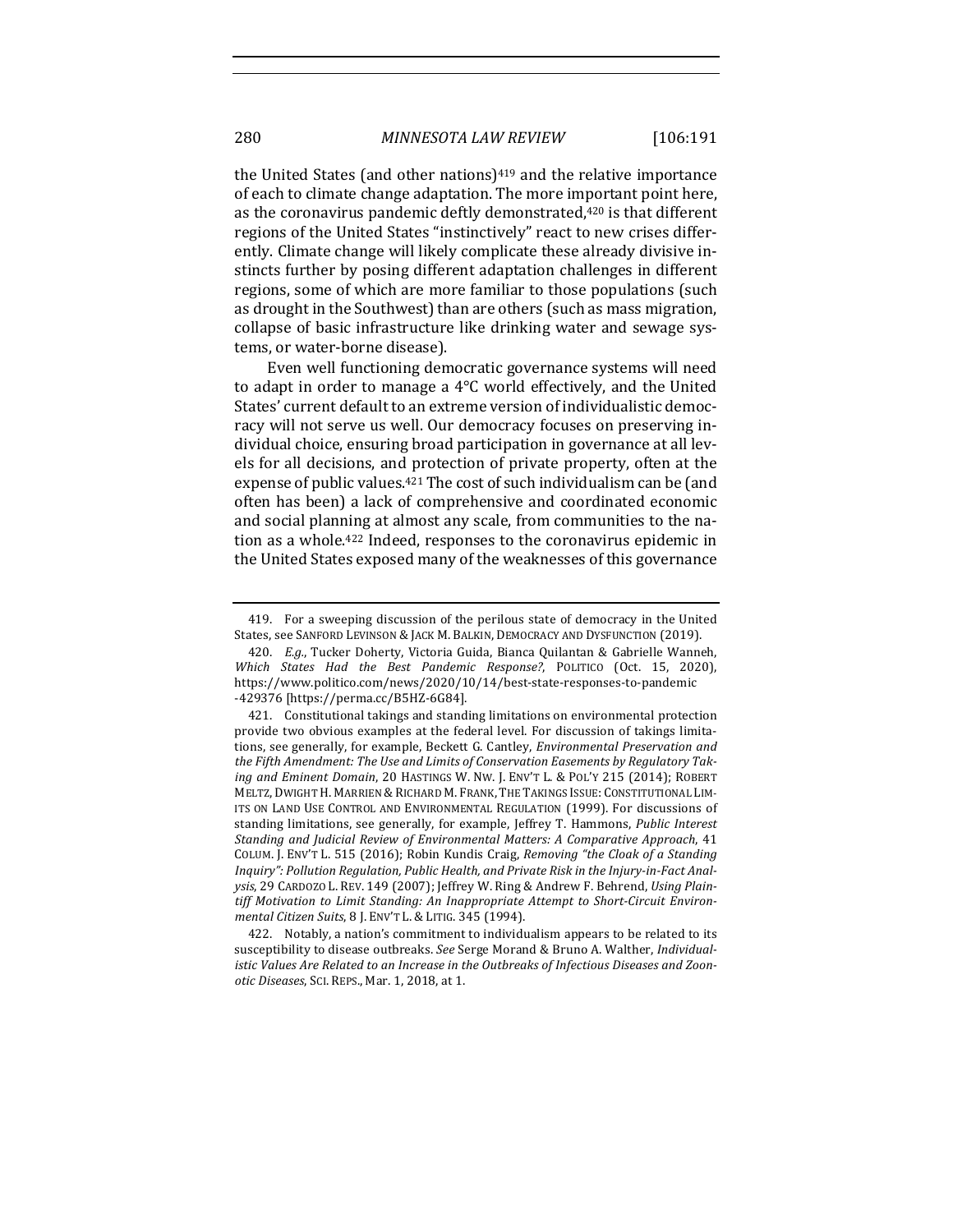the United States (and other nations) $419$  and the relative importance of each to climate change adaptation. The more important point here, as the coronavirus pandemic deftly demonstrated,<sup>420</sup> is that different regions of the United States "instinctively" react to new crises differently. Climate change will likely complicate these already divisive instincts further by posing different adaptation challenges in different regions, some of which are more familiar to those populations (such as drought in the Southwest) than are others (such as mass migration, collapse of basic infrastructure like drinking water and sewage systems, or water-borne disease).

Even well functioning democratic governance systems will need to adapt in order to manage a  $4^{\circ}$ C world effectively, and the United States' current default to an extreme version of individualistic democracy will not serve us well. Our democracy focuses on preserving individual choice, ensuring broad participation in governance at all levels for all decisions, and protection of private property, often at the expense of public values. $421$  The cost of such individualism can be (and often has been) a lack of comprehensive and coordinated economic and social planning at almost any scale, from communities to the nation as a whole.<sup>422</sup> Indeed, responses to the coronavirus epidemic in the United States exposed many of the weaknesses of this governance

<sup>419.</sup> For a sweeping discussion of the perilous state of democracy in the United States, see SANFORD LEVINSON & JACK M. BALKIN, DEMOCRACY AND DYSFUNCTION (2019).

<sup>420.</sup> *E.g.*, Tucker Doherty, Victoria Guida, Bianca Quilantan & Gabrielle Wanneh, *Which States Had the Best Pandemic Response?*, POLITICO (Oct. 15, 2020), https://www.politico.com/news/2020/10/14/best-state-responses-to-pandemic -429376 [https://perma.cc/B5HZ-6G84]. 

<sup>421.</sup> Constitutional takings and standing limitations on environmental protection provide two obvious examples at the federal level. For discussion of takings limitations, see generally, for example, Beckett G. Cantley, *Environmental Preservation and* the Fifth Amendment: The Use and Limits of Conservation Easements by Regulatory Taking and Eminent Domain, 20 HASTINGS W. NW. J. ENV'T L. & POL'Y 215 (2014); ROBERT MELTZ, DWIGHT H. MARRIEN & RICHARD M. FRANK, THE TAKINGS ISSUE: CONSTITUTIONAL LIM-ITS ON LAND USE CONTROL AND ENVIRONMENTAL REGULATION (1999). For discussions of standing limitations, see generally, for example, Jeffrey T. Hammons, *Public Interest* Standing and Judicial Review of Environmental Matters: A Comparative Approach, 41 COLUM. J. ENV'T L. 515 (2016); Robin Kundis Craig, *Removing "the Cloak of a Standing* Inquiry": Pollution Regulation, Public Health, and Private Risk in the Injury-in-Fact Analysis, 29 CARDOZO L. REV. 149 (2007); Jeffrey W. Ring & Andrew F. Behrend, *Using Plain*tiff Motivation to Limit Standing: An Inappropriate Attempt to Short-Circuit Environ*mental Citizen Suits*, 8 J. ENV'T L. & LITIG. 345 (1994).

<sup>422.</sup> Notably, a nation's commitment to individualism appears to be related to its susceptibility to disease outbreaks. See Serge Morand & Bruno A. Walther, Individualistic Values Are Related to an Increase in the Outbreaks of Infectious Diseases and Zoon*otic Diseases*, ScI. REPS., Mar. 1, 2018, at 1.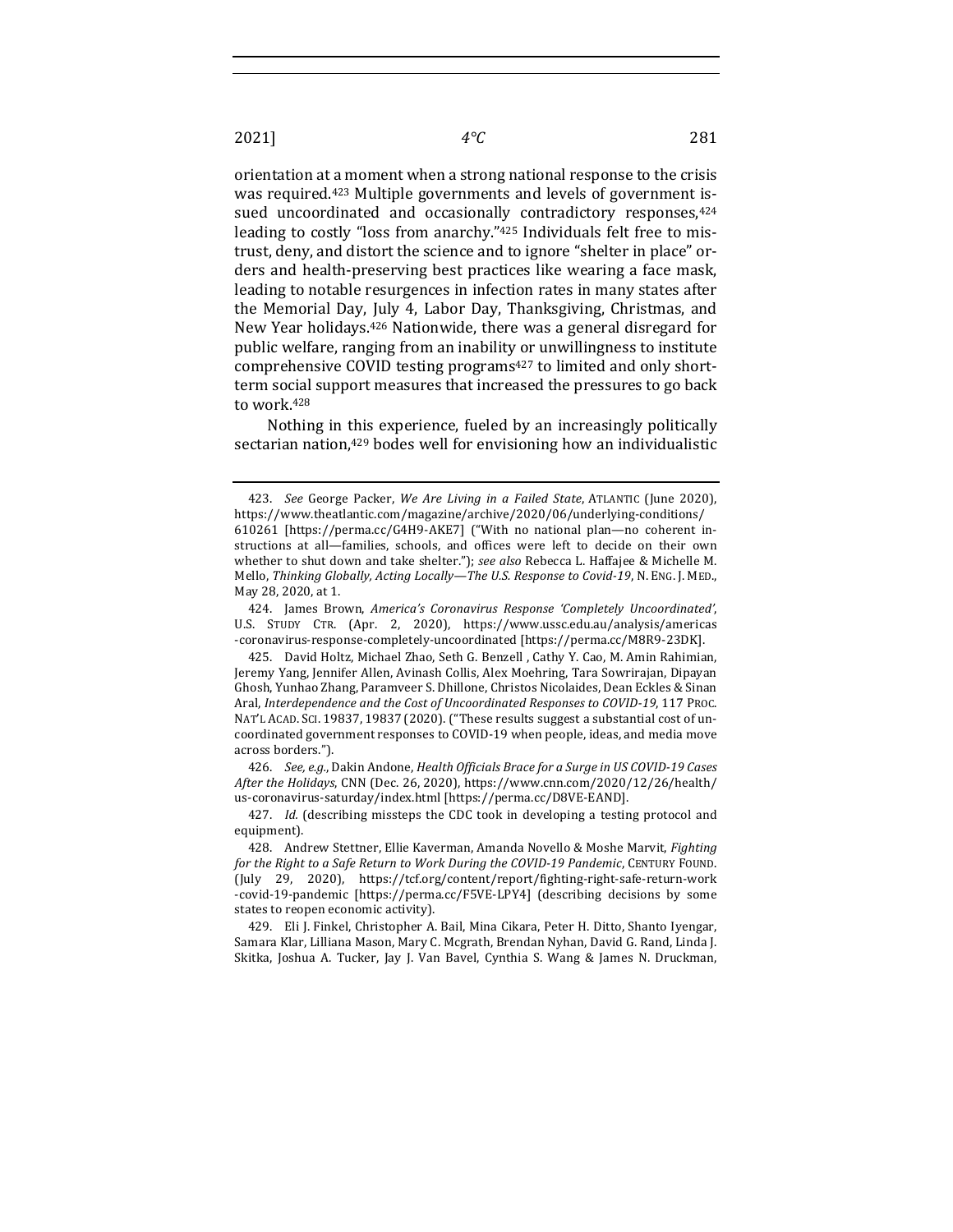orientation at a moment when a strong national response to the crisis was required.<sup>423</sup> Multiple governments and levels of government issued uncoordinated and occasionally contradictory responses, 424 leading to costly "loss from anarchy."<sup>425</sup> Individuals felt free to mistrust, deny, and distort the science and to ignore "shelter in place" orders and health-preserving best practices like wearing a face mask, leading to notable resurgences in infection rates in many states after the Memorial Day, July 4, Labor Day, Thanksgiving, Christmas, and New Year holidays.<sup>426</sup> Nationwide, there was a general disregard for public welfare, ranging from an inability or unwillingness to institute comprehensive COVID testing programs<sup>427</sup> to limited and only shortterm social support measures that increased the pressures to go back to work.<sup>428</sup>

Nothing in this experience, fueled by an increasingly politically sectarian nation,<sup>429</sup> bodes well for envisioning how an individualistic

426. *See, e.g.*, Dakin Andone, *Health Officials Brace for a Surge in US COVID-19 Cases After the Holidays, CNN* (Dec. 26, 2020), https://www.cnn.com/2020/12/26/health/ us-coronavirus-saturday/index.html [https://perma.cc/D8VE-EAND].

429. Eli J. Finkel, Christopher A. Bail, Mina Cikara, Peter H. Ditto, Shanto Iyengar, Samara Klar, Lilliana Mason, Mary C. Mcgrath, Brendan Nyhan, David G. Rand, Linda J. Skitka, Joshua A. Tucker, Jay J. Van Bavel, Cynthia S. Wang & James N. Druckman,

<sup>423.</sup> *See* George Packer, *We Are Living in a Failed State*, ATLANTIC (June 2020), https://www.theatlantic.com/magazine/archive/2020/06/underlying-conditions/ 610261 [https://perma.cc/G4H9-AKE7] ("With no national plan—no coherent instructions at all-families, schools, and offices were left to decide on their own whether to shut down and take shelter."); see also Rebecca L. Haffajee & Michelle M. Mello, Thinking Globally, Acting Locally-The U.S. Response to Covid-19, N. ENG. J. MED., May 28, 2020, at 1.

<sup>424.</sup> James Brown, *America's Coronavirus Response 'Completely Uncoordinated'*, U.S. STUDY CTR. (Apr. 2, 2020), https://www.ussc.edu.au/analysis/americas -coronavirus-response-completely-uncoordinated [https://perma.cc/M8R9-23DK].

<sup>425.</sup> David Holtz, Michael Zhao, Seth G. Benzell, Cathy Y. Cao, M. Amin Rahimian, Jeremy Yang, Jennifer Allen, Avinash Collis, Alex Moehring, Tara Sowrirajan, Dipayan Ghosh, Yunhao Zhang, Paramveer S. Dhillone, Christos Nicolaides, Dean Eckles & Sinan Aral, *Interdependence and the Cost of Uncoordinated Responses to COVID-19*, 117 PROC. NAT'L ACAD. SCI. 19837, 19837 (2020). ("These results suggest a substantial cost of uncoordinated government responses to COVID-19 when people, ideas, and media move across borders.").

<sup>427.</sup> *Id.* (describing missteps the CDC took in developing a testing protocol and equipment).

<sup>428.</sup> Andrew Stettner, Ellie Kaverman, Amanda Novello & Moshe Marvit, *Fighting* for the Right to a Safe Return to Work During the COVID-19 Pandemic, CENTURY FOUND. (July 29, 2020), https://tcf.org/content/report/fighting-right-safe-return-work -covid-19-pandemic [https://perma.cc/F5VE-LPY4] (describing decisions by some states to reopen economic activity).